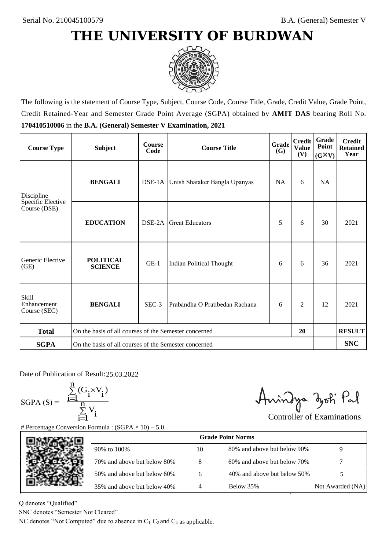

The following is the statement of Course Type, Subject, Course Code, Course Title, Grade, Credit Value, Grade Point, Credit Retained-Year and Semester Grade Point Average (SGPA) obtained by **AMIT DAS** bearing Roll No. **170410510006** in the **B.A. (General) Semester V Examination, 2021**

| <b>Course Type</b>                   | <b>Subject</b>                                              | <b>Course</b><br>Code | Grade<br><b>Course Title</b><br>(G)  |           | <b>Credit</b><br><b>Value</b><br>(V) | Grade<br>Point<br>$(G\times V)$ | <b>Credit</b><br><b>Retained</b><br>Year |
|--------------------------------------|-------------------------------------------------------------|-----------------------|--------------------------------------|-----------|--------------------------------------|---------------------------------|------------------------------------------|
| Discipline                           | <b>BENGALI</b>                                              |                       | DSE-1A Unish Shataker Bangla Upanyas | <b>NA</b> | 6                                    | <b>NA</b>                       |                                          |
| Specific Elective<br>Course (DSE)    | <b>EDUCATION</b>                                            | DSE-2A                | <b>Great Educators</b>               | 5         | 6                                    | 30                              | 2021                                     |
| Generic Elective<br>(GE)             | <b>POLITICAL</b><br><b>SCIENCE</b>                          | $GE-1$                | Indian Political Thought             | 6         | 6                                    | 36                              | 2021                                     |
| Skill<br>Enhancement<br>Course (SEC) | <b>BENGALI</b>                                              | $SEC-3$               | Prabandha O Pratibedan Rachana       | 6         | 2                                    | 12                              | 2021                                     |
| <b>Total</b>                         | On the basis of all courses of the Semester concerned<br>20 |                       |                                      |           |                                      |                                 | <b>RESULT</b>                            |
| <b>SGPA</b>                          | On the basis of all courses of the Semester concerned       |                       |                                      |           |                                      |                                 | <b>SNC</b>                               |

Date of Publication of Result: 25.03.2022

SGPA  $(S) = \frac{1-1}{1}$ 

$$
\frac{\sum\limits_{i=1}^{n} (G_i \times V_i)}{\sum\limits_{i=1}^{n} V_i}
$$

Anindya zoti Pal

| ate of Publication of Result: 25.03.2022<br>GPA (S) = $\frac{\sum_{i=1}^{n} (G_i \times V_i)}{\sum_{i=1}^{n} V_i}$ |                                                                                   |                | Aningya zoti Pal            | <b>Controller of Examinations</b> |
|--------------------------------------------------------------------------------------------------------------------|-----------------------------------------------------------------------------------|----------------|-----------------------------|-----------------------------------|
|                                                                                                                    | Percentage Conversion Formula : $(SGPA \times 10) - 5.0$                          |                | <b>Grade Point Norms</b>    |                                   |
|                                                                                                                    | 90% to 100%                                                                       | 10             | 80% and above but below 90% | 9                                 |
|                                                                                                                    | 70% and above but below 80%                                                       | 8              | 60% and above but below 70% |                                   |
|                                                                                                                    | 50% and above but below 60%                                                       | 6              | 40% and above but below 50% | 5                                 |
|                                                                                                                    | 35% and above but below 40%                                                       | $\overline{4}$ | Below 35%                   | Not Awarded (NA)                  |
| denotes "Qualified"<br>NC denotes "Semester Not Cleared"                                                           | C denotes "Not Computed" due to absence in $C_1$ , $C_2$ and $C_4$ as applicable. |                |                             |                                   |

Q denotes "Qualified"

SNC denotes "Semester Not Cleared"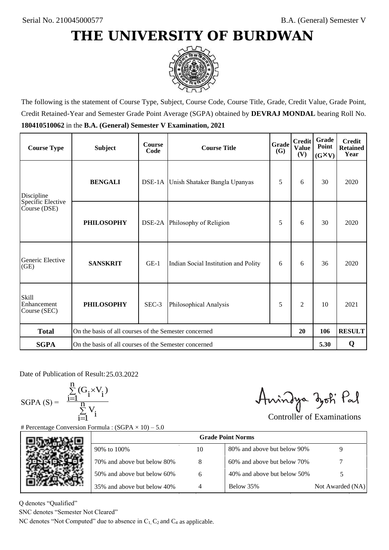

The following is the statement of Course Type, Subject, Course Code, Course Title, Grade, Credit Value, Grade Point, Credit Retained-Year and Semester Grade Point Average (SGPA) obtained by **DEVRAJ MONDAL** bearing Roll No. **180410510062** in the **B.A. (General) Semester V Examination, 2021**

| <b>Course Type</b>                          | <b>Subject</b>                                              | <b>Course</b><br>Code | Grade<br><b>Course Title</b><br><b>(G)</b> |   | <b>Credit</b><br><b>Value</b><br>(V) | Grade<br>Point<br>$(G\times V)$ | <b>Credit</b><br><b>Retained</b><br>Year |
|---------------------------------------------|-------------------------------------------------------------|-----------------------|--------------------------------------------|---|--------------------------------------|---------------------------------|------------------------------------------|
| Discipline                                  | <b>BENGALI</b>                                              |                       | DSE-1A Unish Shataker Bangla Upanyas       | 5 | 6                                    | 30                              | 2020                                     |
| Specific Elective<br>Course (DSE)           | <b>PHILOSOPHY</b>                                           |                       | DSE-2A Philosophy of Religion              | 5 | 6                                    | 30                              | 2020                                     |
| Generic Elective<br>(GE)                    | <b>SANSKRIT</b>                                             | $GE-1$                | Indian Social Institution and Polity       |   | 6                                    | 36                              | 2020                                     |
| <b>Skill</b><br>Enhancement<br>Course (SEC) | <b>PHILOSOPHY</b>                                           | SEC-3                 | Philosophical Analysis                     | 5 | $\overline{c}$                       | 10                              | 2021                                     |
| <b>Total</b>                                | On the basis of all courses of the Semester concerned<br>20 |                       |                                            |   |                                      | 106                             | <b>RESULT</b>                            |
| <b>SGPA</b>                                 | On the basis of all courses of the Semester concerned       |                       |                                            |   |                                      | 5.30                            | Q                                        |

Date of Publication of Result: 25,03,2022

 $SGPA(S) =$ 

$$
\frac{\sum\limits_{i=1}^n (G_i \times V_i)}{\sum\limits_{i=1}^n V_i}
$$

Anindya zoti Pal

| ate of Publication of Result: 25.03.2022<br>GPA (S) = $\frac{\sum_{i=1}^{n} (G_i \times V_i)}{\sum_{i=1}^{n} V_i}$ |                                                                                   |                | Aningya zoti Pal            | <b>Controller of Examinations</b> |
|--------------------------------------------------------------------------------------------------------------------|-----------------------------------------------------------------------------------|----------------|-----------------------------|-----------------------------------|
|                                                                                                                    | Percentage Conversion Formula : $(SGPA \times 10) - 5.0$                          |                | <b>Grade Point Norms</b>    |                                   |
|                                                                                                                    | 90% to 100%                                                                       | 10             | 80% and above but below 90% | 9                                 |
|                                                                                                                    | 70% and above but below 80%                                                       | 8              | 60% and above but below 70% |                                   |
|                                                                                                                    | 50% and above but below 60%                                                       | 6              | 40% and above but below 50% | 5                                 |
|                                                                                                                    | 35% and above but below 40%                                                       | $\overline{4}$ | Below 35%                   | Not Awarded (NA)                  |
| denotes "Qualified"<br>NC denotes "Semester Not Cleared"                                                           | C denotes "Not Computed" due to absence in $C_1$ , $C_2$ and $C_4$ as applicable. |                |                             |                                   |

Q denotes "Qualified"

SNC denotes "Semester Not Cleared"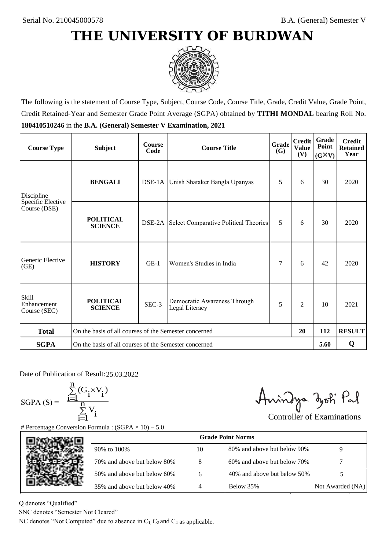

The following is the statement of Course Type, Subject, Course Code, Course Title, Grade, Credit Value, Grade Point, Credit Retained-Year and Semester Grade Point Average (SGPA) obtained by **TITHI MONDAL** bearing Roll No. **180410510246** in the **B.A. (General) Semester V Examination, 2021**

| <b>Course Type</b>                          | <b>Subject</b>                                              | <b>Course</b><br>Code | Grade<br><b>Course Title</b><br><b>(G)</b>     |   | <b>Credit</b><br><b>Value</b><br>(V) | Grade<br>Point<br>$(G\times V)$ | <b>Credit</b><br><b>Retained</b><br>Year |
|---------------------------------------------|-------------------------------------------------------------|-----------------------|------------------------------------------------|---|--------------------------------------|---------------------------------|------------------------------------------|
| Discipline                                  | <b>BENGALI</b>                                              |                       | DSE-1A Unish Shataker Bangla Upanyas           | 5 | 6                                    | 30                              | 2020                                     |
| Specific Elective<br>Course (DSE)           | <b>POLITICAL</b><br><b>SCIENCE</b>                          |                       | DSE-2A Select Comparative Political Theories   | 5 | 6                                    | 30                              | 2020                                     |
| Generic Elective<br>(GE)                    | <b>HISTORY</b>                                              | $GE-1$                | Women's Studies in India                       | 7 | 6                                    | 42                              | 2020                                     |
| <b>Skill</b><br>Enhancement<br>Course (SEC) | <b>POLITICAL</b><br><b>SCIENCE</b>                          | SEC-3                 | Democratic Awareness Through<br>Legal Literacy | 5 | $\overline{c}$                       | 10                              | 2021                                     |
| <b>Total</b>                                | On the basis of all courses of the Semester concerned<br>20 |                       |                                                |   |                                      | 112                             | <b>RESULT</b>                            |
| <b>SGPA</b>                                 | On the basis of all courses of the Semester concerned       |                       |                                                |   |                                      | 5.60                            | Q                                        |

Date of Publication of Result: 25,03,2022

SGPA  $(S) = \frac{1-1}{1}$ 

$$
\frac{\sum_{i=1}^{n} (G_i \times V_i)}{\sum_{i=1}^{n} V_i}
$$

Amindya zoti Pal

| ate of Publication of Result: 25.03.2022<br>GPA (S) = $\frac{\sum_{i=1}^{n} (G_i \times V_i)}{\sum_{i=1}^{n} V_i}$ | Percentage Conversion Formula : $(SGPA \times 10) - 5.0$                          |    | Aningya zoti Pal            | <b>Controller of Examinations</b> |
|--------------------------------------------------------------------------------------------------------------------|-----------------------------------------------------------------------------------|----|-----------------------------|-----------------------------------|
|                                                                                                                    |                                                                                   |    | <b>Grade Point Norms</b>    |                                   |
|                                                                                                                    | 90% to 100%                                                                       | 10 | 80% and above but below 90% | 9                                 |
|                                                                                                                    | 70% and above but below 80%                                                       | 8  | 60% and above but below 70% |                                   |
|                                                                                                                    | 50% and above but below 60%                                                       | 6  | 40% and above but below 50% | 5                                 |
|                                                                                                                    | 35% and above but below 40%                                                       | 4  | Below 35%                   | Not Awarded (NA)                  |
| denotes "Qualified"<br>NC denotes "Semester Not Cleared"                                                           | C denotes "Not Computed" due to absence in $C_1$ , $C_2$ and $C_4$ as applicable. |    |                             |                                   |

Q denotes "Qualified"

SNC denotes "Semester Not Cleared"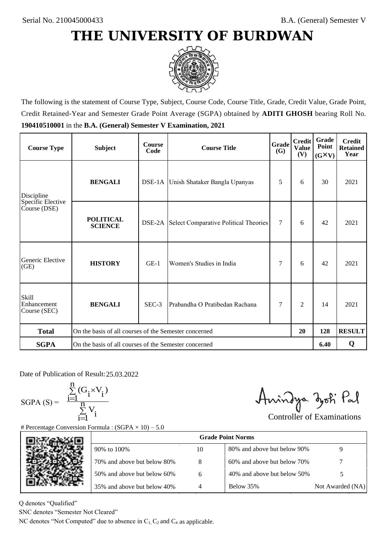

The following is the statement of Course Type, Subject, Course Code, Course Title, Grade, Credit Value, Grade Point, Credit Retained-Year and Semester Grade Point Average (SGPA) obtained by **ADITI GHOSH** bearing Roll No. **190410510001** in the **B.A. (General) Semester V Examination, 2021**

| <b>Course Type</b>                   | <b>Subject</b>                                              | <b>Course</b><br>Code | Grade<br><b>Course Title</b><br>(G)          |        | <b>Credit</b><br><b>Value</b><br>(V) | Grade<br>Point<br>$(G\times V)$ | <b>Credit</b><br><b>Retained</b><br>Year |
|--------------------------------------|-------------------------------------------------------------|-----------------------|----------------------------------------------|--------|--------------------------------------|---------------------------------|------------------------------------------|
| Discipline                           | <b>BENGALI</b>                                              |                       | DSE-1A Unish Shataker Bangla Upanyas         | 5      | 6                                    | 30                              | 2021                                     |
| Specific Elective<br>Course (DSE)    | <b>POLITICAL</b><br><b>SCIENCE</b>                          |                       | DSE-2A Select Comparative Political Theories | $\tau$ | 6                                    | 42                              | 2021                                     |
| Generic Elective<br>(GE)             | <b>HISTORY</b>                                              | $GE-1$                | Women's Studies in India                     |        | 6                                    | 42                              | 2021                                     |
| Skill<br>Enhancement<br>Course (SEC) | <b>BENGALI</b>                                              | $SEC-3$               | Prabandha O Pratibedan Rachana               | 7      | 2                                    | 14                              | 2021                                     |
| <b>Total</b>                         | On the basis of all courses of the Semester concerned<br>20 |                       |                                              |        |                                      | 128                             | <b>RESULT</b>                            |
| <b>SGPA</b>                          | On the basis of all courses of the Semester concerned       |                       |                                              |        |                                      | 6.40                            | Q                                        |

Date of Publication of Result: 25.03.2022

 $SGPA(S) =$ 

$$
\frac{\sum\limits_{i=1}^n(G_i\times V_i)}{\sum\limits_{i=1}^nV_i}
$$

Anindya zoti Pal

| ate of Publication of Result: 25.03.2022<br>GPA (S) = $\frac{\sum_{i=1}^{n} (G_i \times V_i)}{\sum_{i=1}^{n} V_i}$ | Percentage Conversion Formula : $(SGPA \times 10) - 5.0$                          |    | Aningya zoti Pal            | <b>Controller of Examinations</b> |
|--------------------------------------------------------------------------------------------------------------------|-----------------------------------------------------------------------------------|----|-----------------------------|-----------------------------------|
|                                                                                                                    |                                                                                   |    | <b>Grade Point Norms</b>    |                                   |
|                                                                                                                    | 90% to 100%                                                                       | 10 | 80% and above but below 90% | 9                                 |
|                                                                                                                    | 70% and above but below 80%                                                       | 8  | 60% and above but below 70% |                                   |
|                                                                                                                    | 50% and above but below 60%                                                       | 6  | 40% and above but below 50% | 5                                 |
|                                                                                                                    | 35% and above but below 40%                                                       | 4  | Below 35%                   | Not Awarded (NA)                  |
| denotes "Qualified"<br>NC denotes "Semester Not Cleared"                                                           | C denotes "Not Computed" due to absence in $C_1$ , $C_2$ and $C_4$ as applicable. |    |                             |                                   |

Q denotes "Qualified"

SNC denotes "Semester Not Cleared"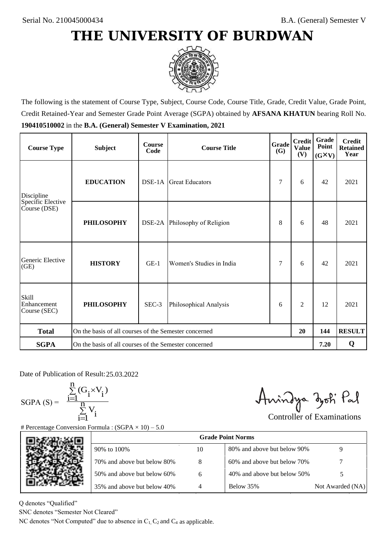

The following is the statement of Course Type, Subject, Course Code, Course Title, Grade, Credit Value, Grade Point, Credit Retained-Year and Semester Grade Point Average (SGPA) obtained by **AFSANA KHATUN** bearing Roll No. **190410510002** in the **B.A. (General) Semester V Examination, 2021**

| <b>Course Type</b>                          | <b>Subject</b>                                              | <b>Course</b><br>Code | Grade<br><b>Course Title</b><br><b>(G)</b> |   | <b>Credit</b><br><b>Value</b><br>(V) | Grade<br>Point<br>$(G\times V)$ | <b>Credit</b><br><b>Retained</b><br>Year |
|---------------------------------------------|-------------------------------------------------------------|-----------------------|--------------------------------------------|---|--------------------------------------|---------------------------------|------------------------------------------|
| <b>EDUCATION</b><br>Discipline              |                                                             |                       | <b>Great Educators</b>                     | 7 | 6                                    | 42                              | 2021                                     |
| Specific Elective<br>Course (DSE)           | <b>PHILOSOPHY</b>                                           | DSE-2A                | Philosophy of Religion                     | 8 | 6                                    | 48                              | 2021                                     |
| Generic Elective<br>(GE)                    | <b>HISTORY</b>                                              | $GE-1$                | Women's Studies in India                   | 7 | 6                                    | 42                              | 2021                                     |
| <b>Skill</b><br>Enhancement<br>Course (SEC) | <b>PHILOSOPHY</b>                                           | SEC-3                 | Philosophical Analysis                     | 6 | $\overline{c}$                       | 12                              | 2021                                     |
| <b>Total</b>                                | On the basis of all courses of the Semester concerned<br>20 |                       |                                            |   |                                      | 144                             | <b>RESULT</b>                            |
| <b>SGPA</b>                                 | On the basis of all courses of the Semester concerned       |                       |                                            |   |                                      | 7.20                            | Q                                        |

Date of Publication of Result: 25,03,2022

 $SGPA(S) =$ 

$$
\frac{\sum\limits_{i=1}^n(G_i\times V_i)}{\sum\limits_{i=1}^nV_i}
$$

Amindya zoti Pal

| ate of Publication of Result: 25.03.2022<br>GPA (S) = $\frac{\sum_{i=1}^{n} (G_i \times V_i)}{\sum_{i=1}^{n} V_i}$ | Percentage Conversion Formula : $(SGPA \times 10) - 5.0$                          |    | Aningya zoti Pal            | <b>Controller of Examinations</b> |
|--------------------------------------------------------------------------------------------------------------------|-----------------------------------------------------------------------------------|----|-----------------------------|-----------------------------------|
|                                                                                                                    |                                                                                   |    | <b>Grade Point Norms</b>    |                                   |
|                                                                                                                    | 90% to 100%                                                                       | 10 | 80% and above but below 90% | 9                                 |
|                                                                                                                    | 70% and above but below 80%                                                       | 8  | 60% and above but below 70% |                                   |
|                                                                                                                    | 50% and above but below 60%                                                       | 6  | 40% and above but below 50% | 5                                 |
|                                                                                                                    | 35% and above but below 40%                                                       | 4  | Below 35%                   | Not Awarded (NA)                  |
| denotes "Qualified"<br>NC denotes "Semester Not Cleared"                                                           | C denotes "Not Computed" due to absence in $C_1$ , $C_2$ and $C_4$ as applicable. |    |                             |                                   |

Q denotes "Qualified"

SNC denotes "Semester Not Cleared"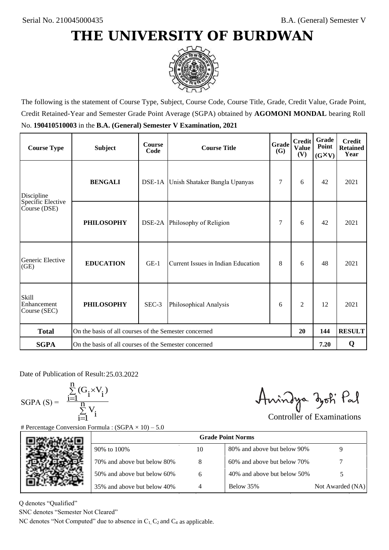

The following is the statement of Course Type, Subject, Course Code, Course Title, Grade, Credit Value, Grade Point, Credit Retained-Year and Semester Grade Point Average (SGPA) obtained by **AGOMONI MONDAL** bearing Roll No. **190410510003** in the **B.A. (General) Semester V Examination, 2021**

| <b>Course Type</b>                          | <b>Subject</b>                                              | <b>Course</b><br>Code | Grade<br><b>Course Title</b><br><b>(G)</b> |   | <b>Credit</b><br><b>Value</b><br>(V) | Grade<br>Point<br>$(G\times V)$ | <b>Credit</b><br><b>Retained</b><br>Year |
|---------------------------------------------|-------------------------------------------------------------|-----------------------|--------------------------------------------|---|--------------------------------------|---------------------------------|------------------------------------------|
| Discipline                                  | <b>BENGALI</b>                                              |                       | DSE-1A Unish Shataker Bangla Upanyas       | 7 | 6                                    | 42                              | 2021                                     |
| Specific Elective<br>Course (DSE)           | <b>PHILOSOPHY</b>                                           |                       | DSE-2A Philosophy of Religion              | 7 | 6                                    | 42                              | 2021                                     |
| Generic Elective<br>(GE)                    | <b>EDUCATION</b>                                            | $GE-1$                | Current Issues in Indian Education         | 8 | 6                                    | 48                              | 2021                                     |
| <b>Skill</b><br>Enhancement<br>Course (SEC) | <b>PHILOSOPHY</b>                                           | $SEC-3$               | Philosophical Analysis                     | 6 | $\overline{c}$                       | 12                              | 2021                                     |
| <b>Total</b>                                | On the basis of all courses of the Semester concerned<br>20 |                       |                                            |   |                                      | 144                             | <b>RESULT</b>                            |
| <b>SGPA</b>                                 | On the basis of all courses of the Semester concerned       |                       |                                            |   |                                      | 7.20                            | Q                                        |

Date of Publication of Result: 25,03,2022

SGPA  $(S) = \frac{1-1}{1}$ 

$$
\frac{\sum\limits_{i=1}^{n} (G_i \times V_i)}{\sum\limits_{i=1}^{n} V_i}
$$

Amindya zoti Pal

| ate of Publication of Result: 25.03.2022<br>GPA (S) = $\frac{\sum_{i=1}^{n} (G_i \times V_i)}{\sum_{i=1}^{n} V_i}$ |                                                                                   |    | Aningya zoti Pal            | <b>Controller of Examinations</b> |
|--------------------------------------------------------------------------------------------------------------------|-----------------------------------------------------------------------------------|----|-----------------------------|-----------------------------------|
|                                                                                                                    | Percentage Conversion Formula : $(SGPA \times 10) - 5.0$                          |    |                             |                                   |
|                                                                                                                    |                                                                                   |    | <b>Grade Point Norms</b>    |                                   |
|                                                                                                                    | 90% to 100%                                                                       | 10 | 80% and above but below 90% | 9                                 |
|                                                                                                                    | 70% and above but below 80%                                                       | 8  | 60% and above but below 70% |                                   |
|                                                                                                                    | 50% and above but below 60%                                                       | 6  | 40% and above but below 50% | 5                                 |
|                                                                                                                    | 35% and above but below 40%                                                       | 4  | Below 35%                   | Not Awarded (NA)                  |
| denotes "Qualified"<br>NC denotes "Semester Not Cleared"                                                           | C denotes "Not Computed" due to absence in $C_1$ , $C_2$ and $C_4$ as applicable. |    |                             |                                   |

Q denotes "Qualified"

SNC denotes "Semester Not Cleared"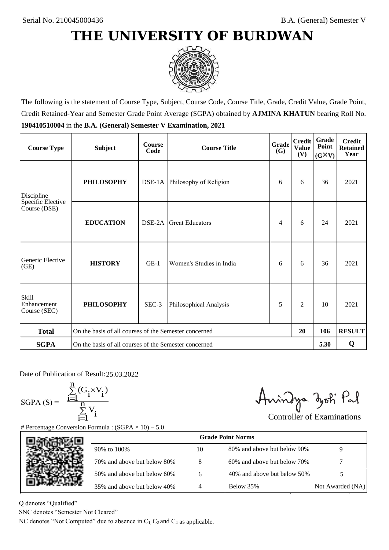

The following is the statement of Course Type, Subject, Course Code, Course Title, Grade, Credit Value, Grade Point, Credit Retained-Year and Semester Grade Point Average (SGPA) obtained by **AJMINA KHATUN** bearing Roll No. **190410510004** in the **B.A. (General) Semester V Examination, 2021**

| <b>Course Type</b>                          | <b>Subject</b>                                              | <b>Course</b><br>Code | <b>Course Title</b>           | Grade<br>(G) | <b>Credit</b><br><b>Value</b><br>(V) | Grade<br>Point<br>$(G\times V)$ | <b>Credit</b><br><b>Retained</b><br>Year |
|---------------------------------------------|-------------------------------------------------------------|-----------------------|-------------------------------|--------------|--------------------------------------|---------------------------------|------------------------------------------|
| Discipline                                  | <b>PHILOSOPHY</b>                                           |                       | DSE-1A Philosophy of Religion | 6            | 6                                    | 36                              | 2021                                     |
| Specific Elective<br>Course (DSE)           | <b>EDUCATION</b>                                            | DSE-2A                | <b>Great Educators</b>        | 4            | 6                                    | 24                              | 2021                                     |
| Generic Elective<br>(GE)                    | <b>HISTORY</b>                                              | $GE-1$                | Women's Studies in India      | 6            | 6                                    | 36                              | 2021                                     |
| <b>Skill</b><br>Enhancement<br>Course (SEC) | <b>PHILOSOPHY</b>                                           | SEC-3                 | Philosophical Analysis        | 5            | $\overline{2}$                       | 10                              | 2021                                     |
| <b>Total</b>                                | On the basis of all courses of the Semester concerned<br>20 |                       |                               |              |                                      | 106                             | <b>RESULT</b>                            |
| <b>SGPA</b>                                 | On the basis of all courses of the Semester concerned       |                       |                               |              |                                      | 5.30                            | Q                                        |

Date of Publication of Result: 25,03,2022

SGPA  $(S) = \frac{1-1}{1}$ 

$$
\frac{\sum\limits_{i=1}^{n} (G_i \times V_i)}{\sum\limits_{i=1}^{n} V_i}
$$

Amindya zoti Pal

| ate of Publication of Result: 25.03.2022<br>GPA (S) = $\frac{\sum_{i=1}^{n} (G_i \times V_i)}{\sum_{i=1}^{n} V_i}$ |                                                                                   |    | Aningya zoti Pal            | <b>Controller of Examinations</b> |
|--------------------------------------------------------------------------------------------------------------------|-----------------------------------------------------------------------------------|----|-----------------------------|-----------------------------------|
|                                                                                                                    | Percentage Conversion Formula : $(SGPA \times 10) - 5.0$                          |    |                             |                                   |
|                                                                                                                    |                                                                                   |    | <b>Grade Point Norms</b>    |                                   |
|                                                                                                                    | 90% to 100%                                                                       | 10 | 80% and above but below 90% | 9                                 |
|                                                                                                                    | 70% and above but below 80%                                                       | 8  | 60% and above but below 70% |                                   |
|                                                                                                                    | 50% and above but below 60%                                                       | 6  | 40% and above but below 50% | 5                                 |
|                                                                                                                    | 35% and above but below 40%                                                       | 4  | Below 35%                   | Not Awarded (NA)                  |
| denotes "Qualified"<br>NC denotes "Semester Not Cleared"                                                           |                                                                                   |    |                             |                                   |
|                                                                                                                    | C denotes "Not Computed" due to absence in $C_1$ , $C_2$ and $C_4$ as applicable. |    |                             |                                   |

Q denotes "Qualified"

SNC denotes "Semester Not Cleared"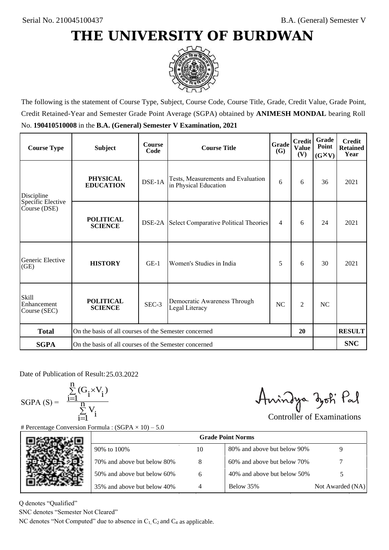

The following is the statement of Course Type, Subject, Course Code, Course Title, Grade, Credit Value, Grade Point, Credit Retained-Year and Semester Grade Point Average (SGPA) obtained by **ANIMESH MONDAL** bearing Roll No. **190410510008** in the **B.A. (General) Semester V Examination, 2021**

| <b>Course Type</b>                          | <b>Subject</b>                                              | <b>Course</b><br>Code | <b>Course Title</b>                                         | Grade<br>(G) | <b>Credit</b><br><b>Value</b><br>(V) | Grade<br>Point<br>$(G\times V)$ | <b>Credit</b><br><b>Retained</b><br>Year |
|---------------------------------------------|-------------------------------------------------------------|-----------------------|-------------------------------------------------------------|--------------|--------------------------------------|---------------------------------|------------------------------------------|
| Discipline                                  | <b>PHYSICAL</b><br><b>EDUCATION</b>                         | DSE-1A                | Tests, Measurements and Evaluation<br>in Physical Education | 6            | 6                                    | 36                              | 2021                                     |
| Specific Elective<br>Course (DSE)           | <b>POLITICAL</b><br><b>SCIENCE</b>                          |                       | DSE-2A Select Comparative Political Theories                | 4            | 6                                    | 24                              | 2021                                     |
| Generic Elective<br>(GE)                    | <b>HISTORY</b>                                              | $GE-1$                | Women's Studies in India                                    | 5            | 6                                    | 30                              | 2021                                     |
| <b>Skill</b><br>Enhancement<br>Course (SEC) | <b>POLITICAL</b><br><b>SCIENCE</b>                          | SEC-3                 | Democratic Awareness Through<br>Legal Literacy              | NC           | $\overline{c}$                       | NC                              |                                          |
| <b>Total</b>                                | On the basis of all courses of the Semester concerned<br>20 |                       |                                                             |              |                                      |                                 | <b>RESULT</b>                            |
| <b>SGPA</b>                                 | On the basis of all courses of the Semester concerned       |                       |                                                             |              |                                      |                                 | <b>SNC</b>                               |

Date of Publication of Result: 25,03,2022

 $SGPA(S) =$ 

$$
\frac{\sum\limits_{i=1}^n (G_i \times V_i)}{\sum\limits_{i=1}^n V_i}
$$

Amindya zoti Pal

|    | Aningya zoti Pal                                                                  |                                                               |
|----|-----------------------------------------------------------------------------------|---------------------------------------------------------------|
|    |                                                                                   |                                                               |
|    |                                                                                   |                                                               |
| 10 | 80% and above but below 90%                                                       | 9                                                             |
| 8  | 60% and above but below 70%                                                       |                                                               |
| 6  | 40% and above but below 50%                                                       | 5                                                             |
| 4  | Below 35%                                                                         | Not Awarded (NA)                                              |
|    |                                                                                   |                                                               |
|    | C denotes "Not Computed" due to absence in $C_1$ , $C_2$ and $C_4$ as applicable. | <b>Controller of Examinations</b><br><b>Grade Point Norms</b> |

Q denotes "Qualified"

SNC denotes "Semester Not Cleared"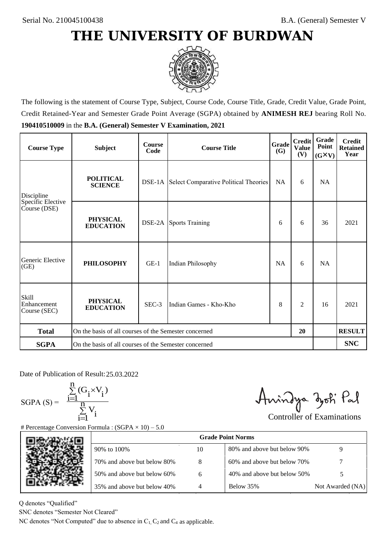

The following is the statement of Course Type, Subject, Course Code, Course Title, Grade, Credit Value, Grade Point, Credit Retained-Year and Semester Grade Point Average (SGPA) obtained by **ANIMESH REJ** bearing Roll No. **190410510009** in the **B.A. (General) Semester V Examination, 2021**

| <b>Course Type</b>                          | <b>Subject</b>                                              | <b>Course</b><br>Code | <b>Course Title</b>                                 | Grade<br><b>(G)</b> | <b>Credit</b><br><b>Value</b><br>(V) | Grade<br>Point<br>$(G\times V)$ | <b>Credit</b><br><b>Retained</b><br>Year |
|---------------------------------------------|-------------------------------------------------------------|-----------------------|-----------------------------------------------------|---------------------|--------------------------------------|---------------------------------|------------------------------------------|
| Discipline                                  | <b>POLITICAL</b><br><b>SCIENCE</b>                          |                       | <b>DSE-1A</b> Select Comparative Political Theories | <b>NA</b>           | 6                                    | <b>NA</b>                       |                                          |
| Specific Elective<br>Course (DSE)           | <b>PHYSICAL</b><br><b>EDUCATION</b>                         |                       | <b>DSE-2A</b> Sports Training                       | 6                   | 6                                    | 36                              | 2021                                     |
| Generic Elective<br>(GE)                    | <b>PHILOSOPHY</b>                                           | $GE-1$                | Indian Philosophy                                   | <b>NA</b>           | 6                                    | <b>NA</b>                       |                                          |
| <b>Skill</b><br>Enhancement<br>Course (SEC) | <b>PHYSICAL</b><br><b>EDUCATION</b>                         | SEC-3                 | Indian Games - Kho-Kho                              | 8                   | 2                                    | 16                              | 2021                                     |
| <b>Total</b>                                | On the basis of all courses of the Semester concerned<br>20 |                       |                                                     |                     |                                      |                                 | <b>RESULT</b>                            |
| <b>SGPA</b>                                 | On the basis of all courses of the Semester concerned       |                       |                                                     |                     |                                      |                                 | <b>SNC</b>                               |

Date of Publication of Result: 25,03,2022

 $SGPA(S) =$ 

$$
\frac{\sum\limits_{i=1}^n(G_i\times V_i)}{\sum\limits_{i=1}^nV_i}
$$

Anindya zoti Pal

| ate of Publication of Result: 25.03.2022<br>GPA (S) = $\frac{\sum_{i=1}^{n} (G_i \times V_i)}{\sum_{i=1}^{n} V_i}$ |                                                                                   |    | Aningya zoti Pal            | <b>Controller of Examinations</b> |
|--------------------------------------------------------------------------------------------------------------------|-----------------------------------------------------------------------------------|----|-----------------------------|-----------------------------------|
|                                                                                                                    | Percentage Conversion Formula : $(SGPA \times 10) - 5.0$                          |    |                             |                                   |
|                                                                                                                    |                                                                                   |    | <b>Grade Point Norms</b>    |                                   |
|                                                                                                                    | 90% to 100%                                                                       | 10 | 80% and above but below 90% | 9                                 |
|                                                                                                                    | 70% and above but below 80%                                                       | 8  | 60% and above but below 70% |                                   |
|                                                                                                                    | 50% and above but below 60%                                                       | 6  | 40% and above but below 50% | 5                                 |
|                                                                                                                    | 35% and above but below 40%                                                       | 4  | Below 35%                   | Not Awarded (NA)                  |
| denotes "Qualified"                                                                                                |                                                                                   |    |                             |                                   |
| NC denotes "Semester Not Cleared"                                                                                  |                                                                                   |    |                             |                                   |
|                                                                                                                    | C denotes "Not Computed" due to absence in $C_1$ , $C_2$ and $C_4$ as applicable. |    |                             |                                   |

Q denotes "Qualified"

SNC denotes "Semester Not Cleared"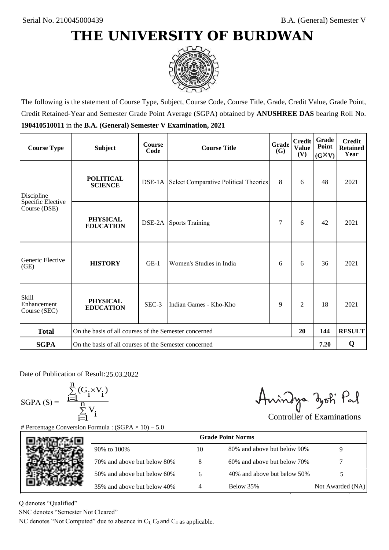

The following is the statement of Course Type, Subject, Course Code, Course Title, Grade, Credit Value, Grade Point, Credit Retained-Year and Semester Grade Point Average (SGPA) obtained by **ANUSHREE DAS** bearing Roll No. **190410510011** in the **B.A. (General) Semester V Examination, 2021**

| <b>Course Type</b>                          | <b>Subject</b>                                              | <b>Course</b><br>Code | Grade<br><b>Course Title</b>                        |   | <b>Credit</b><br><b>Value</b><br>(V) | Grade<br>Point<br>$(G\times V)$ | <b>Credit</b><br><b>Retained</b><br>Year |
|---------------------------------------------|-------------------------------------------------------------|-----------------------|-----------------------------------------------------|---|--------------------------------------|---------------------------------|------------------------------------------|
| Discipline                                  | <b>POLITICAL</b><br><b>SCIENCE</b>                          |                       | <b>DSE-1A</b> Select Comparative Political Theories | 8 | 6                                    | 48                              | 2021                                     |
| Specific Elective<br>Course (DSE)           | <b>PHYSICAL</b><br><b>EDUCATION</b>                         | DSE-2A                | <b>Sports Training</b>                              | 7 | 6                                    | 42                              | 2021                                     |
| Generic Elective<br>(GE)                    | <b>HISTORY</b>                                              | $GE-1$                | Women's Studies in India                            | 6 | 6                                    | 36                              | 2021                                     |
| <b>Skill</b><br>Enhancement<br>Course (SEC) | <b>PHYSICAL</b><br><b>EDUCATION</b>                         | $SEC-3$               | Indian Games - Kho-Kho                              | 9 | $\overline{c}$                       | 18                              | 2021                                     |
| <b>Total</b>                                | On the basis of all courses of the Semester concerned<br>20 |                       |                                                     |   |                                      | 144                             | <b>RESULT</b>                            |
| <b>SGPA</b>                                 | On the basis of all courses of the Semester concerned       |                       |                                                     |   |                                      | 7.20                            | Q                                        |

Date of Publication of Result: 25,03,2022

SGPA  $(S) = \frac{1-1}{1}$ 

$$
\frac{\sum\limits_{i=1}^{n} (G_i \times V_i)}{\sum\limits_{i=1}^{n} V_i}
$$

Amindya zoti Pal

| ate of Publication of Result: 25.03.2022<br>GPA (S) = $\frac{\sum_{i=1}^{n} (G_i \times V_i)}{\sum_{i=1}^{n} V_i}$ |                                                                                   |    | Aningya zoti Pal            |                                   |
|--------------------------------------------------------------------------------------------------------------------|-----------------------------------------------------------------------------------|----|-----------------------------|-----------------------------------|
|                                                                                                                    | Percentage Conversion Formula : $(SGPA \times 10) - 5.0$                          |    |                             | <b>Controller of Examinations</b> |
|                                                                                                                    |                                                                                   |    | <b>Grade Point Norms</b>    |                                   |
|                                                                                                                    | 90% to 100%                                                                       | 10 | 80% and above but below 90% | 9                                 |
|                                                                                                                    | 70% and above but below 80%                                                       | 8  | 60% and above but below 70% |                                   |
|                                                                                                                    | 50% and above but below 60%                                                       | 6  | 40% and above but below 50% | 5                                 |
|                                                                                                                    | 35% and above but below 40%                                                       | 4  | Below 35%                   | Not Awarded (NA)                  |
| denotes "Qualified"<br>NC denotes "Semester Not Cleared"                                                           | C denotes "Not Computed" due to absence in $C_1$ , $C_2$ and $C_4$ as applicable. |    |                             |                                   |
|                                                                                                                    |                                                                                   |    |                             |                                   |

Q denotes "Qualified"

SNC denotes "Semester Not Cleared"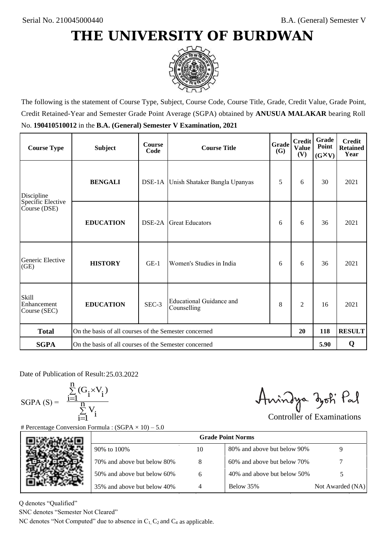

The following is the statement of Course Type, Subject, Course Code, Course Title, Grade, Credit Value, Grade Point, Credit Retained-Year and Semester Grade Point Average (SGPA) obtained by **ANUSUA MALAKAR** bearing Roll No. **190410510012** in the **B.A. (General) Semester V Examination, 2021**

| <b>Course Type</b>                          | <b>Subject</b>                                              | <b>Course</b><br>Code | <b>Course Title</b>                     | Grade<br><b>(G)</b> | <b>Credit</b><br><b>Value</b><br>(V) | Grade<br>Point<br>$(G\times V)$ | <b>Credit</b><br><b>Retained</b><br>Year |
|---------------------------------------------|-------------------------------------------------------------|-----------------------|-----------------------------------------|---------------------|--------------------------------------|---------------------------------|------------------------------------------|
| Discipline                                  | <b>BENGALI</b>                                              |                       | DSE-1A Unish Shataker Bangla Upanyas    | 5                   | 6                                    | 30                              | 2021                                     |
| Specific Elective<br>Course (DSE)           | <b>EDUCATION</b>                                            | DSE-2A                | <b>Great Educators</b>                  | 6                   | 6                                    | 36                              | 2021                                     |
| Generic Elective<br>(GE)                    | <b>HISTORY</b>                                              | $GE-1$                | Women's Studies in India                | 6                   | 6                                    | 36                              | 2021                                     |
| <b>Skill</b><br>Enhancement<br>Course (SEC) | <b>EDUCATION</b>                                            | SEC-3                 | Educational Guidance and<br>Counselling | 8                   | $\overline{c}$                       | 16                              | 2021                                     |
| <b>Total</b>                                | On the basis of all courses of the Semester concerned<br>20 |                       |                                         |                     |                                      | 118                             | <b>RESULT</b>                            |
| <b>SGPA</b>                                 | On the basis of all courses of the Semester concerned       |                       |                                         |                     |                                      | 5.90                            | Q                                        |

Date of Publication of Result: 25,03,2022

 $SGPA(S) =$ 

$$
\frac{\sum\limits_{i=1}^n(G_i\times V_i)}{\sum\limits_{i=1}^nV_i}
$$

Anindya zoti Pal

| ate of Publication of Result: 25.03.2022<br>GPA (S) = $\frac{\sum_{i=1}^{n} (G_i \times V_i)}{\sum_{i=1}^{n} V_i}$ |                                                                                   |    | Aningya zoti Pal            | <b>Controller of Examinations</b> |
|--------------------------------------------------------------------------------------------------------------------|-----------------------------------------------------------------------------------|----|-----------------------------|-----------------------------------|
|                                                                                                                    | Percentage Conversion Formula : $(SGPA \times 10) - 5.0$                          |    |                             |                                   |
|                                                                                                                    |                                                                                   |    | <b>Grade Point Norms</b>    |                                   |
|                                                                                                                    | 90% to 100%                                                                       | 10 | 80% and above but below 90% | 9                                 |
|                                                                                                                    | 70% and above but below 80%                                                       | 8  | 60% and above but below 70% |                                   |
|                                                                                                                    | 50% and above but below 60%                                                       | 6  | 40% and above but below 50% | 5                                 |
|                                                                                                                    | 35% and above but below 40%                                                       | 4  | Below 35%                   | Not Awarded (NA)                  |
| denotes "Qualified"<br>NC denotes "Semester Not Cleared"                                                           |                                                                                   |    |                             |                                   |
|                                                                                                                    | C denotes "Not Computed" due to absence in $C_1$ , $C_2$ and $C_4$ as applicable. |    |                             |                                   |

Q denotes "Qualified"

SNC denotes "Semester Not Cleared"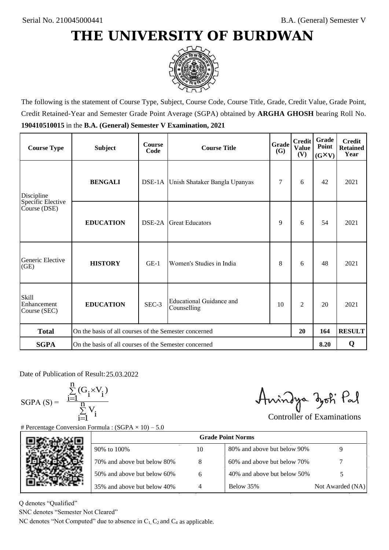

The following is the statement of Course Type, Subject, Course Code, Course Title, Grade, Credit Value, Grade Point, Credit Retained-Year and Semester Grade Point Average (SGPA) obtained by **ARGHA GHOSH** bearing Roll No. **190410510015** in the **B.A. (General) Semester V Examination, 2021**

| <b>Course Type</b>                          | <b>Subject</b>                                              | <b>Course</b><br>Code | <b>Course Title</b>                     | Grade<br><b>(G)</b> | <b>Credit</b><br><b>Value</b><br>(V) | Grade<br>Point<br>$(G\times V)$ | <b>Credit</b><br><b>Retained</b><br>Year |
|---------------------------------------------|-------------------------------------------------------------|-----------------------|-----------------------------------------|---------------------|--------------------------------------|---------------------------------|------------------------------------------|
| Discipline                                  | <b>BENGALI</b>                                              |                       | DSE-1A Unish Shataker Bangla Upanyas    | 7                   | 6                                    | 42                              | 2021                                     |
| Specific Elective<br>Course (DSE)           | <b>EDUCATION</b>                                            | DSE-2A                | <b>Great Educators</b>                  | 9                   | 6                                    | 54                              | 2021                                     |
| Generic Elective<br>(GE)                    | <b>HISTORY</b>                                              | $GE-1$                | Women's Studies in India                | 8                   | 6                                    | 48                              | 2021                                     |
| <b>Skill</b><br>Enhancement<br>Course (SEC) | <b>EDUCATION</b>                                            | SEC-3                 | Educational Guidance and<br>Counselling | 10                  | $\overline{c}$                       | 20                              | 2021                                     |
| <b>Total</b>                                | On the basis of all courses of the Semester concerned<br>20 |                       |                                         |                     |                                      | 164                             | <b>RESULT</b>                            |
| <b>SGPA</b>                                 | On the basis of all courses of the Semester concerned       |                       |                                         |                     |                                      | 8.20                            | Q                                        |

Date of Publication of Result: 25,03,2022

 $SGPA(S) =$ 

$$
\frac{\sum\limits_{i=1}^n(G_i\times V_i)}{\sum\limits_{i=1}^nV_i}
$$

Anindya zoti Pal

| ate of Publication of Result: 25.03.2022                               |                                                                                   |    |                             |                                   |
|------------------------------------------------------------------------|-----------------------------------------------------------------------------------|----|-----------------------------|-----------------------------------|
| GPA (S) = $\frac{\sum_{i=1}^{n} (G_i \times V_i)}{\sum_{i=1}^{n} V_i}$ | Percentage Conversion Formula : $(SGPA \times 10) - 5.0$                          |    | Aningya zoti Pal            | <b>Controller of Examinations</b> |
|                                                                        |                                                                                   |    | <b>Grade Point Norms</b>    |                                   |
|                                                                        | 90% to 100%                                                                       | 10 | 80% and above but below 90% | 9                                 |
|                                                                        | 70% and above but below 80%                                                       | 8  | 60% and above but below 70% |                                   |
|                                                                        | 50% and above but below 60%                                                       | 6  | 40% and above but below 50% | 5                                 |
|                                                                        | 35% and above but below 40%                                                       | 4  | Below 35%                   | Not Awarded (NA)                  |
| denotes "Qualified"                                                    |                                                                                   |    |                             |                                   |
| NC denotes "Semester Not Cleared"                                      |                                                                                   |    |                             |                                   |
|                                                                        | C denotes "Not Computed" due to absence in $C_1$ , $C_2$ and $C_4$ as applicable. |    |                             |                                   |

Q denotes "Qualified"

SNC denotes "Semester Not Cleared"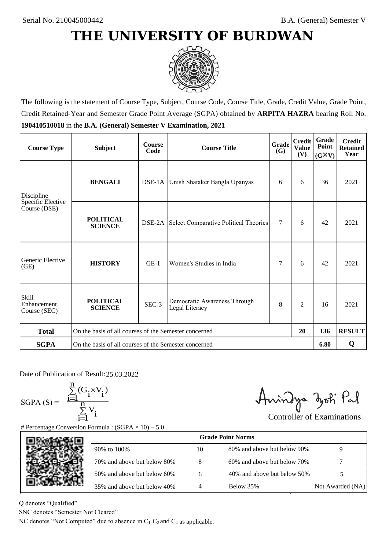

The following is the statement of Course Type, Subject, Course Code, Course Title, Grade, Credit Value, Grade Point, Credit Retained-Year and Semester Grade Point Average (SGPA) obtained by **ARPITA HAZRA** bearing Roll No. **190410510018** in the **B.A. (General) Semester V Examination, 2021**

| <b>Course Type</b>                          | <b>Subject</b>                                              | <b>Course</b><br>Code | Grade<br><b>Course Title</b><br><b>(G)</b>     |        | <b>Credit</b><br><b>Value</b><br>(V) | Grade<br>Point<br>$(G\times V)$ | <b>Credit</b><br><b>Retained</b><br>Year |
|---------------------------------------------|-------------------------------------------------------------|-----------------------|------------------------------------------------|--------|--------------------------------------|---------------------------------|------------------------------------------|
| Discipline                                  | <b>BENGALI</b>                                              |                       | DSE-1A Unish Shataker Bangla Upanyas           | 6      | 6                                    | 36                              | 2021                                     |
| Specific Elective<br>Course (DSE)           | <b>POLITICAL</b><br><b>SCIENCE</b>                          |                       | DSE-2A Select Comparative Political Theories   | $\tau$ | 6                                    | 42                              | 2021                                     |
| Generic Elective<br>(GE)                    | <b>HISTORY</b>                                              | $GE-1$                | Women's Studies in India                       | 7      | 6                                    | 42                              | 2021                                     |
| <b>Skill</b><br>Enhancement<br>Course (SEC) | <b>POLITICAL</b><br><b>SCIENCE</b>                          | SEC-3                 | Democratic Awareness Through<br>Legal Literacy | 8      | $\overline{c}$                       | 16                              | 2021                                     |
| <b>Total</b>                                | On the basis of all courses of the Semester concerned<br>20 |                       |                                                |        | 136                                  | <b>RESULT</b>                   |                                          |
| <b>SGPA</b>                                 | On the basis of all courses of the Semester concerned       |                       |                                                |        |                                      | 6.80                            | Q                                        |

Date of Publication of Result: 25,03,2022

SGPA  $(S) = \frac{1-1}{1}$ 

$$
\frac{\sum\limits_{i=1}^{n} (G_i \times V_i)}{\sum\limits_{i=1}^{n} V_i}
$$

Amindya zoti Pal

| ate of Publication of Result: 25.03.2022<br>GPA (S) = $\frac{\sum_{i=1}^{n} (G_i \times V_i)}{\sum_{i=1}^{n} V_i}$ |                                                                                   |    | Aningya zoti Pal            | <b>Controller of Examinations</b> |
|--------------------------------------------------------------------------------------------------------------------|-----------------------------------------------------------------------------------|----|-----------------------------|-----------------------------------|
|                                                                                                                    | Percentage Conversion Formula : $(SGPA \times 10) - 5.0$                          |    |                             |                                   |
|                                                                                                                    |                                                                                   |    | <b>Grade Point Norms</b>    |                                   |
|                                                                                                                    | 90% to 100%                                                                       | 10 | 80% and above but below 90% | 9                                 |
|                                                                                                                    | 70% and above but below 80%                                                       | 8  | 60% and above but below 70% |                                   |
|                                                                                                                    | 50% and above but below 60%                                                       | 6  | 40% and above but below 50% | 5                                 |
|                                                                                                                    | 35% and above but below 40%                                                       | 4  | Below 35%                   | Not Awarded (NA)                  |
| denotes "Qualified"<br>NC denotes "Semester Not Cleared"                                                           | C denotes "Not Computed" due to absence in $C_1$ , $C_2$ and $C_4$ as applicable. |    |                             |                                   |
|                                                                                                                    |                                                                                   |    |                             |                                   |

Q denotes "Qualified"

SNC denotes "Semester Not Cleared"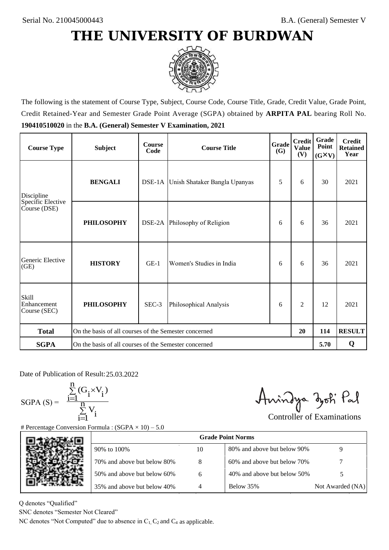

The following is the statement of Course Type, Subject, Course Code, Course Title, Grade, Credit Value, Grade Point, Credit Retained-Year and Semester Grade Point Average (SGPA) obtained by **ARPITA PAL** bearing Roll No. **190410510020** in the **B.A. (General) Semester V Examination, 2021**

| <b>Course Type</b>                          | <b>Subject</b>                                        | <b>Course</b><br>Code | Grade<br><b>Course Title</b>         |   | <b>Credit</b><br><b>Value</b><br>(V) | Grade<br>Point<br>$(G\times V)$ | <b>Credit</b><br><b>Retained</b><br>Year |
|---------------------------------------------|-------------------------------------------------------|-----------------------|--------------------------------------|---|--------------------------------------|---------------------------------|------------------------------------------|
| Discipline                                  | <b>BENGALI</b>                                        |                       | DSE-1A Unish Shataker Bangla Upanyas | 5 | 6                                    | 30                              | 2021                                     |
| Specific Elective<br>Course (DSE)           | <b>PHILOSOPHY</b>                                     |                       | DSE-2A Philosophy of Religion        | 6 | 6                                    | 36                              | 2021                                     |
| Generic Elective<br>(GE)                    | <b>HISTORY</b>                                        | $GE-1$                | Women's Studies in India             | 6 | 6                                    | 36                              | 2021                                     |
| <b>Skill</b><br>Enhancement<br>Course (SEC) | <b>PHILOSOPHY</b>                                     | SEC-3                 | Philosophical Analysis               | 6 | $\overline{c}$                       | 12                              | 2021                                     |
| <b>Total</b>                                | On the basis of all courses of the Semester concerned |                       |                                      |   | 20                                   | 114                             | <b>RESULT</b>                            |
| <b>SGPA</b>                                 | On the basis of all courses of the Semester concerned |                       |                                      |   |                                      | 5.70                            | Q                                        |

Date of Publication of Result: 25,03,2022

 $SGPA(S) =$ 

$$
\frac{\sum\limits_{i=1}^n (G_i \times V_i)}{\sum\limits_{i=1}^n V_i}
$$

Amindya zoti Pal

| ate of Publication of Result: 25.03.2022<br>GPA (S) = $\frac{\sum_{i=1}^{n} (G_i \times V_i)}{\sum_{i=1}^{n} V_i}$ |                                                                                   |    | Aningya zoti Pal            | <b>Controller of Examinations</b> |
|--------------------------------------------------------------------------------------------------------------------|-----------------------------------------------------------------------------------|----|-----------------------------|-----------------------------------|
|                                                                                                                    | Percentage Conversion Formula : $(SGPA \times 10) - 5.0$                          |    |                             |                                   |
|                                                                                                                    |                                                                                   |    | <b>Grade Point Norms</b>    |                                   |
|                                                                                                                    | 90% to 100%                                                                       | 10 | 80% and above but below 90% | 9                                 |
|                                                                                                                    | 70% and above but below 80%                                                       | 8  | 60% and above but below 70% |                                   |
|                                                                                                                    | 50% and above but below 60%                                                       | 6  | 40% and above but below 50% | 5                                 |
|                                                                                                                    | 35% and above but below 40%                                                       | 4  | Below 35%                   | Not Awarded (NA)                  |
| denotes "Qualified"<br>NC denotes "Semester Not Cleared"                                                           |                                                                                   |    |                             |                                   |
|                                                                                                                    | C denotes "Not Computed" due to absence in $C_1$ , $C_2$ and $C_4$ as applicable. |    |                             |                                   |

Q denotes "Qualified"

SNC denotes "Semester Not Cleared"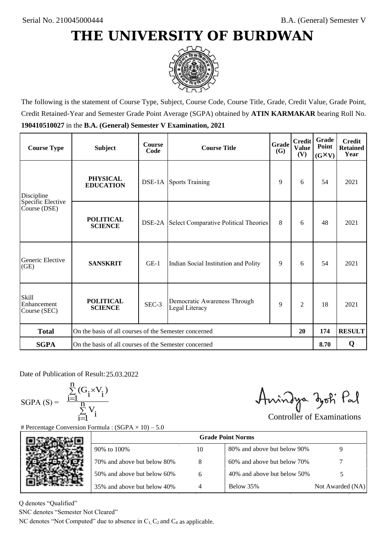

The following is the statement of Course Type, Subject, Course Code, Course Title, Grade, Credit Value, Grade Point, Credit Retained-Year and Semester Grade Point Average (SGPA) obtained by **ATIN KARMAKAR** bearing Roll No. **190410510027** in the **B.A. (General) Semester V Examination, 2021**

| <b>Course Type</b>                          | <b>Subject</b>                                              | <b>Course</b><br>Code | Grade<br><b>Course Title</b>                        |   | <b>Credit</b><br><b>Value</b><br>(V) | Grade<br>Point<br>$(G\times V)$ | <b>Credit</b><br><b>Retained</b><br>Year |
|---------------------------------------------|-------------------------------------------------------------|-----------------------|-----------------------------------------------------|---|--------------------------------------|---------------------------------|------------------------------------------|
| Discipline                                  | <b>PHYSICAL</b><br><b>EDUCATION</b>                         |                       | <b>DSE-1A</b> Sports Training                       | 9 | 6                                    | 54                              | 2021                                     |
| Specific Elective<br>Course (DSE)           | <b>POLITICAL</b><br><b>SCIENCE</b>                          | DSE-2A                | Select Comparative Political Theories               | 8 | 6                                    | 48                              | 2021                                     |
| Generic Elective<br>(GE)                    | <b>SANSKRIT</b>                                             | $GE-1$                | Indian Social Institution and Polity                | 9 | 6                                    | 54                              | 2021                                     |
| <b>Skill</b><br>Enhancement<br>Course (SEC) | <b>POLITICAL</b><br><b>SCIENCE</b>                          | SEC-3                 | Democratic Awareness Through<br>9<br>Legal Literacy |   | $\overline{c}$                       | 18                              | 2021                                     |
| <b>Total</b>                                | On the basis of all courses of the Semester concerned<br>20 |                       |                                                     |   | 174                                  | <b>RESULT</b>                   |                                          |
| <b>SGPA</b>                                 | On the basis of all courses of the Semester concerned       |                       |                                                     |   |                                      | 8.70                            | Q                                        |

Date of Publication of Result: 25,03,2022

 $SGPA(S) =$ 

$$
\frac{\sum\limits_{i=1}^n(G_i\times V_i)}{\sum\limits_{i=1}^nV_i}
$$

Amindya zoti Pal

| ate of Publication of Result: 25.03.2022<br>GPA (S) = $\frac{\sum_{i=1}^{n} (G_i \times V_i)}{\sum_{i=1}^{n} V_i}$ | Percentage Conversion Formula : $(SGPA \times 10) - 5.0$                          |    | Aningya zoti Pal            | <b>Controller of Examinations</b> |
|--------------------------------------------------------------------------------------------------------------------|-----------------------------------------------------------------------------------|----|-----------------------------|-----------------------------------|
|                                                                                                                    |                                                                                   |    | <b>Grade Point Norms</b>    |                                   |
|                                                                                                                    | 90% to 100%                                                                       | 10 | 80% and above but below 90% | 9                                 |
|                                                                                                                    | 70% and above but below 80%                                                       | 8  | 60% and above but below 70% |                                   |
|                                                                                                                    | 50% and above but below 60%                                                       | 6  | 40% and above but below 50% | 5                                 |
|                                                                                                                    | 35% and above but below 40%                                                       | 4  | Below 35%                   | Not Awarded (NA)                  |
| denotes "Qualified"<br>NC denotes "Semester Not Cleared"                                                           | C denotes "Not Computed" due to absence in $C_1$ , $C_2$ and $C_4$ as applicable. |    |                             |                                   |

Q denotes "Qualified"

SNC denotes "Semester Not Cleared"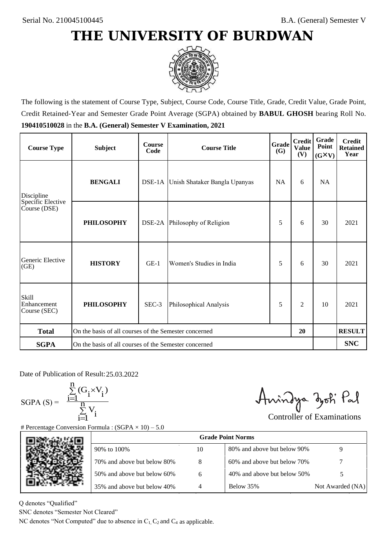

The following is the statement of Course Type, Subject, Course Code, Course Title, Grade, Credit Value, Grade Point, Credit Retained-Year and Semester Grade Point Average (SGPA) obtained by **BABUL GHOSH** bearing Roll No. **190410510028** in the **B.A. (General) Semester V Examination, 2021**

| <b>Course Type</b>                          | <b>Subject</b>                                              | <b>Course</b><br>Code | <b>Grade</b><br><b>Course Title</b>  |           | <b>Credit</b><br><b>Value</b><br>(V) | <b>Grade</b><br>Point<br>$(G\times V)$ | <b>Credit</b><br><b>Retained</b><br>Year |
|---------------------------------------------|-------------------------------------------------------------|-----------------------|--------------------------------------|-----------|--------------------------------------|----------------------------------------|------------------------------------------|
| Discipline                                  | <b>BENGALI</b>                                              |                       | DSE-1A Unish Shataker Bangla Upanyas | <b>NA</b> | 6                                    | NA                                     |                                          |
| Specific Elective<br>Course (DSE)           | <b>PHILOSOPHY</b>                                           |                       | DSE-2A Philosophy of Religion        | 5         | 6                                    | 30                                     | 2021                                     |
| Generic Elective<br>(GE)                    | <b>HISTORY</b>                                              | $GE-1$                | Women's Studies in India             | 5         | 6                                    | 30                                     | 2021                                     |
| <b>Skill</b><br>Enhancement<br>Course (SEC) | <b>PHILOSOPHY</b>                                           | SEC-3                 | Philosophical Analysis               | 5         | $\overline{2}$                       | 10                                     | 2021                                     |
| <b>Total</b>                                | On the basis of all courses of the Semester concerned<br>20 |                       |                                      |           |                                      | <b>RESULT</b>                          |                                          |
| <b>SGPA</b>                                 | On the basis of all courses of the Semester concerned       |                       |                                      |           |                                      |                                        | <b>SNC</b>                               |

Date of Publication of Result: 25,03,2022

 $SGPA(S) =$ 

$$
\frac{\sum\limits_{i=1}^n(G_i\times V_i)}{\sum\limits_{i=1}^nV_i}
$$

Amindya zoti Pal

| ate of Publication of Result: 25.03.2022<br>GPA (S) = $\frac{\sum_{i=1}^{n} (G_i \times V_i)}{\sum_{i=1}^{n} V_i}$ |                                                                                   |    | Aningya zoti Pal            | <b>Controller of Examinations</b> |
|--------------------------------------------------------------------------------------------------------------------|-----------------------------------------------------------------------------------|----|-----------------------------|-----------------------------------|
|                                                                                                                    | Percentage Conversion Formula : $(SGPA \times 10) - 5.0$                          |    |                             |                                   |
|                                                                                                                    |                                                                                   |    | <b>Grade Point Norms</b>    |                                   |
|                                                                                                                    | 90% to 100%                                                                       | 10 | 80% and above but below 90% | 9                                 |
|                                                                                                                    | 70% and above but below 80%                                                       | 8  | 60% and above but below 70% |                                   |
|                                                                                                                    | 50% and above but below 60%                                                       | 6  | 40% and above but below 50% | 5                                 |
|                                                                                                                    | 35% and above but below 40%                                                       | 4  | Below 35%                   | Not Awarded (NA)                  |
| denotes "Qualified"<br>NC denotes "Semester Not Cleared"                                                           | C denotes "Not Computed" due to absence in $C_1$ , $C_2$ and $C_4$ as applicable. |    |                             |                                   |
|                                                                                                                    |                                                                                   |    |                             |                                   |

Q denotes "Qualified"

SNC denotes "Semester Not Cleared"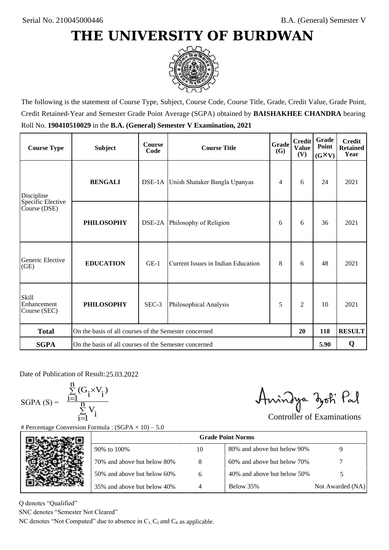

The following is the statement of Course Type, Subject, Course Code, Course Title, Grade, Credit Value, Grade Point, Credit Retained-Year and Semester Grade Point Average (SGPA) obtained by **BAISHAKHEE CHANDRA** bearing Roll No. **190410510029** in the **B.A. (General) Semester V Examination, 2021**

| <b>Course Type</b>                          | <b>Subject</b>                                              | <b>Course</b><br>Code | Grade<br><b>Course Title</b>         |   | <b>Credit</b><br><b>Value</b><br>(V) | Grade<br>Point<br>$(G\times V)$ | <b>Credit</b><br><b>Retained</b><br>Year |
|---------------------------------------------|-------------------------------------------------------------|-----------------------|--------------------------------------|---|--------------------------------------|---------------------------------|------------------------------------------|
| Discipline                                  | <b>BENGALI</b>                                              |                       | DSE-1A Unish Shataker Bangla Upanyas | 4 | 6                                    | 24                              | 2021                                     |
| Specific Elective<br>Course (DSE)           | <b>PHILOSOPHY</b>                                           |                       | DSE-2A Philosophy of Religion        | 6 | 6                                    | 36                              | 2021                                     |
| Generic Elective<br>(GE)                    | <b>EDUCATION</b>                                            | $GE-1$                | Current Issues in Indian Education   | 8 | 6                                    | 48                              | 2021                                     |
| <b>Skill</b><br>Enhancement<br>Course (SEC) | <b>PHILOSOPHY</b>                                           | SEC-3                 | Philosophical Analysis               |   | $\overline{c}$                       | 10                              | 2021                                     |
| <b>Total</b>                                | On the basis of all courses of the Semester concerned<br>20 |                       |                                      |   | 118                                  | <b>RESULT</b>                   |                                          |
| <b>SGPA</b>                                 | On the basis of all courses of the Semester concerned       |                       |                                      |   |                                      | 5.90                            | Q                                        |

Date of Publication of Result: 25,03,2022

 $SGPA(S) =$ 

$$
\frac{\sum\limits_{i=1}^n (G_i \times V_i)}{\sum\limits_{i=1}^n V_i}
$$

Amindya zoti Pal

| ate of Publication of Result: 25.03.2022<br>GPA (S) = $\frac{\sum_{i=1}^{n} (G_i \times V_i)}{\sum_{i=1}^{n} V_i}$ | Percentage Conversion Formula : $(SGPA \times 10) - 5.0$                          |    | Aningya zoti Pal            | <b>Controller of Examinations</b> |
|--------------------------------------------------------------------------------------------------------------------|-----------------------------------------------------------------------------------|----|-----------------------------|-----------------------------------|
|                                                                                                                    |                                                                                   |    | <b>Grade Point Norms</b>    |                                   |
|                                                                                                                    | 90% to 100%                                                                       | 10 | 80% and above but below 90% | 9                                 |
|                                                                                                                    | 70% and above but below 80%                                                       | 8  | 60% and above but below 70% |                                   |
|                                                                                                                    | 50% and above but below 60%                                                       | 6  | 40% and above but below 50% | 5                                 |
|                                                                                                                    | 35% and above but below 40%                                                       | 4  | Below 35%                   | Not Awarded (NA)                  |
| denotes "Qualified"<br>NC denotes "Semester Not Cleared"                                                           | C denotes "Not Computed" due to absence in $C_1$ , $C_2$ and $C_4$ as applicable. |    |                             |                                   |

Q denotes "Qualified"

SNC denotes "Semester Not Cleared"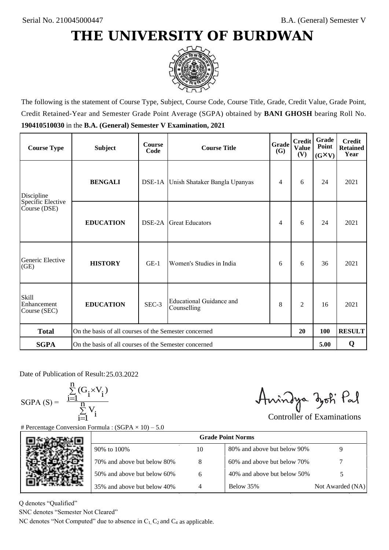

The following is the statement of Course Type, Subject, Course Code, Course Title, Grade, Credit Value, Grade Point, Credit Retained-Year and Semester Grade Point Average (SGPA) obtained by **BANI GHOSH** bearing Roll No. **190410510030** in the **B.A. (General) Semester V Examination, 2021**

| <b>Course Type</b>                          | <b>Subject</b>                                        | <b>Course</b><br>Code | Grade<br><b>Course Title</b><br><b>(G)</b> |   | <b>Credit</b><br><b>Value</b><br>(V) | Grade<br>Point<br>$(G\times V)$ | <b>Credit</b><br><b>Retained</b><br>Year |
|---------------------------------------------|-------------------------------------------------------|-----------------------|--------------------------------------------|---|--------------------------------------|---------------------------------|------------------------------------------|
| Discipline                                  | <b>BENGALI</b>                                        |                       | DSE-1A Unish Shataker Bangla Upanyas       | 4 | 6                                    | 24                              | 2021                                     |
| Specific Elective<br>Course (DSE)           | <b>EDUCATION</b>                                      | DSE-2A                | <b>Great Educators</b>                     | 4 | 6                                    | 24                              | 2021                                     |
| Generic Elective<br>(GE)                    | <b>HISTORY</b>                                        | $GE-1$                | Women's Studies in India                   | 6 | 6                                    | 36                              | 2021                                     |
| <b>Skill</b><br>Enhancement<br>Course (SEC) | <b>EDUCATION</b>                                      | SEC-3                 | Educational Guidance and<br>Counselling    | 8 | $\overline{c}$                       | 16                              | 2021                                     |
| <b>Total</b>                                | On the basis of all courses of the Semester concerned |                       |                                            |   | 20                                   | 100                             | <b>RESULT</b>                            |
| <b>SGPA</b>                                 | On the basis of all courses of the Semester concerned |                       |                                            |   |                                      | 5.00                            | Q                                        |

Date of Publication of Result: 25,03,2022

 $SGPA(S) =$ 

$$
\frac{\sum\limits_{i=1}^n(G_i\times V_i)}{\sum\limits_{i=1}^nV_i}
$$

Amindya zoti Pal

| ate of Publication of Result: 25.03.2022<br>GPA (S) = $\frac{\sum_{i=1}^{n} (G_i \times V_i)}{\sum_{i=1}^{n} V_i}$ | Percentage Conversion Formula : $(SGPA \times 10) - 5.0$                          |    | Aningya zoti Pal            | <b>Controller of Examinations</b> |
|--------------------------------------------------------------------------------------------------------------------|-----------------------------------------------------------------------------------|----|-----------------------------|-----------------------------------|
|                                                                                                                    |                                                                                   |    | <b>Grade Point Norms</b>    |                                   |
|                                                                                                                    | 90% to 100%                                                                       | 10 | 80% and above but below 90% | 9                                 |
|                                                                                                                    | 70% and above but below 80%                                                       | 8  | 60% and above but below 70% |                                   |
|                                                                                                                    | 50% and above but below 60%                                                       | 6  | 40% and above but below 50% | 5                                 |
|                                                                                                                    | 35% and above but below 40%                                                       | 4  | Below 35%                   | Not Awarded (NA)                  |
| denotes "Qualified"<br>NC denotes "Semester Not Cleared"                                                           | C denotes "Not Computed" due to absence in $C_1$ , $C_2$ and $C_4$ as applicable. |    |                             |                                   |

Q denotes "Qualified"

SNC denotes "Semester Not Cleared"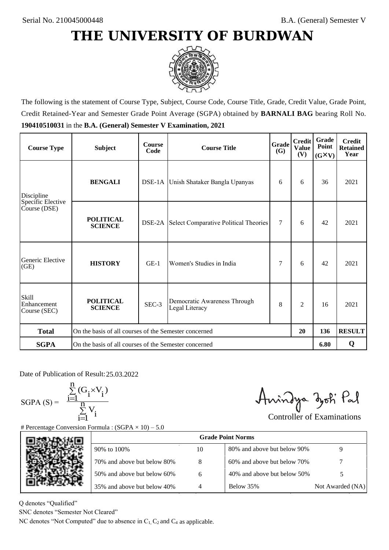

The following is the statement of Course Type, Subject, Course Code, Course Title, Grade, Credit Value, Grade Point, Credit Retained-Year and Semester Grade Point Average (SGPA) obtained by **BARNALI BAG** bearing Roll No. **190410510031** in the **B.A. (General) Semester V Examination, 2021**

| <b>Course Type</b>                          | <b>Subject</b>                                              | <b>Course</b><br>Code | Grade<br><b>Course Title</b><br><b>(G)</b>     |        | <b>Credit</b><br><b>Value</b><br>(V) | Grade<br>Point<br>$(G\times V)$ | <b>Credit</b><br><b>Retained</b><br>Year |
|---------------------------------------------|-------------------------------------------------------------|-----------------------|------------------------------------------------|--------|--------------------------------------|---------------------------------|------------------------------------------|
| <b>BENGALI</b><br>Discipline                |                                                             |                       | DSE-1A Unish Shataker Bangla Upanyas           |        | 6                                    | 36                              | 2021                                     |
| Specific Elective<br>Course (DSE)           | <b>POLITICAL</b><br><b>SCIENCE</b>                          |                       | DSE-2A Select Comparative Political Theories   | $\tau$ | 6                                    | 42                              | 2021                                     |
| Generic Elective<br>(GE)                    | <b>HISTORY</b>                                              | $GE-1$                | Women's Studies in India                       | 7      | 6                                    | 42                              | 2021                                     |
| <b>Skill</b><br>Enhancement<br>Course (SEC) | <b>POLITICAL</b><br><b>SCIENCE</b>                          | SEC-3                 | Democratic Awareness Through<br>Legal Literacy | 8      | $\overline{c}$                       | 16                              | 2021                                     |
| <b>Total</b>                                | On the basis of all courses of the Semester concerned<br>20 |                       |                                                |        |                                      | 136                             | <b>RESULT</b>                            |
| <b>SGPA</b>                                 | On the basis of all courses of the Semester concerned       |                       |                                                |        |                                      | 6.80                            | Q                                        |

Date of Publication of Result: 25,03,2022

 $SGPA(S) =$ 

$$
\frac{\sum\limits_{i=1}^{n}(G_{i}\times V_{i})}{\sum\limits_{i=1}^{n}V_{i}}
$$

Amindya zoti Pal

| ate of Publication of Result: 25.03.2022<br>GPA (S) = $\frac{\sum_{i=1}^{n} (G_i \times V_i)}{\sum_{i=1}^{n} V_i}$ | Percentage Conversion Formula : $(SGPA \times 10) - 5.0$                          |    | Aningya zoti Pal            | <b>Controller of Examinations</b> |
|--------------------------------------------------------------------------------------------------------------------|-----------------------------------------------------------------------------------|----|-----------------------------|-----------------------------------|
|                                                                                                                    |                                                                                   |    | <b>Grade Point Norms</b>    |                                   |
|                                                                                                                    | 90% to 100%                                                                       | 10 | 80% and above but below 90% | 9                                 |
|                                                                                                                    | 70% and above but below 80%                                                       | 8  | 60% and above but below 70% |                                   |
|                                                                                                                    | 50% and above but below 60%                                                       | 6  | 40% and above but below 50% | 5                                 |
|                                                                                                                    | 35% and above but below 40%                                                       | 4  | Below 35%                   | Not Awarded (NA)                  |
| denotes "Qualified"<br>NC denotes "Semester Not Cleared"                                                           | C denotes "Not Computed" due to absence in $C_1$ , $C_2$ and $C_4$ as applicable. |    |                             |                                   |

Q denotes "Qualified"

SNC denotes "Semester Not Cleared"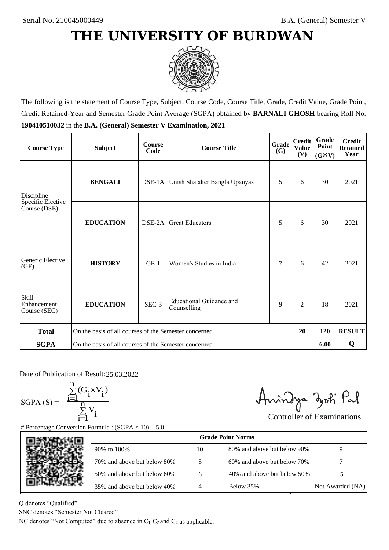

The following is the statement of Course Type, Subject, Course Code, Course Title, Grade, Credit Value, Grade Point, Credit Retained-Year and Semester Grade Point Average (SGPA) obtained by **BARNALI GHOSH** bearing Roll No. **190410510032** in the **B.A. (General) Semester V Examination, 2021**

| <b>Course Type</b>                          | <b>Subject</b>                                              | <b>Course</b><br>Code | Grade<br><b>Course Title</b><br>(G)     |   | <b>Credit</b><br><b>Value</b><br>(V) | Grade<br>Point<br>$(G\times V)$ | <b>Credit</b><br><b>Retained</b><br>Year |
|---------------------------------------------|-------------------------------------------------------------|-----------------------|-----------------------------------------|---|--------------------------------------|---------------------------------|------------------------------------------|
| <b>BENGALI</b><br>Discipline                |                                                             |                       | DSE-1A Unish Shataker Bangla Upanyas    |   | 6                                    | 30                              | 2021                                     |
| Specific Elective<br>Course (DSE)           | <b>EDUCATION</b>                                            | DSE-2A                | <b>Great Educators</b>                  | 5 | 6                                    | 30                              | 2021                                     |
| Generic Elective<br>(GE)                    | <b>HISTORY</b>                                              | $GE-1$                | Women's Studies in India                | 7 | 6                                    | 42                              | 2021                                     |
| <b>Skill</b><br>Enhancement<br>Course (SEC) | <b>EDUCATION</b>                                            | SEC-3                 | Educational Guidance and<br>Counselling | 9 | 2                                    | 18                              | 2021                                     |
| <b>Total</b>                                | On the basis of all courses of the Semester concerned<br>20 |                       |                                         |   |                                      | 120                             | <b>RESULT</b>                            |
| <b>SGPA</b>                                 | On the basis of all courses of the Semester concerned       |                       |                                         |   |                                      | 6.00                            | Q                                        |

Date of Publication of Result: 25.03.2022

 $SGPA(S) =$ 

$$
\frac{\sum\limits_{i=1}^{n} (G_i \times V_i)}{\sum\limits_{i=1}^{n} V_i}
$$

Amindya zoti Pal

| ate of Publication of Result: 25.03.2022<br>GPA (S) = $\frac{\sum_{i=1}^{n} (G_i \times V_i)}{\sum_{i=1}^{n} V_i}$ | Percentage Conversion Formula : $(SGPA \times 10) - 5.0$                          |    | Aningya zoti Pal            | <b>Controller of Examinations</b> |
|--------------------------------------------------------------------------------------------------------------------|-----------------------------------------------------------------------------------|----|-----------------------------|-----------------------------------|
|                                                                                                                    |                                                                                   |    | <b>Grade Point Norms</b>    |                                   |
|                                                                                                                    | 90% to 100%                                                                       | 10 | 80% and above but below 90% | 9                                 |
|                                                                                                                    | 70% and above but below 80%                                                       | 8  | 60% and above but below 70% |                                   |
|                                                                                                                    | 50% and above but below 60%                                                       | 6  | 40% and above but below 50% | 5                                 |
|                                                                                                                    | 35% and above but below 40%                                                       | 4  | Below 35%                   | Not Awarded (NA)                  |
| denotes "Qualified"<br>NC denotes "Semester Not Cleared"                                                           | C denotes "Not Computed" due to absence in $C_1$ , $C_2$ and $C_4$ as applicable. |    |                             |                                   |

Q denotes "Qualified"

SNC denotes "Semester Not Cleared"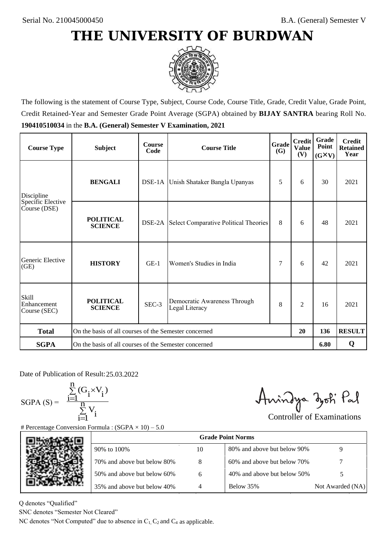

The following is the statement of Course Type, Subject, Course Code, Course Title, Grade, Credit Value, Grade Point, Credit Retained-Year and Semester Grade Point Average (SGPA) obtained by **BIJAY SANTRA** bearing Roll No. **190410510034** in the **B.A. (General) Semester V Examination, 2021**

| <b>Course Type</b>                          | <b>Subject</b>                                              | <b>Course</b><br>Code | Grade<br><b>Course Title</b><br>(G)            |   | <b>Credit</b><br><b>Value</b><br>(V) | Grade<br>Point<br>$(G\times V)$ | <b>Credit</b><br><b>Retained</b><br>Year |
|---------------------------------------------|-------------------------------------------------------------|-----------------------|------------------------------------------------|---|--------------------------------------|---------------------------------|------------------------------------------|
| <b>BENGALI</b><br>Discipline                |                                                             |                       | DSE-1A Unish Shataker Bangla Upanyas           |   | 6                                    | 30                              | 2021                                     |
| Specific Elective<br>Course (DSE)           | <b>POLITICAL</b><br><b>SCIENCE</b>                          | DSE-2A                | Select Comparative Political Theories          | 8 | 6                                    | 48                              | 2021                                     |
| Generic Elective<br>(GE)                    | <b>HISTORY</b>                                              | $GE-1$                | Women's Studies in India                       | 7 | 6                                    | 42                              | 2021                                     |
| <b>Skill</b><br>Enhancement<br>Course (SEC) | <b>POLITICAL</b><br><b>SCIENCE</b>                          | SEC-3                 | Democratic Awareness Through<br>Legal Literacy | 8 | $\overline{c}$                       | 16                              | 2021                                     |
| <b>Total</b>                                | On the basis of all courses of the Semester concerned<br>20 |                       |                                                |   | 136                                  | <b>RESULT</b>                   |                                          |
| <b>SGPA</b>                                 | On the basis of all courses of the Semester concerned       |                       |                                                |   |                                      | 6.80                            | Q                                        |

Date of Publication of Result: 25,03,2022

SGPA  $(S) = \frac{1-1}{1}$ 

$$
\frac{\sum\limits_{i=1}^{n} (G_i \times V_i)}{\sum\limits_{i=1}^{n} V_i}
$$

Amindya zoti Pal

| ate of Publication of Result: 25.03.2022<br>GPA (S) = $\frac{\sum_{i=1}^{n} (G_i \times V_i)}{\sum_{i=1}^{n} V_i}$ |                                                                                   |    | Aningya zoti Pal            | <b>Controller of Examinations</b> |
|--------------------------------------------------------------------------------------------------------------------|-----------------------------------------------------------------------------------|----|-----------------------------|-----------------------------------|
|                                                                                                                    | Percentage Conversion Formula : $(SGPA \times 10) - 5.0$                          |    |                             |                                   |
|                                                                                                                    |                                                                                   |    |                             |                                   |
|                                                                                                                    | 90% to 100%                                                                       | 10 | 80% and above but below 90% | 9                                 |
|                                                                                                                    | 70% and above but below 80%                                                       | 8  | 60% and above but below 70% |                                   |
|                                                                                                                    | 50% and above but below 60%                                                       | 6  | 40% and above but below 50% | 5                                 |
|                                                                                                                    | 35% and above but below 40%                                                       | 4  | Below 35%                   | Not Awarded (NA)                  |
| denotes "Qualified"<br>NC denotes "Semester Not Cleared"                                                           | C denotes "Not Computed" due to absence in $C_1$ , $C_2$ and $C_4$ as applicable. |    |                             |                                   |
|                                                                                                                    |                                                                                   |    |                             |                                   |

Q denotes "Qualified"

SNC denotes "Semester Not Cleared"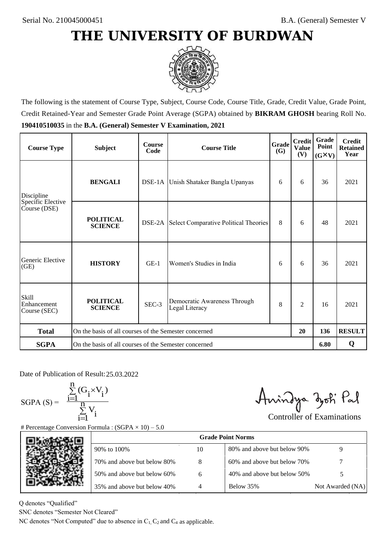

The following is the statement of Course Type, Subject, Course Code, Course Title, Grade, Credit Value, Grade Point, Credit Retained-Year and Semester Grade Point Average (SGPA) obtained by **BIKRAM GHOSH** bearing Roll No. **190410510035** in the **B.A. (General) Semester V Examination, 2021**

| <b>Course Type</b>                          | <b>Subject</b>                                              | <b>Course</b><br>Code | Grade<br><b>Course Title</b><br><b>(G)</b>     |   | <b>Credit</b><br><b>Value</b><br>(V) | Grade<br>Point<br>$(G\times V)$ | <b>Credit</b><br><b>Retained</b><br>Year |
|---------------------------------------------|-------------------------------------------------------------|-----------------------|------------------------------------------------|---|--------------------------------------|---------------------------------|------------------------------------------|
| Discipline                                  | <b>BENGALI</b>                                              |                       | DSE-1A Unish Shataker Bangla Upanyas           | 6 | 6                                    | 36                              | 2021                                     |
| Specific Elective<br>Course (DSE)           | <b>POLITICAL</b><br><b>SCIENCE</b>                          |                       | DSE-2A Select Comparative Political Theories   | 8 | 6                                    | 48                              | 2021                                     |
| Generic Elective<br>(GE)                    | <b>HISTORY</b>                                              | $GE-1$                | Women's Studies in India                       | 6 | 6                                    | 36                              | 2021                                     |
| <b>Skill</b><br>Enhancement<br>Course (SEC) | <b>POLITICAL</b><br><b>SCIENCE</b>                          | SEC-3                 | Democratic Awareness Through<br>Legal Literacy | 8 | $\overline{c}$                       | 16                              | 2021                                     |
| <b>Total</b>                                | On the basis of all courses of the Semester concerned<br>20 |                       |                                                |   |                                      | 136                             | <b>RESULT</b>                            |
| <b>SGPA</b>                                 | On the basis of all courses of the Semester concerned       |                       |                                                |   |                                      | 6.80                            | Q                                        |

Date of Publication of Result: 25,03,2022

 $SGPA(S) =$ 

$$
\frac{\sum\limits_{i=1}^n (G_i \times V_i)}{\sum\limits_{i=1}^n V_i}
$$

Amindya zoti Pal

| ate of Publication of Result: 25.03.2022<br>GPA (S) = $\frac{\sum_{i=1}^{n} (G_i \times V_i)}{\sum_{i=1}^{n} V_i}$ |                                                                                   |    | Aningya zoti Pal            | <b>Controller of Examinations</b> |
|--------------------------------------------------------------------------------------------------------------------|-----------------------------------------------------------------------------------|----|-----------------------------|-----------------------------------|
|                                                                                                                    | Percentage Conversion Formula : $(SGPA \times 10) - 5.0$                          |    | <b>Grade Point Norms</b>    |                                   |
|                                                                                                                    | 90% to 100%                                                                       | 10 | 80% and above but below 90% | 9                                 |
|                                                                                                                    | 70% and above but below 80%                                                       | 8  | 60% and above but below 70% |                                   |
|                                                                                                                    | 50% and above but below 60%                                                       | 6  | 40% and above but below 50% | 5                                 |
|                                                                                                                    | 35% and above but below 40%                                                       | 4  | Below 35%                   | Not Awarded (NA)                  |
| denotes "Qualified"<br>NC denotes "Semester Not Cleared"                                                           | C denotes "Not Computed" due to absence in $C_1$ , $C_2$ and $C_4$ as applicable. |    |                             |                                   |

Q denotes "Qualified"

SNC denotes "Semester Not Cleared"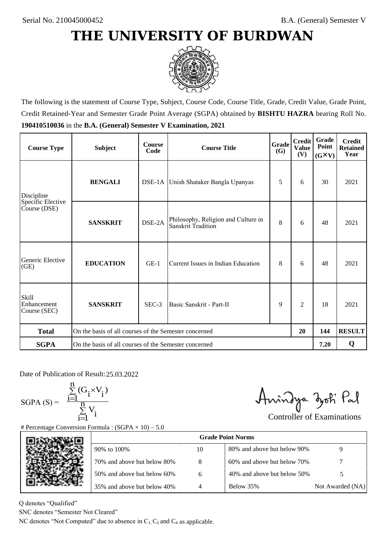

The following is the statement of Course Type, Subject, Course Code, Course Title, Grade, Credit Value, Grade Point, Credit Retained-Year and Semester Grade Point Average (SGPA) obtained by **BISHTU HAZRA** bearing Roll No. **190410510036** in the **B.A. (General) Semester V Examination, 2021**

| <b>Course Type</b>                   | <b>Subject</b>                                              | <b>Course</b><br>Code | Grade<br><b>Course Title</b><br>(G)                       |   | <b>Credit</b><br><b>Value</b><br>(V) | Grade<br>Point<br>$(G\times V)$ | <b>Credit</b><br><b>Retained</b><br>Year |
|--------------------------------------|-------------------------------------------------------------|-----------------------|-----------------------------------------------------------|---|--------------------------------------|---------------------------------|------------------------------------------|
| <b>BENGALI</b><br>Discipline         |                                                             |                       | DSE-1A Unish Shataker Bangla Upanyas                      |   | 6                                    | 30                              | 2021                                     |
| Specific Elective<br>Course (DSE)    | <b>SANSKRIT</b>                                             | DSE-2A                | Philosophy, Religion and Culture in<br>Sanskrit Tradition | 8 | 6                                    | 48                              | 2021                                     |
| Generic Elective<br>(GE)             | <b>EDUCATION</b>                                            | $GE-1$                | Current Issues in Indian Education                        | 8 | 6                                    | 48                              | 2021                                     |
| Skill<br>Enhancement<br>Course (SEC) | <b>SANSKRIT</b>                                             | SEC-3                 | Basic Sanskrit - Part-II                                  | 9 | 2                                    | 18                              | 2021                                     |
| <b>Total</b>                         | On the basis of all courses of the Semester concerned<br>20 |                       |                                                           |   |                                      | 144                             | <b>RESULT</b>                            |
| <b>SGPA</b>                          | On the basis of all courses of the Semester concerned       |                       |                                                           |   |                                      | 7.20                            | Q                                        |

Date of Publication of Result: 25.03.2022

 $SGPA(S) =$ 

$$
\frac{\sum\limits_{i=1}^n(G_i\times V_i)}{\sum\limits_{i=1}^nV_i}
$$

Amindya zoti Pal

| ate of Publication of Result: 25.03.2022<br>GPA (S) = $\frac{\sum_{i=1}^{n} (G_i \times V_i)}{\sum_{i=1}^{n} V_i}$ | Percentage Conversion Formula : $(SGPA \times 10) - 5.0$                          |    | Aningya zoti Pal            | <b>Controller of Examinations</b> |
|--------------------------------------------------------------------------------------------------------------------|-----------------------------------------------------------------------------------|----|-----------------------------|-----------------------------------|
|                                                                                                                    |                                                                                   |    | <b>Grade Point Norms</b>    |                                   |
|                                                                                                                    | 90% to 100%                                                                       | 10 | 80% and above but below 90% | 9                                 |
|                                                                                                                    | 70% and above but below 80%                                                       | 8  | 60% and above but below 70% |                                   |
|                                                                                                                    | 50% and above but below 60%                                                       | 6  | 40% and above but below 50% | 5                                 |
|                                                                                                                    | 35% and above but below 40%                                                       | 4  | Below 35%                   | Not Awarded (NA)                  |
| denotes "Qualified"<br>VC denotes "Semester Not Cleared"                                                           | C denotes "Not Computed" due to absence in $C_1$ , $C_2$ and $C_4$ as applicable. |    |                             |                                   |

Q denotes "Qualified"

SNC denotes "Semester Not Cleared"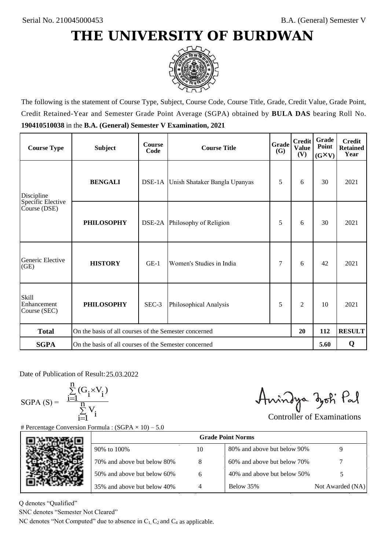

The following is the statement of Course Type, Subject, Course Code, Course Title, Grade, Credit Value, Grade Point, Credit Retained-Year and Semester Grade Point Average (SGPA) obtained by **BULA DAS** bearing Roll No. **190410510038** in the **B.A. (General) Semester V Examination, 2021**

| <b>Course Type</b>                          | <b>Subject</b>                                              | <b>Course</b><br>Code | Grade<br><b>Course Title</b>         |   | <b>Credit</b><br><b>Value</b><br>(V) | Grade<br>Point<br>$(G\times V)$ | <b>Credit</b><br><b>Retained</b><br>Year |
|---------------------------------------------|-------------------------------------------------------------|-----------------------|--------------------------------------|---|--------------------------------------|---------------------------------|------------------------------------------|
| <b>BENGALI</b><br>Discipline                |                                                             |                       | DSE-1A Unish Shataker Bangla Upanyas |   | 6                                    | 30                              | 2021                                     |
| Specific Elective<br>Course (DSE)           | <b>PHILOSOPHY</b>                                           |                       | DSE-2A Philosophy of Religion        | 5 | 6                                    | 30                              | 2021                                     |
| Generic Elective<br>(GE)                    | <b>HISTORY</b>                                              | $GE-1$                | Women's Studies in India             | 7 | 6                                    | 42                              | 2021                                     |
| <b>Skill</b><br>Enhancement<br>Course (SEC) | <b>PHILOSOPHY</b>                                           | SEC-3                 | Philosophical Analysis               | 5 | $\overline{c}$                       | 10                              | 2021                                     |
| <b>Total</b>                                | On the basis of all courses of the Semester concerned<br>20 |                       |                                      |   |                                      | 112                             | <b>RESULT</b>                            |
| <b>SGPA</b>                                 | On the basis of all courses of the Semester concerned       |                       |                                      |   |                                      | 5.60                            | Q                                        |

Date of Publication of Result: 25,03,2022

SGPA  $(S) = \frac{1-1}{1}$ 

$$
\frac{\sum\limits_{i=1}^{n} (G_i \times V_i)}{\sum\limits_{i=1}^{n} V_i}
$$

Amindya zoti Pal

| ate of Publication of Result: 25.03.2022<br>GPA (S) = $\frac{\sum_{i=1}^{n} (G_i \times V_i)}{\sum_{i=1}^{n} V_i}$ |                                                                                   |    | Aningya zoti Pal            |                                   |
|--------------------------------------------------------------------------------------------------------------------|-----------------------------------------------------------------------------------|----|-----------------------------|-----------------------------------|
|                                                                                                                    | Percentage Conversion Formula : $(SGPA \times 10) - 5.0$                          |    |                             | <b>Controller of Examinations</b> |
|                                                                                                                    |                                                                                   |    | <b>Grade Point Norms</b>    |                                   |
|                                                                                                                    | 90% to 100%                                                                       | 10 | 80% and above but below 90% | 9                                 |
|                                                                                                                    | 70% and above but below 80%                                                       | 8  | 60% and above but below 70% |                                   |
|                                                                                                                    | 50% and above but below 60%                                                       | 6  | 40% and above but below 50% | 5                                 |
|                                                                                                                    | 35% and above but below 40%                                                       | 4  | Below 35%                   | Not Awarded (NA)                  |
| denotes "Qualified"<br>NC denotes "Semester Not Cleared"                                                           |                                                                                   |    |                             |                                   |
|                                                                                                                    | C denotes "Not Computed" due to absence in $C_1$ , $C_2$ and $C_4$ as applicable. |    |                             |                                   |

Q denotes "Qualified"

SNC denotes "Semester Not Cleared"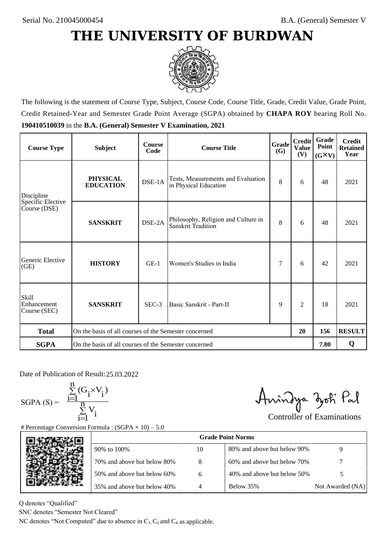

The following is the statement of Course Type, Subject, Course Code, Course Title, Grade, Credit Value, Grade Point, Credit Retained-Year and Semester Grade Point Average (SGPA) obtained by **CHAPA ROY** bearing Roll No. **190410510039** in the **B.A. (General) Semester V Examination, 2021**

| <b>Course Type</b>                   | <b>Subject</b>                                              | <b>Course</b><br>Code | Grade<br><b>Course Title</b>                                |   | <b>Credit</b><br><b>Value</b><br>(V) | Grade<br>Point<br>$(G\times V)$ | <b>Credit</b><br><b>Retained</b><br>Year |
|--------------------------------------|-------------------------------------------------------------|-----------------------|-------------------------------------------------------------|---|--------------------------------------|---------------------------------|------------------------------------------|
| Discipline                           | <b>PHYSICAL</b><br><b>EDUCATION</b>                         | DSE-1A                | Tests, Measurements and Evaluation<br>in Physical Education | 8 | 6                                    | 48                              | 2021                                     |
| Specific Elective<br>Course (DSE)    | <b>SANSKRIT</b>                                             | DSE-2A                | Philosophy, Religion and Culture in<br>Sanskrit Tradition   | 8 | 6                                    | 48                              | 2021                                     |
| Generic Elective<br>(GE)             | <b>HISTORY</b>                                              | $GE-1$                | Women's Studies in India                                    | 7 | 6                                    | 42                              | 2021                                     |
| Skill<br>Enhancement<br>Course (SEC) | <b>SANSKRIT</b>                                             | SEC-3                 | Basic Sanskrit - Part-II                                    | 9 | 2                                    | 18                              | 2021                                     |
| <b>Total</b>                         | On the basis of all courses of the Semester concerned<br>20 |                       |                                                             |   | 156                                  | <b>RESULT</b>                   |                                          |
| <b>SGPA</b>                          | On the basis of all courses of the Semester concerned       |                       |                                                             |   |                                      | 7.80                            | Q                                        |

Date of Publication of Result: 25.03.2022

 $SGPA(S) =$ 

$$
\frac{\sum\limits_{i=1}^n (G_i \times V_i)}{\sum\limits_{i=1}^n V_i}
$$

Amindya zoti Pal

| ate of Publication of Result: 25.03.2022<br>GPA (S) = $\frac{\sum_{i=1}^{n} (G_i \times V_i)}{\sum_{i=1}^{n} V_i}$ | Percentage Conversion Formula : $(SGPA \times 10) - 5.0$                          |                | Aningya zoti Pal            | <b>Controller of Examinations</b> |
|--------------------------------------------------------------------------------------------------------------------|-----------------------------------------------------------------------------------|----------------|-----------------------------|-----------------------------------|
|                                                                                                                    |                                                                                   |                | <b>Grade Point Norms</b>    |                                   |
|                                                                                                                    | 90% to 100%                                                                       | 10             | 80% and above but below 90% | 9                                 |
|                                                                                                                    | 70% and above but below 80%                                                       | 8              | 60% and above but below 70% |                                   |
|                                                                                                                    | 50% and above but below 60%                                                       | 6              | 40% and above but below 50% | 5                                 |
|                                                                                                                    | 35% and above but below 40%                                                       | $\overline{4}$ | Below 35%                   | Not Awarded (NA)                  |
| denotes "Qualified"<br>NC denotes "Semester Not Cleared"                                                           | C denotes "Not Computed" due to absence in $C_1$ , $C_2$ and $C_4$ as applicable. |                |                             |                                   |

Q denotes "Qualified"

SNC denotes "Semester Not Cleared"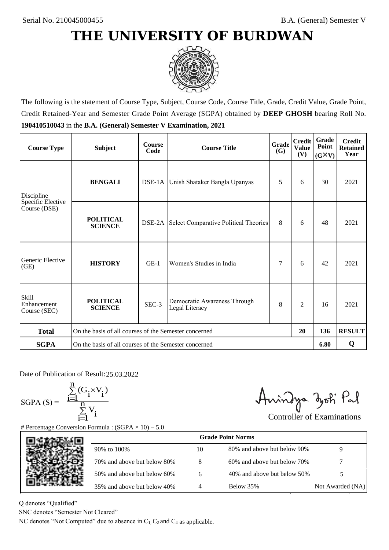

The following is the statement of Course Type, Subject, Course Code, Course Title, Grade, Credit Value, Grade Point, Credit Retained-Year and Semester Grade Point Average (SGPA) obtained by **DEEP GHOSH** bearing Roll No. **190410510043** in the **B.A. (General) Semester V Examination, 2021**

| <b>Course Type</b>                          | <b>Subject</b>                                              | <b>Course</b><br>Code | Grade<br><b>Course Title</b><br><b>(G)</b>     |   | <b>Credit</b><br><b>Value</b><br>(V) | Grade<br>Point<br>$(G\times V)$ | <b>Credit</b><br><b>Retained</b><br>Year |
|---------------------------------------------|-------------------------------------------------------------|-----------------------|------------------------------------------------|---|--------------------------------------|---------------------------------|------------------------------------------|
| Discipline                                  | <b>BENGALI</b>                                              |                       | DSE-1A Unish Shataker Bangla Upanyas           | 5 | 6                                    | 30                              | 2021                                     |
| Specific Elective<br>Course (DSE)           | <b>POLITICAL</b><br><b>SCIENCE</b>                          |                       | DSE-2A Select Comparative Political Theories   | 8 | 6                                    | 48                              | 2021                                     |
| Generic Elective<br>(GE)                    | <b>HISTORY</b>                                              | $GE-1$                | Women's Studies in India                       | 7 | 6                                    | 42                              | 2021                                     |
| <b>Skill</b><br>Enhancement<br>Course (SEC) | <b>POLITICAL</b><br><b>SCIENCE</b>                          | SEC-3                 | Democratic Awareness Through<br>Legal Literacy | 8 | $\overline{c}$                       | 16                              | 2021                                     |
| <b>Total</b>                                | On the basis of all courses of the Semester concerned<br>20 |                       |                                                |   | 136                                  | <b>RESULT</b>                   |                                          |
| <b>SGPA</b>                                 | On the basis of all courses of the Semester concerned       |                       |                                                |   |                                      | 6.80                            | Q                                        |

Date of Publication of Result: 25,03,2022

 $SGPA(S) =$ 

$$
\frac{\sum\limits_{i=1}^n (G_i \times V_i)}{\sum\limits_{i=1}^n V_i}
$$

Amindya zoti Pal

| ate of Publication of Result: 25.03.2022<br>GPA (S) = $\frac{\sum_{i=1}^{n} (G_i \times V_i)}{\sum_{i=1}^{n} V_i}$ | Percentage Conversion Formula : $(SGPA \times 10) - 5.0$                          |    | Aningya zoti Pal            | <b>Controller of Examinations</b> |
|--------------------------------------------------------------------------------------------------------------------|-----------------------------------------------------------------------------------|----|-----------------------------|-----------------------------------|
|                                                                                                                    |                                                                                   |    | <b>Grade Point Norms</b>    |                                   |
|                                                                                                                    | 90% to 100%                                                                       | 10 | 80% and above but below 90% | 9                                 |
|                                                                                                                    | 70% and above but below 80%                                                       | 8  | 60% and above but below 70% |                                   |
|                                                                                                                    | 50% and above but below 60%                                                       | 6  | 40% and above but below 50% | 5                                 |
|                                                                                                                    | 35% and above but below 40%                                                       | 4  | Below 35%                   | Not Awarded (NA)                  |
| denotes "Qualified"<br>NC denotes "Semester Not Cleared"                                                           | C denotes "Not Computed" due to absence in $C_1$ , $C_2$ and $C_4$ as applicable. |    |                             |                                   |

Q denotes "Qualified"

SNC denotes "Semester Not Cleared"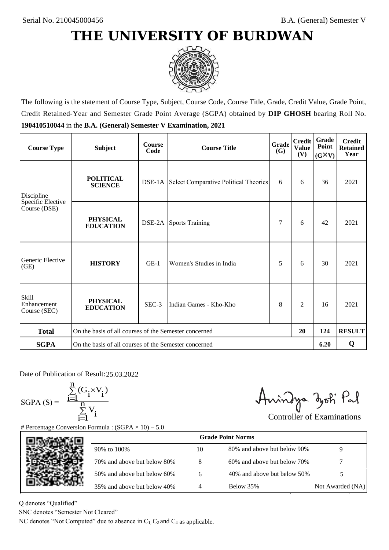

The following is the statement of Course Type, Subject, Course Code, Course Title, Grade, Credit Value, Grade Point, Credit Retained-Year and Semester Grade Point Average (SGPA) obtained by **DIP GHOSH** bearing Roll No. **190410510044** in the **B.A. (General) Semester V Examination, 2021**

| <b>Course Type</b>                   | <b>Subject</b>                                        | <b>Course</b><br>Code | Grade<br><b>Course Title</b>                        |   | <b>Credit</b><br><b>Value</b><br>(V) | Grade<br>Point<br>$(G\times V)$ | <b>Credit</b><br><b>Retained</b><br>Year |
|--------------------------------------|-------------------------------------------------------|-----------------------|-----------------------------------------------------|---|--------------------------------------|---------------------------------|------------------------------------------|
| Discipline                           | <b>POLITICAL</b><br><b>SCIENCE</b>                    |                       | <b>DSE-1A</b> Select Comparative Political Theories | 6 | 6                                    | 36                              | 2021                                     |
| Specific Elective<br>Course (DSE)    | <b>PHYSICAL</b><br><b>EDUCATION</b>                   |                       | <b>DSE-2A</b> Sports Training                       | 7 | 6                                    | 42                              | 2021                                     |
| Generic Elective<br>(GE)             | <b>HISTORY</b>                                        | $GE-1$                | Women's Studies in India                            | 5 | 6                                    | 30                              | 2021                                     |
| Skill<br>Enhancement<br>Course (SEC) | <b>PHYSICAL</b><br><b>EDUCATION</b>                   | SEC-3                 | Indian Games - Kho-Kho                              | 8 | 2                                    | 16                              | 2021                                     |
| <b>Total</b>                         | On the basis of all courses of the Semester concerned |                       |                                                     |   | 20                                   | 124                             | <b>RESULT</b>                            |
| <b>SGPA</b>                          | On the basis of all courses of the Semester concerned |                       |                                                     |   |                                      | 6.20                            | Q                                        |

Date of Publication of Result: 25.03.2022

SGPA  $(S) = \frac{1-1}{1}$ 

$$
\frac{\sum\limits_{i=1}^{n} (G_i \times V_i)}{\sum\limits_{i=1}^{n} V_i}
$$

Amindya zoti Pal

| ate of Publication of Result: 25.03.2022<br>GPA (S) = $\frac{\sum_{i=1}^{n} (G_i \times V_i)}{\sum_{i=1}^{n} V_i}$ |                                                                                   |    | Aningya zoti Pal            | <b>Controller of Examinations</b> |
|--------------------------------------------------------------------------------------------------------------------|-----------------------------------------------------------------------------------|----|-----------------------------|-----------------------------------|
|                                                                                                                    | Percentage Conversion Formula : $(SGPA \times 10) - 5.0$                          |    |                             |                                   |
|                                                                                                                    |                                                                                   |    | <b>Grade Point Norms</b>    |                                   |
|                                                                                                                    | 90% to 100%                                                                       | 10 | 80% and above but below 90% | 9                                 |
|                                                                                                                    | 70% and above but below 80%                                                       | 8  | 60% and above but below 70% |                                   |
|                                                                                                                    | 50% and above but below 60%                                                       | 6  | 40% and above but below 50% | 5                                 |
|                                                                                                                    | 35% and above but below 40%                                                       | 4  | Below 35%                   | Not Awarded (NA)                  |
| denotes "Qualified"<br>NC denotes "Semester Not Cleared"                                                           |                                                                                   |    |                             |                                   |
|                                                                                                                    | C denotes "Not Computed" due to absence in $C_1$ , $C_2$ and $C_4$ as applicable. |    |                             |                                   |

Q denotes "Qualified"

SNC denotes "Semester Not Cleared"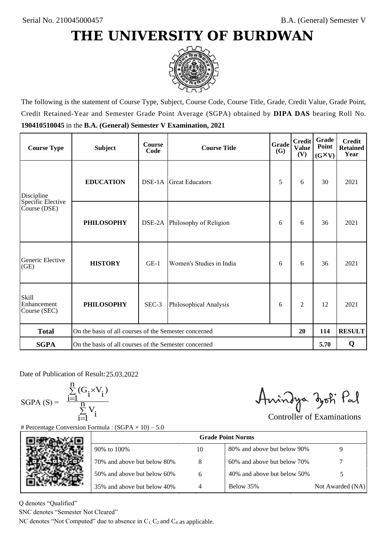

The following is the statement of Course Type, Subject, Course Code, Course Title, Grade, Credit Value, Grade Point, Credit Retained-Year and Semester Grade Point Average (SGPA) obtained by **DIPA DAS** bearing Roll No. **190410510045** in the **B.A. (General) Semester V Examination, 2021**

| <b>Course Type</b>                          | <b>Subject</b>                                        | <b>Course</b><br>Code | Grade<br><b>Course Title</b><br>(G) |   | <b>Credit</b><br><b>Value</b><br>(V) | Grade<br>Point<br>$(G\times V)$ | <b>Credit</b><br><b>Retained</b><br>Year |
|---------------------------------------------|-------------------------------------------------------|-----------------------|-------------------------------------|---|--------------------------------------|---------------------------------|------------------------------------------|
| Discipline                                  | <b>EDUCATION</b>                                      |                       | Great Educators                     | 5 | 6                                    | 30                              | 2021                                     |
| Specific Elective<br>Course (DSE)           | <b>PHILOSOPHY</b>                                     |                       | DSE-2A Philosophy of Religion       | 6 | 6                                    | 36                              | 2021                                     |
| Generic Elective<br>(GE)                    | <b>HISTORY</b>                                        | $GE-1$                | Women's Studies in India            | 6 | 6                                    | 36                              | 2021                                     |
| <b>Skill</b><br>Enhancement<br>Course (SEC) | <b>PHILOSOPHY</b>                                     | SEC-3                 | Philosophical Analysis              | 6 | $\overline{c}$                       | 12                              | 2021                                     |
| <b>Total</b>                                | On the basis of all courses of the Semester concerned |                       |                                     |   | 20                                   | 114                             | <b>RESULT</b>                            |
| <b>SGPA</b>                                 | On the basis of all courses of the Semester concerned |                       |                                     |   |                                      | 5.70                            | Q                                        |

Date of Publication of Result: 25,03,2022

 $SGPA(S) =$ 

$$
\frac{\sum\limits_{i=1}^n(G_i\times V_i)}{\sum\limits_{i=1}^nV_i}
$$

Anindya zoti Pal

| ate of Publication of Result: 25.03.2022<br>GPA (S) = $\frac{\sum_{i=1}^{n} (G_i \times V_i)}{\sum_{i=1}^{n} V_i}$ | Percentage Conversion Formula : $(SGPA \times 10) - 5.0$                          |    | Aningya zoti Pal            | <b>Controller of Examinations</b> |
|--------------------------------------------------------------------------------------------------------------------|-----------------------------------------------------------------------------------|----|-----------------------------|-----------------------------------|
|                                                                                                                    |                                                                                   |    | <b>Grade Point Norms</b>    |                                   |
|                                                                                                                    | 90% to 100%                                                                       | 10 | 80% and above but below 90% | 9                                 |
|                                                                                                                    | 70% and above but below 80%                                                       | 8  | 60% and above but below 70% |                                   |
|                                                                                                                    | 50% and above but below 60%                                                       | 6  | 40% and above but below 50% | 5                                 |
|                                                                                                                    | 35% and above but below 40%                                                       | 4  | Below 35%                   | Not Awarded (NA)                  |
| denotes "Qualified"<br>NC denotes "Semester Not Cleared"                                                           | C denotes "Not Computed" due to absence in $C_1$ , $C_2$ and $C_4$ as applicable. |    |                             |                                   |

Q denotes "Qualified"

SNC denotes "Semester Not Cleared"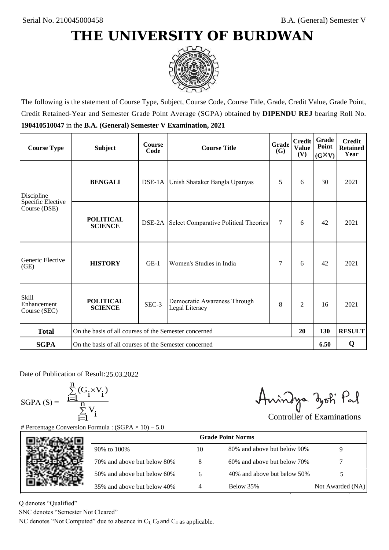

The following is the statement of Course Type, Subject, Course Code, Course Title, Grade, Credit Value, Grade Point, Credit Retained-Year and Semester Grade Point Average (SGPA) obtained by **DIPENDU REJ** bearing Roll No. **190410510047** in the **B.A. (General) Semester V Examination, 2021**

| <b>Course Type</b>                          | <b>Subject</b>                                              | <b>Course</b><br>Code | Grade<br><b>Course Title</b><br><b>(G)</b>     |        | <b>Credit</b><br><b>Value</b><br>(V) | Grade<br>Point<br>$(G\times V)$ | <b>Credit</b><br><b>Retained</b><br>Year |
|---------------------------------------------|-------------------------------------------------------------|-----------------------|------------------------------------------------|--------|--------------------------------------|---------------------------------|------------------------------------------|
| Discipline                                  | <b>BENGALI</b>                                              |                       | DSE-1A Unish Shataker Bangla Upanyas           | 5      | 6                                    | 30                              | 2021                                     |
| Specific Elective<br>Course (DSE)           | <b>POLITICAL</b><br><b>SCIENCE</b>                          |                       | DSE-2A Select Comparative Political Theories   | $\tau$ | 6                                    | 42                              | 2021                                     |
| Generic Elective<br>(GE)                    | <b>HISTORY</b>                                              | $GE-1$                | Women's Studies in India                       | 7      | 6                                    | 42                              | 2021                                     |
| <b>Skill</b><br>Enhancement<br>Course (SEC) | <b>POLITICAL</b><br><b>SCIENCE</b>                          | SEC-3                 | Democratic Awareness Through<br>Legal Literacy | 8      | $\overline{c}$                       | 16                              | 2021                                     |
| <b>Total</b>                                | On the basis of all courses of the Semester concerned<br>20 |                       |                                                | 130    | <b>RESULT</b>                        |                                 |                                          |
| <b>SGPA</b>                                 | On the basis of all courses of the Semester concerned       |                       |                                                |        |                                      | 6.50                            | Q                                        |

Date of Publication of Result: 25,03,2022

 $SGPA(S) =$ 

$$
\frac{\sum\limits_{i=1}^n(G_i\times V_i)}{\sum\limits_{i=1}^nV_i}
$$

Anindya zoti Pal

| ate of Publication of Result: 25.03.2022<br>SGPA (S) = $\frac{\sum_{i=1}^{n} (G_i \times V_i)}{\sum_{i=1}^{n} V_i}$ | Percentage Conversion Formula : $(SGPA \times 10) - 5.0$                          |    | Aningya zoti Pal            | <b>Controller of Examinations</b> |
|---------------------------------------------------------------------------------------------------------------------|-----------------------------------------------------------------------------------|----|-----------------------------|-----------------------------------|
|                                                                                                                     |                                                                                   |    | <b>Grade Point Norms</b>    |                                   |
|                                                                                                                     | 90% to 100%                                                                       | 10 | 80% and above but below 90% | 9                                 |
|                                                                                                                     | 70% and above but below 80%                                                       | 8  | 60% and above but below 70% |                                   |
|                                                                                                                     | 50% and above but below 60%                                                       | 6  | 40% and above but below 50% | 5                                 |
|                                                                                                                     | 35% and above but below 40%                                                       | 4  | Below 35%                   | Not Awarded (NA)                  |
| denotes "Qualified"<br>NC denotes "Semester Not Cleared"                                                            | C denotes "Not Computed" due to absence in $C_1$ , $C_2$ and $C_4$ as applicable. |    |                             |                                   |

Q denotes "Qualified"

SNC denotes "Semester Not Cleared"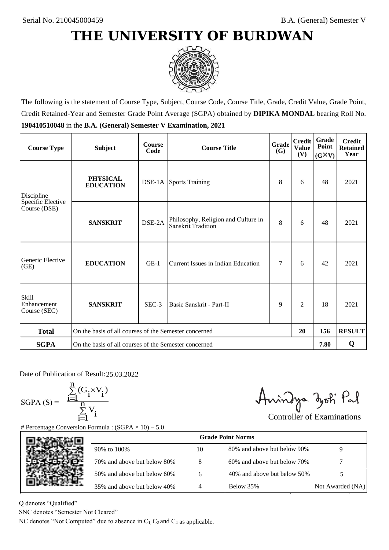

The following is the statement of Course Type, Subject, Course Code, Course Title, Grade, Credit Value, Grade Point, Credit Retained-Year and Semester Grade Point Average (SGPA) obtained by **DIPIKA MONDAL** bearing Roll No. **190410510048** in the **B.A. (General) Semester V Examination, 2021**

| <b>Course Type</b>                          | <b>Subject</b>                                              | <b>Course</b><br>Code | <b>Course Title</b>                                       | Grade<br><b>(G)</b> | <b>Credit</b><br><b>Value</b><br>(V) | <b>Grade</b><br>Point<br>$(G\times V)$ | <b>Credit</b><br><b>Retained</b><br>Year |
|---------------------------------------------|-------------------------------------------------------------|-----------------------|-----------------------------------------------------------|---------------------|--------------------------------------|----------------------------------------|------------------------------------------|
| Discipline                                  | <b>PHYSICAL</b><br><b>EDUCATION</b>                         |                       | <b>DSE-1A</b> Sports Training                             | 8                   | 6                                    | 48                                     | 2021                                     |
| Specific Elective<br>Course (DSE)           | <b>SANSKRIT</b>                                             | DSE-2A                | Philosophy, Religion and Culture in<br>Sanskrit Tradition | 8                   | 6                                    | 48                                     | 2021                                     |
| Generic Elective<br>(GE)                    | <b>EDUCATION</b>                                            | $GE-1$                | Current Issues in Indian Education                        |                     | 6                                    | 42                                     | 2021                                     |
| <b>Skill</b><br>Enhancement<br>Course (SEC) | <b>SANSKRIT</b>                                             | SEC-3                 | Basic Sanskrit - Part-II                                  | 9                   | $\overline{c}$                       | 18                                     | 2021                                     |
| <b>Total</b>                                | On the basis of all courses of the Semester concerned<br>20 |                       |                                                           |                     | 156                                  | <b>RESULT</b>                          |                                          |
| <b>SGPA</b>                                 | On the basis of all courses of the Semester concerned       |                       |                                                           |                     |                                      | 7.80                                   | Q                                        |

Date of Publication of Result: 25,03,2022

 $SGPA(S) =$ 

$$
\frac{\sum\limits_{i=1}^n(G_i\times V_i)}{\sum\limits_{i=1}^nV_i}
$$

Amindya zoti Pal

| ate of Publication of Result: 25.03.2022<br>GPA (S) = $\frac{\sum_{i=1}^{n} (G_i \times V_i)}{\sum_{i=1}^{n} V_i}$ | Percentage Conversion Formula : $(SGPA \times 10) - 5.0$                          |    | Aningya zoti Pal            | <b>Controller of Examinations</b> |
|--------------------------------------------------------------------------------------------------------------------|-----------------------------------------------------------------------------------|----|-----------------------------|-----------------------------------|
|                                                                                                                    |                                                                                   |    | <b>Grade Point Norms</b>    |                                   |
|                                                                                                                    | 90% to 100%                                                                       | 10 | 80% and above but below 90% | 9                                 |
|                                                                                                                    | 70% and above but below 80%                                                       | 8  | 60% and above but below 70% |                                   |
|                                                                                                                    | 50% and above but below 60%                                                       | 6  | 40% and above but below 50% | 5                                 |
|                                                                                                                    | 35% and above but below 40%                                                       | 4  | Below 35%                   | Not Awarded (NA)                  |
| denotes "Qualified"<br>NC denotes "Semester Not Cleared"                                                           | C denotes "Not Computed" due to absence in $C_1$ , $C_2$ and $C_4$ as applicable. |    |                             |                                   |

Q denotes "Qualified"

SNC denotes "Semester Not Cleared"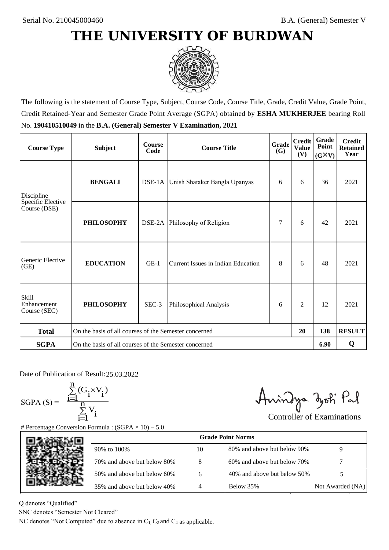

The following is the statement of Course Type, Subject, Course Code, Course Title, Grade, Credit Value, Grade Point, Credit Retained-Year and Semester Grade Point Average (SGPA) obtained by **ESHA MUKHERJEE** bearing Roll No. **190410510049** in the **B.A. (General) Semester V Examination, 2021**

| <b>Course Type</b>                          | <b>Subject</b>                                              | <b>Course</b><br>Code | <b>Grade</b><br><b>Course Title</b><br><b>(G)</b> |   | <b>Credit</b><br><b>Value</b><br>(V) | <b>Grade</b><br>Point<br>$(G\times V)$ | <b>Credit</b><br><b>Retained</b><br>Year |
|---------------------------------------------|-------------------------------------------------------------|-----------------------|---------------------------------------------------|---|--------------------------------------|----------------------------------------|------------------------------------------|
| <b>BENGALI</b><br>Discipline                |                                                             |                       | DSE-1A Unish Shataker Bangla Upanyas              |   | 6                                    | 36                                     | 2021                                     |
| Specific Elective<br>Course (DSE)           | <b>PHILOSOPHY</b>                                           |                       | DSE-2A Philosophy of Religion                     | 7 | 6                                    | 42                                     | 2021                                     |
| Generic Elective<br>(GE)                    | <b>EDUCATION</b>                                            | $GE-1$                | Current Issues in Indian Education                | 8 | 6                                    | 48                                     | 2021                                     |
| <b>Skill</b><br>Enhancement<br>Course (SEC) | <b>PHILOSOPHY</b>                                           | SEC-3                 | Philosophical Analysis                            | 6 | $\overline{2}$                       | 12                                     | 2021                                     |
| <b>Total</b>                                | On the basis of all courses of the Semester concerned<br>20 |                       |                                                   |   | 138                                  | <b>RESULT</b>                          |                                          |
| <b>SGPA</b>                                 | On the basis of all courses of the Semester concerned       |                       |                                                   |   |                                      |                                        | Q                                        |

Date of Publication of Result: 25,03,2022

 $SGPA(S) =$ 

$$
\frac{\sum\limits_{i=1}^n(G_i\times V_i)}{\sum\limits_{i=1}^nV_i}
$$

Anindya zoti Pal

| ate of Publication of Result: 25.03.2022<br>GPA (S) = $\frac{\sum_{i=1}^{n} (G_i \times V_i)}{\sum_{i=1}^{n} V_i}$ | Percentage Conversion Formula : $(SGPA \times 10) - 5.0$                          |    | Aningya zoti Pal            | <b>Controller of Examinations</b> |
|--------------------------------------------------------------------------------------------------------------------|-----------------------------------------------------------------------------------|----|-----------------------------|-----------------------------------|
|                                                                                                                    |                                                                                   |    | <b>Grade Point Norms</b>    |                                   |
|                                                                                                                    | 90% to 100%                                                                       | 10 | 80% and above but below 90% | 9                                 |
|                                                                                                                    | 70% and above but below 80%                                                       | 8  | 60% and above but below 70% |                                   |
|                                                                                                                    | 50% and above but below 60%                                                       | 6  | 40% and above but below 50% | 5                                 |
|                                                                                                                    | 35% and above but below 40%                                                       | 4  | Below 35%                   | Not Awarded (NA)                  |
| denotes "Qualified"<br>NC denotes "Semester Not Cleared"                                                           | C denotes "Not Computed" due to absence in $C_1$ , $C_2$ and $C_4$ as applicable. |    |                             |                                   |

Q denotes "Qualified"

SNC denotes "Semester Not Cleared"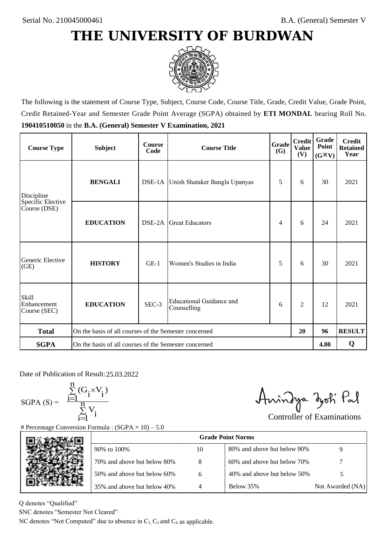

The following is the statement of Course Type, Subject, Course Code, Course Title, Grade, Credit Value, Grade Point, Credit Retained-Year and Semester Grade Point Average (SGPA) obtained by **ETI MONDAL** bearing Roll No. **190410510050** in the **B.A. (General) Semester V Examination, 2021**

| <b>Course Type</b>                          | <b>Subject</b>                                        | <b>Course</b><br>Code | <b>Course Title</b>                     | Grade<br><b>(G)</b> | <b>Credit</b><br><b>Value</b><br>(V) | Grade<br>Point<br>$(G\times V)$ | <b>Credit</b><br><b>Retained</b><br>Year |
|---------------------------------------------|-------------------------------------------------------|-----------------------|-----------------------------------------|---------------------|--------------------------------------|---------------------------------|------------------------------------------|
| Discipline                                  | <b>BENGALI</b>                                        |                       | DSE-1A Unish Shataker Bangla Upanyas    | 5                   | 6                                    | 30                              | 2021                                     |
| Specific Elective<br>Course (DSE)           | <b>EDUCATION</b>                                      | DSE-2A                | <b>Great Educators</b>                  | 4                   | 6                                    | 24                              | 2021                                     |
| Generic Elective<br>(GE)                    | <b>HISTORY</b>                                        | $GE-1$                | Women's Studies in India                | 5                   | 6                                    | 30                              | 2021                                     |
| <b>Skill</b><br>Enhancement<br>Course (SEC) | <b>EDUCATION</b>                                      | SEC-3                 | Educational Guidance and<br>Counselling | 6                   | $\overline{c}$                       | 12                              | 2021                                     |
| <b>Total</b>                                | On the basis of all courses of the Semester concerned |                       |                                         |                     | 20                                   | 96                              | <b>RESULT</b>                            |
| <b>SGPA</b>                                 | On the basis of all courses of the Semester concerned |                       |                                         |                     |                                      | 4.80                            | Q                                        |

Date of Publication of Result: 25,03,2022

 $SGPA(S) =$ 

$$
\frac{\sum\limits_{i=1}^n(G_i\times V_i)}{\sum\limits_{i=1}^nV_i}
$$

Anindya zoti Pal

| ate of Publication of Result: 25.03.2022<br>GPA (S) = $\frac{\sum_{i=1}^{n} (G_i \times V_i)}{\sum_{i=1}^{n} V_i}$ | Percentage Conversion Formula : $(SGPA \times 10) - 5.0$                          |    | Aningya zoti Pal            | <b>Controller of Examinations</b> |
|--------------------------------------------------------------------------------------------------------------------|-----------------------------------------------------------------------------------|----|-----------------------------|-----------------------------------|
|                                                                                                                    |                                                                                   |    | <b>Grade Point Norms</b>    |                                   |
|                                                                                                                    | 90% to 100%                                                                       | 10 | 80% and above but below 90% | 9                                 |
|                                                                                                                    | 70% and above but below 80%                                                       | 8  | 60% and above but below 70% |                                   |
|                                                                                                                    | 50% and above but below 60%                                                       | 6  | 40% and above but below 50% | 5                                 |
|                                                                                                                    | 35% and above but below 40%                                                       | 4  | Below 35%                   | Not Awarded (NA)                  |
| denotes "Qualified"<br>NC denotes "Semester Not Cleared"                                                           | C denotes "Not Computed" due to absence in $C_1$ , $C_2$ and $C_4$ as applicable. |    |                             |                                   |

Q denotes "Qualified"

SNC denotes "Semester Not Cleared"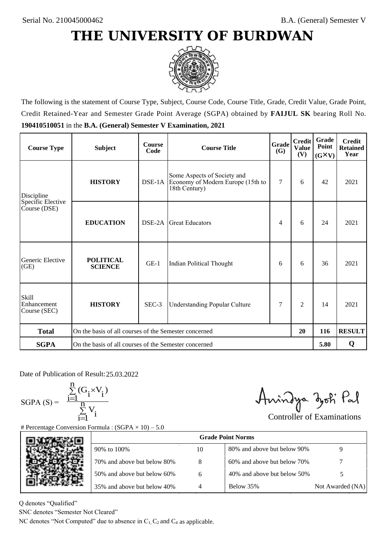

The following is the statement of Course Type, Subject, Course Code, Course Title, Grade, Credit Value, Grade Point, Credit Retained-Year and Semester Grade Point Average (SGPA) obtained by **FAIJUL SK** bearing Roll No. **190410510051** in the **B.A. (General) Semester V Examination, 2021**

| <b>Course Type</b>                          | <b>Subject</b>                                              | <b>Course</b><br>Code | Grade<br><b>Course Title</b><br>(G)                                               |   | <b>Credit</b><br><b>Value</b><br>(V) | Grade<br>Point<br>$(G\times V)$ | <b>Credit</b><br><b>Retained</b><br>Year |
|---------------------------------------------|-------------------------------------------------------------|-----------------------|-----------------------------------------------------------------------------------|---|--------------------------------------|---------------------------------|------------------------------------------|
| Discipline                                  | <b>HISTORY</b>                                              |                       | Some Aspects of Society and<br>Economy of Modern Europe (15th to<br>18th Century) | 7 | 6                                    | 42                              | 2021                                     |
| Specific Elective<br>Course (DSE)           | <b>EDUCATION</b>                                            | DSE-2A                | <b>Great Educators</b>                                                            | 4 | 6                                    | 24                              | 2021                                     |
| Generic Elective<br>(GE)                    | <b>POLITICAL</b><br><b>SCIENCE</b>                          | $GE-1$                | Indian Political Thought                                                          | 6 | 6                                    | 36                              | 2021                                     |
| <b>Skill</b><br>Enhancement<br>Course (SEC) | <b>HISTORY</b>                                              | SEC-3                 | 7<br><b>Understanding Popular Culture</b>                                         |   | $\overline{c}$                       | 14                              | 2021                                     |
| <b>Total</b>                                | On the basis of all courses of the Semester concerned<br>20 |                       |                                                                                   |   | 116                                  | <b>RESULT</b>                   |                                          |
| <b>SGPA</b>                                 | On the basis of all courses of the Semester concerned       |                       |                                                                                   |   |                                      |                                 | Q                                        |

Date of Publication of Result: 25.03.2022

 $SGPA(S) =$ 

$$
\frac{\sum\limits_{i=1}^n (G_i \times V_i)}{\sum\limits_{i=1}^n V_i}
$$

Anindya zoti Pal

| ate of Publication of Result: 25.03.2022<br>GPA (S) = $\frac{\sum_{i=1}^{n} (G_i \times V_i)}{\sum_{i=1}^{n} V_i}$ | Percentage Conversion Formula : $(SGPA \times 10) - 5.0$                          |    | Aningya zoti Pal            | <b>Controller of Examinations</b> |
|--------------------------------------------------------------------------------------------------------------------|-----------------------------------------------------------------------------------|----|-----------------------------|-----------------------------------|
|                                                                                                                    |                                                                                   |    | <b>Grade Point Norms</b>    |                                   |
|                                                                                                                    | 90% to 100%                                                                       | 10 | 80% and above but below 90% | 9                                 |
|                                                                                                                    | 70% and above but below 80%                                                       | 8  | 60% and above but below 70% |                                   |
|                                                                                                                    | 50% and above but below 60%                                                       | 6  | 40% and above but below 50% | 5                                 |
|                                                                                                                    | 35% and above but below 40%                                                       | 4  | Below 35%                   | Not Awarded (NA)                  |
| denotes "Qualified"<br>NC denotes "Semester Not Cleared"                                                           | C denotes "Not Computed" due to absence in $C_1$ , $C_2$ and $C_4$ as applicable. |    |                             |                                   |

Q denotes "Qualified"

SNC denotes "Semester Not Cleared"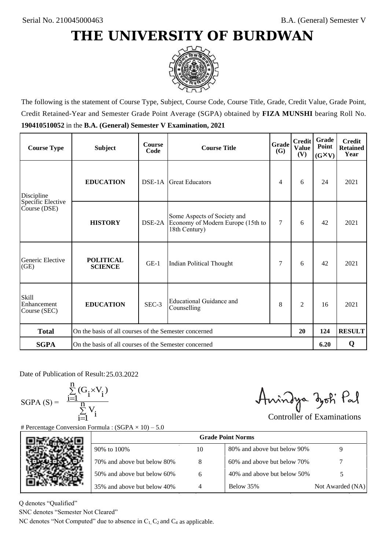

The following is the statement of Course Type, Subject, Course Code, Course Title, Grade, Credit Value, Grade Point, Credit Retained-Year and Semester Grade Point Average (SGPA) obtained by **FIZA MUNSHI** bearing Roll No. **190410510052** in the **B.A. (General) Semester V Examination, 2021**

| <b>Course Type</b>                          | <b>Subject</b>                                              | <b>Course</b><br>Code | Grade<br><b>Course Title</b>                                                      |   | <b>Credit</b><br><b>Value</b><br>(V) | Grade<br>Point<br>$(G\times V)$ | <b>Credit</b><br><b>Retained</b><br>Year |
|---------------------------------------------|-------------------------------------------------------------|-----------------------|-----------------------------------------------------------------------------------|---|--------------------------------------|---------------------------------|------------------------------------------|
| <b>EDUCATION</b><br>Discipline              |                                                             | $DSE-1A$              | Great Educators                                                                   | 4 | 6                                    | 24                              | 2021                                     |
| Specific Elective<br>Course (DSE)           | <b>HISTORY</b>                                              | DSE-2A                | Some Aspects of Society and<br>Economy of Modern Europe (15th to<br>18th Century) | 7 | 6                                    | 42                              | 2021                                     |
| Generic Elective<br>(GE)                    | <b>POLITICAL</b><br><b>SCIENCE</b>                          | $GE-1$                | Indian Political Thought                                                          | 7 | 6                                    | 42                              | 2021                                     |
| <b>Skill</b><br>Enhancement<br>Course (SEC) | <b>EDUCATION</b>                                            | SEC-3                 | <b>Educational Guidance and</b><br>Counselling                                    | 8 | $\overline{c}$                       | 16                              | 2021                                     |
| <b>Total</b>                                | On the basis of all courses of the Semester concerned<br>20 |                       |                                                                                   |   | 124                                  | <b>RESULT</b>                   |                                          |
| <b>SGPA</b>                                 | On the basis of all courses of the Semester concerned       |                       |                                                                                   |   |                                      |                                 | Q                                        |

Date of Publication of Result: 25,03,2022

SGPA  $(S) = \frac{1-1}{1}$ 

$$
\frac{\sum\limits_{i=1}^{n} (G_i \times V_i)}{\sum\limits_{i=1}^{n} V_i}
$$

Amindya zoti Pal

| ate of Publication of Result: 25.03.2022<br>GPA (S) = $\frac{\sum_{i=1}^{n} (G_i \times V_i)}{\sum_{i=1}^{n} V_i}$ | Percentage Conversion Formula : $(SGPA \times 10) - 5.0$                          |    | Aningya zoti Pal            | <b>Controller of Examinations</b> |
|--------------------------------------------------------------------------------------------------------------------|-----------------------------------------------------------------------------------|----|-----------------------------|-----------------------------------|
|                                                                                                                    |                                                                                   |    | <b>Grade Point Norms</b>    |                                   |
|                                                                                                                    | 90% to 100%                                                                       | 10 | 80% and above but below 90% | 9                                 |
|                                                                                                                    | 70% and above but below 80%                                                       | 8  | 60% and above but below 70% |                                   |
|                                                                                                                    | 50% and above but below 60%                                                       | 6  | 40% and above but below 50% | 5                                 |
|                                                                                                                    | 35% and above but below 40%                                                       | 4  | Below 35%                   | Not Awarded (NA)                  |
| denotes "Qualified"<br>NC denotes "Semester Not Cleared"                                                           | C denotes "Not Computed" due to absence in $C_1$ , $C_2$ and $C_4$ as applicable. |    |                             |                                   |

Q denotes "Qualified"

SNC denotes "Semester Not Cleared"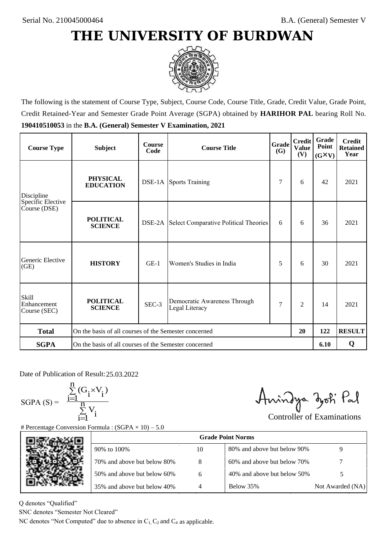

The following is the statement of Course Type, Subject, Course Code, Course Title, Grade, Credit Value, Grade Point, Credit Retained-Year and Semester Grade Point Average (SGPA) obtained by **HARIHOR PAL** bearing Roll No. **190410510053** in the **B.A. (General) Semester V Examination, 2021**

| <b>Course Type</b>                          | <b>Subject</b>                                              | <b>Course</b><br>Code | Grade<br><b>Course Title</b>                   |   | <b>Credit</b><br><b>Value</b><br>(V) | <b>Grade</b><br>Point<br>$(G\times V)$ | <b>Credit</b><br><b>Retained</b><br>Year |
|---------------------------------------------|-------------------------------------------------------------|-----------------------|------------------------------------------------|---|--------------------------------------|----------------------------------------|------------------------------------------|
| Discipline                                  | <b>PHYSICAL</b><br><b>EDUCATION</b>                         |                       | <b>DSE-1A</b> Sports Training                  | 7 | 6                                    | 42                                     | 2021                                     |
| Specific Elective<br>Course (DSE)           | <b>POLITICAL</b><br><b>SCIENCE</b>                          |                       | DSE-2A Select Comparative Political Theories   | 6 | 6                                    | 36                                     | 2021                                     |
| Generic Elective<br>(GE)                    | <b>HISTORY</b>                                              | $GE-1$                | Women's Studies in India                       | 5 | 6                                    | 30                                     | 2021                                     |
| <b>Skill</b><br>Enhancement<br>Course (SEC) | <b>POLITICAL</b><br><b>SCIENCE</b>                          | SEC-3                 | Democratic Awareness Through<br>Legal Literacy | 7 | $\overline{c}$                       | 14                                     | 2021                                     |
| <b>Total</b>                                | On the basis of all courses of the Semester concerned<br>20 |                       |                                                |   | 122                                  | <b>RESULT</b>                          |                                          |
| <b>SGPA</b>                                 | On the basis of all courses of the Semester concerned       |                       |                                                |   |                                      | 6.10                                   | Q                                        |

Date of Publication of Result: 25,03,2022

SGPA  $(S) = \frac{1-1}{1}$ 

$$
\frac{\sum\limits_{i=1}^{n} (G_i \times V_i)}{\sum\limits_{i=1}^{n} V_i}
$$

Amindya zoti Pal

| ate of Publication of Result: 25.03.2022<br>GPA (S) = $\frac{\sum_{i=1}^{n} (G_i \times V_i)}{\sum_{i=1}^{n} V_i}$ |                                                                                   |                | Aningya zoti Pal            | <b>Controller of Examinations</b> |
|--------------------------------------------------------------------------------------------------------------------|-----------------------------------------------------------------------------------|----------------|-----------------------------|-----------------------------------|
|                                                                                                                    | Percentage Conversion Formula : $(SGPA \times 10) - 5.0$                          |                | <b>Grade Point Norms</b>    |                                   |
|                                                                                                                    | 90% to 100%                                                                       | 10             | 80% and above but below 90% | 9                                 |
|                                                                                                                    | 70% and above but below 80%                                                       | 8              | 60% and above but below 70% |                                   |
|                                                                                                                    | 50% and above but below 60%                                                       | 6              | 40% and above but below 50% | 5                                 |
|                                                                                                                    | 35% and above but below 40%                                                       | $\overline{4}$ | Below 35%                   | Not Awarded (NA)                  |
| denotes "Qualified"<br>NC denotes "Semester Not Cleared"                                                           | C denotes "Not Computed" due to absence in $C_1$ , $C_2$ and $C_4$ as applicable. |                |                             |                                   |

Q denotes "Qualified"

SNC denotes "Semester Not Cleared"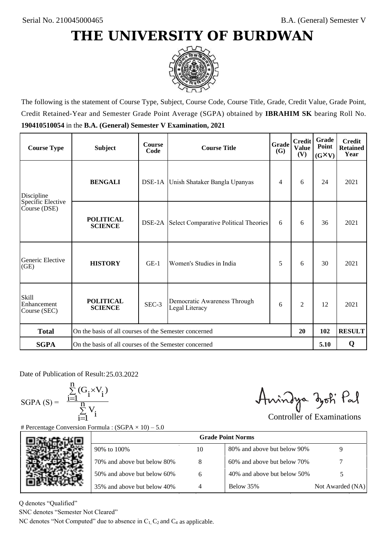

The following is the statement of Course Type, Subject, Course Code, Course Title, Grade, Credit Value, Grade Point, Credit Retained-Year and Semester Grade Point Average (SGPA) obtained by **IBRAHIM SK** bearing Roll No. **190410510054** in the **B.A. (General) Semester V Examination, 2021**

| <b>Course Type</b>                          | <b>Subject</b>                                              | <b>Course</b><br>Code | Grade<br><b>Course Title</b>                   |   | <b>Credit</b><br><b>Value</b><br>(V) | Grade<br>Point<br>$(G\times V)$ | <b>Credit</b><br><b>Retained</b><br>Year |
|---------------------------------------------|-------------------------------------------------------------|-----------------------|------------------------------------------------|---|--------------------------------------|---------------------------------|------------------------------------------|
| Discipline                                  | <b>BENGALI</b>                                              |                       | DSE-1A Unish Shataker Bangla Upanyas           | 4 | 6                                    | 24                              | 2021                                     |
| Specific Elective<br>Course (DSE)           | <b>POLITICAL</b><br><b>SCIENCE</b>                          |                       | DSE-2A Select Comparative Political Theories   | 6 | 6                                    | 36                              | 2021                                     |
| Generic Elective<br>(GE)                    | <b>HISTORY</b>                                              | $GE-1$                | Women's Studies in India                       | 5 | 6                                    | 30                              | 2021                                     |
| <b>Skill</b><br>Enhancement<br>Course (SEC) | <b>POLITICAL</b><br><b>SCIENCE</b>                          | SEC-3                 | Democratic Awareness Through<br>Legal Literacy | 6 | $\overline{c}$                       | 12                              | 2021                                     |
| <b>Total</b>                                | On the basis of all courses of the Semester concerned<br>20 |                       |                                                |   | 102                                  | <b>RESULT</b>                   |                                          |
| <b>SGPA</b>                                 | On the basis of all courses of the Semester concerned       |                       |                                                |   |                                      | 5.10                            | Q                                        |

Date of Publication of Result: 25,03,2022

SGPA  $(S) = \frac{1-1}{1}$ 

$$
\frac{\sum_{i=1}^{n} (G_i \times V_i)}{\sum_{i=1}^{n} V_i}
$$

Amindya zoti Pal

| ate of Publication of Result: 25.03.2022<br>GPA (S) = $\frac{\sum_{i=1}^{n} (G_i \times V_i)}{\sum_{i=1}^{n} V_i}$ | Percentage Conversion Formula : $(SGPA \times 10) - 5.0$                          |    | Aningya zoti Pal            | <b>Controller of Examinations</b> |
|--------------------------------------------------------------------------------------------------------------------|-----------------------------------------------------------------------------------|----|-----------------------------|-----------------------------------|
|                                                                                                                    |                                                                                   |    | <b>Grade Point Norms</b>    |                                   |
|                                                                                                                    | 90% to 100%                                                                       | 10 | 80% and above but below 90% | 9                                 |
|                                                                                                                    | 70% and above but below 80%                                                       | 8  | 60% and above but below 70% |                                   |
|                                                                                                                    | 50% and above but below 60%                                                       | 6  | 40% and above but below 50% | 5                                 |
|                                                                                                                    | 35% and above but below 40%                                                       | 4  | Below 35%                   | Not Awarded (NA)                  |
| denotes "Qualified"<br>NC denotes "Semester Not Cleared"                                                           | C denotes "Not Computed" due to absence in $C_1$ , $C_2$ and $C_4$ as applicable. |    |                             |                                   |

Q denotes "Qualified"

SNC denotes "Semester Not Cleared"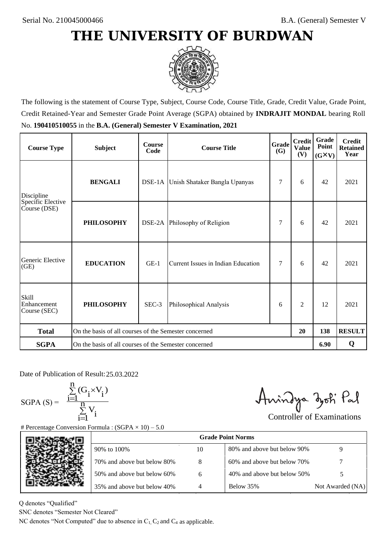

The following is the statement of Course Type, Subject, Course Code, Course Title, Grade, Credit Value, Grade Point, Credit Retained-Year and Semester Grade Point Average (SGPA) obtained by **INDRAJIT MONDAL** bearing Roll No. **190410510055** in the **B.A. (General) Semester V Examination, 2021**

| <b>Course Type</b>                          | <b>Subject</b>                                        | <b>Course</b><br>Code | <b>Course Title</b>                  | <b>Grade</b><br><b>(G)</b> | <b>Credit</b><br><b>Value</b><br>(V) | <b>Grade</b><br>Point<br>$(G\times V)$ | <b>Credit</b><br><b>Retained</b><br>Year |
|---------------------------------------------|-------------------------------------------------------|-----------------------|--------------------------------------|----------------------------|--------------------------------------|----------------------------------------|------------------------------------------|
| Discipline                                  | <b>BENGALI</b>                                        |                       | DSE-1A Unish Shataker Bangla Upanyas | 7                          | 6                                    | 42                                     | 2021                                     |
| Specific Elective<br>Course (DSE)           | <b>PHILOSOPHY</b>                                     |                       | DSE-2A Philosophy of Religion        | 7                          | 6                                    | 42                                     | 2021                                     |
| Generic Elective<br>(GE)                    | <b>EDUCATION</b>                                      | $GE-1$                | Current Issues in Indian Education   | 7                          | 6                                    | 42                                     | 2021                                     |
| <b>Skill</b><br>Enhancement<br>Course (SEC) | <b>PHILOSOPHY</b>                                     | SEC-3                 | Philosophical Analysis               | 6                          | $\overline{2}$                       | 12                                     | 2021                                     |
| <b>Total</b>                                | On the basis of all courses of the Semester concerned |                       |                                      |                            | 20                                   | 138                                    | <b>RESULT</b>                            |
| <b>SGPA</b>                                 | On the basis of all courses of the Semester concerned |                       |                                      |                            |                                      | 6.90                                   | Q                                        |

Date of Publication of Result: 25,03,2022

 $SGPA(S) =$ 

$$
\frac{\sum\limits_{i=1}^{n}(G_{i}\times V_{i})}{\sum\limits_{i=1}^{n}V_{i}}
$$

Anindya zoti Pal

| ate of Publication of Result: 25.03.2022<br>GPA (S) = $\frac{\sum_{i=1}^{n} (G_i \times V_i)}{\sum_{i=1}^{n} V_i}$ |                                                                                   |    | Aningya zoti Pal            | <b>Controller of Examinations</b> |
|--------------------------------------------------------------------------------------------------------------------|-----------------------------------------------------------------------------------|----|-----------------------------|-----------------------------------|
|                                                                                                                    | Percentage Conversion Formula : $(SGPA \times 10) - 5.0$                          |    | <b>Grade Point Norms</b>    |                                   |
|                                                                                                                    | 90% to 100%                                                                       | 10 | 80% and above but below 90% | 9                                 |
|                                                                                                                    | 70% and above but below 80%                                                       | 8  | 60% and above but below 70% |                                   |
|                                                                                                                    | 50% and above but below 60%                                                       | 6  | 40% and above but below 50% | 5                                 |
|                                                                                                                    | 35% and above but below 40%                                                       | 4  | Below 35%                   | Not Awarded (NA)                  |
| denotes "Qualified"<br>NC denotes "Semester Not Cleared"                                                           | C denotes "Not Computed" due to absence in $C_1$ , $C_2$ and $C_4$ as applicable. |    |                             |                                   |

Q denotes "Qualified"

SNC denotes "Semester Not Cleared"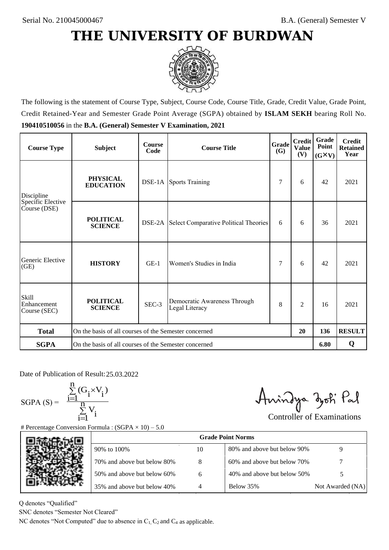

The following is the statement of Course Type, Subject, Course Code, Course Title, Grade, Credit Value, Grade Point, Credit Retained-Year and Semester Grade Point Average (SGPA) obtained by **ISLAM SEKH** bearing Roll No. **190410510056** in the **B.A. (General) Semester V Examination, 2021**

| <b>Course Type</b>                                | <b>Subject</b>                                              | <b>Course</b><br>Code | Grade<br><b>Course Title</b><br>(G)            |   | <b>Credit</b><br><b>Value</b><br>(V) | Grade<br>Point<br>$(G\times V)$ | <b>Credit</b><br><b>Retained</b><br>Year |
|---------------------------------------------------|-------------------------------------------------------------|-----------------------|------------------------------------------------|---|--------------------------------------|---------------------------------|------------------------------------------|
| <b>PHYSICAL</b><br><b>EDUCATION</b><br>Discipline |                                                             |                       | <b>DSE-1A</b> Sports Training                  | 7 | 6                                    | 42                              | 2021                                     |
| Specific Elective<br>Course (DSE)                 | <b>POLITICAL</b><br><b>SCIENCE</b>                          | DSE-2A                | Select Comparative Political Theories          | 6 | 6                                    | 36                              | 2021                                     |
| Generic Elective<br>(GE)                          | <b>HISTORY</b>                                              | $GE-1$                | Women's Studies in India                       | 7 | 6                                    | 42                              | 2021                                     |
| <b>Skill</b><br>Enhancement<br>Course (SEC)       | <b>POLITICAL</b><br><b>SCIENCE</b>                          | SEC-3                 | Democratic Awareness Through<br>Legal Literacy | 8 | $\overline{c}$                       | 16                              | 2021                                     |
| <b>Total</b>                                      | On the basis of all courses of the Semester concerned<br>20 |                       |                                                |   |                                      | 136                             | <b>RESULT</b>                            |
| <b>SGPA</b>                                       | On the basis of all courses of the Semester concerned       |                       |                                                |   |                                      | 6.80                            | Q                                        |

Date of Publication of Result: 25,03,2022

 $SGPA(S) =$ 

$$
\frac{\sum\limits_{i=1}^{n} (G_i \times V_i)}{\sum\limits_{i=1}^{n} V_i}
$$

Amindya zoti Pal

| ate of Publication of Result: 25.03.2022<br>SGPA (S) = $\frac{\sum_{i=1}^{n} (G_i \times V_i)}{\sum_{i=1}^{n} V_i}$ | Percentage Conversion Formula : $(SGPA \times 10) - 5.0$                          |    | Aningya zoti Pal            | <b>Controller of Examinations</b> |
|---------------------------------------------------------------------------------------------------------------------|-----------------------------------------------------------------------------------|----|-----------------------------|-----------------------------------|
|                                                                                                                     |                                                                                   |    | <b>Grade Point Norms</b>    |                                   |
|                                                                                                                     | 90% to 100%                                                                       | 10 | 80% and above but below 90% | 9                                 |
|                                                                                                                     | 70% and above but below 80%                                                       | 8  | 60% and above but below 70% |                                   |
|                                                                                                                     | 50% and above but below 60%                                                       | 6  | 40% and above but below 50% | 5                                 |
|                                                                                                                     | 35% and above but below 40%                                                       | 4  | Below 35%                   | Not Awarded (NA)                  |
| denotes "Qualified"<br>NC denotes "Semester Not Cleared"                                                            | C denotes "Not Computed" due to absence in $C_1$ , $C_2$ and $C_4$ as applicable. |    |                             |                                   |

Q denotes "Qualified"

SNC denotes "Semester Not Cleared"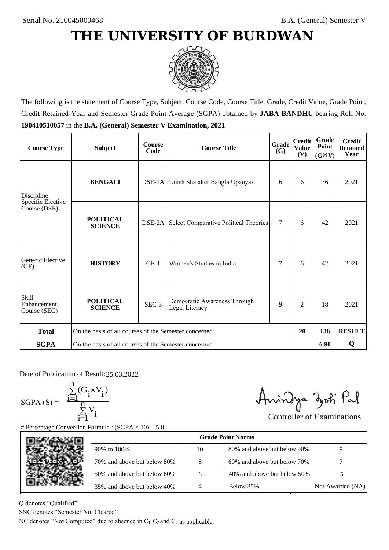

The following is the statement of Course Type, Subject, Course Code, Course Title, Grade, Credit Value, Grade Point, Credit Retained-Year and Semester Grade Point Average (SGPA) obtained by **JABA BANDHU** bearing Roll No. **190410510057** in the **B.A. (General) Semester V Examination, 2021**

| <b>Course Type</b>                          | <b>Subject</b>                                              | <b>Course</b><br>Code | <b>Course Title</b>                                 | Grade<br><b>(G)</b> | <b>Credit</b><br><b>Value</b><br>(V) | Grade<br>Point<br>$(G\times V)$ | <b>Credit</b><br><b>Retained</b><br>Year |
|---------------------------------------------|-------------------------------------------------------------|-----------------------|-----------------------------------------------------|---------------------|--------------------------------------|---------------------------------|------------------------------------------|
| Discipline                                  | <b>BENGALI</b>                                              |                       | DSE-1A Unish Shataker Bangla Upanyas                | 6                   | 6                                    | 36                              | 2021                                     |
| Specific Elective<br>Course (DSE)           | <b>POLITICAL</b><br><b>SCIENCE</b>                          |                       | <b>DSE-2A</b> Select Comparative Political Theories | $\tau$              | 6                                    | 42                              | 2021                                     |
| Generic Elective<br>(GE)                    | <b>HISTORY</b>                                              | $GE-1$                | Women's Studies in India                            | 7                   | 6                                    | 42                              | 2021                                     |
| <b>Skill</b><br>Enhancement<br>Course (SEC) | <b>POLITICAL</b><br><b>SCIENCE</b>                          | SEC-3                 | Democratic Awareness Through<br>Legal Literacy      | 9                   | $\overline{c}$                       | 18                              | 2021                                     |
| <b>Total</b>                                | On the basis of all courses of the Semester concerned<br>20 |                       |                                                     |                     |                                      | 138                             | <b>RESULT</b>                            |
| <b>SGPA</b>                                 | On the basis of all courses of the Semester concerned       |                       |                                                     |                     |                                      | 6.90                            | Q                                        |

Date of Publication of Result: 25,03,2022

SGPA  $(S) = \frac{1}{1}$ 

$$
\frac{\sum_{i=1}^{n} (G_i \times V_i)}{\sum_{i=1}^{n} V_i}
$$

Amindya zoti Pal

| ate of Publication of Result: 25.03.2022<br>GPA (S) = $\frac{\sum_{i=1}^{n} (G_i \times V_i)}{\sum_{i=1}^{n} V_i}$ | Percentage Conversion Formula : $(SGPA \times 10) - 5.0$                          |    | Aningya zoti Pal            | <b>Controller of Examinations</b> |
|--------------------------------------------------------------------------------------------------------------------|-----------------------------------------------------------------------------------|----|-----------------------------|-----------------------------------|
|                                                                                                                    |                                                                                   |    | <b>Grade Point Norms</b>    |                                   |
|                                                                                                                    | 90% to 100%                                                                       | 10 | 80% and above but below 90% | 9                                 |
|                                                                                                                    | 70% and above but below 80%                                                       | 8  | 60% and above but below 70% |                                   |
|                                                                                                                    | 50% and above but below 60%                                                       | 6  | 40% and above but below 50% | 5                                 |
|                                                                                                                    | 35% and above but below 40%                                                       | 4  | Below 35%                   | Not Awarded (NA)                  |
| denotes "Qualified"<br>NC denotes "Semester Not Cleared"                                                           | C denotes "Not Computed" due to absence in $C_1$ , $C_2$ and $C_4$ as applicable. |    |                             |                                   |

Q denotes "Qualified"

SNC denotes "Semester Not Cleared"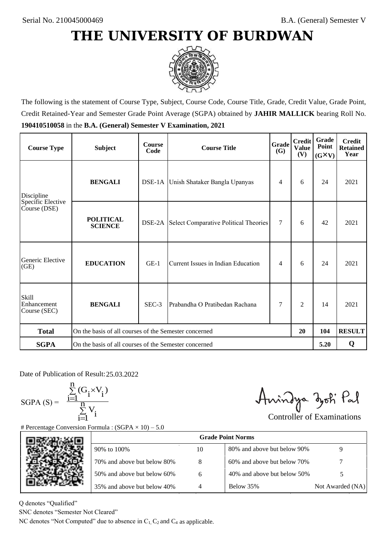

The following is the statement of Course Type, Subject, Course Code, Course Title, Grade, Credit Value, Grade Point, Credit Retained-Year and Semester Grade Point Average (SGPA) obtained by **JAHIR MALLICK** bearing Roll No. **190410510058** in the **B.A. (General) Semester V Examination, 2021**

| <b>Course Type</b>                          | <b>Subject</b>                                              | <b>Course</b><br>Code | Grade<br><b>Course Title</b><br>(G)   |        | <b>Credit</b><br><b>Value</b><br>(V) | Grade<br>Point<br>$(G\times V)$ | <b>Credit</b><br><b>Retained</b><br>Year |
|---------------------------------------------|-------------------------------------------------------------|-----------------------|---------------------------------------|--------|--------------------------------------|---------------------------------|------------------------------------------|
| <b>BENGALI</b><br>Discipline                |                                                             |                       | DSE-1A Unish Shataker Bangla Upanyas  |        | 6                                    | 24                              | 2021                                     |
| Specific Elective<br>Course (DSE)           | <b>POLITICAL</b><br><b>SCIENCE</b>                          | DSE-2A                | Select Comparative Political Theories | $\tau$ | 6                                    | 42                              | 2021                                     |
| Generic Elective<br>(GE)                    | <b>EDUCATION</b>                                            | $GE-1$                | Current Issues in Indian Education    | 4      | 6                                    | 24                              | 2021                                     |
| <b>Skill</b><br>Enhancement<br>Course (SEC) | <b>BENGALI</b>                                              | $SEC-3$               | Prabandha O Pratibedan Rachana        | 7      | $\overline{c}$                       | 14                              | 2021                                     |
| <b>Total</b>                                | On the basis of all courses of the Semester concerned<br>20 |                       |                                       |        |                                      | 104                             | <b>RESULT</b>                            |
| <b>SGPA</b>                                 | On the basis of all courses of the Semester concerned       |                       |                                       |        |                                      | 5.20                            | Q                                        |

Date of Publication of Result: 25,03,2022

 $SGPA(S) =$ 

$$
\frac{\sum\limits_{i=1}^n(G_i\times V_i)}{\sum\limits_{i=1}^nV_i}
$$

Amindya zoti Pal

| ate of Publication of Result: 25.03.2022<br>GPA (S) = $\frac{\sum_{i=1}^{n} (G_i \times V_i)}{\sum_{i=1}^{n} V_i}$ | Percentage Conversion Formula : $(SGPA \times 10) - 5.0$                          |    | Aningya zoti Pal            | <b>Controller of Examinations</b> |
|--------------------------------------------------------------------------------------------------------------------|-----------------------------------------------------------------------------------|----|-----------------------------|-----------------------------------|
|                                                                                                                    |                                                                                   |    | <b>Grade Point Norms</b>    |                                   |
|                                                                                                                    | 90% to 100%                                                                       | 10 | 80% and above but below 90% | 9                                 |
|                                                                                                                    | 70% and above but below 80%                                                       | 8  | 60% and above but below 70% |                                   |
|                                                                                                                    | 50% and above but below 60%                                                       | 6  | 40% and above but below 50% | 5                                 |
|                                                                                                                    | 35% and above but below 40%                                                       | 4  | Below 35%                   | Not Awarded (NA)                  |
| denotes "Qualified"<br>NC denotes "Semester Not Cleared"                                                           | C denotes "Not Computed" due to absence in $C_1$ , $C_2$ and $C_4$ as applicable. |    |                             |                                   |

Q denotes "Qualified"

SNC denotes "Semester Not Cleared"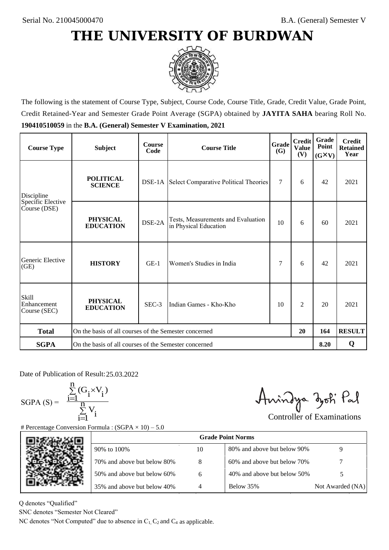

The following is the statement of Course Type, Subject, Course Code, Course Title, Grade, Credit Value, Grade Point, Credit Retained-Year and Semester Grade Point Average (SGPA) obtained by **JAYITA SAHA** bearing Roll No. **190410510059** in the **B.A. (General) Semester V Examination, 2021**

| <b>Course Type</b>                               | <b>Subject</b>                                              | <b>Course</b><br>Code | Grade<br><b>Course Title</b><br><b>(G)</b>                  |    | <b>Credit</b><br><b>Value</b><br>(V) | Grade<br>Point<br>$(G\times V)$ | <b>Credit</b><br><b>Retained</b><br>Year |
|--------------------------------------------------|-------------------------------------------------------------|-----------------------|-------------------------------------------------------------|----|--------------------------------------|---------------------------------|------------------------------------------|
| <b>POLITICAL</b><br><b>SCIENCE</b><br>Discipline |                                                             |                       | <b>DSE-1A</b> Select Comparative Political Theories         | 7  | 6                                    | 42                              | 2021                                     |
| Specific Elective<br>Course (DSE)                | <b>PHYSICAL</b><br><b>EDUCATION</b>                         | DSE-2A                | Tests, Measurements and Evaluation<br>in Physical Education | 10 | 6                                    | 60                              | 2021                                     |
| Generic Elective<br>(GE)                         | <b>HISTORY</b>                                              | $GE-1$                | Women's Studies in India                                    | 7  | 6                                    | 42                              | 2021                                     |
| Skill<br>Enhancement<br>Course (SEC)             | <b>PHYSICAL</b><br><b>EDUCATION</b>                         | SEC-3                 | Indian Games - Kho-Kho                                      | 10 | 2                                    | 20                              | 2021                                     |
| <b>Total</b>                                     | On the basis of all courses of the Semester concerned<br>20 |                       |                                                             |    |                                      | 164                             | <b>RESULT</b>                            |
| <b>SGPA</b>                                      | On the basis of all courses of the Semester concerned       |                       |                                                             |    |                                      | 8.20                            | Q                                        |

Date of Publication of Result: 25.03.2022

 $SGPA(S) =$ 

$$
\frac{\sum\limits_{i=1}^n(G_i\times V_i)}{\sum\limits_{i=1}^nV_i}
$$

Anindya zoti Pal

| ate of Publication of Result: 25.03.2022<br>GPA (S) = $\frac{\sum_{i=1}^{n} (G_i \times V_i)}{\sum_{i=1}^{n} V_i}$ | Percentage Conversion Formula : $(SGPA \times 10) - 5.0$                          |    | Anindya zoti Pal            | <b>Controller of Examinations</b> |
|--------------------------------------------------------------------------------------------------------------------|-----------------------------------------------------------------------------------|----|-----------------------------|-----------------------------------|
|                                                                                                                    |                                                                                   |    | <b>Grade Point Norms</b>    |                                   |
|                                                                                                                    | 90% to 100%                                                                       | 10 | 80% and above but below 90% | 9                                 |
|                                                                                                                    | 70% and above but below 80%                                                       | 8  | 60% and above but below 70% |                                   |
|                                                                                                                    | 50% and above but below 60%                                                       | 6  | 40% and above but below 50% | 5                                 |
|                                                                                                                    | 35% and above but below 40%                                                       | 4  | Below 35%                   | Not Awarded (NA)                  |
| denotes "Qualified"<br>NC denotes "Semester Not Cleared"                                                           | C denotes "Not Computed" due to absence in $C_1$ , $C_2$ and $C_4$ as applicable. |    |                             |                                   |

Q denotes "Qualified"

SNC denotes "Semester Not Cleared"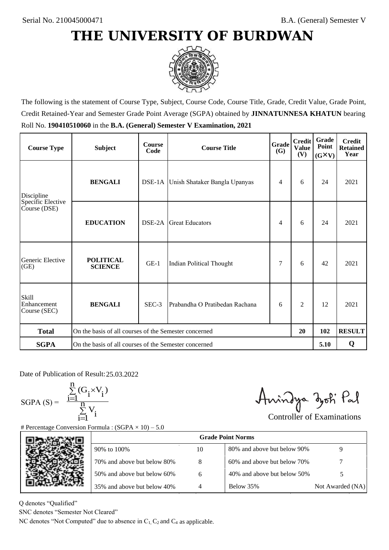

The following is the statement of Course Type, Subject, Course Code, Course Title, Grade, Credit Value, Grade Point, Credit Retained-Year and Semester Grade Point Average (SGPA) obtained by **JINNATUNNESA KHATUN** bearing Roll No. **190410510060** in the **B.A. (General) Semester V Examination, 2021**

| <b>Course Type</b>                   | <b>Subject</b>                                              | <b>Course</b><br>Code | Grade<br><b>Course Title</b><br><b>(G)</b> |   | <b>Credit</b><br><b>Value</b><br>(V) | Grade<br>Point<br>$(G\times V)$ | <b>Credit</b><br><b>Retained</b><br>Year |
|--------------------------------------|-------------------------------------------------------------|-----------------------|--------------------------------------------|---|--------------------------------------|---------------------------------|------------------------------------------|
| Discipline                           | <b>BENGALI</b>                                              |                       | DSE-1A Unish Shataker Bangla Upanyas       | 4 | 6                                    | 24                              | 2021                                     |
| Specific Elective<br>Course (DSE)    | <b>EDUCATION</b>                                            | DSE-2A                | <b>Great Educators</b>                     | 4 | 6                                    | 24                              | 2021                                     |
| Generic Elective<br>(GE)             | <b>POLITICAL</b><br><b>SCIENCE</b>                          | $GE-1$                | Indian Political Thought                   | 7 | 6                                    | 42                              | 2021                                     |
| Skill<br>Enhancement<br>Course (SEC) | <b>BENGALI</b>                                              | $SEC-3$               | Prabandha O Pratibedan Rachana             | 6 | $\overline{c}$                       | 12                              | 2021                                     |
| <b>Total</b>                         | On the basis of all courses of the Semester concerned<br>20 |                       |                                            |   |                                      | 102                             | <b>RESULT</b>                            |
| <b>SGPA</b>                          | On the basis of all courses of the Semester concerned       |                       |                                            |   |                                      | 5.10                            | Q                                        |

Date of Publication of Result: 25,03,2022

SGPA  $(S) = \frac{1}{1}$ 

$$
\frac{\sum\limits_{i=1}^{n} (G_i \times V_i)}{\sum\limits_{i=1}^{n} V_i}
$$

Amindya zoti Pal

| ate of Publication of Result: 25.03.2022<br>GPA (S) = $\frac{\sum_{i=1}^{n} (G_i \times V_i)}{\sum_{i=1}^{n} V_i}$ |                                                                                   |    | Aningya zoti Pal            | <b>Controller of Examinations</b> |
|--------------------------------------------------------------------------------------------------------------------|-----------------------------------------------------------------------------------|----|-----------------------------|-----------------------------------|
|                                                                                                                    | Percentage Conversion Formula : $(SGPA \times 10) - 5.0$                          |    | <b>Grade Point Norms</b>    |                                   |
|                                                                                                                    | 90% to 100%                                                                       | 10 | 80% and above but below 90% | 9                                 |
|                                                                                                                    | 70% and above but below 80%                                                       | 8  | 60% and above but below 70% |                                   |
|                                                                                                                    | 50% and above but below 60%                                                       | 6  | 40% and above but below 50% | 5                                 |
|                                                                                                                    | 35% and above but below 40%                                                       | 4  | Below 35%                   | Not Awarded (NA)                  |
| denotes "Qualified"<br>NC denotes "Semester Not Cleared"                                                           | C denotes "Not Computed" due to absence in $C_1$ , $C_2$ and $C_4$ as applicable. |    |                             |                                   |

Q denotes "Qualified"

SNC denotes "Semester Not Cleared"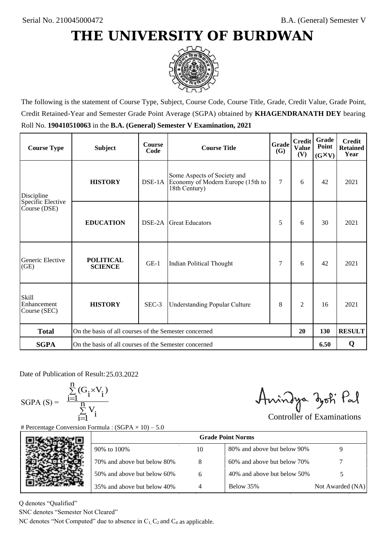

The following is the statement of Course Type, Subject, Course Code, Course Title, Grade, Credit Value, Grade Point, Credit Retained-Year and Semester Grade Point Average (SGPA) obtained by **KHAGENDRANATH DEY** bearing Roll No. **190410510063** in the **B.A. (General) Semester V Examination, 2021**

| <b>Course Type</b>                   | <b>Subject</b>                                              | <b>Course</b><br>Code | Grade<br><b>Course Title</b><br>(G)                                               |   | <b>Credit</b><br><b>Value</b><br>(V) | <b>Grade</b><br>Point<br>$(G\times V)$ | <b>Credit</b><br><b>Retained</b><br>Year |
|--------------------------------------|-------------------------------------------------------------|-----------------------|-----------------------------------------------------------------------------------|---|--------------------------------------|----------------------------------------|------------------------------------------|
| Discipline                           | <b>HISTORY</b>                                              | $DSE-1A$              | Some Aspects of Society and<br>Economy of Modern Europe (15th to<br>18th Century) | 7 | 6                                    | 42                                     | 2021                                     |
| Specific Elective<br>Course (DSE)    | <b>EDUCATION</b>                                            | DSE-2A                | <b>Great Educators</b>                                                            | 5 | 6                                    | 30                                     | 2021                                     |
| Generic Elective<br>(GE)             | <b>POLITICAL</b><br><b>SCIENCE</b>                          | $GE-1$                | Indian Political Thought                                                          | 7 | 6                                    | 42                                     | 2021                                     |
| Skill<br>Enhancement<br>Course (SEC) | <b>HISTORY</b>                                              | $SEC-3$               | 8<br><b>Understanding Popular Culture</b>                                         |   | $\overline{c}$                       | 16                                     | 2021                                     |
| <b>Total</b>                         | On the basis of all courses of the Semester concerned<br>20 |                       |                                                                                   |   | 130                                  | <b>RESULT</b>                          |                                          |
| <b>SGPA</b>                          | On the basis of all courses of the Semester concerned       |                       |                                                                                   |   |                                      | 6.50                                   | Q                                        |

Date of Publication of Result: 25,03,2022

 $SGPA(S) =$ 

$$
\frac{\sum\limits_{i=1}^{n} (G_i \times V_i)}{\sum\limits_{i=1}^{n} V_i}
$$

Amindya zoti Pal

| ate of Publication of Result: 25.03.2022<br>GPA (S) = $\frac{\sum_{i=1}^{n} (G_i \times V_i)}{\sum_{i=1}^{n} V_i}$ | Percentage Conversion Formula : $(SGPA \times 10) - 5.0$                          |    | Anindya zoti Pal            | <b>Controller of Examinations</b> |
|--------------------------------------------------------------------------------------------------------------------|-----------------------------------------------------------------------------------|----|-----------------------------|-----------------------------------|
|                                                                                                                    |                                                                                   |    | <b>Grade Point Norms</b>    |                                   |
|                                                                                                                    | 90% to 100%                                                                       | 10 | 80% and above but below 90% | 9                                 |
|                                                                                                                    | 70% and above but below 80%                                                       | 8  | 60% and above but below 70% |                                   |
|                                                                                                                    | 50% and above but below 60%                                                       | 6  | 40% and above but below 50% | 5                                 |
|                                                                                                                    | 35% and above but below 40%                                                       | 4  | Below 35%                   | Not Awarded (NA)                  |
| denotes "Qualified"<br>NC denotes "Semester Not Cleared"                                                           | C denotes "Not Computed" due to absence in $C_1$ , $C_2$ and $C_4$ as applicable. |    |                             |                                   |

Q denotes "Qualified"

SNC denotes "Semester Not Cleared"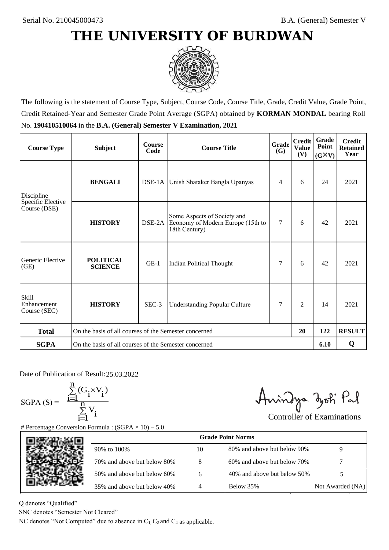

The following is the statement of Course Type, Subject, Course Code, Course Title, Grade, Credit Value, Grade Point, Credit Retained-Year and Semester Grade Point Average (SGPA) obtained by **KORMAN MONDAL** bearing Roll No. **190410510064** in the **B.A. (General) Semester V Examination, 2021**

| <b>Course Type</b>                          | <b>Subject</b>                                              | <b>Course</b><br>Code | Grade<br><b>Course Title</b><br><b>(G)</b>                                        |   | <b>Credit</b><br><b>Value</b><br>(V) | Grade<br>Point<br>$(G\times V)$ | <b>Credit</b><br><b>Retained</b><br>Year |
|---------------------------------------------|-------------------------------------------------------------|-----------------------|-----------------------------------------------------------------------------------|---|--------------------------------------|---------------------------------|------------------------------------------|
| Discipline                                  | <b>BENGALI</b>                                              |                       | DSE-1A Unish Shataker Bangla Upanyas                                              | 4 | 6                                    | 24                              | 2021                                     |
| Specific Elective<br>Course (DSE)           | <b>HISTORY</b>                                              | DSE-2A                | Some Aspects of Society and<br>Economy of Modern Europe (15th to<br>18th Century) | 7 | 6                                    | 42                              | 2021                                     |
| Generic Elective<br>(GE)                    | <b>POLITICAL</b><br><b>SCIENCE</b>                          | $GE-1$                | Indian Political Thought                                                          | 7 | 6                                    | 42                              | 2021                                     |
| <b>Skill</b><br>Enhancement<br>Course (SEC) | <b>HISTORY</b>                                              | SEC-3                 | <b>Understanding Popular Culture</b>                                              | 7 | $\overline{c}$                       | 14                              | 2021                                     |
| <b>Total</b>                                | On the basis of all courses of the Semester concerned<br>20 |                       |                                                                                   |   | 122                                  | <b>RESULT</b>                   |                                          |
| <b>SGPA</b>                                 | On the basis of all courses of the Semester concerned       |                       |                                                                                   |   |                                      | 6.10                            | Q                                        |

Date of Publication of Result: 25,03,2022

 $SGPA(S) =$ 

$$
\frac{\sum\limits_{i=1}^n (G_i \times V_i)}{\sum\limits_{i=1}^n V_i}
$$

Anindya zoti Pal

| ate of Publication of Result: 25.03.2022<br>GPA (S) = $\frac{\sum_{i=1}^{n} (G_i \times V_i)}{\sum_{i=1}^{n} V_i}$ | Percentage Conversion Formula : $(SGPA \times 10) - 5.0$                          |    | Aningya zoti Pal            | <b>Controller of Examinations</b> |
|--------------------------------------------------------------------------------------------------------------------|-----------------------------------------------------------------------------------|----|-----------------------------|-----------------------------------|
|                                                                                                                    |                                                                                   |    | <b>Grade Point Norms</b>    |                                   |
|                                                                                                                    | 90% to 100%                                                                       | 10 | 80% and above but below 90% | 9                                 |
|                                                                                                                    | 70% and above but below 80%                                                       | 8  | 60% and above but below 70% |                                   |
|                                                                                                                    | 50% and above but below 60%                                                       | 6  | 40% and above but below 50% | 5                                 |
|                                                                                                                    | 35% and above but below 40%                                                       | 4  | Below 35%                   | Not Awarded (NA)                  |
| denotes "Qualified"<br>NC denotes "Semester Not Cleared"                                                           | C denotes "Not Computed" due to absence in $C_1$ , $C_2$ and $C_4$ as applicable. |    |                             |                                   |

Q denotes "Qualified"

SNC denotes "Semester Not Cleared"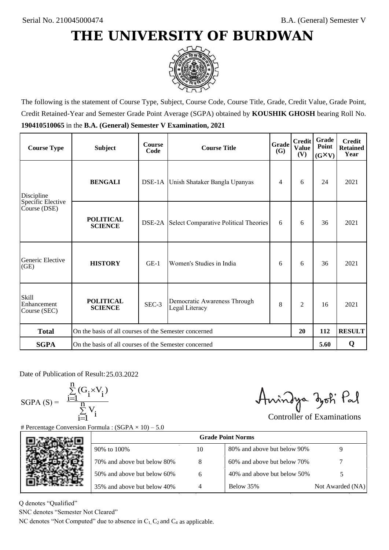

The following is the statement of Course Type, Subject, Course Code, Course Title, Grade, Credit Value, Grade Point, Credit Retained-Year and Semester Grade Point Average (SGPA) obtained by **KOUSHIK GHOSH** bearing Roll No. **190410510065** in the **B.A. (General) Semester V Examination, 2021**

| <b>Course Type</b>                          | <b>Subject</b>                                              | <b>Course</b><br>Code | Grade<br><b>Course Title</b><br><b>(G)</b>     |   | <b>Credit</b><br><b>Value</b><br>(V) | Grade<br>Point<br>$(G\times V)$ | <b>Credit</b><br><b>Retained</b><br>Year |
|---------------------------------------------|-------------------------------------------------------------|-----------------------|------------------------------------------------|---|--------------------------------------|---------------------------------|------------------------------------------|
| Discipline                                  | <b>BENGALI</b>                                              |                       | DSE-1A Unish Shataker Bangla Upanyas           | 4 | 6                                    | 24                              | 2021                                     |
| Specific Elective<br>Course (DSE)           | <b>POLITICAL</b><br><b>SCIENCE</b>                          |                       | DSE-2A Select Comparative Political Theories   | 6 | 6                                    | 36                              | 2021                                     |
| Generic Elective<br>(GE)                    | <b>HISTORY</b>                                              | $GE-1$                | Women's Studies in India                       | 6 | 6                                    | 36                              | 2021                                     |
| <b>Skill</b><br>Enhancement<br>Course (SEC) | <b>POLITICAL</b><br><b>SCIENCE</b>                          | SEC-3                 | Democratic Awareness Through<br>Legal Literacy | 8 | $\overline{c}$                       | 16                              | 2021                                     |
| <b>Total</b>                                | On the basis of all courses of the Semester concerned<br>20 |                       |                                                |   | 112                                  | <b>RESULT</b>                   |                                          |
| <b>SGPA</b>                                 | On the basis of all courses of the Semester concerned       |                       |                                                |   |                                      | 5.60                            | Q                                        |

Date of Publication of Result: 25,03,2022

 $SGPA(S) =$ 

$$
\frac{\sum\limits_{i=1}^n(G_i\times V_i)}{\sum\limits_{i=1}^nV_i}
$$

Anindya zoti Pal

| ate of Publication of Result: 25.03.2022<br>GPA (S) = $\frac{\sum_{i=1}^{n} (G_i \times V_i)}{\sum_{i=1}^{n} V_i}$ | Percentage Conversion Formula : $(SGPA \times 10) - 5.0$                          |    | Aningya zoti Pal            | <b>Controller of Examinations</b> |
|--------------------------------------------------------------------------------------------------------------------|-----------------------------------------------------------------------------------|----|-----------------------------|-----------------------------------|
|                                                                                                                    |                                                                                   |    | <b>Grade Point Norms</b>    |                                   |
|                                                                                                                    | 90% to 100%                                                                       | 10 | 80% and above but below 90% | 9                                 |
|                                                                                                                    | 70% and above but below 80%                                                       | 8  | 60% and above but below 70% |                                   |
|                                                                                                                    | 50% and above but below 60%                                                       | 6  | 40% and above but below 50% | 5                                 |
|                                                                                                                    | 35% and above but below 40%                                                       | 4  | Below 35%                   | Not Awarded (NA)                  |
| denotes "Qualified"<br>NC denotes "Semester Not Cleared"                                                           | C denotes "Not Computed" due to absence in $C_1$ , $C_2$ and $C_4$ as applicable. |    |                             |                                   |

Q denotes "Qualified"

SNC denotes "Semester Not Cleared"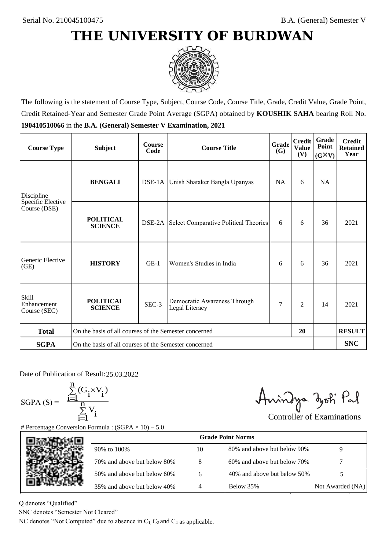

The following is the statement of Course Type, Subject, Course Code, Course Title, Grade, Credit Value, Grade Point, Credit Retained-Year and Semester Grade Point Average (SGPA) obtained by **KOUSHIK SAHA** bearing Roll No. **190410510066** in the **B.A. (General) Semester V Examination, 2021**

| <b>Course Type</b>                          | <b>Subject</b>                                              | <b>Course</b><br>Code | Grade<br><b>Course Title</b><br><b>(G)</b>     |           | <b>Credit</b><br><b>Value</b><br>(V) | Grade<br>Point<br>$(G\times V)$ | <b>Credit</b><br><b>Retained</b><br>Year |
|---------------------------------------------|-------------------------------------------------------------|-----------------------|------------------------------------------------|-----------|--------------------------------------|---------------------------------|------------------------------------------|
| Discipline                                  | <b>BENGALI</b>                                              |                       | DSE-1A Unish Shataker Bangla Upanyas           | <b>NA</b> | 6                                    | <b>NA</b>                       |                                          |
| Specific Elective<br>Course (DSE)           | <b>POLITICAL</b><br><b>SCIENCE</b>                          |                       | DSE-2A Select Comparative Political Theories   | 6         | 6                                    | 36                              | 2021                                     |
| Generic Elective<br>(GE)                    | <b>HISTORY</b>                                              | $GE-1$                | Women's Studies in India                       | 6         | 6                                    | 36                              | 2021                                     |
| <b>Skill</b><br>Enhancement<br>Course (SEC) | <b>POLITICAL</b><br><b>SCIENCE</b>                          | SEC-3                 | Democratic Awareness Through<br>Legal Literacy | 7         | $\overline{c}$                       | 14                              | 2021                                     |
| <b>Total</b>                                | On the basis of all courses of the Semester concerned<br>20 |                       |                                                |           |                                      | <b>RESULT</b>                   |                                          |
| <b>SGPA</b>                                 | On the basis of all courses of the Semester concerned       |                       |                                                |           |                                      |                                 | <b>SNC</b>                               |

Date of Publication of Result: 25,03,2022

 $SGPA(S) =$ 

$$
\frac{\sum\limits_{i=1}^{n} (G_i \times V_i)}{\sum\limits_{i=1}^{n} V_i}
$$

Amindya zoti Pal

| Date of Publication of Result: 25.03.2022<br>SGPA (S) = $\frac{\sum_{i=1}^{n} (G_i \times V_i)}{\sum_{i=1}^{n} V_i}$ | <b>Percentage Conversion Formula : (SGPA</b> $\times$ 10) – 5.0                   |    | Aningya zoti Pal            | <b>Controller of Examinations</b> |
|----------------------------------------------------------------------------------------------------------------------|-----------------------------------------------------------------------------------|----|-----------------------------|-----------------------------------|
|                                                                                                                      |                                                                                   |    | <b>Grade Point Norms</b>    |                                   |
|                                                                                                                      | 90% to 100%                                                                       | 10 | 80% and above but below 90% | 9                                 |
|                                                                                                                      | 70% and above but below 80%                                                       | 8  | 60% and above but below 70% |                                   |
|                                                                                                                      | 50% and above but below 60%                                                       | 6  | 40% and above but below 50% | 5                                 |
|                                                                                                                      | 35% and above but below 40%                                                       | 4  | Below 35%                   | Not Awarded (NA)                  |
| denotes "Qualified"<br>NC denotes "Semester Not Cleared"                                                             | C denotes "Not Computed" due to absence in $C_1$ , $C_2$ and $C_4$ as applicable. |    |                             |                                   |

Q denotes "Qualified"

SNC denotes "Semester Not Cleared"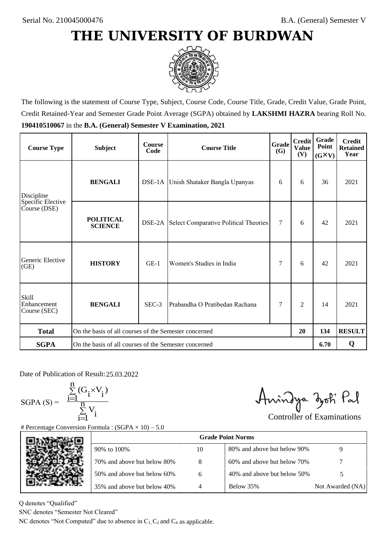

The following is the statement of Course Type, Subject, Course Code, Course Title, Grade, Credit Value, Grade Point, Credit Retained-Year and Semester Grade Point Average (SGPA) obtained by **LAKSHMI HAZRA** bearing Roll No. **190410510067** in the **B.A. (General) Semester V Examination, 2021**

| <b>Course Type</b>                   | <b>Subject</b>                                              | <b>Course</b><br>Code | Grade<br><b>Course Title</b><br><b>(G)</b> |        | <b>Credit</b><br><b>Value</b><br>(V) | Grade<br>Point<br>$(G\times V)$ | <b>Credit</b><br><b>Retained</b><br>Year |
|--------------------------------------|-------------------------------------------------------------|-----------------------|--------------------------------------------|--------|--------------------------------------|---------------------------------|------------------------------------------|
| Discipline                           | <b>BENGALI</b>                                              |                       | DSE-1A Unish Shataker Bangla Upanyas       |        | 6                                    | 36                              | 2021                                     |
| Specific Elective<br>Course (DSE)    | <b>POLITICAL</b><br><b>SCIENCE</b>                          | DSE-2A                | Select Comparative Political Theories      | $\tau$ | 6                                    | 42                              | 2021                                     |
| Generic Elective<br>(GE)             | <b>HISTORY</b>                                              | $GE-1$                | Women's Studies in India                   | 7      | 6                                    | 42                              | 2021                                     |
| Skill<br>Enhancement<br>Course (SEC) | <b>BENGALI</b>                                              | $SEC-3$               | Prabandha O Pratibedan Rachana             | 7      | $\overline{c}$                       | 14                              | 2021                                     |
| <b>Total</b>                         | On the basis of all courses of the Semester concerned<br>20 |                       |                                            |        | 134                                  | <b>RESULT</b>                   |                                          |
| <b>SGPA</b>                          | On the basis of all courses of the Semester concerned       |                       |                                            |        |                                      | 6.70                            | Q                                        |

Date of Publication of Result: 25.03.2022

 $SGPA(S) =$ 

$$
\frac{\sum\limits_{i=1}^n (G_i \times V_i)}{\sum\limits_{i=1}^n V_i}
$$

Amindya zoti Pal

| ate of Publication of Result: 25.03.2022<br>GPA (S) = $\frac{\sum_{i=1}^{n} (G_i \times V_i)}{\sum_{i=1}^{n} V_i}$ | Percentage Conversion Formula : $(SGPA \times 10) - 5.0$                          |    | Aningya zoti Pal            | <b>Controller of Examinations</b> |
|--------------------------------------------------------------------------------------------------------------------|-----------------------------------------------------------------------------------|----|-----------------------------|-----------------------------------|
|                                                                                                                    |                                                                                   |    | <b>Grade Point Norms</b>    |                                   |
|                                                                                                                    | 90% to 100%                                                                       | 10 | 80% and above but below 90% | 9                                 |
|                                                                                                                    | 70% and above but below 80%                                                       | 8  | 60% and above but below 70% |                                   |
|                                                                                                                    | 50% and above but below 60%                                                       | 6  | 40% and above but below 50% | 5                                 |
|                                                                                                                    | 35% and above but below 40%                                                       | 4  | Below 35%                   | Not Awarded (NA)                  |
| denotes "Qualified"<br>NC denotes "Semester Not Cleared"                                                           | C denotes "Not Computed" due to absence in $C_1$ , $C_2$ and $C_4$ as applicable. |    |                             |                                   |

Q denotes "Qualified"

SNC denotes "Semester Not Cleared"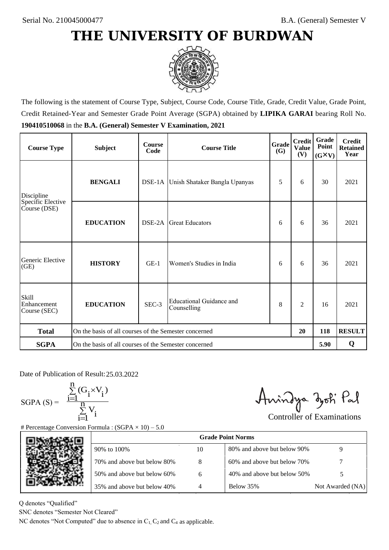

The following is the statement of Course Type, Subject, Course Code, Course Title, Grade, Credit Value, Grade Point, Credit Retained-Year and Semester Grade Point Average (SGPA) obtained by **LIPIKA GARAI** bearing Roll No. **190410510068** in the **B.A. (General) Semester V Examination, 2021**

| <b>Course Type</b>                          | <b>Subject</b>                                        | <b>Course</b><br>Code | Grade<br><b>Course Title</b><br><b>(G)</b> |   | <b>Credit</b><br><b>Value</b><br>(V) | Grade<br>Point<br>$(G\times V)$ | <b>Credit</b><br><b>Retained</b><br>Year |
|---------------------------------------------|-------------------------------------------------------|-----------------------|--------------------------------------------|---|--------------------------------------|---------------------------------|------------------------------------------|
| Discipline                                  | <b>BENGALI</b>                                        |                       | DSE-1A Unish Shataker Bangla Upanyas       | 5 | 6                                    | 30                              | 2021                                     |
| Specific Elective<br>Course (DSE)           | <b>EDUCATION</b>                                      | DSE-2A                | <b>Great Educators</b>                     | 6 | 6                                    | 36                              | 2021                                     |
| Generic Elective<br>(GE)                    | <b>HISTORY</b>                                        | $GE-1$                | Women's Studies in India                   | 6 | 6                                    | 36                              | 2021                                     |
| <b>Skill</b><br>Enhancement<br>Course (SEC) | <b>EDUCATION</b>                                      | SEC-3                 | Educational Guidance and<br>Counselling    | 8 | $\overline{c}$                       | 16                              | 2021                                     |
| <b>Total</b>                                | On the basis of all courses of the Semester concerned |                       |                                            |   | 20                                   | 118                             | <b>RESULT</b>                            |
| <b>SGPA</b>                                 | On the basis of all courses of the Semester concerned |                       |                                            |   |                                      | 5.90                            | Q                                        |

Date of Publication of Result: 25,03,2022

 $SGPA(S) =$ 

$$
\frac{\sum\limits_{i=1}^n (G_i \times V_i)}{\sum\limits_{i=1}^n V_i}
$$

Amindya zoti Pal

| ate of Publication of Result: 25.03.2022<br>GPA (S) = $\frac{\sum_{i=1}^{n} (G_i \times V_i)}{\sum_{i=1}^{n} V_i}$ | Percentage Conversion Formula : $(SGPA \times 10) - 5.0$                          |    | Aningya zoti Pal            | <b>Controller of Examinations</b> |
|--------------------------------------------------------------------------------------------------------------------|-----------------------------------------------------------------------------------|----|-----------------------------|-----------------------------------|
|                                                                                                                    |                                                                                   |    | <b>Grade Point Norms</b>    |                                   |
|                                                                                                                    | 90% to 100%                                                                       | 10 | 80% and above but below 90% | 9                                 |
|                                                                                                                    | 70% and above but below 80%                                                       | 8  | 60% and above but below 70% |                                   |
|                                                                                                                    | 50% and above but below 60%                                                       | 6  | 40% and above but below 50% | 5                                 |
|                                                                                                                    | 35% and above but below 40%                                                       | 4  | Below 35%                   | Not Awarded (NA)                  |
| denotes "Qualified"<br>NC denotes "Semester Not Cleared"                                                           | C denotes "Not Computed" due to absence in $C_1$ , $C_2$ and $C_4$ as applicable. |    |                             |                                   |

Q denotes "Qualified"

SNC denotes "Semester Not Cleared"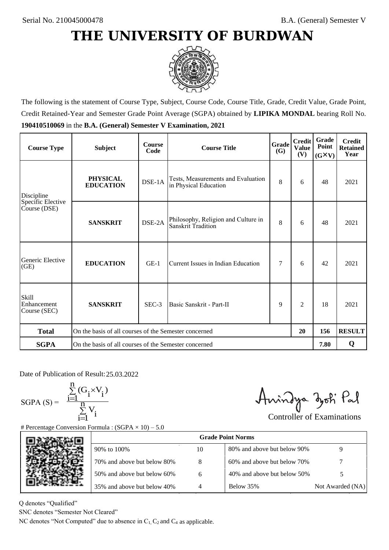

The following is the statement of Course Type, Subject, Course Code, Course Title, Grade, Credit Value, Grade Point, Credit Retained-Year and Semester Grade Point Average (SGPA) obtained by **LIPIKA MONDAL** bearing Roll No. **190410510069** in the **B.A. (General) Semester V Examination, 2021**

| <b>Course Type</b>                          | <b>Subject</b>                                              | <b>Course</b><br>Code | Grade<br><b>Course Title</b>                                |   | <b>Credit</b><br><b>Value</b><br>(V) | Grade<br>Point<br>$(G\times V)$ | <b>Credit</b><br><b>Retained</b><br>Year |
|---------------------------------------------|-------------------------------------------------------------|-----------------------|-------------------------------------------------------------|---|--------------------------------------|---------------------------------|------------------------------------------|
| Discipline                                  | <b>PHYSICAL</b><br><b>EDUCATION</b>                         | DSE-1A                | Tests, Measurements and Evaluation<br>in Physical Education | 8 | 6                                    | 48                              | 2021                                     |
| Specific Elective<br>Course (DSE)           | <b>SANSKRIT</b>                                             | DSE-2A                | Philosophy, Religion and Culture in<br>Sanskrit Tradition   | 8 | 6                                    | 48                              | 2021                                     |
| Generic Elective<br>(GE)                    | <b>EDUCATION</b>                                            | $GE-1$                | Current Issues in Indian Education                          |   | 6                                    | 42                              | 2021                                     |
| <b>Skill</b><br>Enhancement<br>Course (SEC) | <b>SANSKRIT</b>                                             | SEC-3                 | Basic Sanskrit - Part-II                                    | 9 | $\overline{c}$                       | 18                              | 2021                                     |
| <b>Total</b>                                | On the basis of all courses of the Semester concerned<br>20 |                       |                                                             |   |                                      | 156                             | <b>RESULT</b>                            |
| <b>SGPA</b>                                 | On the basis of all courses of the Semester concerned       |                       |                                                             |   |                                      | 7.80                            | Q                                        |

Date of Publication of Result: 25,03,2022

 $SGPA(S) =$ 

$$
\frac{\sum\limits_{i=1}^n(G_i\times V_i)}{\sum\limits_{i=1}^nV_i}
$$

Amindya zoti Pal

| ate of Publication of Result: 25.03.2022<br>GPA (S) = $\frac{\sum_{i=1}^{n} (G_i \times V_i)}{\sum_{i=1}^{n} V_i}$ | Percentage Conversion Formula : $(SGPA \times 10) - 5.0$                          |    | Aningya zoti Pal            | <b>Controller of Examinations</b> |
|--------------------------------------------------------------------------------------------------------------------|-----------------------------------------------------------------------------------|----|-----------------------------|-----------------------------------|
|                                                                                                                    |                                                                                   |    | <b>Grade Point Norms</b>    |                                   |
|                                                                                                                    | 90% to 100%                                                                       | 10 | 80% and above but below 90% | 9                                 |
|                                                                                                                    | 70% and above but below 80%                                                       | 8  | 60% and above but below 70% |                                   |
|                                                                                                                    | 50% and above but below 60%                                                       | 6  | 40% and above but below 50% | 5                                 |
|                                                                                                                    | 35% and above but below 40%                                                       | 4  | Below 35%                   | Not Awarded (NA)                  |
| denotes "Qualified"<br>NC denotes "Semester Not Cleared"                                                           | C denotes "Not Computed" due to absence in $C_1$ , $C_2$ and $C_4$ as applicable. |    |                             |                                   |

Q denotes "Qualified"

SNC denotes "Semester Not Cleared"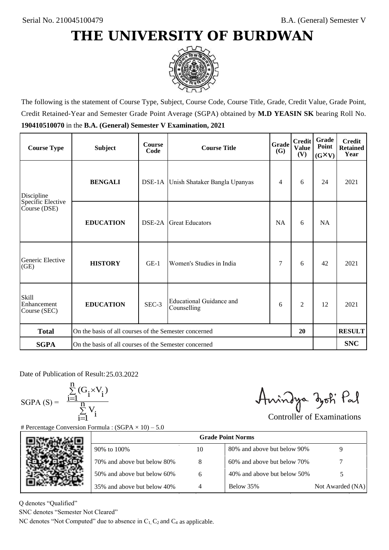

The following is the statement of Course Type, Subject, Course Code, Course Title, Grade, Credit Value, Grade Point, Credit Retained-Year and Semester Grade Point Average (SGPA) obtained by **M.D YEASIN SK** bearing Roll No. **190410510070** in the **B.A. (General) Semester V Examination, 2021**

| <b>Course Type</b>                          | <b>Subject</b>                                              | <b>Course</b><br>Code | <b>Grade</b><br><b>Course Title</b><br><b>(G)</b> |           | <b>Credit</b><br><b>Value</b><br>(V) | <b>Grade</b><br>Point<br>$(G\times V)$ | <b>Credit</b><br><b>Retained</b><br>Year |
|---------------------------------------------|-------------------------------------------------------------|-----------------------|---------------------------------------------------|-----------|--------------------------------------|----------------------------------------|------------------------------------------|
| Discipline                                  | <b>BENGALI</b>                                              |                       | DSE-1A Unish Shataker Bangla Upanyas              | 4         | 6                                    | 24                                     | 2021                                     |
| Specific Elective<br>Course (DSE)           | <b>EDUCATION</b>                                            | DSE-2A                | <b>Great Educators</b>                            | <b>NA</b> | 6                                    | <b>NA</b>                              |                                          |
| Generic Elective<br>(GE)                    | <b>HISTORY</b>                                              | $GE-1$                | Women's Studies in India                          | 7         | 6                                    | 42                                     | 2021                                     |
| <b>Skill</b><br>Enhancement<br>Course (SEC) | <b>EDUCATION</b>                                            | SEC-3                 | <b>Educational Guidance and</b><br>Counselling    | 6         | $\overline{2}$                       | 12                                     | 2021                                     |
| <b>Total</b>                                | On the basis of all courses of the Semester concerned<br>20 |                       |                                                   |           |                                      |                                        | <b>RESULT</b>                            |
| <b>SGPA</b>                                 | On the basis of all courses of the Semester concerned       |                       |                                                   |           |                                      |                                        | <b>SNC</b>                               |

Date of Publication of Result: 25,03,2022

 $SGPA(S) =$ 

$$
\frac{\sum\limits_{i=1}^n(G_i\times V_i)}{\sum\limits_{i=1}^nV_i}
$$

Amindya zoti Pal

| ate of Publication of Result: 25.03.2022<br>GPA (S) = $\frac{\sum_{i=1}^{n} (G_i \times V_i)}{\sum_{i=1}^{n} V_i}$ | Percentage Conversion Formula : $(SGPA \times 10) - 5.0$                          |    | Aningya zoti Pal            | <b>Controller of Examinations</b> |
|--------------------------------------------------------------------------------------------------------------------|-----------------------------------------------------------------------------------|----|-----------------------------|-----------------------------------|
|                                                                                                                    |                                                                                   |    | <b>Grade Point Norms</b>    |                                   |
|                                                                                                                    | 90% to 100%                                                                       | 10 | 80% and above but below 90% | 9                                 |
|                                                                                                                    | 70% and above but below 80%                                                       | 8  | 60% and above but below 70% |                                   |
|                                                                                                                    | 50% and above but below 60%                                                       | 6  | 40% and above but below 50% | 5                                 |
|                                                                                                                    | 35% and above but below 40%                                                       | 4  | Below 35%                   | Not Awarded (NA)                  |
| denotes "Qualified"<br>NC denotes "Semester Not Cleared"                                                           | C denotes "Not Computed" due to absence in $C_1$ , $C_2$ and $C_4$ as applicable. |    |                             |                                   |

Q denotes "Qualified"

SNC denotes "Semester Not Cleared"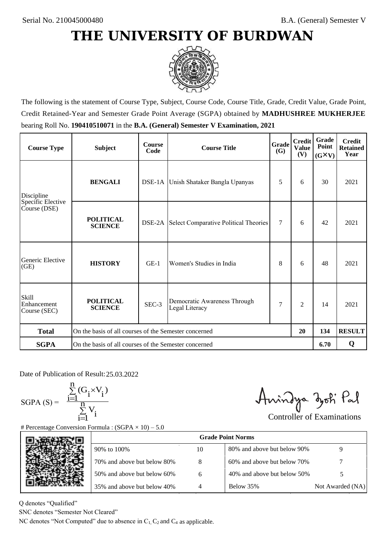

The following is the statement of Course Type, Subject, Course Code, Course Title, Grade, Credit Value, Grade Point, Credit Retained-Year and Semester Grade Point Average (SGPA) obtained by **MADHUSHREE MUKHERJEE** bearing Roll No. **190410510071** in the **B.A. (General) Semester V Examination, 2021**

| <b>Course Type</b>                          | <b>Subject</b>                                              | <b>Course</b><br>Code | <b>Grade</b><br><b>Course Title</b><br><b>(G)</b>   |   | <b>Credit</b><br><b>Value</b><br>(V) | Grade<br>Point<br>$(G\times V)$ | <b>Credit</b><br><b>Retained</b><br>Year |
|---------------------------------------------|-------------------------------------------------------------|-----------------------|-----------------------------------------------------|---|--------------------------------------|---------------------------------|------------------------------------------|
| Discipline                                  | <b>BENGALI</b>                                              |                       | DSE-1A Unish Shataker Bangla Upanyas                | 5 | 6                                    | 30                              | 2021                                     |
| Specific Elective<br>Course (DSE)           | <b>POLITICAL</b><br><b>SCIENCE</b>                          |                       | <b>DSE-2A</b> Select Comparative Political Theories | 7 | 6                                    | 42                              | 2021                                     |
| Generic Elective<br>(GE)                    | <b>HISTORY</b>                                              | $GE-1$                | Women's Studies in India                            | 8 | 6                                    | 48                              | 2021                                     |
| <b>Skill</b><br>Enhancement<br>Course (SEC) | <b>POLITICAL</b><br><b>SCIENCE</b>                          | SEC-3                 | Democratic Awareness Through<br>Legal Literacy      | 7 | $\overline{2}$                       | 14                              | 2021                                     |
| <b>Total</b>                                | On the basis of all courses of the Semester concerned<br>20 |                       |                                                     |   |                                      | 134                             | <b>RESULT</b>                            |
| <b>SGPA</b>                                 | On the basis of all courses of the Semester concerned       |                       |                                                     |   |                                      | 6.70                            | Q                                        |

Date of Publication of Result: 25,03,2022

SGPA  $(S) = \frac{1}{1}$ 

$$
\frac{\sum\limits_{i=1}^{n} (G_i \times V_i)}{\sum\limits_{i=1}^{n} V_i}
$$

Amindya zoti Pal

| Date of Publication of Result: 25.03.2022<br>SGPA (S) = $\frac{\sum_{i=1}^{n} (G_i \times V_i)}{\sum_{i=1}^{n} V_i}$ |                                                                                   |    | Aningya zoti Pal            |                                   |
|----------------------------------------------------------------------------------------------------------------------|-----------------------------------------------------------------------------------|----|-----------------------------|-----------------------------------|
|                                                                                                                      |                                                                                   |    |                             | <b>Controller of Examinations</b> |
|                                                                                                                      | <b>Percentage Conversion Formula:</b> $(SGPA \times 10) - 5.0$                    |    | <b>Grade Point Norms</b>    |                                   |
|                                                                                                                      | 90% to 100%                                                                       | 10 | 80% and above but below 90% | 9                                 |
|                                                                                                                      | 70% and above but below 80%                                                       | 8  | 60% and above but below 70% |                                   |
|                                                                                                                      | 50% and above but below 60%                                                       | 6  | 40% and above but below 50% | 5                                 |
|                                                                                                                      | 35% and above but below 40%                                                       | 4  | Below 35%                   | Not Awarded (NA)                  |
| denotes "Qualified"<br>NC denotes "Semester Not Cleared"                                                             |                                                                                   |    |                             |                                   |
|                                                                                                                      | C denotes "Not Computed" due to absence in $C_1$ , $C_2$ and $C_4$ as applicable. |    |                             |                                   |

Q denotes "Qualified"

SNC denotes "Semester Not Cleared"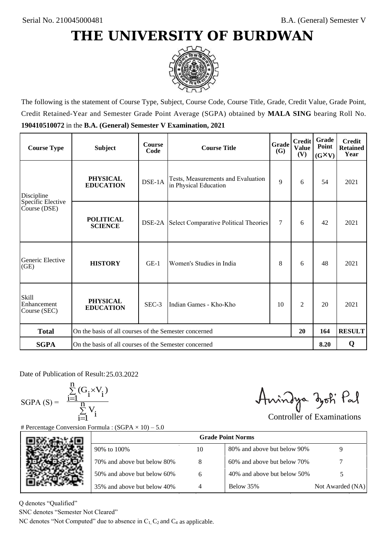

The following is the statement of Course Type, Subject, Course Code, Course Title, Grade, Credit Value, Grade Point, Credit Retained-Year and Semester Grade Point Average (SGPA) obtained by **MALA SING** bearing Roll No. **190410510072** in the **B.A. (General) Semester V Examination, 2021**

| <b>Course Type</b>                          | <b>Subject</b>                                              | <b>Course</b><br>Code | Grade<br><b>Course Title</b>                                |    | <b>Credit</b><br><b>Value</b><br>(V) | Grade<br>Point<br>$(G\times V)$ | <b>Credit</b><br><b>Retained</b><br>Year |
|---------------------------------------------|-------------------------------------------------------------|-----------------------|-------------------------------------------------------------|----|--------------------------------------|---------------------------------|------------------------------------------|
| Discipline                                  | <b>PHYSICAL</b><br><b>EDUCATION</b>                         | DSE-1A                | Tests, Measurements and Evaluation<br>in Physical Education |    | 6                                    | 54                              | 2021                                     |
| Specific Elective<br>Course (DSE)           | <b>POLITICAL</b><br><b>SCIENCE</b>                          | DSE-2A                | Select Comparative Political Theories                       | 7  | 6                                    | 42                              | 2021                                     |
| Generic Elective<br>(GE)                    | <b>HISTORY</b>                                              | $GE-1$                | Women's Studies in India                                    |    | 6                                    | 48                              | 2021                                     |
| <b>Skill</b><br>Enhancement<br>Course (SEC) | <b>PHYSICAL</b><br><b>EDUCATION</b>                         | SEC-3                 | Indian Games - Kho-Kho                                      | 10 | $\overline{c}$                       | 20                              | 2021                                     |
| <b>Total</b>                                | On the basis of all courses of the Semester concerned<br>20 |                       |                                                             |    | 164                                  | <b>RESULT</b>                   |                                          |
| <b>SGPA</b>                                 | On the basis of all courses of the Semester concerned       |                       |                                                             |    |                                      | 8.20                            | Q                                        |

Date of Publication of Result: 25,03,2022

 $SGPA(S) =$ 

$$
\frac{\sum\limits_{i=1}^n(G_i\times V_i)}{\sum\limits_{i=1}^nV_i}
$$

Amindya zoti Pal

| ate of Publication of Result: 25.03.2022<br>GPA (S) = $\frac{\sum_{i=1}^{n} (G_i \times V_i)}{\sum_{i=1}^{n} V_i}$ |                                                                                   |    | Aningya zoti Pal            | <b>Controller of Examinations</b> |
|--------------------------------------------------------------------------------------------------------------------|-----------------------------------------------------------------------------------|----|-----------------------------|-----------------------------------|
|                                                                                                                    | Percentage Conversion Formula : $(SGPA \times 10) - 5.0$                          |    |                             |                                   |
|                                                                                                                    |                                                                                   |    |                             |                                   |
|                                                                                                                    | 90% to 100%                                                                       | 10 | 80% and above but below 90% | 9                                 |
|                                                                                                                    | 70% and above but below 80%                                                       | 8  | 60% and above but below 70% |                                   |
|                                                                                                                    | 50% and above but below 60%                                                       | 6  | 40% and above but below 50% | 5                                 |
|                                                                                                                    | 35% and above but below 40%                                                       | 4  | Below 35%                   | Not Awarded (NA)                  |
| denotes "Qualified"<br>NC denotes "Semester Not Cleared"                                                           | C denotes "Not Computed" due to absence in $C_1$ , $C_2$ and $C_4$ as applicable. |    |                             |                                   |

Q denotes "Qualified"

SNC denotes "Semester Not Cleared"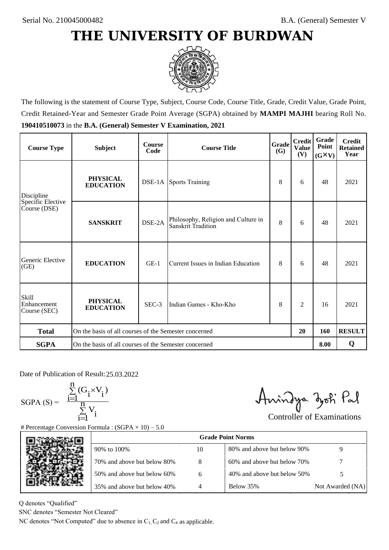

The following is the statement of Course Type, Subject, Course Code, Course Title, Grade, Credit Value, Grade Point, Credit Retained-Year and Semester Grade Point Average (SGPA) obtained by **MAMPI MAJHI** bearing Roll No. **190410510073** in the **B.A. (General) Semester V Examination, 2021**

| <b>Course Type</b>                   | <b>Subject</b>                                              | <b>Course</b><br>Code | Grade<br><b>Course Title</b>                                     |   | <b>Credit</b><br><b>Value</b><br>(V) | Grade<br>Point<br>$(G\times V)$ | <b>Credit</b><br><b>Retained</b><br>Year |
|--------------------------------------|-------------------------------------------------------------|-----------------------|------------------------------------------------------------------|---|--------------------------------------|---------------------------------|------------------------------------------|
| Discipline                           | <b>PHYSICAL</b><br><b>EDUCATION</b>                         |                       | <b>DSE-1A</b> Sports Training                                    | 8 | 6                                    | 48                              | 2021                                     |
| Specific Elective<br>Course (DSE)    | <b>SANSKRIT</b>                                             | DSE-2A                | Philosophy, Religion and Culture in<br><b>Sanskrit Tradition</b> | 8 | 6                                    | 48                              | 2021                                     |
| Generic Elective<br>(GE)             | <b>EDUCATION</b>                                            | $GE-1$                | Current Issues in Indian Education                               | 8 | 6                                    | 48                              | 2021                                     |
| Skill<br>Enhancement<br>Course (SEC) | <b>PHYSICAL</b><br><b>EDUCATION</b>                         | SEC-3                 | Indian Games - Kho-Kho                                           | 8 | 2                                    | 16                              | 2021                                     |
| <b>Total</b>                         | On the basis of all courses of the Semester concerned<br>20 |                       |                                                                  |   | 160                                  | <b>RESULT</b>                   |                                          |
| <b>SGPA</b>                          | On the basis of all courses of the Semester concerned       |                       |                                                                  |   |                                      | 8.00                            | Q                                        |

Date of Publication of Result: 25.03.2022

 $SGPA(S) =$ 

$$
\frac{\sum\limits_{i=1}^n(G_i\times V_i)}{\sum\limits_{i=1}^nV_i}
$$

Amindya zoti Pal

| ate of Publication of Result: 25.03.2022<br>GPA (S) = $\frac{\sum_{i=1}^{n} (G_i \times V_i)}{\sum_{i=1}^{n} V_i}$ | Percentage Conversion Formula : $(SGPA \times 10) - 5.0$                          |    | Aningya zoti Pal            | <b>Controller of Examinations</b> |
|--------------------------------------------------------------------------------------------------------------------|-----------------------------------------------------------------------------------|----|-----------------------------|-----------------------------------|
|                                                                                                                    |                                                                                   |    | <b>Grade Point Norms</b>    |                                   |
|                                                                                                                    | 90% to 100%                                                                       | 10 | 80% and above but below 90% | 9                                 |
|                                                                                                                    | 70% and above but below 80%                                                       | 8  | 60% and above but below 70% |                                   |
|                                                                                                                    | 50% and above but below 60%                                                       | 6  | 40% and above but below 50% | 5                                 |
|                                                                                                                    | 35% and above but below 40%                                                       | 4  | Below 35%                   | Not Awarded (NA)                  |
| denotes "Qualified"<br>NC denotes "Semester Not Cleared"                                                           | C denotes "Not Computed" due to absence in $C_1$ , $C_2$ and $C_4$ as applicable. |    |                             |                                   |

Q denotes "Qualified"

SNC denotes "Semester Not Cleared"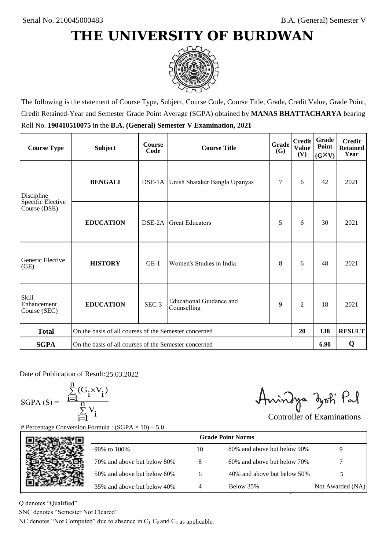

The following is the statement of Course Type, Subject, Course Code, Course Title, Grade, Credit Value, Grade Point, Credit Retained-Year and Semester Grade Point Average (SGPA) obtained by **MANAS BHATTACHARYA** bearing Roll No. **190410510075** in the **B.A. (General) Semester V Examination, 2021**

| <b>Course Type</b>                          | <b>Subject</b>                                        | <b>Course</b><br>Code | Grade<br><b>Course Title</b><br><b>(G)</b> |   | <b>Credit</b><br><b>Value</b><br>(V) | Grade<br>Point<br>$(G\times V)$ | <b>Credit</b><br><b>Retained</b><br>Year |
|---------------------------------------------|-------------------------------------------------------|-----------------------|--------------------------------------------|---|--------------------------------------|---------------------------------|------------------------------------------|
| Discipline                                  | <b>BENGALI</b>                                        |                       | DSE-1A Unish Shataker Bangla Upanyas       | 7 | 6                                    | 42                              | 2021                                     |
| Specific Elective<br>Course (DSE)           | <b>EDUCATION</b>                                      | DSE-2A                | <b>Great Educators</b>                     | 5 | 6                                    | 30                              | 2021                                     |
| Generic Elective<br>(GE)                    | <b>HISTORY</b>                                        | $GE-1$                | Women's Studies in India                   | 8 | 6                                    | 48                              | 2021                                     |
| <b>Skill</b><br>Enhancement<br>Course (SEC) | <b>EDUCATION</b>                                      | SEC-3                 | Educational Guidance and<br>Counselling    | 9 | $\overline{c}$                       | 18                              | 2021                                     |
| <b>Total</b>                                | On the basis of all courses of the Semester concerned |                       |                                            |   | 20                                   | 138                             | <b>RESULT</b>                            |
| <b>SGPA</b>                                 | On the basis of all courses of the Semester concerned |                       |                                            |   |                                      | 6.90                            | Q                                        |

Date of Publication of Result: 25,03,2022

 $SGPA(S) =$ 

$$
\frac{\sum\limits_{i=1}^{n}(G_{i}\times V_{i})}{\sum\limits_{i=1}^{n}V_{i}}
$$

Amindya zoti Pal

| ate of Publication of Result: 25.03.2022<br>SGPA (S) = $\frac{\sum_{i=1}^{n} (G_i \times V_i)}{\sum_{i=1}^{n} V_i}$ | Percentage Conversion Formula : $(SGPA \times 10) - 5.0$                          |    | Aningya zoti Pal            | <b>Controller of Examinations</b> |
|---------------------------------------------------------------------------------------------------------------------|-----------------------------------------------------------------------------------|----|-----------------------------|-----------------------------------|
|                                                                                                                     |                                                                                   |    | <b>Grade Point Norms</b>    |                                   |
|                                                                                                                     | 90% to 100%                                                                       | 10 | 80% and above but below 90% | 9                                 |
|                                                                                                                     | 70% and above but below 80%                                                       | 8  | 60% and above but below 70% |                                   |
|                                                                                                                     | 50% and above but below 60%                                                       | 6  | 40% and above but below 50% | 5                                 |
|                                                                                                                     | 35% and above but below 40%                                                       | 4  | Below 35%                   | Not Awarded (NA)                  |
| denotes "Qualified"<br>NC denotes "Semester Not Cleared"                                                            | C denotes "Not Computed" due to absence in $C_1$ , $C_2$ and $C_4$ as applicable. |    |                             |                                   |

Q denotes "Qualified"

SNC denotes "Semester Not Cleared"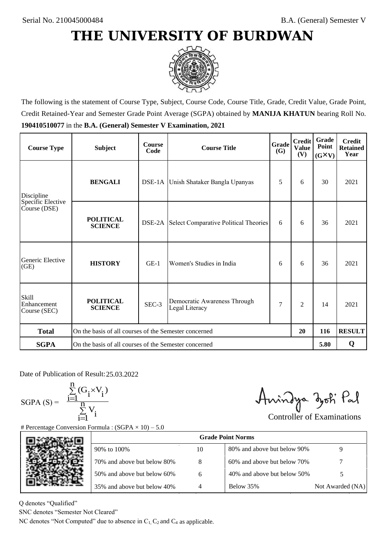

The following is the statement of Course Type, Subject, Course Code, Course Title, Grade, Credit Value, Grade Point, Credit Retained-Year and Semester Grade Point Average (SGPA) obtained by **MANIJA KHATUN** bearing Roll No. **190410510077** in the **B.A. (General) Semester V Examination, 2021**

| <b>Course Type</b>                          | <b>Subject</b>                                              | <b>Course</b><br>Code | Grade<br><b>Course Title</b>                   |     | <b>Credit</b><br><b>Value</b><br>(V) | Grade<br>Point<br>$(G\times V)$ | <b>Credit</b><br><b>Retained</b><br>Year |
|---------------------------------------------|-------------------------------------------------------------|-----------------------|------------------------------------------------|-----|--------------------------------------|---------------------------------|------------------------------------------|
| <b>BENGALI</b><br>Discipline                |                                                             |                       | DSE-1A Unish Shataker Bangla Upanyas           |     | 6                                    | 30                              | 2021                                     |
| Specific Elective<br>Course (DSE)           | <b>POLITICAL</b><br><b>SCIENCE</b>                          | DSE-2A                | Select Comparative Political Theories          | 6   | 6                                    | 36                              | 2021                                     |
| Generic Elective<br>(GE)                    | <b>HISTORY</b>                                              | $GE-1$                | Women's Studies in India                       | 6   | 6                                    | 36                              | 2021                                     |
| <b>Skill</b><br>Enhancement<br>Course (SEC) | <b>POLITICAL</b><br><b>SCIENCE</b>                          | SEC-3                 | Democratic Awareness Through<br>Legal Literacy | 7   | $\overline{c}$                       | 14                              | 2021                                     |
| <b>Total</b>                                | On the basis of all courses of the Semester concerned<br>20 |                       |                                                | 116 | <b>RESULT</b>                        |                                 |                                          |
| <b>SGPA</b>                                 | On the basis of all courses of the Semester concerned       |                       |                                                |     |                                      | 5.80                            | Q                                        |

Date of Publication of Result: 25,03,2022

SGPA  $(S) = \frac{1}{1}$ 

$$
\frac{\sum_{i=1}^{n} (G_i \times V_i)}{\sum_{i=1}^{n} V_i}
$$

Amindya zoti Pal

| ate of Publication of Result: 25.03.2022<br>GPA (S) = $\frac{\sum_{i=1}^{n} (G_i \times V_i)}{\sum_{i=1}^{n} V_i}$ |                                                                                   |    | Aningya zoti Pal            | <b>Controller of Examinations</b> |
|--------------------------------------------------------------------------------------------------------------------|-----------------------------------------------------------------------------------|----|-----------------------------|-----------------------------------|
|                                                                                                                    | Percentage Conversion Formula : $(SGPA \times 10) - 5.0$                          |    | <b>Grade Point Norms</b>    |                                   |
|                                                                                                                    | 90% to 100%                                                                       | 10 | 80% and above but below 90% | 9                                 |
|                                                                                                                    | 70% and above but below 80%                                                       | 8  | 60% and above but below 70% |                                   |
|                                                                                                                    | 50% and above but below 60%                                                       | 6  | 40% and above but below 50% | 5                                 |
|                                                                                                                    | 35% and above but below 40%                                                       | 4  | Below 35%                   | Not Awarded (NA)                  |
| denotes "Qualified"<br>NC denotes "Semester Not Cleared"                                                           | C denotes "Not Computed" due to absence in $C_1$ , $C_2$ and $C_4$ as applicable. |    |                             |                                   |

Q denotes "Qualified"

SNC denotes "Semester Not Cleared"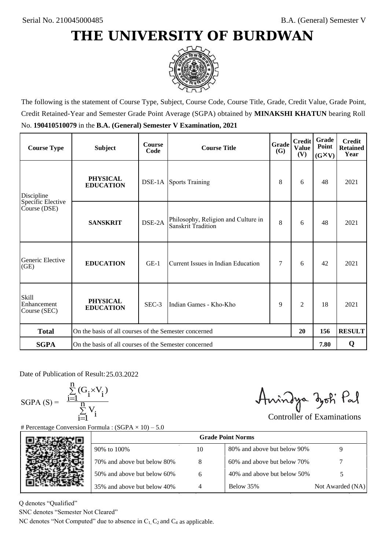

The following is the statement of Course Type, Subject, Course Code, Course Title, Grade, Credit Value, Grade Point, Credit Retained-Year and Semester Grade Point Average (SGPA) obtained by **MINAKSHI KHATUN** bearing Roll No. **190410510079** in the **B.A. (General) Semester V Examination, 2021**

| <b>Course Type</b>                                | <b>Subject</b>                                              | <b>Course</b><br>Code | <b>Course Title</b>                                       | Grade<br><b>(G)</b> | <b>Credit</b><br><b>Value</b><br>(V) | Grade<br>Point<br>$(G\times V)$ | <b>Credit</b><br><b>Retained</b><br>Year |
|---------------------------------------------------|-------------------------------------------------------------|-----------------------|-----------------------------------------------------------|---------------------|--------------------------------------|---------------------------------|------------------------------------------|
| <b>PHYSICAL</b><br><b>EDUCATION</b><br>Discipline |                                                             |                       | <b>DSE-1A</b> Sports Training                             | 8                   | 6                                    | 48                              | 2021                                     |
| Specific Elective<br>Course (DSE)                 | <b>SANSKRIT</b>                                             | DSE-2A                | Philosophy, Religion and Culture in<br>Sanskrit Tradition | 8                   | 6                                    | 48                              | 2021                                     |
| Generic Elective<br>(GE)                          | <b>EDUCATION</b>                                            | $GE-1$                | Current Issues in Indian Education                        | 7                   | 6                                    | 42                              | 2021                                     |
| <b>Skill</b><br>Enhancement<br>Course (SEC)       | <b>PHYSICAL</b><br><b>EDUCATION</b>                         | SEC-3                 | Indian Games - Kho-Kho                                    | 9                   | 2                                    | 18                              | 2021                                     |
| <b>Total</b>                                      | On the basis of all courses of the Semester concerned<br>20 |                       |                                                           |                     | 156                                  | <b>RESULT</b>                   |                                          |
| <b>SGPA</b>                                       | On the basis of all courses of the Semester concerned       |                       |                                                           |                     |                                      | 7.80                            | Q                                        |

Date of Publication of Result: 25,03,2022

 $SGPA(S) =$ 

$$
\frac{\sum\limits_{i=1}^{n}(G_{i}\times V_{i})}{\sum\limits_{i=1}^{n}V_{i}}
$$

Amindya zoti Pal

| ate of Publication of Result: 25.03.2022<br>GPA (S) = $\frac{\sum_{i=1}^{n} (G_i \times V_i)}{\sum_{i=1}^{n} V_i}$ |                                                                                   |                | Aningya zoti Pal            | <b>Controller of Examinations</b> |
|--------------------------------------------------------------------------------------------------------------------|-----------------------------------------------------------------------------------|----------------|-----------------------------|-----------------------------------|
|                                                                                                                    | Percentage Conversion Formula : $(SGPA \times 10) - 5.0$                          |                |                             |                                   |
|                                                                                                                    |                                                                                   |                | <b>Grade Point Norms</b>    |                                   |
|                                                                                                                    | 90% to 100%                                                                       | 10             | 80% and above but below 90% | 9                                 |
|                                                                                                                    | 70% and above but below 80%                                                       | 8              | 60% and above but below 70% |                                   |
|                                                                                                                    | 50% and above but below 60%                                                       | 6              | 40% and above but below 50% | 5                                 |
|                                                                                                                    | 35% and above but below 40%                                                       | $\overline{4}$ | Below 35%                   | Not Awarded (NA)                  |
| denotes "Qualified"<br>NC denotes "Semester Not Cleared"                                                           |                                                                                   |                |                             |                                   |
|                                                                                                                    | C denotes "Not Computed" due to absence in $C_1$ , $C_2$ and $C_4$ as applicable. |                |                             |                                   |

Q denotes "Qualified"

SNC denotes "Semester Not Cleared"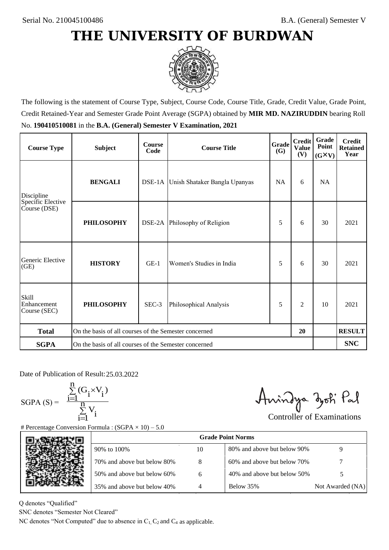

The following is the statement of Course Type, Subject, Course Code, Course Title, Grade, Credit Value, Grade Point, Credit Retained-Year and Semester Grade Point Average (SGPA) obtained by **MIR MD. NAZIRUDDIN** bearing Roll No. **190410510081** in the **B.A. (General) Semester V Examination, 2021**

| <b>Course Type</b>                          | <b>Subject</b>                                        | <b>Course</b><br>Code | <b>Course Title</b>                  | <b>Grade</b><br><b>(G)</b> | <b>Credit</b><br><b>Value</b><br>(V) | <b>Grade</b><br>Point<br>$(G\times V)$ | <b>Credit</b><br><b>Retained</b><br>Year |
|---------------------------------------------|-------------------------------------------------------|-----------------------|--------------------------------------|----------------------------|--------------------------------------|----------------------------------------|------------------------------------------|
| Discipline                                  | <b>BENGALI</b>                                        |                       | DSE-1A Unish Shataker Bangla Upanyas | <b>NA</b>                  | 6                                    | NA                                     |                                          |
| Specific Elective<br>Course (DSE)           | <b>PHILOSOPHY</b>                                     |                       | DSE-2A Philosophy of Religion        | 5                          | 6                                    | 30                                     | 2021                                     |
| Generic Elective<br>(GE)                    | <b>HISTORY</b>                                        | $GE-1$                | Women's Studies in India             | 5                          | 6                                    | 30                                     | 2021                                     |
| <b>Skill</b><br>Enhancement<br>Course (SEC) | <b>PHILOSOPHY</b>                                     | SEC-3                 | Philosophical Analysis               | 5                          | $\overline{2}$                       | 10                                     | 2021                                     |
| <b>Total</b>                                | On the basis of all courses of the Semester concerned |                       |                                      |                            | 20                                   |                                        | <b>RESULT</b>                            |
| <b>SGPA</b>                                 | On the basis of all courses of the Semester concerned |                       |                                      |                            |                                      |                                        | <b>SNC</b>                               |

Date of Publication of Result: 25,03,2022

 $SGPA(S) =$ 

$$
\frac{\sum\limits_{i=1}^n(G_i\times V_i)}{\sum\limits_{i=1}^nV_i}
$$

Amindya zoti Pal

| ate of Publication of Result: 25.03.2022<br>SGPA (S) = $\frac{\sum_{i=1}^{n} (G_i \times V_i)}{\sum_{i=1}^{n} V_i}$ | Percentage Conversion Formula : $(SGPA \times 10) - 5.0$                          |    | Aningya zoti Pal            | <b>Controller of Examinations</b> |
|---------------------------------------------------------------------------------------------------------------------|-----------------------------------------------------------------------------------|----|-----------------------------|-----------------------------------|
|                                                                                                                     |                                                                                   |    | <b>Grade Point Norms</b>    |                                   |
|                                                                                                                     | 90% to 100%                                                                       | 10 | 80% and above but below 90% | 9                                 |
|                                                                                                                     | 70% and above but below 80%                                                       | 8  | 60% and above but below 70% |                                   |
|                                                                                                                     | 50% and above but below 60%                                                       | 6  | 40% and above but below 50% | 5                                 |
|                                                                                                                     | 35% and above but below 40%                                                       | 4  | Below 35%                   | Not Awarded (NA)                  |
| denotes "Qualified"<br>NC denotes "Semester Not Cleared"                                                            | C denotes "Not Computed" due to absence in $C_1$ , $C_2$ and $C_4$ as applicable. |    |                             |                                   |

Q denotes "Qualified"

SNC denotes "Semester Not Cleared"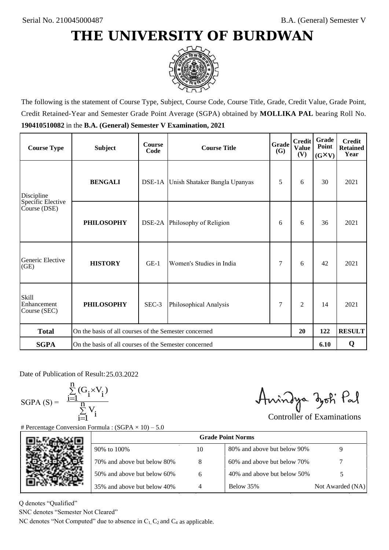

The following is the statement of Course Type, Subject, Course Code, Course Title, Grade, Credit Value, Grade Point, Credit Retained-Year and Semester Grade Point Average (SGPA) obtained by **MOLLIKA PAL** bearing Roll No. **190410510082** in the **B.A. (General) Semester V Examination, 2021**

| <b>Course Type</b>                          | <b>Subject</b>                                        | <b>Course</b><br>Code | <b>Course Title</b>                  | Grade<br>(G) | <b>Credit</b><br><b>Value</b><br>(V) | Grade<br>Point<br>$(G\times V)$ | <b>Credit</b><br><b>Retained</b><br>Year |
|---------------------------------------------|-------------------------------------------------------|-----------------------|--------------------------------------|--------------|--------------------------------------|---------------------------------|------------------------------------------|
| Discipline                                  | <b>BENGALI</b>                                        |                       | DSE-1A Unish Shataker Bangla Upanyas | 5            | 6                                    | 30                              | 2021                                     |
| Specific Elective<br>Course (DSE)           | <b>PHILOSOPHY</b>                                     |                       | DSE-2A Philosophy of Religion        | 6            | 6                                    | 36                              | 2021                                     |
| Generic Elective<br>(GE)                    | <b>HISTORY</b>                                        | $GE-1$                | Women's Studies in India             |              | 6                                    | 42                              | 2021                                     |
| <b>Skill</b><br>Enhancement<br>Course (SEC) | <b>PHILOSOPHY</b>                                     | SEC-3                 | Philosophical Analysis               | 7            | $\overline{c}$                       | 14                              | 2021                                     |
| <b>Total</b>                                | On the basis of all courses of the Semester concerned |                       |                                      |              | 20                                   | 122                             | <b>RESULT</b>                            |
| <b>SGPA</b>                                 | On the basis of all courses of the Semester concerned |                       |                                      |              |                                      | 6.10                            | Q                                        |

Date of Publication of Result: 25,03,2022

 $SGPA(S) =$ 

$$
\frac{\sum\limits_{i=1}^n(G_i\times V_i)}{\sum\limits_{i=1}^nV_i}
$$

Amindya zoti Pal

| ate of Publication of Result: 25.03.2022<br>GPA (S) = $\frac{\sum_{i=1}^{n} (G_i \times V_i)}{\sum_{i=1}^{n} V_i}$ | Percentage Conversion Formula : $(SGPA \times 10) - 5.0$                          |    | Aningya zoti Pal            | <b>Controller of Examinations</b> |
|--------------------------------------------------------------------------------------------------------------------|-----------------------------------------------------------------------------------|----|-----------------------------|-----------------------------------|
|                                                                                                                    |                                                                                   |    | <b>Grade Point Norms</b>    |                                   |
|                                                                                                                    | 90% to 100%                                                                       | 10 | 80% and above but below 90% | 9                                 |
|                                                                                                                    | 70% and above but below 80%                                                       | 8  | 60% and above but below 70% |                                   |
|                                                                                                                    | 50% and above but below 60%                                                       | 6  | 40% and above but below 50% | 5                                 |
|                                                                                                                    | 35% and above but below 40%                                                       | 4  | Below 35%                   | Not Awarded (NA)                  |
| denotes "Qualified"<br>NC denotes "Semester Not Cleared"                                                           | C denotes "Not Computed" due to absence in $C_1$ , $C_2$ and $C_4$ as applicable. |    |                             |                                   |

Q denotes "Qualified"

SNC denotes "Semester Not Cleared"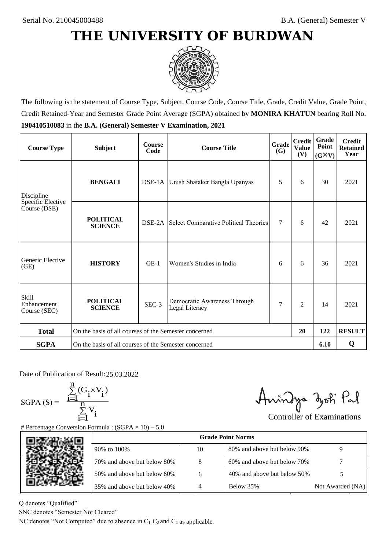

The following is the statement of Course Type, Subject, Course Code, Course Title, Grade, Credit Value, Grade Point, Credit Retained-Year and Semester Grade Point Average (SGPA) obtained by **MONIRA KHATUN** bearing Roll No. **190410510083** in the **B.A. (General) Semester V Examination, 2021**

| <b>Course Type</b>                          | <b>Subject</b>                                              | <b>Course</b><br>Code | Grade<br><b>Course Title</b>                        |        | <b>Credit</b><br><b>Value</b><br>(V) | Grade<br>Point<br>$(G\times V)$ | <b>Credit</b><br><b>Retained</b><br>Year |
|---------------------------------------------|-------------------------------------------------------------|-----------------------|-----------------------------------------------------|--------|--------------------------------------|---------------------------------|------------------------------------------|
| Discipline                                  | <b>BENGALI</b>                                              |                       | DSE-1A Unish Shataker Bangla Upanyas                | 5      | 6                                    | 30                              | 2021                                     |
| Specific Elective<br>Course (DSE)           | <b>POLITICAL</b><br><b>SCIENCE</b>                          |                       | <b>DSE-2A</b> Select Comparative Political Theories | $\tau$ | 6                                    | 42                              | 2021                                     |
| Generic Elective<br>(GE)                    | <b>HISTORY</b>                                              | $GE-1$                | Women's Studies in India                            | 6      | 6                                    | 36                              | 2021                                     |
| <b>Skill</b><br>Enhancement<br>Course (SEC) | <b>POLITICAL</b><br><b>SCIENCE</b>                          | SEC-3                 | Democratic Awareness Through<br>Legal Literacy      | 7      | $\overline{c}$                       | 14                              | 2021                                     |
| <b>Total</b>                                | On the basis of all courses of the Semester concerned<br>20 |                       |                                                     |        | 122                                  | <b>RESULT</b>                   |                                          |
| <b>SGPA</b>                                 | On the basis of all courses of the Semester concerned       |                       |                                                     |        |                                      | 6.10                            | Q                                        |

Date of Publication of Result: 25,03,2022

SGPA  $(S) = \frac{1}{1}$ 

$$
\frac{\sum\limits_{i=1}^{n} (G_i \times V_i)}{\sum\limits_{i=1}^{n} V_i}
$$

Amindya zoti Pal

| ate of Publication of Result: 25.03.2022<br>GPA (S) = $\frac{\sum_{i=1}^{n} (G_i \times V_i)}{\sum_{i=1}^{n} V_i}$ |                                                                                   |    | Aningya zoti Pal            | <b>Controller of Examinations</b> |
|--------------------------------------------------------------------------------------------------------------------|-----------------------------------------------------------------------------------|----|-----------------------------|-----------------------------------|
|                                                                                                                    | Percentage Conversion Formula : $(SGPA \times 10) - 5.0$                          |    |                             |                                   |
|                                                                                                                    |                                                                                   |    | <b>Grade Point Norms</b>    |                                   |
|                                                                                                                    | 90% to 100%                                                                       | 10 | 80% and above but below 90% | 9                                 |
|                                                                                                                    | 70% and above but below 80%                                                       | 8  | 60% and above but below 70% |                                   |
|                                                                                                                    | 50% and above but below 60%                                                       | 6  | 40% and above but below 50% | 5                                 |
|                                                                                                                    | 35% and above but below 40%                                                       | 4  | Below 35%                   | Not Awarded (NA)                  |
| denotes "Qualified"                                                                                                |                                                                                   |    |                             |                                   |
| NC denotes "Semester Not Cleared"                                                                                  |                                                                                   |    |                             |                                   |
|                                                                                                                    | C denotes "Not Computed" due to absence in $C_1$ , $C_2$ and $C_4$ as applicable. |    |                             |                                   |

Q denotes "Qualified"

SNC denotes "Semester Not Cleared"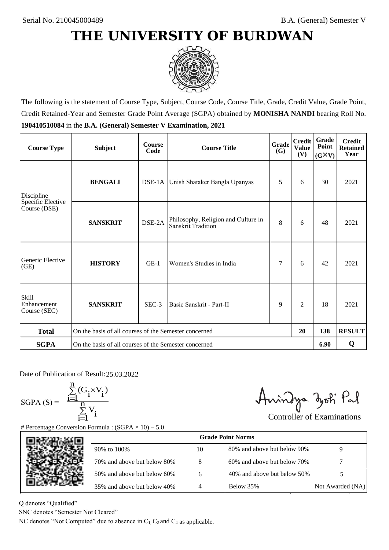

The following is the statement of Course Type, Subject, Course Code, Course Title, Grade, Credit Value, Grade Point, Credit Retained-Year and Semester Grade Point Average (SGPA) obtained by **MONISHA NANDI** bearing Roll No. **190410510084** in the **B.A. (General) Semester V Examination, 2021**

| <b>Course Type</b>                          | <b>Subject</b>                                              | <b>Course</b><br>Code | <b>Course Title</b>                                       | Grade<br>(G) | <b>Credit</b><br><b>Value</b><br>(V) | Grade<br>Point<br>$(G\times V)$ | <b>Credit</b><br><b>Retained</b><br>Year |
|---------------------------------------------|-------------------------------------------------------------|-----------------------|-----------------------------------------------------------|--------------|--------------------------------------|---------------------------------|------------------------------------------|
| Discipline                                  | <b>BENGALI</b>                                              |                       | DSE-1A Unish Shataker Bangla Upanyas                      | 5            | 6                                    | 30                              | 2021                                     |
| Specific Elective<br>Course (DSE)           | <b>SANSKRIT</b>                                             | DSE-2A                | Philosophy, Religion and Culture in<br>Sanskrit Tradition | 8            | 6                                    | 48                              | 2021                                     |
| Generic Elective<br>(GE)                    | <b>HISTORY</b>                                              | $GE-1$                | Women's Studies in India                                  | 7            | 6                                    | 42                              | 2021                                     |
| <b>Skill</b><br>Enhancement<br>Course (SEC) | <b>SANSKRIT</b>                                             | SEC-3                 | Basic Sanskrit - Part-II                                  | 9            | 2                                    | 18                              | 2021                                     |
| <b>Total</b>                                | On the basis of all courses of the Semester concerned<br>20 |                       |                                                           | 138          | <b>RESULT</b>                        |                                 |                                          |
| <b>SGPA</b>                                 | On the basis of all courses of the Semester concerned       |                       |                                                           |              |                                      | 6.90                            | Q                                        |

Date of Publication of Result: 25.03.2022

 $SGPA(S) =$ 

$$
\frac{\sum\limits_{i=1}^n(G_i\times V_i)}{\sum\limits_{i=1}^nV_i}
$$

Amindya zoti Pal

| ate of Publication of Result: 25.03.2022<br>GPA (S) = $\frac{\sum_{i=1}^{n} (G_i \times V_i)}{\sum_{i=1}^{n} V_i}$ | Percentage Conversion Formula : $(SGPA \times 10) - 5.0$                          |    | Aningya zoti Pal            | <b>Controller of Examinations</b> |
|--------------------------------------------------------------------------------------------------------------------|-----------------------------------------------------------------------------------|----|-----------------------------|-----------------------------------|
|                                                                                                                    |                                                                                   |    | <b>Grade Point Norms</b>    |                                   |
|                                                                                                                    | 90% to 100%                                                                       | 10 | 80% and above but below 90% | 9                                 |
|                                                                                                                    | 70% and above but below 80%                                                       | 8  | 60% and above but below 70% |                                   |
|                                                                                                                    | 50% and above but below 60%                                                       | 6  | 40% and above but below 50% | 5                                 |
|                                                                                                                    | 35% and above but below 40%                                                       | 4  | Below 35%                   | Not Awarded (NA)                  |
| denotes "Qualified"<br>NC denotes "Semester Not Cleared"                                                           | C denotes "Not Computed" due to absence in $C_1$ , $C_2$ and $C_4$ as applicable. |    |                             |                                   |

Q denotes "Qualified"

SNC denotes "Semester Not Cleared"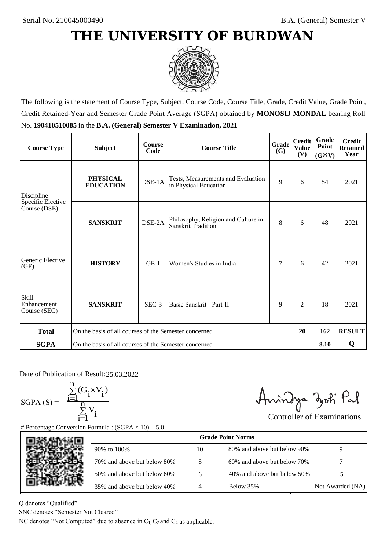

The following is the statement of Course Type, Subject, Course Code, Course Title, Grade, Credit Value, Grade Point, Credit Retained-Year and Semester Grade Point Average (SGPA) obtained by **MONOSIJ MONDAL** bearing Roll No. **190410510085** in the **B.A. (General) Semester V Examination, 2021**

| <b>Course Type</b>                          | <b>Subject</b>                                              | <b>Course</b><br>Code | Grade<br><b>Course Title</b>                                |   | <b>Credit</b><br><b>Value</b><br>(V) | Grade<br>Point<br>$(G\times V)$ | <b>Credit</b><br><b>Retained</b><br>Year |
|---------------------------------------------|-------------------------------------------------------------|-----------------------|-------------------------------------------------------------|---|--------------------------------------|---------------------------------|------------------------------------------|
| Discipline                                  | <b>PHYSICAL</b><br><b>EDUCATION</b>                         | DSE-1A                | Tests, Measurements and Evaluation<br>in Physical Education | 9 | 6                                    | 54                              | 2021                                     |
| Specific Elective<br>Course (DSE)           | <b>SANSKRIT</b>                                             | DSE-2A                | Philosophy, Religion and Culture in<br>Sanskrit Tradition   | 8 | 6                                    | 48                              | 2021                                     |
| Generic Elective<br>(GE)                    | <b>HISTORY</b>                                              | $GE-1$                | Women's Studies in India                                    |   | 6                                    | 42                              | 2021                                     |
| <b>Skill</b><br>Enhancement<br>Course (SEC) | <b>SANSKRIT</b>                                             | SEC-3                 | Basic Sanskrit - Part-II                                    | 9 | $\overline{c}$                       | 18                              | 2021                                     |
| <b>Total</b>                                | On the basis of all courses of the Semester concerned<br>20 |                       |                                                             |   | 162                                  | <b>RESULT</b>                   |                                          |
| <b>SGPA</b>                                 | On the basis of all courses of the Semester concerned       |                       |                                                             |   |                                      | 8.10                            | Q                                        |

Date of Publication of Result: 25,03,2022

SGPA  $(S) = \frac{1}{1}$ 

$$
\frac{\sum_{i=1}^{n} (G_i \times V_i)}{\sum_{i=1}^{n} V_i}
$$

Amindya zoti Pal

| ate of Publication of Result: 25.03.2022<br>GPA (S) = $\frac{\sum_{i=1}^{n} (G_i \times V_i)}{\sum_{i=1}^{n} V_i}$ |                                                                                   |    | Aningya zoti Pal            | <b>Controller of Examinations</b> |
|--------------------------------------------------------------------------------------------------------------------|-----------------------------------------------------------------------------------|----|-----------------------------|-----------------------------------|
|                                                                                                                    | Percentage Conversion Formula : $(SGPA \times 10) - 5.0$                          |    |                             |                                   |
|                                                                                                                    |                                                                                   |    | <b>Grade Point Norms</b>    |                                   |
|                                                                                                                    | 90% to 100%                                                                       | 10 | 80% and above but below 90% | 9                                 |
|                                                                                                                    | 70% and above but below 80%                                                       | 8  | 60% and above but below 70% |                                   |
|                                                                                                                    | 50% and above but below 60%                                                       | 6  | 40% and above but below 50% | 5                                 |
|                                                                                                                    | 35% and above but below 40%                                                       | 4  | Below 35%                   | Not Awarded (NA)                  |
| denotes "Qualified"<br>NC denotes "Semester Not Cleared"                                                           |                                                                                   |    |                             |                                   |
|                                                                                                                    | C denotes "Not Computed" due to absence in $C_1$ , $C_2$ and $C_4$ as applicable. |    |                             |                                   |

Q denotes "Qualified"

SNC denotes "Semester Not Cleared"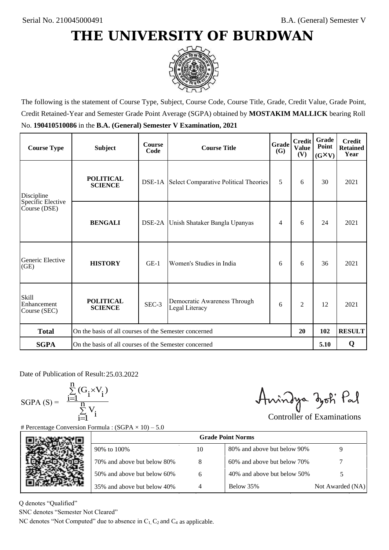

The following is the statement of Course Type, Subject, Course Code, Course Title, Grade, Credit Value, Grade Point, Credit Retained-Year and Semester Grade Point Average (SGPA) obtained by **MOSTAKIM MALLICK** bearing Roll No. **190410510086** in the **B.A. (General) Semester V Examination, 2021**

| <b>Course Type</b>                          | <b>Subject</b>                                              | <b>Course</b><br>Code | Grade<br><b>Course Title</b><br><b>(G)</b>          |     | <b>Credit</b><br><b>Value</b><br>(V) | Grade<br>Point<br>$(G\times V)$ | <b>Credit</b><br><b>Retained</b><br>Year |
|---------------------------------------------|-------------------------------------------------------------|-----------------------|-----------------------------------------------------|-----|--------------------------------------|---------------------------------|------------------------------------------|
| Discipline                                  | <b>POLITICAL</b><br><b>SCIENCE</b>                          |                       | <b>DSE-1A</b> Select Comparative Political Theories | 5   | 6                                    | 30                              | 2021                                     |
| Specific Elective<br>Course (DSE)           | <b>BENGALI</b>                                              | DSE-2A                | Unish Shataker Bangla Upanyas                       | 4   | 6                                    | 24                              | 2021                                     |
| Generic Elective<br>(GE)                    | <b>HISTORY</b>                                              | $GE-1$                | Women's Studies in India                            | 6   | 6                                    | 36                              | 2021                                     |
| <b>Skill</b><br>Enhancement<br>Course (SEC) | <b>POLITICAL</b><br><b>SCIENCE</b>                          | SEC-3                 | Democratic Awareness Through<br>Legal Literacy      | 6   | $\overline{c}$                       | 12                              | 2021                                     |
| <b>Total</b>                                | On the basis of all courses of the Semester concerned<br>20 |                       |                                                     | 102 | <b>RESULT</b>                        |                                 |                                          |
| <b>SGPA</b>                                 | On the basis of all courses of the Semester concerned       |                       |                                                     |     |                                      | 5.10                            | Q                                        |

Date of Publication of Result: 25,03,2022

SGPA  $(S) = \frac{1}{1}$ 

$$
\frac{\sum_{i=1}^{n} (G_i \times V_i)}{\sum_{i=1}^{n} V_i}
$$

Amindya zoti Pal

| ate of Publication of Result: 25.03.2022<br>GPA (S) = $\frac{\sum_{i=1}^{n} (G_i \times V_i)}{\sum_{i=1}^{n} V_i}$ | Percentage Conversion Formula : $(SGPA \times 10) - 5.0$                          |    | Aningya zoti Pal            | <b>Controller of Examinations</b> |
|--------------------------------------------------------------------------------------------------------------------|-----------------------------------------------------------------------------------|----|-----------------------------|-----------------------------------|
|                                                                                                                    |                                                                                   |    | <b>Grade Point Norms</b>    |                                   |
|                                                                                                                    | 90% to 100%                                                                       | 10 | 80% and above but below 90% | 9                                 |
|                                                                                                                    | 70% and above but below 80%                                                       | 8  | 60% and above but below 70% |                                   |
|                                                                                                                    | 50% and above but below 60%                                                       | 6  | 40% and above but below 50% | 5                                 |
|                                                                                                                    | 35% and above but below 40%                                                       | 4  | Below 35%                   | Not Awarded (NA)                  |
| denotes "Qualified"<br>NC denotes "Semester Not Cleared"                                                           | C denotes "Not Computed" due to absence in $C_1$ , $C_2$ and $C_4$ as applicable. |    |                             |                                   |

Q denotes "Qualified"

SNC denotes "Semester Not Cleared"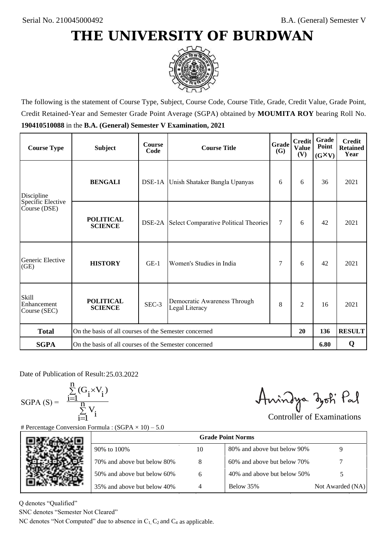

The following is the statement of Course Type, Subject, Course Code, Course Title, Grade, Credit Value, Grade Point, Credit Retained-Year and Semester Grade Point Average (SGPA) obtained by **MOUMITA ROY** bearing Roll No. **190410510088** in the **B.A. (General) Semester V Examination, 2021**

| <b>Course Type</b>                          | <b>Subject</b>                                              | <b>Course</b><br>Code | Grade<br><b>Course Title</b><br><b>(G)</b>          |        | <b>Credit</b><br><b>Value</b><br>(V) | Grade<br>Point<br>$(G\times V)$ | <b>Credit</b><br><b>Retained</b><br>Year |
|---------------------------------------------|-------------------------------------------------------------|-----------------------|-----------------------------------------------------|--------|--------------------------------------|---------------------------------|------------------------------------------|
| <b>BENGALI</b><br>Discipline                |                                                             |                       | DSE-1A Unish Shataker Bangla Upanyas                | 6      | 6                                    | 36                              | 2021                                     |
| Specific Elective<br>Course (DSE)           | <b>POLITICAL</b><br><b>SCIENCE</b>                          |                       | <b>DSE-2A</b> Select Comparative Political Theories | $\tau$ | 6                                    | 42                              | 2021                                     |
| Generic Elective<br>(GE)                    | <b>HISTORY</b>                                              | $GE-1$                | Women's Studies in India                            | 7      | 6                                    | 42                              | 2021                                     |
| <b>Skill</b><br>Enhancement<br>Course (SEC) | <b>POLITICAL</b><br><b>SCIENCE</b>                          | SEC-3                 | Democratic Awareness Through<br>Legal Literacy      | 8      | $\overline{c}$                       | 16                              | 2021                                     |
| <b>Total</b>                                | On the basis of all courses of the Semester concerned<br>20 |                       |                                                     |        | 136                                  | <b>RESULT</b>                   |                                          |
| <b>SGPA</b>                                 | On the basis of all courses of the Semester concerned       |                       |                                                     |        |                                      | 6.80                            | Q                                        |

Date of Publication of Result: 25,03,2022

SGPA  $(S) = \frac{1}{1}$ 

$$
\frac{\sum\limits_{i=1}^{n} (G_i \times V_i)}{\sum\limits_{i=1}^{n} V_i}
$$

Amindya zoti Pal

| ate of Publication of Result: 25.03.2022<br>GPA (S) = $\frac{\sum_{i=1}^{n} (G_i \times V_i)}{\sum_{i=1}^{n} V_i}$ | Percentage Conversion Formula : $(SGPA \times 10) - 5.0$                          |    | Aningya zoti Pal            | <b>Controller of Examinations</b> |
|--------------------------------------------------------------------------------------------------------------------|-----------------------------------------------------------------------------------|----|-----------------------------|-----------------------------------|
|                                                                                                                    |                                                                                   |    | <b>Grade Point Norms</b>    |                                   |
|                                                                                                                    | 90% to 100%                                                                       | 10 | 80% and above but below 90% | 9                                 |
|                                                                                                                    | 70% and above but below 80%                                                       | 8  | 60% and above but below 70% |                                   |
|                                                                                                                    | 50% and above but below 60%                                                       | 6  | 40% and above but below 50% | 5                                 |
|                                                                                                                    | 35% and above but below 40%                                                       | 4  | Below 35%                   | Not Awarded (NA)                  |
| denotes "Qualified"<br>NC denotes "Semester Not Cleared"                                                           | C denotes "Not Computed" due to absence in $C_1$ , $C_2$ and $C_4$ as applicable. |    |                             |                                   |

Q denotes "Qualified"

SNC denotes "Semester Not Cleared"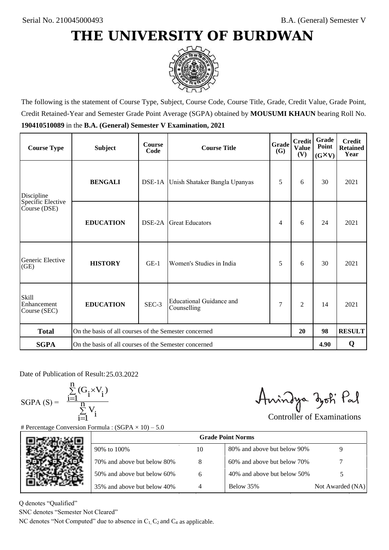

The following is the statement of Course Type, Subject, Course Code, Course Title, Grade, Credit Value, Grade Point, Credit Retained-Year and Semester Grade Point Average (SGPA) obtained by **MOUSUMI KHAUN** bearing Roll No. **190410510089** in the **B.A. (General) Semester V Examination, 2021**

| <b>Course Type</b>                          | <b>Subject</b>                                        | <b>Course</b><br>Code | Grade<br><b>Course Title</b>            |   | <b>Credit</b><br><b>Value</b><br>(V) | Grade<br>Point<br>$(G\times V)$ | <b>Credit</b><br><b>Retained</b><br>Year |
|---------------------------------------------|-------------------------------------------------------|-----------------------|-----------------------------------------|---|--------------------------------------|---------------------------------|------------------------------------------|
| Discipline                                  | <b>BENGALI</b>                                        |                       | DSE-1A Unish Shataker Bangla Upanyas    | 5 | 6                                    | 30                              | 2021                                     |
| Specific Elective<br>Course (DSE)           | <b>EDUCATION</b>                                      | DSE-2A                | <b>Great Educators</b>                  | 4 | 6                                    | 24                              | 2021                                     |
| Generic Elective<br>(GE)                    | <b>HISTORY</b>                                        | $GE-1$                | Women's Studies in India                | 5 | 6                                    | 30                              | 2021                                     |
| <b>Skill</b><br>Enhancement<br>Course (SEC) | <b>EDUCATION</b>                                      | SEC-3                 | Educational Guidance and<br>Counselling | 7 | $\overline{c}$                       | 14                              | 2021                                     |
| <b>Total</b>                                | On the basis of all courses of the Semester concerned |                       |                                         |   | 20                                   | 98                              | <b>RESULT</b>                            |
| <b>SGPA</b>                                 | On the basis of all courses of the Semester concerned |                       |                                         |   |                                      | 4.90                            | Q                                        |

Date of Publication of Result: 25,03,2022

SGPA  $(S) = \frac{1-1}{1}$ 

$$
\frac{\sum\limits_{i=1}^{n} (G_i \times V_i)}{\sum\limits_{i=1}^{n} V_i}
$$

Amindya zoti Pal

| ate of Publication of Result: 25.03.2022<br>GPA (S) = $\frac{\sum_{i=1}^{n} (G_i \times V_i)}{\sum_{i=1}^{n} V_i}$ |                                                                                   |    | Aningya zoti Pal            | <b>Controller of Examinations</b> |
|--------------------------------------------------------------------------------------------------------------------|-----------------------------------------------------------------------------------|----|-----------------------------|-----------------------------------|
|                                                                                                                    | Percentage Conversion Formula : $(SGPA \times 10) - 5.0$                          |    | <b>Grade Point Norms</b>    |                                   |
|                                                                                                                    |                                                                                   |    |                             |                                   |
|                                                                                                                    | 90% to 100%                                                                       | 10 | 80% and above but below 90% | 9                                 |
|                                                                                                                    | 70% and above but below 80%                                                       | 8  | 60% and above but below 70% |                                   |
|                                                                                                                    | 50% and above but below 60%                                                       | 6  | 40% and above but below 50% | 5                                 |
|                                                                                                                    | 35% and above but below 40%                                                       | 4  | Below 35%                   | Not Awarded (NA)                  |
| denotes "Qualified"                                                                                                |                                                                                   |    |                             |                                   |
| NC denotes "Semester Not Cleared"                                                                                  |                                                                                   |    |                             |                                   |
|                                                                                                                    | C denotes "Not Computed" due to absence in $C_1$ , $C_2$ and $C_4$ as applicable. |    |                             |                                   |

Q denotes "Qualified"

SNC denotes "Semester Not Cleared"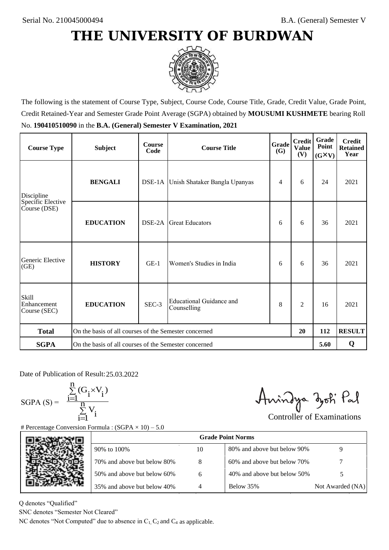

The following is the statement of Course Type, Subject, Course Code, Course Title, Grade, Credit Value, Grade Point, Credit Retained-Year and Semester Grade Point Average (SGPA) obtained by **MOUSUMI KUSHMETE** bearing Roll No. **190410510090** in the **B.A. (General) Semester V Examination, 2021**

| <b>Course Type</b>                          | <b>Subject</b>                                        | <b>Course</b><br>Code | <b>Grade</b><br><b>Course Title</b><br><b>(G)</b> |   | <b>Credit</b><br><b>Value</b><br>(V) | Grade<br>Point<br>$(G\times V)$ | <b>Credit</b><br><b>Retained</b><br>Year |
|---------------------------------------------|-------------------------------------------------------|-----------------------|---------------------------------------------------|---|--------------------------------------|---------------------------------|------------------------------------------|
| Discipline                                  | <b>BENGALI</b>                                        |                       | DSE-1A Unish Shataker Bangla Upanyas              | 4 | 6                                    | 24                              | 2021                                     |
| Specific Elective<br>Course (DSE)           | <b>EDUCATION</b>                                      | DSE-2A                | <b>Great Educators</b>                            | 6 | 6                                    | 36                              | 2021                                     |
| Generic Elective<br>(GE)                    | <b>HISTORY</b>                                        | $GE-1$                | Women's Studies in India                          | 6 | 6                                    | 36                              | 2021                                     |
| <b>Skill</b><br>Enhancement<br>Course (SEC) | <b>EDUCATION</b>                                      | SEC-3                 | Educational Guidance and<br>Counselling           |   | $\overline{c}$                       | 16                              | 2021                                     |
| <b>Total</b>                                | On the basis of all courses of the Semester concerned |                       |                                                   |   | 20                                   | 112                             | <b>RESULT</b>                            |
| <b>SGPA</b>                                 | On the basis of all courses of the Semester concerned |                       |                                                   |   |                                      | 5.60                            | Q                                        |

Date of Publication of Result: 25,03,2022

SGPA  $(S) = \frac{1-1}{1}$ 

$$
\frac{\sum\limits_{i=1}^{n}(G_{i}\times V_{i})}{\sum\limits_{i=1}^{n}V_{i}}
$$

Amindya zoti Pal

| ate of Publication of Result: 25.03.2022<br>GPA (S) = $\frac{\sum_{i=1}^{n} (G_i \times V_i)}{\sum_{i=1}^{n} V_i}$ |                                                                                   |    | Aningya zoti Pal            | <b>Controller of Examinations</b> |
|--------------------------------------------------------------------------------------------------------------------|-----------------------------------------------------------------------------------|----|-----------------------------|-----------------------------------|
|                                                                                                                    | Percentage Conversion Formula : $(SGPA \times 10) - 5.0$                          |    | <b>Grade Point Norms</b>    |                                   |
|                                                                                                                    | 90% to 100%                                                                       | 10 | 80% and above but below 90% | 9                                 |
|                                                                                                                    | 70% and above but below 80%                                                       | 8  | 60% and above but below 70% |                                   |
|                                                                                                                    | 50% and above but below 60%                                                       | 6  | 40% and above but below 50% | 5                                 |
|                                                                                                                    | 35% and above but below 40%                                                       | 4  | Below 35%                   | Not Awarded (NA)                  |
| denotes "Qualified"<br>NC denotes "Semester Not Cleared"                                                           | C denotes "Not Computed" due to absence in $C_1$ , $C_2$ and $C_4$ as applicable. |    |                             |                                   |

Q denotes "Qualified"

SNC denotes "Semester Not Cleared"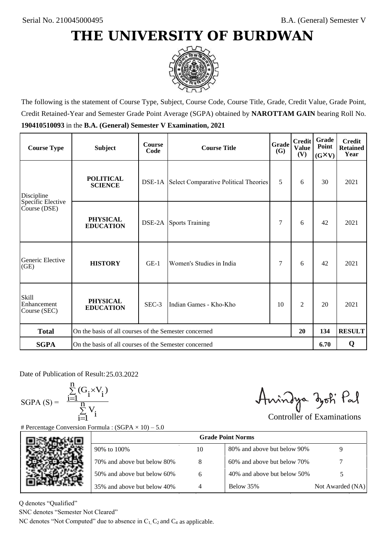

The following is the statement of Course Type, Subject, Course Code, Course Title, Grade, Credit Value, Grade Point, Credit Retained-Year and Semester Grade Point Average (SGPA) obtained by **NAROTTAM GAIN** bearing Roll No. **190410510093** in the **B.A. (General) Semester V Examination, 2021**

| <b>Course Type</b>                          | <b>Subject</b>                                              | <b>Course</b><br>Code | <b>Course Title</b>                                 | Grade<br>(G) | <b>Credit</b><br><b>Value</b><br>(V) | <b>Grade</b><br>Point<br>$(G\times V)$ | <b>Credit</b><br><b>Retained</b><br>Year |
|---------------------------------------------|-------------------------------------------------------------|-----------------------|-----------------------------------------------------|--------------|--------------------------------------|----------------------------------------|------------------------------------------|
| Discipline                                  | <b>POLITICAL</b><br><b>SCIENCE</b>                          |                       | <b>DSE-1A</b> Select Comparative Political Theories | 5            | 6                                    | 30                                     | 2021                                     |
| Specific Elective<br>Course (DSE)           | <b>PHYSICAL</b><br><b>EDUCATION</b>                         |                       | <b>DSE-2A</b> Sports Training                       | 7            | 6                                    | 42                                     | 2021                                     |
| Generic Elective<br>(GE)                    | <b>HISTORY</b>                                              | $GE-1$                | Women's Studies in India                            | 7            | 6                                    | 42                                     | 2021                                     |
| <b>Skill</b><br>Enhancement<br>Course (SEC) | <b>PHYSICAL</b><br><b>EDUCATION</b>                         | SEC-3                 | Indian Games - Kho-Kho                              | 10           | 2                                    | 20                                     | 2021                                     |
| <b>Total</b>                                | On the basis of all courses of the Semester concerned<br>20 |                       |                                                     |              | 134                                  | <b>RESULT</b>                          |                                          |
| <b>SGPA</b>                                 | On the basis of all courses of the Semester concerned       |                       |                                                     |              |                                      | 6.70                                   | Q                                        |

Date of Publication of Result: 25,03,2022

SGPA  $(S) = \frac{1-1}{1}$ 

$$
\frac{\sum_{i=1}^{n} (G_i \times V_i)}{\sum_{i=1}^{n} V_i}
$$

Amindya zoti Pal

| ate of Publication of Result: 25.03.2022<br>GPA (S) = $\frac{\sum_{i=1}^{n} (G_i \times V_i)}{\sum_{i=1}^{n} V_i}$ | Percentage Conversion Formula : $(SGPA \times 10) - 5.0$                          |    | Aningya zoti Pal            | <b>Controller of Examinations</b> |
|--------------------------------------------------------------------------------------------------------------------|-----------------------------------------------------------------------------------|----|-----------------------------|-----------------------------------|
|                                                                                                                    |                                                                                   |    | <b>Grade Point Norms</b>    |                                   |
|                                                                                                                    | 90% to 100%                                                                       | 10 | 80% and above but below 90% | 9                                 |
|                                                                                                                    | 70% and above but below 80%                                                       | 8  | 60% and above but below 70% |                                   |
|                                                                                                                    | 50% and above but below 60%                                                       | 6  | 40% and above but below 50% | 5                                 |
|                                                                                                                    | 35% and above but below 40%                                                       | 4  | Below 35%                   | Not Awarded (NA)                  |
| denotes "Qualified"<br>NC denotes "Semester Not Cleared"                                                           | C denotes "Not Computed" due to absence in $C_1$ , $C_2$ and $C_4$ as applicable. |    |                             |                                   |

Q denotes "Qualified"

SNC denotes "Semester Not Cleared"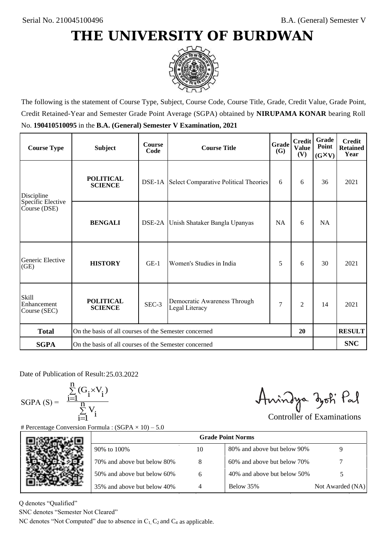

The following is the statement of Course Type, Subject, Course Code, Course Title, Grade, Credit Value, Grade Point, Credit Retained-Year and Semester Grade Point Average (SGPA) obtained by **NIRUPAMA KONAR** bearing Roll No. **190410510095** in the **B.A. (General) Semester V Examination, 2021**

| <b>Course Type</b>                          | <b>Subject</b>                                              | <b>Course</b><br>Code | <b>Grade</b><br><b>Course Title</b>                 |           | <b>Credit</b><br><b>Value</b><br>(V) | Grade<br>Point<br>$(G\times V)$ | <b>Credit</b><br><b>Retained</b><br>Year |
|---------------------------------------------|-------------------------------------------------------------|-----------------------|-----------------------------------------------------|-----------|--------------------------------------|---------------------------------|------------------------------------------|
| Discipline                                  | <b>POLITICAL</b><br><b>SCIENCE</b>                          |                       | <b>DSE-1A</b> Select Comparative Political Theories | 6         | 6                                    | 36                              | 2021                                     |
| Specific Elective<br>Course (DSE)           | <b>BENGALI</b>                                              |                       | DSE-2A Unish Shataker Bangla Upanyas                | <b>NA</b> | 6                                    | <b>NA</b>                       |                                          |
| Generic Elective<br>(GE)                    | <b>HISTORY</b>                                              | $GE-1$                | Women's Studies in India                            | 5         | 6                                    | 30                              | 2021                                     |
| <b>Skill</b><br>Enhancement<br>Course (SEC) | <b>POLITICAL</b><br><b>SCIENCE</b>                          | SEC-3                 | Democratic Awareness Through<br>Legal Literacy      | 7         | $\overline{2}$                       | 14                              | 2021                                     |
| <b>Total</b>                                | On the basis of all courses of the Semester concerned<br>20 |                       |                                                     |           |                                      | <b>RESULT</b>                   |                                          |
| <b>SGPA</b>                                 | On the basis of all courses of the Semester concerned       |                       |                                                     |           |                                      |                                 | <b>SNC</b>                               |

Date of Publication of Result: 25,03,2022

SGPA  $(S) = \frac{1-1}{1}$ 

$$
\frac{\sum\limits_{i=1}^{n} (G_i \times V_i)}{\sum\limits_{i=1}^{n} V_i}
$$

Amindya zoti Pal

| ate of Publication of Result: 25.03.2022<br>GPA (S) = $\frac{\sum_{i=1}^{n} (G_i \times V_i)}{\sum_{i=1}^{n} V_i}$ | Percentage Conversion Formula : $(SGPA \times 10) - 5.0$                          |    | Aningya zoti Pal            | <b>Controller of Examinations</b> |
|--------------------------------------------------------------------------------------------------------------------|-----------------------------------------------------------------------------------|----|-----------------------------|-----------------------------------|
|                                                                                                                    |                                                                                   |    | <b>Grade Point Norms</b>    |                                   |
|                                                                                                                    | 90% to 100%                                                                       | 10 | 80% and above but below 90% | 9                                 |
|                                                                                                                    | 70% and above but below 80%                                                       | 8  | 60% and above but below 70% |                                   |
|                                                                                                                    | 50% and above but below 60%                                                       | 6  | 40% and above but below 50% | 5                                 |
|                                                                                                                    | 35% and above but below 40%                                                       | 4  | Below 35%                   | Not Awarded (NA)                  |
| denotes "Qualified"<br>NC denotes "Semester Not Cleared"                                                           | C denotes "Not Computed" due to absence in $C_1$ , $C_2$ and $C_4$ as applicable. |    |                             |                                   |

Q denotes "Qualified"

SNC denotes "Semester Not Cleared"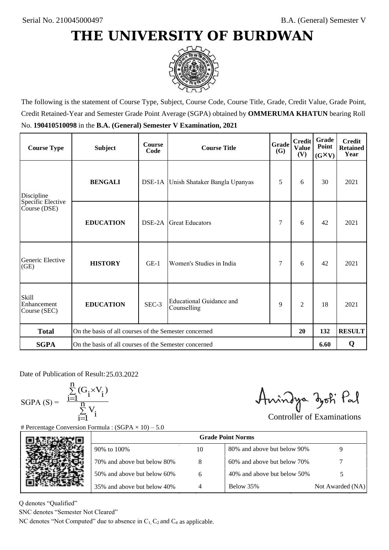

The following is the statement of Course Type, Subject, Course Code, Course Title, Grade, Credit Value, Grade Point, Credit Retained-Year and Semester Grade Point Average (SGPA) obtained by **OMMERUMA KHATUN** bearing Roll No. **190410510098** in the **B.A. (General) Semester V Examination, 2021**

| <b>Course Type</b>                          | <b>Subject</b>                                        | <b>Course</b><br>Code | <b>Grade</b><br><b>Course Title</b><br><b>(G)</b> |   | <b>Credit</b><br><b>Value</b><br>(V) | Grade<br>Point<br>$(G\times V)$ | <b>Credit</b><br><b>Retained</b><br>Year |
|---------------------------------------------|-------------------------------------------------------|-----------------------|---------------------------------------------------|---|--------------------------------------|---------------------------------|------------------------------------------|
| Discipline                                  | <b>BENGALI</b>                                        |                       | DSE-1A Unish Shataker Bangla Upanyas              | 5 | 6                                    | 30                              | 2021                                     |
| Specific Elective<br>Course (DSE)           | <b>EDUCATION</b>                                      | DSE-2A                | <b>Great Educators</b>                            | 7 | 6                                    | 42                              | 2021                                     |
| Generic Elective<br>(GE)                    | <b>HISTORY</b>                                        | $GE-1$                | Women's Studies in India                          | 7 | 6                                    | 42                              | 2021                                     |
| <b>Skill</b><br>Enhancement<br>Course (SEC) | <b>EDUCATION</b>                                      | SEC-3                 | Educational Guidance and<br>Counselling           | 9 | $\overline{c}$                       | 18                              | 2021                                     |
| <b>Total</b>                                | On the basis of all courses of the Semester concerned |                       |                                                   |   | 20                                   | 132                             | <b>RESULT</b>                            |
| <b>SGPA</b>                                 | On the basis of all courses of the Semester concerned |                       |                                                   |   |                                      | 6.60                            | Q                                        |

Date of Publication of Result: 25,03,2022

 $SGPA(S) =$ <sup>1</sup>

$$
\frac{\sum\limits_{i=1}^{n} (G_i \times V_i)}{\sum\limits_{i=1}^{n} V_i}
$$

Amindya zoti Pal

| ate of Publication of Result: 25.03.2022<br>SGPA (S) = $\frac{\sum_{i=1}^{n} (G_i \times V_i)}{\sum_{i=1}^{n} V_i}$ | Percentage Conversion Formula : $(SGPA \times 10) - 5.0$                          |    | Aningya zoti Pal            | <b>Controller of Examinations</b> |
|---------------------------------------------------------------------------------------------------------------------|-----------------------------------------------------------------------------------|----|-----------------------------|-----------------------------------|
|                                                                                                                     |                                                                                   |    | <b>Grade Point Norms</b>    |                                   |
|                                                                                                                     | 90% to 100%                                                                       | 10 | 80% and above but below 90% | 9                                 |
|                                                                                                                     | 70% and above but below 80%                                                       | 8  | 60% and above but below 70% |                                   |
|                                                                                                                     | 50% and above but below 60%                                                       | 6  | 40% and above but below 50% | 5                                 |
|                                                                                                                     | 35% and above but below 40%                                                       | 4  | Below 35%                   | Not Awarded (NA)                  |
| denotes "Qualified"<br>NC denotes "Semester Not Cleared"                                                            | C denotes "Not Computed" due to absence in $C_1$ , $C_2$ and $C_4$ as applicable. |    |                             |                                   |

Q denotes "Qualified"

SNC denotes "Semester Not Cleared"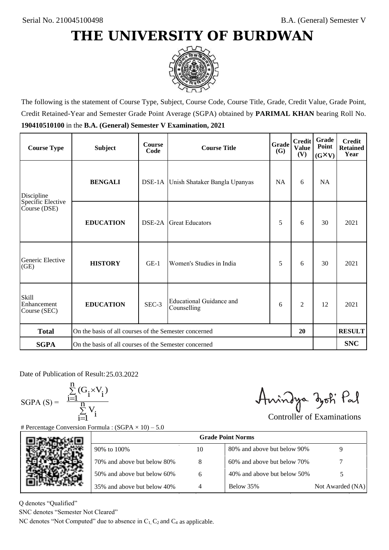

The following is the statement of Course Type, Subject, Course Code, Course Title, Grade, Credit Value, Grade Point, Credit Retained-Year and Semester Grade Point Average (SGPA) obtained by **PARIMAL KHAN** bearing Roll No. **190410510100** in the **B.A. (General) Semester V Examination, 2021**

| <b>Course Type</b>                          | <b>Subject</b>                                              | <b>Course</b><br>Code | Grade<br><b>Course Title</b>            |           | <b>Credit</b><br><b>Value</b><br>(V) | Grade<br>Point<br>$(G\times V)$ | <b>Credit</b><br><b>Retained</b><br>Year |
|---------------------------------------------|-------------------------------------------------------------|-----------------------|-----------------------------------------|-----------|--------------------------------------|---------------------------------|------------------------------------------|
| Discipline                                  | <b>BENGALI</b>                                              |                       | DSE-1A Unish Shataker Bangla Upanyas    | <b>NA</b> | 6                                    | NA                              |                                          |
| Specific Elective<br>Course (DSE)           | <b>EDUCATION</b>                                            | DSE-2A                | <b>Great Educators</b>                  | 5         | 6                                    | 30                              | 2021                                     |
| Generic Elective<br>(GE)                    | <b>HISTORY</b>                                              | $GE-1$                | Women's Studies in India                | 5         | 6                                    | 30                              | 2021                                     |
| <b>Skill</b><br>Enhancement<br>Course (SEC) | <b>EDUCATION</b>                                            | SEC-3                 | Educational Guidance and<br>Counselling | 6         | $\overline{c}$                       | 12                              | 2021                                     |
| <b>Total</b>                                | On the basis of all courses of the Semester concerned<br>20 |                       |                                         |           |                                      | <b>RESULT</b>                   |                                          |
| <b>SGPA</b>                                 | On the basis of all courses of the Semester concerned       |                       |                                         |           |                                      |                                 | <b>SNC</b>                               |

Date of Publication of Result: 25,03,2022

 $SGPA(S) =$ 

$$
\frac{\sum\limits_{i=1}^{n} (G_i \times V_i)}{\sum\limits_{i=1}^{n} V_i}
$$

Amindya zoti Pal

| ate of Publication of Result: 25.03.2022<br>GPA (S) = $\frac{\sum_{i=1}^{n} (G_i \times V_i)}{\sum_{i=1}^{n} V_i}$ | Percentage Conversion Formula : $(SGPA \times 10) - 5.0$                          |    | Aningya zoti Pal            | <b>Controller of Examinations</b> |
|--------------------------------------------------------------------------------------------------------------------|-----------------------------------------------------------------------------------|----|-----------------------------|-----------------------------------|
|                                                                                                                    |                                                                                   |    | <b>Grade Point Norms</b>    |                                   |
|                                                                                                                    | 90% to 100%                                                                       | 10 | 80% and above but below 90% | 9                                 |
|                                                                                                                    | 70% and above but below 80%                                                       | 8  | 60% and above but below 70% |                                   |
|                                                                                                                    | 50% and above but below 60%                                                       | 6  | 40% and above but below 50% | 5                                 |
|                                                                                                                    | 35% and above but below 40%                                                       | 4  | Below 35%                   | Not Awarded (NA)                  |
| denotes "Qualified"<br>NC denotes "Semester Not Cleared"                                                           | C denotes "Not Computed" due to absence in $C_1$ , $C_2$ and $C_4$ as applicable. |    |                             |                                   |

Q denotes "Qualified"

SNC denotes "Semester Not Cleared"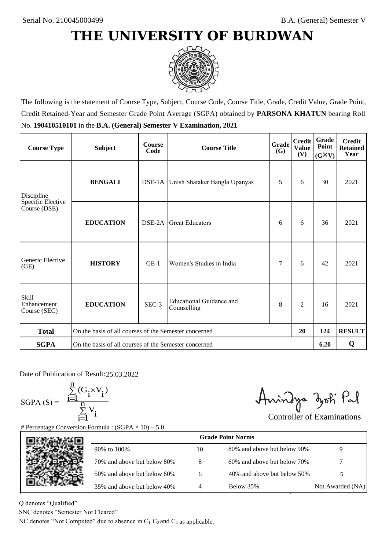

The following is the statement of Course Type, Subject, Course Code, Course Title, Grade, Credit Value, Grade Point, Credit Retained-Year and Semester Grade Point Average (SGPA) obtained by **PARSONA KHATUN** bearing Roll No. **190410510101** in the **B.A. (General) Semester V Examination, 2021**

| <b>Course Type</b>                          | <b>Subject</b>                                        | <b>Course</b><br>Code | <b>Course Title</b>                     | <b>Grade</b><br><b>(G)</b> | <b>Credit</b><br><b>Value</b><br>(V) | Grade<br>Point<br>$(G\times V)$ | <b>Credit</b><br><b>Retained</b><br>Year |
|---------------------------------------------|-------------------------------------------------------|-----------------------|-----------------------------------------|----------------------------|--------------------------------------|---------------------------------|------------------------------------------|
| Discipline                                  | <b>BENGALI</b>                                        |                       | DSE-1A Unish Shataker Bangla Upanyas    | 5                          | 6                                    | 30                              | 2021                                     |
| Specific Elective<br>Course (DSE)           | <b>EDUCATION</b>                                      | DSE-2A                | <b>Great Educators</b>                  | 6                          | 6                                    | 36                              | 2021                                     |
| Generic Elective<br>(GE)                    | <b>HISTORY</b>                                        | $GE-1$                | Women's Studies in India                | 7                          | 6                                    | 42                              | 2021                                     |
| <b>Skill</b><br>Enhancement<br>Course (SEC) | <b>EDUCATION</b>                                      | SEC-3                 | Educational Guidance and<br>Counselling | 8                          | $\overline{c}$                       | 16                              | 2021                                     |
| <b>Total</b>                                | On the basis of all courses of the Semester concerned |                       |                                         |                            | 20                                   | 124                             | <b>RESULT</b>                            |
| <b>SGPA</b>                                 | On the basis of all courses of the Semester concerned |                       |                                         |                            |                                      | 6.20                            | Q                                        |

Date of Publication of Result: 25,03,2022

SGPA  $(S) = \frac{1-1}{1}$ 

$$
\frac{\sum\limits_{i=1}^{n}(G_{i}\times V_{i})}{\sum\limits_{i=1}^{n}V_{i}}
$$

Amindya zoti Pal

| ate of Publication of Result: 25.03.2022<br>GPA (S) = $\frac{\sum_{i=1}^{n} (G_i \times V_i)}{\sum_{i=1}^{n} V_i}$ |                                                                                   |    | Aningya zoti Pal            | <b>Controller of Examinations</b> |
|--------------------------------------------------------------------------------------------------------------------|-----------------------------------------------------------------------------------|----|-----------------------------|-----------------------------------|
|                                                                                                                    | Percentage Conversion Formula : $(SGPA \times 10) - 5.0$                          |    |                             |                                   |
|                                                                                                                    |                                                                                   |    | <b>Grade Point Norms</b>    |                                   |
|                                                                                                                    | 90% to 100%                                                                       | 10 | 80% and above but below 90% | 9                                 |
|                                                                                                                    | 70% and above but below 80%                                                       | 8  | 60% and above but below 70% |                                   |
|                                                                                                                    | 50% and above but below 60%                                                       | 6  | 40% and above but below 50% | 5                                 |
|                                                                                                                    | 35% and above but below 40%                                                       | 4  | Below 35%                   | Not Awarded (NA)                  |
| denotes "Qualified"<br>NC denotes "Semester Not Cleared"                                                           | C denotes "Not Computed" due to absence in $C_1$ , $C_2$ and $C_4$ as applicable. |    |                             |                                   |
|                                                                                                                    |                                                                                   |    |                             |                                   |

Q denotes "Qualified"

SNC denotes "Semester Not Cleared"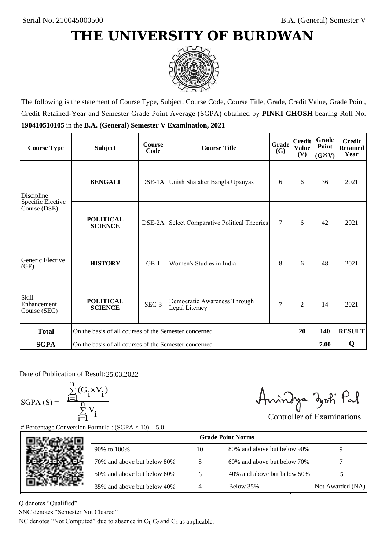

The following is the statement of Course Type, Subject, Course Code, Course Title, Grade, Credit Value, Grade Point, Credit Retained-Year and Semester Grade Point Average (SGPA) obtained by **PINKI GHOSH** bearing Roll No. **190410510105** in the **B.A. (General) Semester V Examination, 2021**

| <b>Course Type</b>                          | <b>Subject</b>                                              | <b>Course</b><br>Code | Grade<br><b>Course Title</b><br><b>(G)</b>          |        | <b>Credit</b><br><b>Value</b><br>(V) | Grade<br>Point<br>$(G\times V)$ | <b>Credit</b><br><b>Retained</b><br>Year |
|---------------------------------------------|-------------------------------------------------------------|-----------------------|-----------------------------------------------------|--------|--------------------------------------|---------------------------------|------------------------------------------|
| Discipline                                  | <b>BENGALI</b>                                              |                       | DSE-1A Unish Shataker Bangla Upanyas                | 6      | 6                                    | 36                              | 2021                                     |
| Specific Elective<br>Course (DSE)           | <b>POLITICAL</b><br><b>SCIENCE</b>                          |                       | <b>DSE-2A</b> Select Comparative Political Theories | $\tau$ | 6                                    | 42                              | 2021                                     |
| Generic Elective<br>(GE)                    | <b>HISTORY</b>                                              | $GE-1$                | Women's Studies in India                            | 8      | 6                                    | 48                              | 2021                                     |
| <b>Skill</b><br>Enhancement<br>Course (SEC) | <b>POLITICAL</b><br><b>SCIENCE</b>                          | SEC-3                 | Democratic Awareness Through<br>Legal Literacy      | 7      | $\overline{c}$                       | 14                              | 2021                                     |
| <b>Total</b>                                | On the basis of all courses of the Semester concerned<br>20 |                       |                                                     |        | 140                                  | <b>RESULT</b>                   |                                          |
| <b>SGPA</b>                                 | On the basis of all courses of the Semester concerned       |                       |                                                     |        |                                      | 7.00                            | Q                                        |

Date of Publication of Result: 25,03,2022

 $SGPA(S) =$ 

$$
\frac{\sum\limits_{i=1}^n(G_i\times V_i)}{\sum\limits_{i=1}^nV_i}
$$

Amindya zoti Pal

| ate of Publication of Result: 25.03.2022<br>GPA (S) = $\frac{\sum_{i=1}^{n} (G_i \times V_i)}{\sum_{i=1}^{n} V_i}$ |                                                                                   |                | Aningya zoti Pal            | <b>Controller of Examinations</b> |
|--------------------------------------------------------------------------------------------------------------------|-----------------------------------------------------------------------------------|----------------|-----------------------------|-----------------------------------|
|                                                                                                                    | Percentage Conversion Formula : $(SGPA \times 10) - 5.0$                          |                | <b>Grade Point Norms</b>    |                                   |
|                                                                                                                    | 90% to 100%                                                                       | 10             | 80% and above but below 90% | 9                                 |
|                                                                                                                    | 70% and above but below 80%                                                       | 8              | 60% and above but below 70% |                                   |
|                                                                                                                    | 50% and above but below 60%                                                       | 6              | 40% and above but below 50% | 5                                 |
|                                                                                                                    | 35% and above but below 40%                                                       | $\overline{4}$ | Below 35%                   | Not Awarded (NA)                  |
| denotes "Qualified"<br>NC denotes "Semester Not Cleared"                                                           | C denotes "Not Computed" due to absence in $C_1$ , $C_2$ and $C_4$ as applicable. |                |                             |                                   |

Q denotes "Qualified"

SNC denotes "Semester Not Cleared"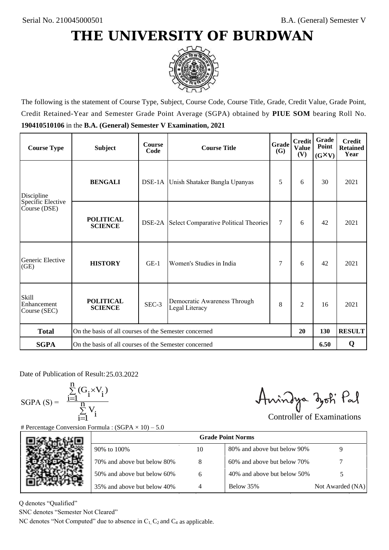

The following is the statement of Course Type, Subject, Course Code, Course Title, Grade, Credit Value, Grade Point, Credit Retained-Year and Semester Grade Point Average (SGPA) obtained by **PIUE SOM** bearing Roll No. **190410510106** in the **B.A. (General) Semester V Examination, 2021**

| <b>Course Type</b>                          | <b>Subject</b>                                              | <b>Course</b><br>Code | Grade<br><b>Course Title</b><br><b>(G)</b>     |        | <b>Credit</b><br><b>Value</b><br>(V) | Grade<br>Point<br>$(G\times V)$ | <b>Credit</b><br><b>Retained</b><br>Year |
|---------------------------------------------|-------------------------------------------------------------|-----------------------|------------------------------------------------|--------|--------------------------------------|---------------------------------|------------------------------------------|
| Discipline                                  | <b>BENGALI</b>                                              |                       | DSE-1A Unish Shataker Bangla Upanyas           | 5      | 6                                    | 30                              | 2021                                     |
| Specific Elective<br>Course (DSE)           | <b>POLITICAL</b><br><b>SCIENCE</b>                          |                       | DSE-2A Select Comparative Political Theories   | $\tau$ | 6                                    | 42                              | 2021                                     |
| Generic Elective<br>(GE)                    | <b>HISTORY</b>                                              | $GE-1$                | Women's Studies in India                       | 7      | 6                                    | 42                              | 2021                                     |
| <b>Skill</b><br>Enhancement<br>Course (SEC) | <b>POLITICAL</b><br><b>SCIENCE</b>                          | SEC-3                 | Democratic Awareness Through<br>Legal Literacy | 8      | $\overline{c}$                       | 16                              | 2021                                     |
| <b>Total</b>                                | On the basis of all courses of the Semester concerned<br>20 |                       |                                                |        | 130                                  | <b>RESULT</b>                   |                                          |
| <b>SGPA</b>                                 | On the basis of all courses of the Semester concerned       |                       |                                                |        |                                      | 6.50                            | Q                                        |

Date of Publication of Result: 25,03,2022

SGPA  $(S) = \frac{1-1}{1}$ 

$$
\frac{\sum_{i=1}^{n} (G_i \times V_i)}{\sum_{i=1}^{n} V_i}
$$

Amindya zoti Pal

| Date of Publication of Result: 25.03.2022<br>SGPA (S) = $\frac{\sum_{i=1}^{n} (G_i \times V_i)}{\sum_{i=1}^{n} V_i}$ | <b>Percentage Conversion Formula : (SGPA</b> $\times$ 10) – 5.0                   |    | Aningya zoti Pal            | <b>Controller of Examinations</b> |
|----------------------------------------------------------------------------------------------------------------------|-----------------------------------------------------------------------------------|----|-----------------------------|-----------------------------------|
|                                                                                                                      |                                                                                   |    | <b>Grade Point Norms</b>    |                                   |
|                                                                                                                      | 90% to 100%                                                                       | 10 | 80% and above but below 90% | 9                                 |
|                                                                                                                      | 70% and above but below 80%                                                       | 8  | 60% and above but below 70% |                                   |
|                                                                                                                      | 50% and above but below 60%                                                       | 6  | 40% and above but below 50% | 5                                 |
|                                                                                                                      | 35% and above but below 40%                                                       | 4  | Below 35%                   | Not Awarded (NA)                  |
| denotes "Qualified"<br>NC denotes "Semester Not Cleared"                                                             | C denotes "Not Computed" due to absence in $C_1$ , $C_2$ and $C_4$ as applicable. |    |                             |                                   |

Q denotes "Qualified"

SNC denotes "Semester Not Cleared"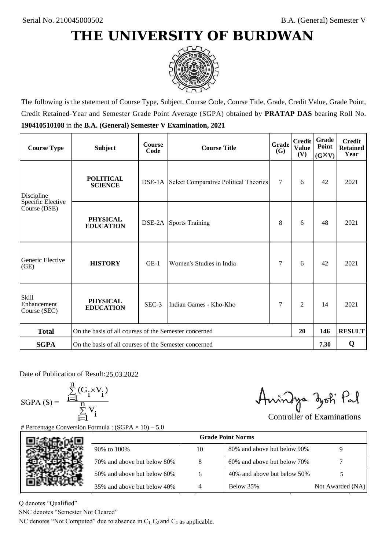

The following is the statement of Course Type, Subject, Course Code, Course Title, Grade, Credit Value, Grade Point, Credit Retained-Year and Semester Grade Point Average (SGPA) obtained by **PRATAP DAS** bearing Roll No. **190410510108** in the **B.A. (General) Semester V Examination, 2021**

| <b>Course Type</b>                               | <b>Subject</b>                                              | <b>Course</b><br>Code | Grade<br><b>Course Title</b>                        |   | <b>Credit</b><br><b>Value</b><br>(V) | <b>Grade</b><br>Point<br>$(G\times V)$ | <b>Credit</b><br><b>Retained</b><br>Year |
|--------------------------------------------------|-------------------------------------------------------------|-----------------------|-----------------------------------------------------|---|--------------------------------------|----------------------------------------|------------------------------------------|
| <b>POLITICAL</b><br><b>SCIENCE</b><br>Discipline |                                                             |                       | <b>DSE-1A</b> Select Comparative Political Theories | 7 | 6                                    | 42                                     | 2021                                     |
| Specific Elective<br>Course (DSE)                | <b>PHYSICAL</b><br><b>EDUCATION</b>                         |                       | <b>DSE-2A</b> Sports Training                       | 8 | 6                                    | 48                                     | 2021                                     |
| Generic Elective<br>(GE)                         | <b>HISTORY</b>                                              | $GE-1$                | Women's Studies in India                            | 7 | 6                                    | 42                                     | 2021                                     |
| <b>Skill</b><br>Enhancement<br>Course (SEC)      | <b>PHYSICAL</b><br><b>EDUCATION</b>                         | SEC-3                 | Indian Games - Kho-Kho                              | 7 | $\overline{c}$                       | 14                                     | 2021                                     |
| <b>Total</b>                                     | On the basis of all courses of the Semester concerned<br>20 |                       |                                                     |   | 146                                  | <b>RESULT</b>                          |                                          |
| <b>SGPA</b>                                      | On the basis of all courses of the Semester concerned       |                       |                                                     |   |                                      | 7.30                                   | Q                                        |

Date of Publication of Result: 25,03,2022

SGPA  $(S) = \frac{1-1}{1}$ 

$$
\frac{\sum\limits_{i=1}^{n} (G_i \times V_i)}{\sum\limits_{i=1}^{n} V_i}
$$

Amindya zoti Pal

| ate of Publication of Result: 25.03.2022<br>GPA (S) = $\frac{\sum_{i=1}^{n} (G_i \times V_i)}{\sum_{i=1}^{n} V_i}$ |                                                                                   |                | Aningya zoti Pal            | <b>Controller of Examinations</b> |
|--------------------------------------------------------------------------------------------------------------------|-----------------------------------------------------------------------------------|----------------|-----------------------------|-----------------------------------|
|                                                                                                                    | Percentage Conversion Formula : $(SGPA \times 10) - 5.0$                          |                | <b>Grade Point Norms</b>    |                                   |
|                                                                                                                    | 90% to 100%                                                                       | 10             | 80% and above but below 90% | 9                                 |
|                                                                                                                    | 70% and above but below 80%                                                       | 8              | 60% and above but below 70% |                                   |
|                                                                                                                    | 50% and above but below 60%                                                       | 6              | 40% and above but below 50% | 5                                 |
|                                                                                                                    | 35% and above but below 40%                                                       | $\overline{4}$ | Below 35%                   | Not Awarded (NA)                  |
| denotes "Qualified"<br>NC denotes "Semester Not Cleared"                                                           | C denotes "Not Computed" due to absence in $C_1$ , $C_2$ and $C_4$ as applicable. |                |                             |                                   |

Q denotes "Qualified"

SNC denotes "Semester Not Cleared"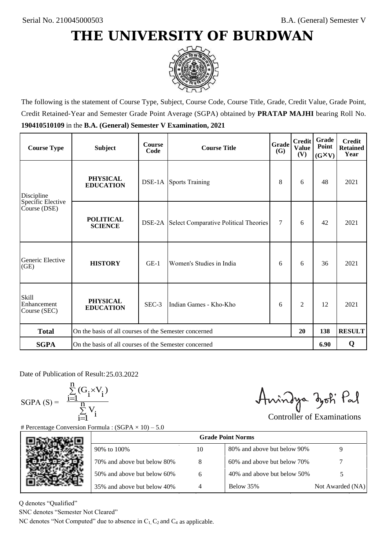

The following is the statement of Course Type, Subject, Course Code, Course Title, Grade, Credit Value, Grade Point, Credit Retained-Year and Semester Grade Point Average (SGPA) obtained by **PRATAP MAJHI** bearing Roll No. **190410510109** in the **B.A. (General) Semester V Examination, 2021**

| <b>Course Type</b>                                | <b>Subject</b>                                              | <b>Course</b><br>Code | Grade<br><b>Course Title</b>                        |        | <b>Credit</b><br><b>Value</b><br>(V) | Grade<br>Point<br>$(G\times V)$ | <b>Credit</b><br><b>Retained</b><br>Year |
|---------------------------------------------------|-------------------------------------------------------------|-----------------------|-----------------------------------------------------|--------|--------------------------------------|---------------------------------|------------------------------------------|
| <b>PHYSICAL</b><br><b>EDUCATION</b><br>Discipline |                                                             |                       | <b>DSE-1A</b> Sports Training                       | 8      | 6                                    | 48                              | 2021                                     |
| Specific Elective<br>Course (DSE)                 | <b>POLITICAL</b><br><b>SCIENCE</b>                          |                       | <b>DSE-2A</b> Select Comparative Political Theories | $\tau$ | 6                                    | 42                              | 2021                                     |
| Generic Elective<br>(GE)                          | <b>HISTORY</b>                                              | $GE-1$                | Women's Studies in India                            | 6      | 6                                    | 36                              | 2021                                     |
| Skill<br>Enhancement<br>Course (SEC)              | <b>PHYSICAL</b><br><b>EDUCATION</b>                         | SEC-3                 | Indian Games - Kho-Kho                              | 6      | 2                                    | 12                              | 2021                                     |
| <b>Total</b>                                      | On the basis of all courses of the Semester concerned<br>20 |                       |                                                     |        | 138                                  | <b>RESULT</b>                   |                                          |
| <b>SGPA</b>                                       | On the basis of all courses of the Semester concerned       |                       |                                                     |        |                                      | 6.90                            | Q                                        |

Date of Publication of Result: 25.03.2022

SGPA  $(S) = \frac{1-1}{1}$ 

$$
\frac{\sum\limits_{i=1}^{n} (G_i \times V_i)}{\sum\limits_{i=1}^{n} V_i}
$$

Amindya zoti Pal

| ate of Publication of Result: 25.03.2022<br>GPA (S) = $\frac{\sum_{i=1}^{n} (G_i \times V_i)}{\sum_{i=1}^{n} V_i}$ | Percentage Conversion Formula : $(SGPA \times 10) - 5.0$                          |    | Aningya zoti Pal            | <b>Controller of Examinations</b> |
|--------------------------------------------------------------------------------------------------------------------|-----------------------------------------------------------------------------------|----|-----------------------------|-----------------------------------|
|                                                                                                                    |                                                                                   |    | <b>Grade Point Norms</b>    |                                   |
|                                                                                                                    | 90% to 100%                                                                       | 10 | 80% and above but below 90% | 9                                 |
|                                                                                                                    | 70% and above but below 80%                                                       | 8  | 60% and above but below 70% |                                   |
|                                                                                                                    | 50% and above but below 60%                                                       | 6  | 40% and above but below 50% | 5                                 |
|                                                                                                                    | 35% and above but below 40%                                                       | 4  | Below 35%                   | Not Awarded (NA)                  |
| denotes "Qualified"<br>VC denotes "Semester Not Cleared"                                                           | C denotes "Not Computed" due to absence in $C_1$ , $C_2$ and $C_4$ as applicable. |    |                             |                                   |

Q denotes "Qualified"

SNC denotes "Semester Not Cleared"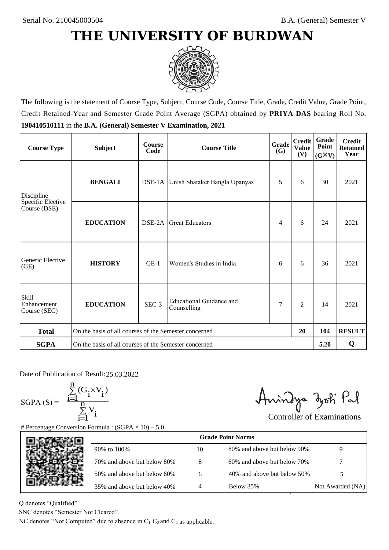

The following is the statement of Course Type, Subject, Course Code, Course Title, Grade, Credit Value, Grade Point, Credit Retained-Year and Semester Grade Point Average (SGPA) obtained by **PRIYA DAS** bearing Roll No. **190410510111** in the **B.A. (General) Semester V Examination, 2021**

| <b>Course Type</b>                          | <b>Subject</b>                                        | <b>Course</b><br>Code | Grade<br><b>Course Title</b><br><b>(G)</b> |   | <b>Credit</b><br><b>Value</b><br>(V) | Grade<br>Point<br>$(G\times V)$ | <b>Credit</b><br><b>Retained</b><br>Year |
|---------------------------------------------|-------------------------------------------------------|-----------------------|--------------------------------------------|---|--------------------------------------|---------------------------------|------------------------------------------|
| Discipline                                  | <b>BENGALI</b>                                        |                       | DSE-1A Unish Shataker Bangla Upanyas       | 5 | 6                                    | 30                              | 2021                                     |
| Specific Elective<br>Course (DSE)           | <b>EDUCATION</b>                                      | DSE-2A                | <b>Great Educators</b>                     | 4 | 6                                    | 24                              | 2021                                     |
| Generic Elective<br>(GE)                    | <b>HISTORY</b>                                        | $GE-1$                | Women's Studies in India                   | 6 | 6                                    | 36                              | 2021                                     |
| <b>Skill</b><br>Enhancement<br>Course (SEC) | <b>EDUCATION</b>                                      | SEC-3                 | Educational Guidance and<br>Counselling    | 7 | $\overline{c}$                       | 14                              | 2021                                     |
| <b>Total</b>                                | On the basis of all courses of the Semester concerned |                       |                                            |   | 20                                   | 104                             | <b>RESULT</b>                            |
| <b>SGPA</b>                                 | On the basis of all courses of the Semester concerned |                       |                                            |   |                                      | 5.20                            | Q                                        |

Date of Publication of Result: 25,03,2022

 $SGPA(S) =$ 

$$
\frac{\sum\limits_{i=1}^n (G_i \times V_i)}{\sum\limits_{i=1}^n V_i}
$$

Amindya zoti Pal

| ate of Publication of Result: 25.03.2022<br>GPA (S) = $\frac{\sum_{i=1}^{n} (G_i \times V_i)}{\sum_{i=1}^{n} V_i}$ | Percentage Conversion Formula : $(SGPA \times 10) - 5.0$                          |    | Aningya zoti Pal            | <b>Controller of Examinations</b> |
|--------------------------------------------------------------------------------------------------------------------|-----------------------------------------------------------------------------------|----|-----------------------------|-----------------------------------|
|                                                                                                                    |                                                                                   |    | <b>Grade Point Norms</b>    |                                   |
|                                                                                                                    | 90% to 100%                                                                       | 10 | 80% and above but below 90% | 9                                 |
|                                                                                                                    | 70% and above but below 80%                                                       | 8  | 60% and above but below 70% |                                   |
|                                                                                                                    | 50% and above but below 60%                                                       | 6  | 40% and above but below 50% | 5                                 |
|                                                                                                                    | 35% and above but below 40%                                                       | 4  | Below 35%                   | Not Awarded (NA)                  |
| denotes "Qualified"<br>NC denotes "Semester Not Cleared"                                                           | C denotes "Not Computed" due to absence in $C_1$ , $C_2$ and $C_4$ as applicable. |    |                             |                                   |

Q denotes "Qualified"

SNC denotes "Semester Not Cleared"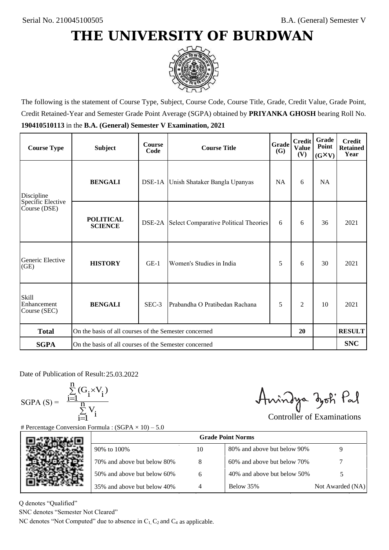

The following is the statement of Course Type, Subject, Course Code, Course Title, Grade, Credit Value, Grade Point, Credit Retained-Year and Semester Grade Point Average (SGPA) obtained by **PRIYANKA GHOSH** bearing Roll No. **190410510113** in the **B.A. (General) Semester V Examination, 2021**

| <b>Course Type</b>                          | <b>Subject</b>                                              | <b>Course</b><br>Code | <b>Grade</b><br><b>Course Title</b>                 |           | <b>Credit</b><br><b>Value</b><br>(V) | Grade<br>Point<br>$(G\times V)$ | <b>Credit</b><br><b>Retained</b><br>Year |
|---------------------------------------------|-------------------------------------------------------------|-----------------------|-----------------------------------------------------|-----------|--------------------------------------|---------------------------------|------------------------------------------|
| Discipline                                  | <b>BENGALI</b>                                              |                       | DSE-1A Unish Shataker Bangla Upanyas                | <b>NA</b> | 6                                    | <b>NA</b>                       |                                          |
| Specific Elective<br>Course (DSE)           | <b>POLITICAL</b><br><b>SCIENCE</b>                          |                       | <b>DSE-2A</b> Select Comparative Political Theories | 6         | 6                                    | 36                              | 2021                                     |
| Generic Elective<br>(GE)                    | <b>HISTORY</b>                                              | $GE-1$                | Women's Studies in India                            | 5         | 6                                    | 30                              | 2021                                     |
| <b>Skill</b><br>Enhancement<br>Course (SEC) | <b>BENGALI</b>                                              | SEC-3                 | Prabandha O Pratibedan Rachana                      | 5         | $\overline{2}$                       | 10                              | 2021                                     |
| <b>Total</b>                                | On the basis of all courses of the Semester concerned<br>20 |                       |                                                     |           |                                      |                                 | <b>RESULT</b>                            |
| <b>SGPA</b>                                 | On the basis of all courses of the Semester concerned       |                       |                                                     |           |                                      |                                 | <b>SNC</b>                               |

Date of Publication of Result: 25,03,2022

 $SGPA(S) =$ 

$$
\frac{\sum\limits_{i=1}^n(G_i\times V_i)}{\sum\limits_{i=1}^nV_i}
$$

Anindya zoti Pal

| ate of Publication of Result: 25.03.2022<br>GPA (S) = $\frac{\sum_{i=1}^{n} (G_i \times V_i)}{\sum_{i=1}^{n} V_i}$ | Percentage Conversion Formula : $(SGPA \times 10) - 5.0$                          |    | Aningya zoti Pal            | <b>Controller of Examinations</b> |
|--------------------------------------------------------------------------------------------------------------------|-----------------------------------------------------------------------------------|----|-----------------------------|-----------------------------------|
|                                                                                                                    |                                                                                   |    | <b>Grade Point Norms</b>    |                                   |
|                                                                                                                    | 90% to 100%                                                                       | 10 | 80% and above but below 90% | 9                                 |
|                                                                                                                    | 70% and above but below 80%                                                       | 8  | 60% and above but below 70% |                                   |
|                                                                                                                    | 50% and above but below 60%                                                       | 6  | 40% and above but below 50% | 5                                 |
|                                                                                                                    | 35% and above but below 40%                                                       | 4  | Below 35%                   | Not Awarded (NA)                  |
| denotes "Qualified"<br>VC denotes "Semester Not Cleared"                                                           | C denotes "Not Computed" due to absence in $C_1$ , $C_2$ and $C_4$ as applicable. |    |                             |                                   |

Q denotes "Qualified"

SNC denotes "Semester Not Cleared"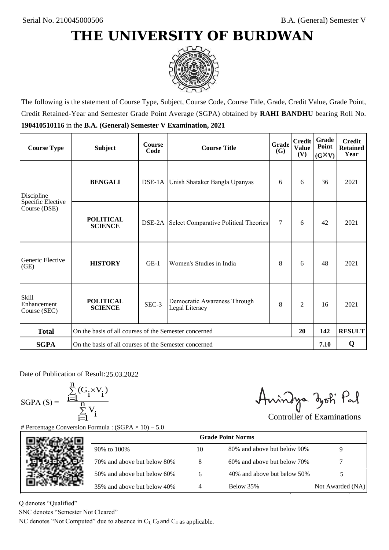

The following is the statement of Course Type, Subject, Course Code, Course Title, Grade, Credit Value, Grade Point, Credit Retained-Year and Semester Grade Point Average (SGPA) obtained by **RAHI BANDHU** bearing Roll No. **190410510116** in the **B.A. (General) Semester V Examination, 2021**

| <b>Course Type</b>                          | <b>Subject</b>                                              | <b>Course</b><br>Code | Grade<br><b>Course Title</b><br><b>(G)</b>          |        | <b>Credit</b><br><b>Value</b><br>(V) | Grade<br>Point<br>$(G\times V)$ | <b>Credit</b><br><b>Retained</b><br>Year |
|---------------------------------------------|-------------------------------------------------------------|-----------------------|-----------------------------------------------------|--------|--------------------------------------|---------------------------------|------------------------------------------|
| Discipline                                  | <b>BENGALI</b>                                              |                       | DSE-1A Unish Shataker Bangla Upanyas                | 6      | 6                                    | 36                              | 2021                                     |
| Specific Elective<br>Course (DSE)           | <b>POLITICAL</b><br><b>SCIENCE</b>                          |                       | <b>DSE-2A</b> Select Comparative Political Theories | $\tau$ | 6                                    | 42                              | 2021                                     |
| Generic Elective<br>(GE)                    | <b>HISTORY</b>                                              | $GE-1$                | Women's Studies in India                            | 8      | 6                                    | 48                              | 2021                                     |
| <b>Skill</b><br>Enhancement<br>Course (SEC) | <b>POLITICAL</b><br><b>SCIENCE</b>                          | SEC-3                 | Democratic Awareness Through<br>Legal Literacy      | 8      | $\overline{c}$                       | 16                              | 2021                                     |
| <b>Total</b>                                | On the basis of all courses of the Semester concerned<br>20 |                       |                                                     |        | 142                                  | <b>RESULT</b>                   |                                          |
| <b>SGPA</b>                                 | On the basis of all courses of the Semester concerned       |                       |                                                     |        |                                      | 7.10                            | Q                                        |

Date of Publication of Result: 25,03,2022

SGPA  $(S) = \frac{1-1}{1}$ 

$$
\frac{\sum\limits_{i=1}^{n} (G_i \times V_i)}{\sum\limits_{i=1}^{n} V_i}
$$

Amindya zoti Pal

| Date of Publication of Result: 25.03.2022<br>SGPA (S) = $\frac{\sum_{i=1}^{n} (G_i \times V_i)}{\sum_{i=1}^{n} V_i}$ | <b>Percentage Conversion Formula : (SGPA</b> $\times$ 10) – 5.0                   |    | Aningya zoti Pal            | <b>Controller of Examinations</b> |
|----------------------------------------------------------------------------------------------------------------------|-----------------------------------------------------------------------------------|----|-----------------------------|-----------------------------------|
|                                                                                                                      |                                                                                   |    | <b>Grade Point Norms</b>    |                                   |
|                                                                                                                      | 90% to 100%                                                                       | 10 | 80% and above but below 90% | 9                                 |
|                                                                                                                      | 70% and above but below 80%                                                       | 8  | 60% and above but below 70% |                                   |
|                                                                                                                      | 50% and above but below 60%                                                       | 6  | 40% and above but below 50% | 5                                 |
|                                                                                                                      | 35% and above but below 40%                                                       | 4  | Below 35%                   | Not Awarded (NA)                  |
| denotes "Qualified"<br>NC denotes "Semester Not Cleared"                                                             | C denotes "Not Computed" due to absence in $C_1$ , $C_2$ and $C_4$ as applicable. |    |                             |                                   |

Q denotes "Qualified"

SNC denotes "Semester Not Cleared"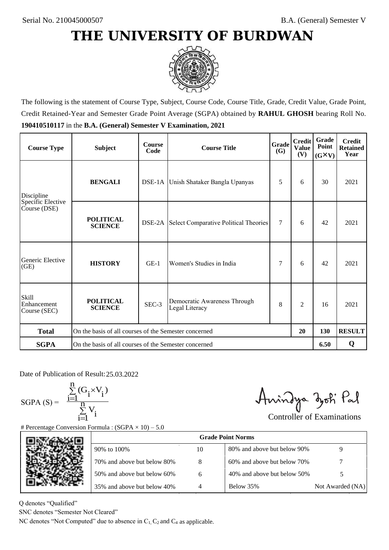

The following is the statement of Course Type, Subject, Course Code, Course Title, Grade, Credit Value, Grade Point, Credit Retained-Year and Semester Grade Point Average (SGPA) obtained by **RAHUL GHOSH** bearing Roll No. **190410510117** in the **B.A. (General) Semester V Examination, 2021**

| <b>Course Type</b>                          | <b>Subject</b>                                              | <b>Course</b><br>Code | Grade<br><b>Course Title</b><br><b>(G)</b>          |        | <b>Credit</b><br><b>Value</b><br>(V) | Grade<br>Point<br>$(G\times V)$ | <b>Credit</b><br><b>Retained</b><br>Year |
|---------------------------------------------|-------------------------------------------------------------|-----------------------|-----------------------------------------------------|--------|--------------------------------------|---------------------------------|------------------------------------------|
| Discipline                                  | <b>BENGALI</b>                                              |                       | DSE-1A Unish Shataker Bangla Upanyas                | 5      | 6                                    | 30                              | 2021                                     |
| Specific Elective<br>Course (DSE)           | <b>POLITICAL</b><br><b>SCIENCE</b>                          |                       | <b>DSE-2A</b> Select Comparative Political Theories | $\tau$ | 6                                    | 42                              | 2021                                     |
| Generic Elective<br>(GE)                    | <b>HISTORY</b>                                              | $GE-1$                | Women's Studies in India                            | 7      | 6                                    | 42                              | 2021                                     |
| <b>Skill</b><br>Enhancement<br>Course (SEC) | <b>POLITICAL</b><br><b>SCIENCE</b>                          | SEC-3                 | Democratic Awareness Through<br>Legal Literacy      | 8      | $\overline{c}$                       | 16                              | 2021                                     |
| <b>Total</b>                                | On the basis of all courses of the Semester concerned<br>20 |                       |                                                     |        | 130                                  | <b>RESULT</b>                   |                                          |
| <b>SGPA</b>                                 | On the basis of all courses of the Semester concerned       |                       |                                                     |        |                                      | 6.50                            | Q                                        |

Date of Publication of Result: 25,03,2022

SGPA  $(S) = \frac{1-1}{1}$ 

$$
\frac{\sum_{i=1}^{n} (G_i \times V_i)}{\sum_{i=1}^{n} V_i}
$$

Amindya zoti Pal

| ate of Publication of Result: 25.03.2022<br>GPA (S) = $\frac{\sum_{i=1}^{n} (G_i \times V_i)}{\sum_{i=1}^{n} V_i}$ |                                                                                   |                | Aningya zoti Pal            | <b>Controller of Examinations</b> |
|--------------------------------------------------------------------------------------------------------------------|-----------------------------------------------------------------------------------|----------------|-----------------------------|-----------------------------------|
|                                                                                                                    | Percentage Conversion Formula : $(SGPA \times 10) - 5.0$                          |                |                             |                                   |
|                                                                                                                    |                                                                                   |                | <b>Grade Point Norms</b>    |                                   |
|                                                                                                                    | 90% to 100%                                                                       | 10             | 80% and above but below 90% | 9                                 |
|                                                                                                                    | 70% and above but below 80%                                                       | 8              | 60% and above but below 70% |                                   |
|                                                                                                                    | 50% and above but below 60%                                                       | 6              | 40% and above but below 50% | 5                                 |
|                                                                                                                    | 35% and above but below 40%                                                       | $\overline{4}$ | Below 35%                   | Not Awarded (NA)                  |
| denotes "Qualified"<br>NC denotes "Semester Not Cleared"                                                           |                                                                                   |                |                             |                                   |
|                                                                                                                    | C denotes "Not Computed" due to absence in $C_1$ , $C_2$ and $C_4$ as applicable. |                |                             |                                   |

Q denotes "Qualified"

SNC denotes "Semester Not Cleared"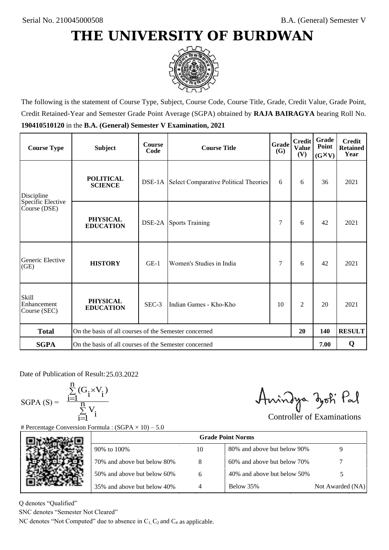

The following is the statement of Course Type, Subject, Course Code, Course Title, Grade, Credit Value, Grade Point, Credit Retained-Year and Semester Grade Point Average (SGPA) obtained by **RAJA BAIRAGYA** bearing Roll No. **190410510120** in the **B.A. (General) Semester V Examination, 2021**

| <b>Course Type</b>                          | <b>Subject</b>                                              | <b>Course</b><br>Code | Grade<br><b>Course Title</b>                        |    | <b>Credit</b><br><b>Value</b><br>(V) | <b>Grade</b><br>Point<br>$(G\times V)$ | <b>Credit</b><br><b>Retained</b><br>Year |
|---------------------------------------------|-------------------------------------------------------------|-----------------------|-----------------------------------------------------|----|--------------------------------------|----------------------------------------|------------------------------------------|
| Discipline                                  | <b>POLITICAL</b><br><b>SCIENCE</b>                          |                       | <b>DSE-1A</b> Select Comparative Political Theories | 6  | 6                                    | 36                                     | 2021                                     |
| Specific Elective<br>Course (DSE)           | <b>PHYSICAL</b><br><b>EDUCATION</b>                         |                       | <b>DSE-2A</b> Sports Training                       | 7  | 6                                    | 42                                     | 2021                                     |
| Generic Elective<br>(GE)                    | <b>HISTORY</b>                                              | $GE-1$                | Women's Studies in India                            | 7  | 6                                    | 42                                     | 2021                                     |
| <b>Skill</b><br>Enhancement<br>Course (SEC) | <b>PHYSICAL</b><br><b>EDUCATION</b>                         | SEC-3                 | Indian Games - Kho-Kho                              | 10 | 2                                    | 20                                     | 2021                                     |
| <b>Total</b>                                | On the basis of all courses of the Semester concerned<br>20 |                       |                                                     |    |                                      | 140                                    | <b>RESULT</b>                            |
| <b>SGPA</b>                                 | On the basis of all courses of the Semester concerned       |                       |                                                     |    |                                      | 7.00                                   | Q                                        |

Date of Publication of Result: 25,03,2022

 $SGPA(S) =$ 

$$
\frac{\sum\limits_{i=1}^n(G_i\times V_i)}{\sum\limits_{i=1}^nV_i}
$$

Amindya zoti Pal

| ate of Publication of Result: 25.03.2022<br>GPA (S) = $\frac{\sum_{i=1}^{n} (G_i \times V_i)}{\sum_{i=1}^{n} V_i}$ |                                                                                   |    | Aningya zoti Pal            | <b>Controller of Examinations</b> |
|--------------------------------------------------------------------------------------------------------------------|-----------------------------------------------------------------------------------|----|-----------------------------|-----------------------------------|
|                                                                                                                    | Percentage Conversion Formula : $(SGPA \times 10) - 5.0$                          |    |                             |                                   |
|                                                                                                                    |                                                                                   |    | <b>Grade Point Norms</b>    |                                   |
|                                                                                                                    | 90% to 100%                                                                       | 10 | 80% and above but below 90% | 9                                 |
|                                                                                                                    | 70% and above but below 80%                                                       | 8  | 60% and above but below 70% |                                   |
|                                                                                                                    | 50% and above but below 60%                                                       | 6  | 40% and above but below 50% | 5                                 |
|                                                                                                                    | 35% and above but below 40%                                                       | 4  | Below 35%                   | Not Awarded (NA)                  |
| denotes "Qualified"<br>NC denotes "Semester Not Cleared"                                                           |                                                                                   |    |                             |                                   |
|                                                                                                                    | C denotes "Not Computed" due to absence in $C_1$ , $C_2$ and $C_4$ as applicable. |    |                             |                                   |

Q denotes "Qualified"

SNC denotes "Semester Not Cleared"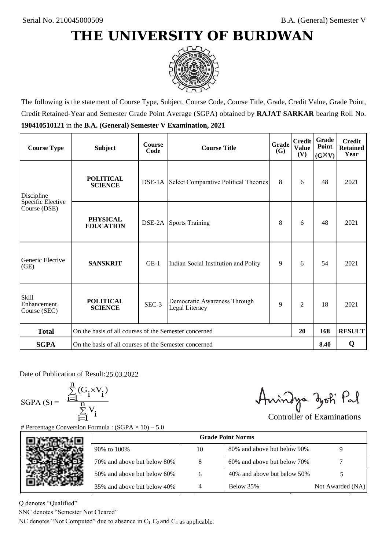

The following is the statement of Course Type, Subject, Course Code, Course Title, Grade, Credit Value, Grade Point, Credit Retained-Year and Semester Grade Point Average (SGPA) obtained by **RAJAT SARKAR** bearing Roll No. **190410510121** in the **B.A. (General) Semester V Examination, 2021**

| <b>Course Type</b>                          | <b>Subject</b>                                              | <b>Course</b><br>Code | Grade<br><b>Course Title</b>                        |   | <b>Credit</b><br><b>Value</b><br>(V) | <b>Grade</b><br>Point<br>$(G\times V)$ | <b>Credit</b><br><b>Retained</b><br>Year |
|---------------------------------------------|-------------------------------------------------------------|-----------------------|-----------------------------------------------------|---|--------------------------------------|----------------------------------------|------------------------------------------|
| Discipline                                  | <b>POLITICAL</b><br><b>SCIENCE</b>                          |                       | <b>DSE-1A</b> Select Comparative Political Theories |   | 6                                    | 48                                     | 2021                                     |
| Specific Elective<br>Course (DSE)           | <b>PHYSICAL</b><br><b>EDUCATION</b>                         |                       | <b>DSE-2A</b> Sports Training                       | 8 | 6                                    | 48                                     | 2021                                     |
| Generic Elective<br>(GE)                    | <b>SANSKRIT</b>                                             | $GE-1$                | Indian Social Institution and Polity                | 9 | 6                                    | 54                                     | 2021                                     |
| <b>Skill</b><br>Enhancement<br>Course (SEC) | <b>POLITICAL</b><br><b>SCIENCE</b>                          | SEC-3                 | Democratic Awareness Through<br>Legal Literacy      | 9 | $\overline{c}$                       | 18                                     | 2021                                     |
| <b>Total</b>                                | On the basis of all courses of the Semester concerned<br>20 |                       |                                                     |   |                                      | 168                                    | <b>RESULT</b>                            |
| <b>SGPA</b>                                 | On the basis of all courses of the Semester concerned       |                       |                                                     |   |                                      | 8.40                                   | Q                                        |

Date of Publication of Result: 25,03,2022

SGPA  $(S) = \frac{1-1}{1}$ 

$$
\frac{\sum\limits_{i=1}^{n} (G_i \times V_i)}{\sum\limits_{i=1}^{n} V_i}
$$

Amindya zoti Pal

|    | Aningya zoti Pal                                                                  | <b>Controller of Examinations</b> |
|----|-----------------------------------------------------------------------------------|-----------------------------------|
|    |                                                                                   |                                   |
|    |                                                                                   |                                   |
| 10 | 80% and above but below 90%                                                       | 9                                 |
| 8  | 60% and above but below 70%                                                       |                                   |
| 6  | 40% and above but below 50%                                                       | 5                                 |
| 4  | Below 35%                                                                         | Not Awarded (NA)                  |
|    |                                                                                   |                                   |
|    | C denotes "Not Computed" due to absence in $C_1$ , $C_2$ and $C_4$ as applicable. | <b>Grade Point Norms</b>          |

Q denotes "Qualified"

SNC denotes "Semester Not Cleared"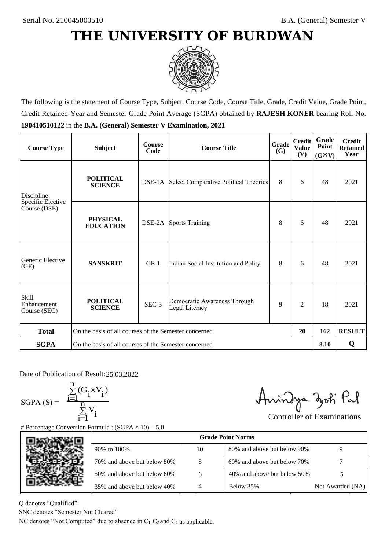

The following is the statement of Course Type, Subject, Course Code, Course Title, Grade, Credit Value, Grade Point, Credit Retained-Year and Semester Grade Point Average (SGPA) obtained by **RAJESH KONER** bearing Roll No. **190410510122** in the **B.A. (General) Semester V Examination, 2021**

| <b>Course Type</b>                          | <b>Subject</b>                                              | <b>Course</b><br>Code | Grade<br><b>Course Title</b>                        |   | <b>Credit</b><br><b>Value</b><br>(V) | <b>Grade</b><br>Point<br>$(G\times V)$ | <b>Credit</b><br><b>Retained</b><br>Year |
|---------------------------------------------|-------------------------------------------------------------|-----------------------|-----------------------------------------------------|---|--------------------------------------|----------------------------------------|------------------------------------------|
| Discipline                                  | <b>POLITICAL</b><br><b>SCIENCE</b>                          |                       | <b>DSE-1A</b> Select Comparative Political Theories |   | 6                                    | 48                                     | 2021                                     |
| Specific Elective<br>Course (DSE)           | <b>PHYSICAL</b><br><b>EDUCATION</b>                         |                       | <b>DSE-2A</b> Sports Training                       | 8 | 6                                    | 48                                     | 2021                                     |
| Generic Elective<br>(GE)                    | <b>SANSKRIT</b>                                             | $GE-1$                | Indian Social Institution and Polity                | 8 | 6                                    | 48                                     | 2021                                     |
| <b>Skill</b><br>Enhancement<br>Course (SEC) | <b>POLITICAL</b><br><b>SCIENCE</b>                          | SEC-3                 | Democratic Awareness Through<br>Legal Literacy      | 9 | $\overline{c}$                       | 18                                     | 2021                                     |
| <b>Total</b>                                | On the basis of all courses of the Semester concerned<br>20 |                       |                                                     |   |                                      | 162                                    | <b>RESULT</b>                            |
| <b>SGPA</b>                                 | On the basis of all courses of the Semester concerned       |                       |                                                     |   |                                      | 8.10                                   | Q                                        |

Date of Publication of Result: 25,03,2022

 $SGPA(S) =$ 

$$
\frac{\sum\limits_{i=1}^{n} (G_i \times V_i)}{\sum\limits_{i=1}^{n} V_i}
$$

Amindya zoti Pal

| ate of Publication of Result: 25.03.2022<br>GPA (S) = $\frac{\sum_{i=1}^{n} (G_i \times V_i)}{\sum_{i=1}^{n} V_i}$ |                                                                                   |    | Aningya zoti Pal            | <b>Controller of Examinations</b> |
|--------------------------------------------------------------------------------------------------------------------|-----------------------------------------------------------------------------------|----|-----------------------------|-----------------------------------|
|                                                                                                                    | Percentage Conversion Formula : $(SGPA \times 10) - 5.0$                          |    | <b>Grade Point Norms</b>    |                                   |
|                                                                                                                    |                                                                                   |    |                             |                                   |
|                                                                                                                    | 90% to 100%                                                                       | 10 | 80% and above but below 90% | 9                                 |
|                                                                                                                    | 70% and above but below 80%                                                       | 8  | 60% and above but below 70% |                                   |
|                                                                                                                    | 50% and above but below 60%                                                       | 6  | 40% and above but below 50% | 5                                 |
|                                                                                                                    | 35% and above but below 40%                                                       | 4  | Below 35%                   | Not Awarded (NA)                  |
| denotes "Qualified"                                                                                                |                                                                                   |    |                             |                                   |
| NC denotes "Semester Not Cleared"                                                                                  |                                                                                   |    |                             |                                   |
|                                                                                                                    | C denotes "Not Computed" due to absence in $C_1$ , $C_2$ and $C_4$ as applicable. |    |                             |                                   |

Q denotes "Qualified"

SNC denotes "Semester Not Cleared"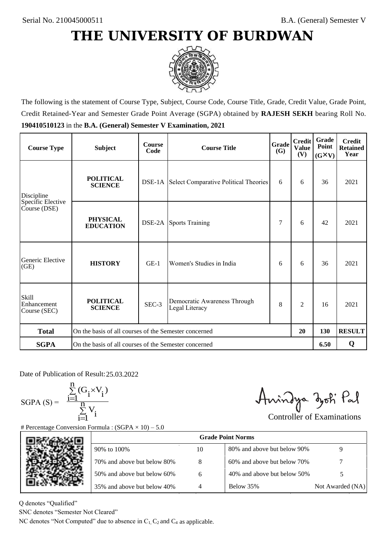

The following is the statement of Course Type, Subject, Course Code, Course Title, Grade, Credit Value, Grade Point, Credit Retained-Year and Semester Grade Point Average (SGPA) obtained by **RAJESH SEKH** bearing Roll No. **190410510123** in the **B.A. (General) Semester V Examination, 2021**

| <b>Course Type</b>                          | <b>Subject</b>                                              | <b>Course</b><br>Code | <b>Course Title</b>                                 | Grade<br><b>(G)</b> | <b>Credit</b><br><b>Value</b><br>(V) | Grade<br>Point<br>$(G\times V)$ | <b>Credit</b><br><b>Retained</b><br>Year |
|---------------------------------------------|-------------------------------------------------------------|-----------------------|-----------------------------------------------------|---------------------|--------------------------------------|---------------------------------|------------------------------------------|
| Discipline                                  | <b>POLITICAL</b><br><b>SCIENCE</b>                          |                       | <b>DSE-1A</b> Select Comparative Political Theories | 6                   | 6                                    | 36                              | 2021                                     |
| Specific Elective<br>Course (DSE)           | <b>PHYSICAL</b><br><b>EDUCATION</b>                         |                       | <b>DSE-2A</b> Sports Training                       | 7                   | 6                                    | 42                              | 2021                                     |
| Generic Elective<br>(GE)                    | <b>HISTORY</b>                                              | $GE-1$                | Women's Studies in India                            | 6                   | 6                                    | 36                              | 2021                                     |
| <b>Skill</b><br>Enhancement<br>Course (SEC) | <b>POLITICAL</b><br><b>SCIENCE</b>                          | SEC-3                 | Democratic Awareness Through<br>Legal Literacy      | 8                   | $\overline{c}$                       | 16                              | 2021                                     |
| <b>Total</b>                                | On the basis of all courses of the Semester concerned<br>20 |                       |                                                     |                     |                                      | 130                             | <b>RESULT</b>                            |
| <b>SGPA</b>                                 | On the basis of all courses of the Semester concerned       |                       |                                                     |                     |                                      | 6.50                            | Q                                        |

Date of Publication of Result: 25,03,2022

SGPA  $(S) = \frac{1-1}{1}$ 

$$
\frac{\sum\limits_{i=1}^{n} (G_i \times V_i)}{\sum\limits_{i=1}^{n} V_i}
$$

Amindya zoti Pal

| ate of Publication of Result: 25.03.2022<br>GPA (S) = $\frac{\sum_{i=1}^{n} (G_i \times V_i)}{\sum_{i=1}^{n} V_i}$ | Percentage Conversion Formula : $(SGPA \times 10) - 5.0$                          |    | Aningya zoti Pal            | <b>Controller of Examinations</b> |
|--------------------------------------------------------------------------------------------------------------------|-----------------------------------------------------------------------------------|----|-----------------------------|-----------------------------------|
|                                                                                                                    |                                                                                   |    | <b>Grade Point Norms</b>    |                                   |
|                                                                                                                    | 90% to 100%                                                                       | 10 | 80% and above but below 90% | 9                                 |
|                                                                                                                    | 70% and above but below 80%                                                       | 8  | 60% and above but below 70% |                                   |
|                                                                                                                    | 50% and above but below 60%                                                       | 6  | 40% and above but below 50% | 5                                 |
|                                                                                                                    | 35% and above but below 40%                                                       | 4  | Below 35%                   | Not Awarded (NA)                  |
| denotes "Qualified"<br>NC denotes "Semester Not Cleared"                                                           | C denotes "Not Computed" due to absence in $C_1$ , $C_2$ and $C_4$ as applicable. |    |                             |                                   |

Q denotes "Qualified"

SNC denotes "Semester Not Cleared"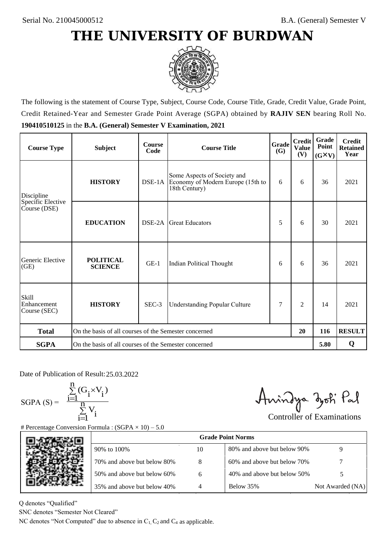

The following is the statement of Course Type, Subject, Course Code, Course Title, Grade, Credit Value, Grade Point, Credit Retained-Year and Semester Grade Point Average (SGPA) obtained by **RAJIV SEN** bearing Roll No. **190410510125** in the **B.A. (General) Semester V Examination, 2021**

| <b>Course Type</b>                          | <b>Subject</b>                                              | <b>Course</b><br>Code | Grade<br><b>Course Title</b><br>(G)                                               |   | <b>Credit</b><br><b>Value</b><br>(V) | Grade<br>Point<br>$(G\times V)$ | <b>Credit</b><br><b>Retained</b><br>Year |
|---------------------------------------------|-------------------------------------------------------------|-----------------------|-----------------------------------------------------------------------------------|---|--------------------------------------|---------------------------------|------------------------------------------|
| Discipline                                  | <b>HISTORY</b>                                              |                       | Some Aspects of Society and<br>Economy of Modern Europe (15th to<br>18th Century) | 6 | 6                                    | 36                              | 2021                                     |
| Specific Elective<br>Course (DSE)           | <b>EDUCATION</b>                                            | DSE-2A                | <b>Great Educators</b>                                                            | 5 | 6                                    | 30                              | 2021                                     |
| Generic Elective<br>(GE)                    | <b>POLITICAL</b><br><b>SCIENCE</b>                          | $GE-1$                | Indian Political Thought                                                          | 6 | 6                                    | 36                              | 2021                                     |
| <b>Skill</b><br>Enhancement<br>Course (SEC) | <b>HISTORY</b>                                              | SEC-3                 | <b>Understanding Popular Culture</b>                                              | 7 | $\overline{c}$                       | 14                              | 2021                                     |
| <b>Total</b>                                | On the basis of all courses of the Semester concerned<br>20 |                       |                                                                                   |   |                                      | 116                             | <b>RESULT</b>                            |
| <b>SGPA</b>                                 | On the basis of all courses of the Semester concerned       |                       |                                                                                   |   |                                      | 5.80                            | Q                                        |

Date of Publication of Result: 25,03,2022

 $SGPA(S) =$ <sup>1</sup>

$$
\frac{\sum\limits_{i=1}^{n} (G_i \times V_i)}{\sum\limits_{i=1}^{n} V_i}
$$

Amindya zoti Pal

| ate of Publication of Result: 25.03.2022<br>GPA (S) = $\frac{\sum_{i=1}^{n} (G_i \times V_i)}{\sum_{i=1}^{n} V_i}$ | Percentage Conversion Formula : $(SGPA \times 10) - 5.0$                          |    | Aningya zoti Pal            | <b>Controller of Examinations</b> |
|--------------------------------------------------------------------------------------------------------------------|-----------------------------------------------------------------------------------|----|-----------------------------|-----------------------------------|
|                                                                                                                    |                                                                                   |    | <b>Grade Point Norms</b>    |                                   |
|                                                                                                                    | 90% to 100%                                                                       | 10 | 80% and above but below 90% | 9                                 |
|                                                                                                                    | 70% and above but below 80%                                                       | 8  | 60% and above but below 70% |                                   |
|                                                                                                                    | 50% and above but below 60%                                                       | 6  | 40% and above but below 50% | 5                                 |
|                                                                                                                    | 35% and above but below 40%                                                       | 4  | Below 35%                   | Not Awarded (NA)                  |
| denotes "Qualified"<br>NC denotes "Semester Not Cleared"                                                           | C denotes "Not Computed" due to absence in $C_1$ , $C_2$ and $C_4$ as applicable. |    |                             |                                   |

Q denotes "Qualified"

SNC denotes "Semester Not Cleared"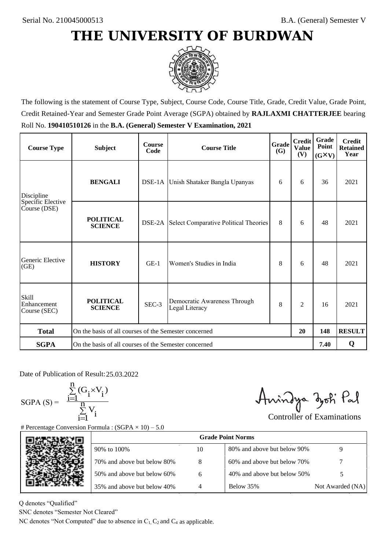

The following is the statement of Course Type, Subject, Course Code, Course Title, Grade, Credit Value, Grade Point, Credit Retained-Year and Semester Grade Point Average (SGPA) obtained by **RAJLAXMI CHATTERJEE** bearing Roll No. **190410510126** in the **B.A. (General) Semester V Examination, 2021**

| <b>Course Type</b>                          | <b>Subject</b>                                              | <b>Course</b><br>Code | Grade<br><b>Course Title</b>                   |   | <b>Credit</b><br><b>Value</b><br>(V) | Grade<br>Point<br>$(G\times V)$ | <b>Credit</b><br><b>Retained</b><br>Year |
|---------------------------------------------|-------------------------------------------------------------|-----------------------|------------------------------------------------|---|--------------------------------------|---------------------------------|------------------------------------------|
| Discipline                                  | <b>BENGALI</b>                                              |                       | DSE-1A Unish Shataker Bangla Upanyas           |   | 6                                    | 36                              | 2021                                     |
| Specific Elective<br>Course (DSE)           | <b>POLITICAL</b><br><b>SCIENCE</b>                          | DSE-2A                | Select Comparative Political Theories          | 8 | 6                                    | 48                              | 2021                                     |
| Generic Elective<br>(GE)                    | <b>HISTORY</b>                                              | $GE-1$                | Women's Studies in India                       | 8 | 6                                    | 48                              | 2021                                     |
| <b>Skill</b><br>Enhancement<br>Course (SEC) | <b>POLITICAL</b><br><b>SCIENCE</b>                          | SEC-3                 | Democratic Awareness Through<br>Legal Literacy | 8 | $\overline{c}$                       | 16                              | 2021                                     |
| <b>Total</b>                                | On the basis of all courses of the Semester concerned<br>20 |                       |                                                |   |                                      | 148                             | <b>RESULT</b>                            |
| <b>SGPA</b>                                 | On the basis of all courses of the Semester concerned       |                       |                                                |   |                                      | 7.40                            | Q                                        |

Date of Publication of Result: 25,03,2022

SGPA  $(S) = \frac{1-1}{1}$ 

$$
\frac{\sum_{i=1}^{n} (G_i \times V_i)}{\sum_{i=1}^{n} V_i}
$$

Amindya zoti Pal

| Date of Publication of Result: 25.03.2022<br>SGPA (S) = $\frac{\sum_{i=1}^{n} (G_i \times V_i)}{\sum_{i=1}^{n} V_i}$ | <b>Percentage Conversion Formula : (SGPA</b> $\times$ 10) – 5.0                   |    | Aningya zoti Pal            | <b>Controller of Examinations</b> |
|----------------------------------------------------------------------------------------------------------------------|-----------------------------------------------------------------------------------|----|-----------------------------|-----------------------------------|
|                                                                                                                      |                                                                                   |    | <b>Grade Point Norms</b>    |                                   |
|                                                                                                                      | 90% to 100%                                                                       | 10 | 80% and above but below 90% | 9                                 |
|                                                                                                                      | 70% and above but below 80%                                                       | 8  | 60% and above but below 70% |                                   |
|                                                                                                                      | 50% and above but below 60%                                                       | 6  | 40% and above but below 50% | 5                                 |
|                                                                                                                      | 35% and above but below 40%                                                       | 4  | Below 35%                   | Not Awarded (NA)                  |
| denotes "Qualified"<br>NC denotes "Semester Not Cleared"                                                             | C denotes "Not Computed" due to absence in $C_1$ , $C_2$ and $C_4$ as applicable. |    |                             |                                   |

Q denotes "Qualified"

SNC denotes "Semester Not Cleared"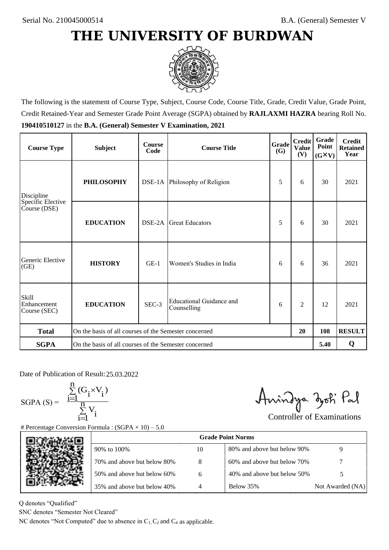

The following is the statement of Course Type, Subject, Course Code, Course Title, Grade, Credit Value, Grade Point, Credit Retained-Year and Semester Grade Point Average (SGPA) obtained by **RAJLAXMI HAZRA** bearing Roll No. **190410510127** in the **B.A. (General) Semester V Examination, 2021**

| <b>Course Type</b>                          | <b>Subject</b>                                        | <b>Course</b><br>Code | Grade<br><b>Course Title</b><br>(G)     |   | <b>Credit</b><br><b>Value</b><br>(V) | Grade<br>Point<br>$(G\times V)$ | <b>Credit</b><br><b>Retained</b><br>Year |
|---------------------------------------------|-------------------------------------------------------|-----------------------|-----------------------------------------|---|--------------------------------------|---------------------------------|------------------------------------------|
| Discipline                                  | <b>PHILOSOPHY</b>                                     |                       | DSE-1A Philosophy of Religion           | 5 | 6                                    | 30                              | 2021                                     |
| Specific Elective<br>Course (DSE)           | <b>EDUCATION</b>                                      | DSE-2A                | <b>Great Educators</b>                  | 5 | 6                                    | 30                              | 2021                                     |
| Generic Elective<br>(GE)                    | <b>HISTORY</b>                                        | $GE-1$                | Women's Studies in India                | 6 | 6                                    | 36                              | 2021                                     |
| <b>Skill</b><br>Enhancement<br>Course (SEC) | <b>EDUCATION</b>                                      | SEC-3                 | Educational Guidance and<br>Counselling | 6 | $\overline{2}$                       | 12                              | 2021                                     |
| <b>Total</b>                                | On the basis of all courses of the Semester concerned |                       |                                         |   | 20                                   | 108                             | <b>RESULT</b>                            |
| <b>SGPA</b>                                 | On the basis of all courses of the Semester concerned |                       |                                         |   |                                      | 5.40                            | Q                                        |

Date of Publication of Result: 25,03,2022

SGPA  $(S) = \frac{1-1}{1}$ 

$$
\frac{\sum\limits_{i=1}^{n} (G_i \times V_i)}{\sum\limits_{i=1}^{n} V_i}
$$

Amindya zoti Pal

| ate of Publication of Result: 25.03.2022<br>GPA (S) = $\frac{\sum_{i=1}^{n} (G_i \times V_i)}{\sum_{i=1}^{n} V_i}$ |                                                                                   |    | Aningya zoti Pal            | <b>Controller of Examinations</b> |
|--------------------------------------------------------------------------------------------------------------------|-----------------------------------------------------------------------------------|----|-----------------------------|-----------------------------------|
|                                                                                                                    | Percentage Conversion Formula : $(SGPA \times 10) - 5.0$                          |    |                             |                                   |
|                                                                                                                    |                                                                                   |    | <b>Grade Point Norms</b>    |                                   |
|                                                                                                                    | 90% to 100%                                                                       | 10 | 80% and above but below 90% | 9                                 |
|                                                                                                                    | 70% and above but below 80%                                                       | 8  | 60% and above but below 70% |                                   |
|                                                                                                                    | 50% and above but below 60%                                                       | 6  | 40% and above but below 50% | 5                                 |
|                                                                                                                    | 35% and above but below 40%                                                       | 4  | Below 35%                   | Not Awarded (NA)                  |
| denotes "Qualified"<br>NC denotes "Semester Not Cleared"                                                           |                                                                                   |    |                             |                                   |
|                                                                                                                    | C denotes "Not Computed" due to absence in $C_1$ , $C_2$ and $C_4$ as applicable. |    |                             |                                   |

Q denotes "Qualified"

SNC denotes "Semester Not Cleared"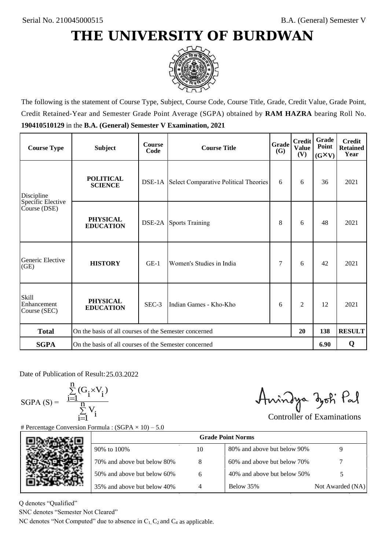

The following is the statement of Course Type, Subject, Course Code, Course Title, Grade, Credit Value, Grade Point, Credit Retained-Year and Semester Grade Point Average (SGPA) obtained by **RAM HAZRA** bearing Roll No. **190410510129** in the **B.A. (General) Semester V Examination, 2021**

| <b>Course Type</b>                   | <b>Subject</b>                                              | <b>Course</b><br>Code | Grade<br><b>Course Title</b><br><b>(G)</b>          |   | <b>Credit</b><br><b>Value</b><br>(V) | <b>Grade</b><br>Point<br>$(G\times V)$ | <b>Credit</b><br><b>Retained</b><br>Year |
|--------------------------------------|-------------------------------------------------------------|-----------------------|-----------------------------------------------------|---|--------------------------------------|----------------------------------------|------------------------------------------|
| Discipline                           | <b>POLITICAL</b><br><b>SCIENCE</b>                          |                       | <b>DSE-1A</b> Select Comparative Political Theories | 6 | 6                                    | 36                                     | 2021                                     |
| Specific Elective<br>Course (DSE)    | <b>PHYSICAL</b><br><b>EDUCATION</b>                         | DSE-2A                | <b>Sports Training</b>                              | 8 | 6                                    | 48                                     | 2021                                     |
| Generic Elective<br>(GE)             | <b>HISTORY</b>                                              | $GE-1$                | Women's Studies in India                            | 7 | 6                                    | 42                                     | 2021                                     |
| Skill<br>Enhancement<br>Course (SEC) | <b>PHYSICAL</b><br><b>EDUCATION</b>                         | SEC-3                 | Indian Games - Kho-Kho                              | 6 | 2                                    | 12                                     | 2021                                     |
| <b>Total</b>                         | On the basis of all courses of the Semester concerned<br>20 |                       |                                                     |   | 138                                  | <b>RESULT</b>                          |                                          |
| <b>SGPA</b>                          | On the basis of all courses of the Semester concerned       |                       |                                                     |   |                                      | 6.90                                   | Q                                        |

Date of Publication of Result: 25,03,2022

 $SGPA(S) =$ <sup>1</sup>

$$
\frac{\sum\limits_{i=1}^{n} (G_i \times V_i)}{\sum\limits_{i=1}^{n} V_i}
$$

Amindya zoti Pal

| ate of Publication of Result: 25.03.2022<br>GPA (S) = $\frac{\sum_{i=1}^{n} (G_i \times V_i)}{\sum_{i=1}^{n} V_i}$ |                                                                                   |    | Aningya zoti Pal            | <b>Controller of Examinations</b> |
|--------------------------------------------------------------------------------------------------------------------|-----------------------------------------------------------------------------------|----|-----------------------------|-----------------------------------|
|                                                                                                                    | Percentage Conversion Formula : $(SGPA \times 10) - 5.0$                          |    |                             |                                   |
|                                                                                                                    |                                                                                   |    | <b>Grade Point Norms</b>    |                                   |
|                                                                                                                    | 90% to 100%                                                                       | 10 | 80% and above but below 90% | 9                                 |
|                                                                                                                    | 70% and above but below 80%                                                       | 8  | 60% and above but below 70% |                                   |
|                                                                                                                    | 50% and above but below 60%                                                       | 6  | 40% and above but below 50% | 5                                 |
|                                                                                                                    | 35% and above but below 40%                                                       | 4  | Below 35%                   | Not Awarded (NA)                  |
| denotes "Qualified"<br>NC denotes "Semester Not Cleared"                                                           | C denotes "Not Computed" due to absence in $C_1$ , $C_2$ and $C_4$ as applicable. |    |                             |                                   |
|                                                                                                                    |                                                                                   |    |                             |                                   |

Q denotes "Qualified"

SNC denotes "Semester Not Cleared"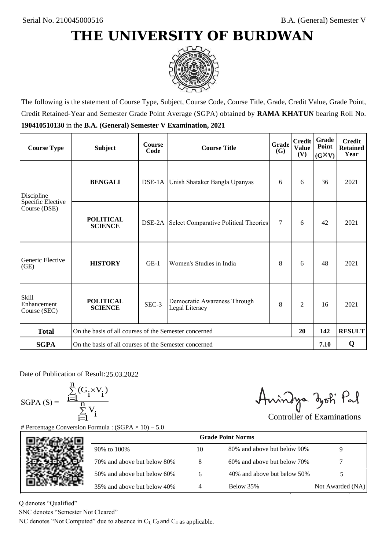

The following is the statement of Course Type, Subject, Course Code, Course Title, Grade, Credit Value, Grade Point, Credit Retained-Year and Semester Grade Point Average (SGPA) obtained by **RAMA KHATUN** bearing Roll No. **190410510130** in the **B.A. (General) Semester V Examination, 2021**

| <b>Course Type</b>                          | <b>Subject</b>                                              | <b>Course</b><br>Code | Grade<br><b>Course Title</b><br><b>(G)</b>          |        | <b>Credit</b><br><b>Value</b><br>(V) | Grade<br>Point<br>$(G\times V)$ | <b>Credit</b><br><b>Retained</b><br>Year |
|---------------------------------------------|-------------------------------------------------------------|-----------------------|-----------------------------------------------------|--------|--------------------------------------|---------------------------------|------------------------------------------|
| Discipline                                  | <b>BENGALI</b>                                              |                       | DSE-1A Unish Shataker Bangla Upanyas                | 6      | 6                                    | 36                              | 2021                                     |
| Specific Elective<br>Course (DSE)           | <b>POLITICAL</b><br><b>SCIENCE</b>                          |                       | <b>DSE-2A</b> Select Comparative Political Theories | $\tau$ | 6                                    | 42                              | 2021                                     |
| Generic Elective<br>(GE)                    | <b>HISTORY</b>                                              | $GE-1$                | Women's Studies in India                            | 8      | 6                                    | 48                              | 2021                                     |
| <b>Skill</b><br>Enhancement<br>Course (SEC) | <b>POLITICAL</b><br><b>SCIENCE</b>                          | SEC-3                 | Democratic Awareness Through<br>Legal Literacy      | 8      | $\overline{c}$                       | 16                              | 2021                                     |
| <b>Total</b>                                | On the basis of all courses of the Semester concerned<br>20 |                       |                                                     |        | 142                                  | <b>RESULT</b>                   |                                          |
| <b>SGPA</b>                                 | On the basis of all courses of the Semester concerned       |                       |                                                     |        |                                      | 7.10                            | Q                                        |

Date of Publication of Result: 25,03,2022

SGPA  $(S) = \frac{1-1}{1}$ 

$$
\frac{\sum\limits_{i=1}^{n} (G_i \times V_i)}{\sum\limits_{i=1}^{n} V_i}
$$

Amindya zoti Pal

| ate of Publication of Result: 25.03.2022<br>GPA (S) = $\frac{\sum_{i=1}^{n} (G_i \times V_i)}{\sum_{i=1}^{n} V_i}$ |                                                                                   |                | Aningya zoti Pal            | <b>Controller of Examinations</b> |
|--------------------------------------------------------------------------------------------------------------------|-----------------------------------------------------------------------------------|----------------|-----------------------------|-----------------------------------|
|                                                                                                                    | Percentage Conversion Formula : $(SGPA \times 10) - 5.0$                          |                | <b>Grade Point Norms</b>    |                                   |
|                                                                                                                    | 90% to 100%                                                                       | 10             | 80% and above but below 90% | 9                                 |
|                                                                                                                    | 70% and above but below 80%                                                       | 8              | 60% and above but below 70% |                                   |
|                                                                                                                    | 50% and above but below 60%                                                       | 6              | 40% and above but below 50% | 5                                 |
|                                                                                                                    | 35% and above but below 40%                                                       | $\overline{4}$ | Below 35%                   | Not Awarded (NA)                  |
| denotes "Qualified"<br>NC denotes "Semester Not Cleared"                                                           | C denotes "Not Computed" due to absence in $C_1$ , $C_2$ and $C_4$ as applicable. |                |                             |                                   |

Q denotes "Qualified"

SNC denotes "Semester Not Cleared"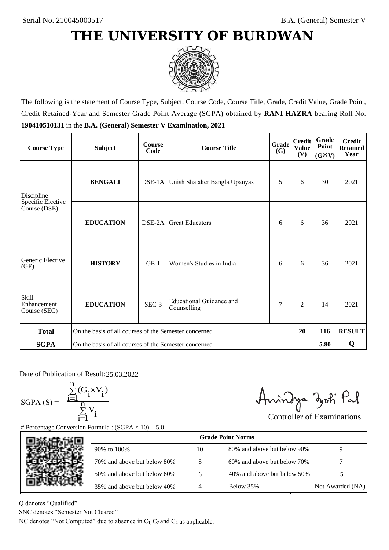

The following is the statement of Course Type, Subject, Course Code, Course Title, Grade, Credit Value, Grade Point, Credit Retained-Year and Semester Grade Point Average (SGPA) obtained by **RANI HAZRA** bearing Roll No. **190410510131** in the **B.A. (General) Semester V Examination, 2021**

| <b>Course Type</b>                          | <b>Subject</b>                                        | <b>Course</b><br>Code | Grade<br><b>Course Title</b><br><b>(G)</b> |   | <b>Credit</b><br><b>Value</b><br>(V) | Grade<br>Point<br>$(G\times V)$ | <b>Credit</b><br><b>Retained</b><br>Year |
|---------------------------------------------|-------------------------------------------------------|-----------------------|--------------------------------------------|---|--------------------------------------|---------------------------------|------------------------------------------|
| Discipline                                  | <b>BENGALI</b>                                        |                       | DSE-1A Unish Shataker Bangla Upanyas       | 5 | 6                                    | 30                              | 2021                                     |
| Specific Elective<br>Course (DSE)           | <b>EDUCATION</b>                                      | DSE-2A                | <b>Great Educators</b>                     | 6 | 6                                    | 36                              | 2021                                     |
| Generic Elective<br>(GE)                    | <b>HISTORY</b>                                        | $GE-1$                | Women's Studies in India                   | 6 | 6                                    | 36                              | 2021                                     |
| <b>Skill</b><br>Enhancement<br>Course (SEC) | <b>EDUCATION</b>                                      | SEC-3                 | Educational Guidance and<br>Counselling    | 7 | $\overline{c}$                       | 14                              | 2021                                     |
| <b>Total</b>                                | On the basis of all courses of the Semester concerned |                       |                                            |   | 20                                   | 116                             | <b>RESULT</b>                            |
| <b>SGPA</b>                                 | On the basis of all courses of the Semester concerned |                       |                                            |   |                                      | 5.80                            | Q                                        |

Date of Publication of Result: 25,03,2022

 $SGPA(S) =$ 

$$
\frac{\sum\limits_{i=1}^{n} (G_i \times V_i)}{\sum\limits_{i=1}^{n} V_i}
$$

Amindya zoti Pal

| ate of Publication of Result: 25.03.2022<br>SGPA (S) = $\frac{\sum_{i=1}^{n} (G_i \times V_i)}{\sum_{i=1}^{n} V_i}$ | Percentage Conversion Formula : $(SGPA \times 10) - 5.0$                          |    | Aningya zoti Pal            | <b>Controller of Examinations</b> |
|---------------------------------------------------------------------------------------------------------------------|-----------------------------------------------------------------------------------|----|-----------------------------|-----------------------------------|
|                                                                                                                     |                                                                                   |    | <b>Grade Point Norms</b>    |                                   |
|                                                                                                                     | 90% to 100%                                                                       | 10 | 80% and above but below 90% | 9                                 |
|                                                                                                                     | 70% and above but below 80%                                                       | 8  | 60% and above but below 70% |                                   |
|                                                                                                                     | 50% and above but below 60%                                                       | 6  | 40% and above but below 50% | 5                                 |
|                                                                                                                     | 35% and above but below 40%                                                       | 4  | Below 35%                   | Not Awarded (NA)                  |
| denotes "Qualified"<br>NC denotes "Semester Not Cleared"                                                            | C denotes "Not Computed" due to absence in $C_1$ , $C_2$ and $C_4$ as applicable. |    |                             |                                   |

Q denotes "Qualified"

SNC denotes "Semester Not Cleared"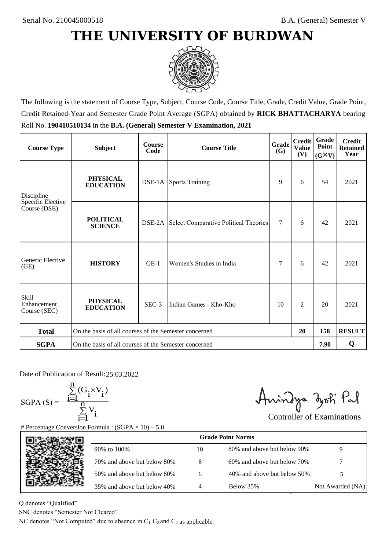

The following is the statement of Course Type, Subject, Course Code, Course Title, Grade, Credit Value, Grade Point, Credit Retained-Year and Semester Grade Point Average (SGPA) obtained by **RICK BHATTACHARYA** bearing Roll No. **190410510134** in the **B.A. (General) Semester V Examination, 2021**

| <b>Course Type</b>                                | <b>Subject</b>                                              | <b>Course</b><br>Code | Grade<br><b>Course Title</b>          |    | <b>Credit</b><br><b>Value</b><br>(V) | <b>Grade</b><br>Point<br>$(G\times V)$ | <b>Credit</b><br><b>Retained</b><br>Year |
|---------------------------------------------------|-------------------------------------------------------------|-----------------------|---------------------------------------|----|--------------------------------------|----------------------------------------|------------------------------------------|
| <b>PHYSICAL</b><br><b>EDUCATION</b><br>Discipline |                                                             |                       | <b>DSE-1A</b> Sports Training         |    | 6                                    | 54                                     | 2021                                     |
| Specific Elective<br>Course (DSE)                 | <b>POLITICAL</b><br><b>SCIENCE</b>                          | DSE-2A                | Select Comparative Political Theories | 7  | 6                                    | 42                                     | 2021                                     |
| Generic Elective<br>(GE)                          | <b>HISTORY</b>                                              | $GE-1$                | Women's Studies in India              | 7  | 6                                    | 42                                     | 2021                                     |
| <b>Skill</b><br>Enhancement<br>Course (SEC)       | <b>PHYSICAL</b><br><b>EDUCATION</b>                         | SEC-3                 | Indian Games - Kho-Kho                | 10 | 2                                    | 20                                     | 2021                                     |
| <b>Total</b>                                      | On the basis of all courses of the Semester concerned<br>20 |                       |                                       |    | 158                                  | <b>RESULT</b>                          |                                          |
| <b>SGPA</b>                                       | On the basis of all courses of the Semester concerned       |                       |                                       |    |                                      | 7.90                                   | Q                                        |

Date of Publication of Result: 25,03,2022

 $SGPA(S) =$ 

$$
\frac{\sum\limits_{i=1}^n (G_i \times V_i)}{\sum\limits_{i=1}^n V_i}
$$

Amindya zoti Pal

| ate of Publication of Result: 25.03.2022<br>GPA (S) = $\frac{\sum_{i=1}^{n} (G_i \times V_i)}{\sum_{i=1}^{n} V_i}$ |                                                                                   |    | Aningya zoti Pal            | <b>Controller of Examinations</b> |
|--------------------------------------------------------------------------------------------------------------------|-----------------------------------------------------------------------------------|----|-----------------------------|-----------------------------------|
|                                                                                                                    | Percentage Conversion Formula : $(SGPA \times 10) - 5.0$                          |    |                             |                                   |
|                                                                                                                    |                                                                                   |    | <b>Grade Point Norms</b>    |                                   |
|                                                                                                                    | 90% to 100%                                                                       | 10 | 80% and above but below 90% | 9                                 |
|                                                                                                                    | 70% and above but below 80%                                                       | 8  | 60% and above but below 70% |                                   |
|                                                                                                                    | 50% and above but below 60%                                                       | 6  | 40% and above but below 50% | 5                                 |
|                                                                                                                    | 35% and above but below 40%                                                       | 4  | Below 35%                   | Not Awarded (NA)                  |
| denotes "Qualified"<br>NC denotes "Semester Not Cleared"                                                           | C denotes "Not Computed" due to absence in $C_1$ , $C_2$ and $C_4$ as applicable. |    |                             |                                   |

Q denotes "Qualified"

SNC denotes "Semester Not Cleared"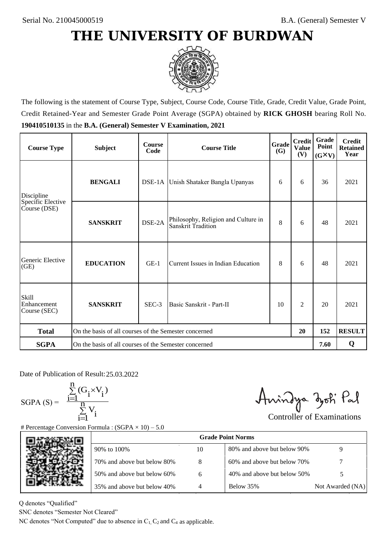

The following is the statement of Course Type, Subject, Course Code, Course Title, Grade, Credit Value, Grade Point, Credit Retained-Year and Semester Grade Point Average (SGPA) obtained by **RICK GHOSH** bearing Roll No. **190410510135** in the **B.A. (General) Semester V Examination, 2021**

| <b>Course Type</b>                   | <b>Subject</b>                                              | <b>Course</b><br>Code | Grade<br><b>Course Title</b><br>(G)                       |    | <b>Credit</b><br><b>Value</b><br>(V) | Grade<br>Point<br>$(G\times V)$ | <b>Credit</b><br><b>Retained</b><br>Year |
|--------------------------------------|-------------------------------------------------------------|-----------------------|-----------------------------------------------------------|----|--------------------------------------|---------------------------------|------------------------------------------|
| <b>BENGALI</b><br>Discipline         |                                                             |                       | DSE-1A Unish Shataker Bangla Upanyas                      | 6  | 6                                    | 36                              | 2021                                     |
| Specific Elective<br>Course (DSE)    | <b>SANSKRIT</b>                                             | DSE-2A                | Philosophy, Religion and Culture in<br>Sanskrit Tradition | 8  | 6                                    | 48                              | 2021                                     |
| Generic Elective<br>(GE)             | <b>EDUCATION</b>                                            | $GE-1$                | Current Issues in Indian Education                        | 8  | 6                                    | 48                              | 2021                                     |
| Skill<br>Enhancement<br>Course (SEC) | <b>SANSKRIT</b>                                             | SEC-3                 | Basic Sanskrit - Part-II                                  | 10 | 2                                    | 20                              | 2021                                     |
| <b>Total</b>                         | On the basis of all courses of the Semester concerned<br>20 |                       |                                                           |    | 152                                  | <b>RESULT</b>                   |                                          |
| <b>SGPA</b>                          | On the basis of all courses of the Semester concerned       |                       |                                                           |    |                                      | 7.60                            | Q                                        |

Date of Publication of Result: 25.03.2022

 $SGPA(S) =$ 

$$
\frac{\sum\limits_{i=1}^n(G_i\times V_i)}{\sum\limits_{i=1}^nV_i}
$$

Anindya zoti Pal

| ate of Publication of Result: 25.03.2022<br>GPA (S) = $\frac{\sum_{i=1}^{n} (G_i \times V_i)}{\sum_{i=1}^{n} V_i}$ |                                                                                   |    | Aningya zoti Pal            | <b>Controller of Examinations</b> |
|--------------------------------------------------------------------------------------------------------------------|-----------------------------------------------------------------------------------|----|-----------------------------|-----------------------------------|
|                                                                                                                    | Percentage Conversion Formula : $(SGPA \times 10) - 5.0$                          |    | <b>Grade Point Norms</b>    |                                   |
|                                                                                                                    |                                                                                   |    |                             |                                   |
|                                                                                                                    | 90% to 100%                                                                       | 10 | 80% and above but below 90% | 9                                 |
|                                                                                                                    | 70% and above but below 80%                                                       | 8  | 60% and above but below 70% |                                   |
|                                                                                                                    | 50% and above but below 60%                                                       | 6  | 40% and above but below 50% | 5                                 |
|                                                                                                                    | 35% and above but below 40%                                                       | 4  | Below 35%                   | Not Awarded (NA)                  |
| denotes "Qualified"                                                                                                |                                                                                   |    |                             |                                   |
| NC denotes "Semester Not Cleared"                                                                                  |                                                                                   |    |                             |                                   |
|                                                                                                                    | C denotes "Not Computed" due to absence in $C_1$ , $C_2$ and $C_4$ as applicable. |    |                             |                                   |

Q denotes "Qualified"

SNC denotes "Semester Not Cleared"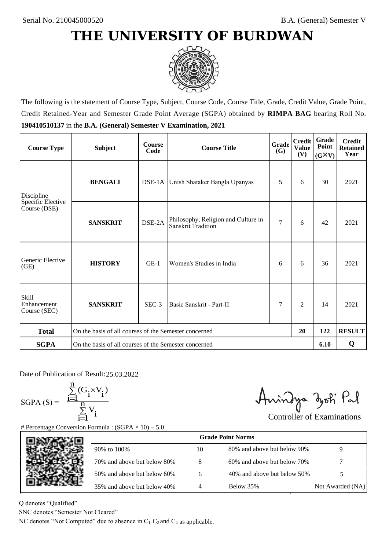

The following is the statement of Course Type, Subject, Course Code, Course Title, Grade, Credit Value, Grade Point, Credit Retained-Year and Semester Grade Point Average (SGPA) obtained by **RIMPA BAG** bearing Roll No. **190410510137** in the **B.A. (General) Semester V Examination, 2021**

| <b>Course Type</b>                          | <b>Subject</b>                                        | <b>Course</b><br>Code | <b>Course Title</b>                                       | Grade<br>(G)   | <b>Credit</b><br><b>Value</b><br>(V) | Grade<br>Point<br>$(G\times V)$ | <b>Credit</b><br><b>Retained</b><br>Year |
|---------------------------------------------|-------------------------------------------------------|-----------------------|-----------------------------------------------------------|----------------|--------------------------------------|---------------------------------|------------------------------------------|
| Discipline                                  | <b>BENGALI</b>                                        |                       | DSE-1A Unish Shataker Bangla Upanyas                      | 5              | 6                                    | 30                              | 2021                                     |
| Specific Elective<br>Course (DSE)           | <b>SANSKRIT</b>                                       | DSE-2A                | Philosophy, Religion and Culture in<br>Sanskrit Tradition | $\overline{7}$ | 6                                    | 42                              | 2021                                     |
| Generic Elective<br>(GE)                    | <b>HISTORY</b>                                        | $GE-1$                | Women's Studies in India                                  | 6              | 6                                    | 36                              | 2021                                     |
| <b>Skill</b><br>Enhancement<br>Course (SEC) | <b>SANSKRIT</b>                                       | SEC-3                 | Basic Sanskrit - Part-II                                  | 7              | 2                                    | 14                              | 2021                                     |
| <b>Total</b>                                | On the basis of all courses of the Semester concerned |                       |                                                           |                | 20                                   | 122                             | <b>RESULT</b>                            |
| <b>SGPA</b>                                 | On the basis of all courses of the Semester concerned |                       |                                                           |                |                                      | 6.10                            | Q                                        |

Date of Publication of Result: 25.03.2022

 $SGPA(S) =$ 

$$
\frac{\sum\limits_{i=1}^n (G_i \times V_i)}{\sum\limits_{i=1}^n V_i}
$$

Anindya zoti Pal

| ate of Publication of Result: 25.03.2022<br>GPA (S) = $\frac{\sum_{i=1}^{n} (G_i \times V_i)}{\sum_{i=1}^{n} V_i}$ | Percentage Conversion Formula : $(SGPA \times 10) - 5.0$                          |    | Aningya zoti Pal            | <b>Controller of Examinations</b> |
|--------------------------------------------------------------------------------------------------------------------|-----------------------------------------------------------------------------------|----|-----------------------------|-----------------------------------|
|                                                                                                                    |                                                                                   |    | <b>Grade Point Norms</b>    |                                   |
|                                                                                                                    | 90% to 100%                                                                       | 10 | 80% and above but below 90% | 9                                 |
|                                                                                                                    | 70% and above but below 80%                                                       | 8  | 60% and above but below 70% |                                   |
|                                                                                                                    | 50% and above but below 60%                                                       | 6  | 40% and above but below 50% | 5                                 |
|                                                                                                                    | 35% and above but below 40%                                                       | 4  | Below 35%                   | Not Awarded (NA)                  |
| denotes "Qualified"<br>NC denotes "Semester Not Cleared"                                                           | C denotes "Not Computed" due to absence in $C_1$ , $C_2$ and $C_4$ as applicable. |    |                             |                                   |

Q denotes "Qualified"

SNC denotes "Semester Not Cleared"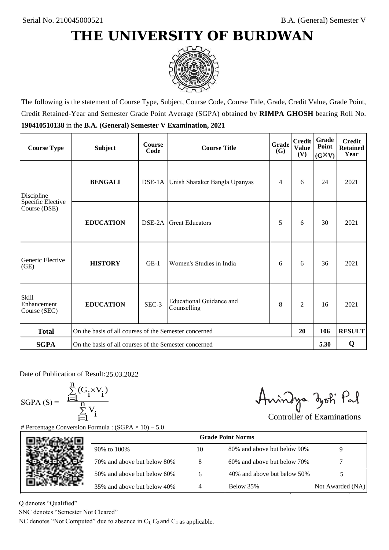

The following is the statement of Course Type, Subject, Course Code, Course Title, Grade, Credit Value, Grade Point, Credit Retained-Year and Semester Grade Point Average (SGPA) obtained by **RIMPA GHOSH** bearing Roll No. **190410510138** in the **B.A. (General) Semester V Examination, 2021**

| <b>Course Type</b>                          | <b>Subject</b>                                        | <b>Course</b><br>Code | Grade<br><b>Course Title</b><br><b>(G)</b> |   | <b>Credit</b><br><b>Value</b><br>(V) | Grade<br>Point<br>$(G\times V)$ | <b>Credit</b><br><b>Retained</b><br>Year |
|---------------------------------------------|-------------------------------------------------------|-----------------------|--------------------------------------------|---|--------------------------------------|---------------------------------|------------------------------------------|
| Discipline                                  | <b>BENGALI</b>                                        |                       | DSE-1A Unish Shataker Bangla Upanyas       | 4 | 6                                    | 24                              | 2021                                     |
| Specific Elective<br>Course (DSE)           | <b>EDUCATION</b>                                      | DSE-2A                | <b>Great Educators</b>                     | 5 | 6                                    | 30                              | 2021                                     |
| Generic Elective<br>(GE)                    | <b>HISTORY</b>                                        | $GE-1$                | Women's Studies in India                   | 6 | 6                                    | 36                              | 2021                                     |
| <b>Skill</b><br>Enhancement<br>Course (SEC) | <b>EDUCATION</b>                                      | SEC-3                 | Educational Guidance and<br>Counselling    | 8 | $\overline{c}$                       | 16                              | 2021                                     |
| <b>Total</b>                                | On the basis of all courses of the Semester concerned |                       |                                            |   | 20                                   | 106                             | <b>RESULT</b>                            |
| <b>SGPA</b>                                 | On the basis of all courses of the Semester concerned |                       |                                            |   |                                      | 5.30                            | Q                                        |

Date of Publication of Result: 25,03,2022

 $SGPA(S) =$ 

$$
\frac{\sum\limits_{i=1}^n(G_i\times V_i)}{\sum\limits_{i=1}^nV_i}
$$

Anindya zoti Pal

| ate of Publication of Result: 25.03.2022<br>GPA (S) = $\frac{\sum_{i=1}^{n} (G_i \times V_i)}{\sum_{i=1}^{n} V_i}$ | Percentage Conversion Formula : $(SGPA \times 10) - 5.0$                          |    | Aningya zoti Pal            | <b>Controller of Examinations</b> |
|--------------------------------------------------------------------------------------------------------------------|-----------------------------------------------------------------------------------|----|-----------------------------|-----------------------------------|
|                                                                                                                    |                                                                                   |    | <b>Grade Point Norms</b>    |                                   |
|                                                                                                                    | 90% to 100%                                                                       | 10 | 80% and above but below 90% | 9                                 |
|                                                                                                                    | 70% and above but below 80%                                                       | 8  | 60% and above but below 70% |                                   |
|                                                                                                                    | 50% and above but below 60%                                                       | 6  | 40% and above but below 50% | 5                                 |
|                                                                                                                    | 35% and above but below 40%                                                       | 4  | Below 35%                   | Not Awarded (NA)                  |
| denotes "Qualified"<br>NC denotes "Semester Not Cleared"                                                           | C denotes "Not Computed" due to absence in $C_1$ , $C_2$ and $C_4$ as applicable. |    |                             |                                   |

Q denotes "Qualified"

SNC denotes "Semester Not Cleared"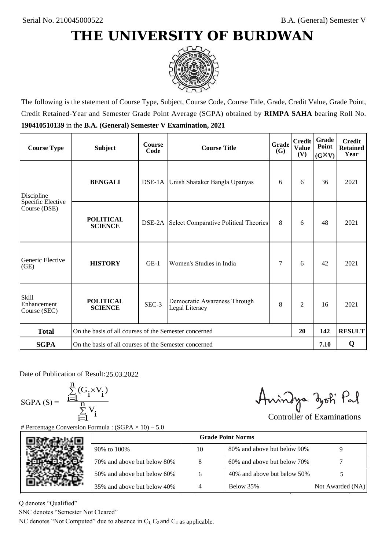

The following is the statement of Course Type, Subject, Course Code, Course Title, Grade, Credit Value, Grade Point, Credit Retained-Year and Semester Grade Point Average (SGPA) obtained by **RIMPA SAHA** bearing Roll No. **190410510139** in the **B.A. (General) Semester V Examination, 2021**

| <b>Course Type</b>                          | <b>Subject</b>                                              | <b>Course</b><br>Code | Grade<br><b>Course Title</b><br><b>(G)</b>     |   | <b>Credit</b><br><b>Value</b><br>(V) | Grade<br>Point<br>$(G\times V)$ | <b>Credit</b><br><b>Retained</b><br>Year |
|---------------------------------------------|-------------------------------------------------------------|-----------------------|------------------------------------------------|---|--------------------------------------|---------------------------------|------------------------------------------|
| Discipline                                  | <b>BENGALI</b>                                              |                       | DSE-1A Unish Shataker Bangla Upanyas           | 6 | 6                                    | 36                              | 2021                                     |
| Specific Elective<br>Course (DSE)           | <b>POLITICAL</b><br><b>SCIENCE</b>                          |                       | DSE-2A Select Comparative Political Theories   | 8 | 6                                    | 48                              | 2021                                     |
| Generic Elective<br>(GE)                    | <b>HISTORY</b>                                              | $GE-1$                | Women's Studies in India                       | 7 | 6                                    | 42                              | 2021                                     |
| <b>Skill</b><br>Enhancement<br>Course (SEC) | <b>POLITICAL</b><br><b>SCIENCE</b>                          | SEC-3                 | Democratic Awareness Through<br>Legal Literacy | 8 | $\overline{c}$                       | 16                              | 2021                                     |
| <b>Total</b>                                | On the basis of all courses of the Semester concerned<br>20 |                       |                                                |   | 142                                  | <b>RESULT</b>                   |                                          |
| <b>SGPA</b>                                 | On the basis of all courses of the Semester concerned       |                       |                                                |   |                                      | 7.10                            | Q                                        |

Date of Publication of Result: 25,03,2022

SGPA  $(S) = \frac{1-1}{1}$ 

$$
\frac{\sum\limits_{i=1}^{n} (G_i \times V_i)}{\sum\limits_{i=1}^{n} V_i}
$$

Amindya zoti Pal

| Date of Publication of Result: 25.03.2022<br>SGPA (S) = $\frac{\sum_{i=1}^{n} (G_i \times V_i)}{\sum_{i=1}^{n} V_i}$ | Fercentage Conversion Formula : $(SGPA \times 10) - 5.0$                          |    | Aningya zoti Pal            | <b>Controller of Examinations</b> |
|----------------------------------------------------------------------------------------------------------------------|-----------------------------------------------------------------------------------|----|-----------------------------|-----------------------------------|
|                                                                                                                      |                                                                                   |    | <b>Grade Point Norms</b>    |                                   |
|                                                                                                                      | 90% to 100%                                                                       | 10 | 80% and above but below 90% | 9                                 |
|                                                                                                                      | 70% and above but below 80%                                                       | 8  | 60% and above but below 70% |                                   |
|                                                                                                                      | 50% and above but below 60%                                                       | 6  | 40% and above but below 50% | 5                                 |
|                                                                                                                      | 35% and above but below 40%                                                       | 4  | Below 35%                   | Not Awarded (NA)                  |
| denotes "Qualified"<br>NC denotes "Semester Not Cleared"                                                             | C denotes "Not Computed" due to absence in $C_1$ , $C_2$ and $C_4$ as applicable. |    |                             |                                   |

Q denotes "Qualified"

SNC denotes "Semester Not Cleared"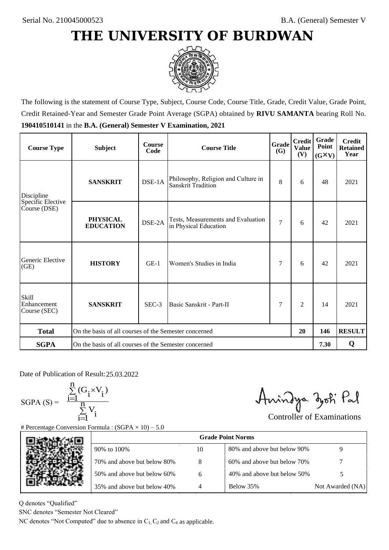

The following is the statement of Course Type, Subject, Course Code, Course Title, Grade, Credit Value, Grade Point, Credit Retained-Year and Semester Grade Point Average (SGPA) obtained by **RIVU SAMANTA** bearing Roll No. **190410510141** in the **B.A. (General) Semester V Examination, 2021**

| <b>Course Type</b>                          | <b>Subject</b>                                              | <b>Course</b><br>Code | Grade<br><b>Course Title</b>                                |                | <b>Credit</b><br><b>Value</b><br>(V) | Grade<br>Point<br>$(G\times V)$ | <b>Credit</b><br><b>Retained</b><br>Year |
|---------------------------------------------|-------------------------------------------------------------|-----------------------|-------------------------------------------------------------|----------------|--------------------------------------|---------------------------------|------------------------------------------|
| Discipline                                  | <b>SANSKRIT</b>                                             | DSE-1A                | Philosophy, Religion and Culture in<br>Sanskrit Tradition   | 8              | 6                                    | 48                              | 2021                                     |
| Specific Elective<br>Course (DSE)           | <b>PHYSICAL</b><br><b>EDUCATION</b>                         | DSE-2A                | Tests, Measurements and Evaluation<br>in Physical Education | $\overline{7}$ | 6                                    | 42                              | 2021                                     |
| Generic Elective<br>(GE)                    | <b>HISTORY</b>                                              | $GE-1$                | Women's Studies in India                                    | 7              | 6                                    | 42                              | 2021                                     |
| <b>Skill</b><br>Enhancement<br>Course (SEC) | <b>SANSKRIT</b>                                             | $SEC-3$               | Basic Sanskrit - Part-II                                    | 7              | $\overline{c}$                       | 14                              | 2021                                     |
| <b>Total</b>                                | On the basis of all courses of the Semester concerned<br>20 |                       |                                                             |                | 146                                  | <b>RESULT</b>                   |                                          |
| <b>SGPA</b>                                 | On the basis of all courses of the Semester concerned       |                       |                                                             |                |                                      | 7.30                            | Q                                        |

Date of Publication of Result: 25,03,2022

SGPA  $(S) = \frac{1-1}{1}$ 

$$
\frac{\sum\limits_{i=1}^{n} (G_i \times V_i)}{\sum\limits_{i=1}^{n} V_i}
$$

Amindya zoti Pal

| ate of Publication of Result: 25.03.2022<br>SGPA (S) = $\frac{\sum_{i=1}^{n} (G_i \times V_i)}{\sum_{i=1}^{n} V_i}$ | Percentage Conversion Formula : $(SGPA \times 10) - 5.0$                          |    | Aningya zoti Pal            | <b>Controller of Examinations</b> |
|---------------------------------------------------------------------------------------------------------------------|-----------------------------------------------------------------------------------|----|-----------------------------|-----------------------------------|
|                                                                                                                     |                                                                                   |    | <b>Grade Point Norms</b>    |                                   |
|                                                                                                                     | 90% to 100%                                                                       | 10 | 80% and above but below 90% | 9                                 |
|                                                                                                                     | 70% and above but below 80%                                                       | 8  | 60% and above but below 70% |                                   |
|                                                                                                                     | 50% and above but below 60%                                                       | 6  | 40% and above but below 50% | 5                                 |
|                                                                                                                     | 35% and above but below 40%                                                       | 4  | Below 35%                   | Not Awarded (NA)                  |
| denotes "Qualified"<br>NC denotes "Semester Not Cleared"                                                            | C denotes "Not Computed" due to absence in $C_1$ , $C_2$ and $C_4$ as applicable. |    |                             |                                   |

Q denotes "Qualified"

SNC denotes "Semester Not Cleared"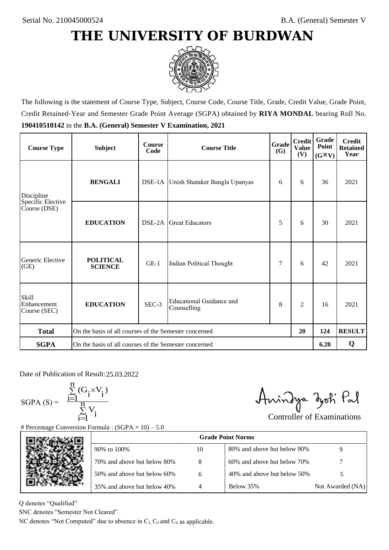

The following is the statement of Course Type, Subject, Course Code, Course Title, Grade, Credit Value, Grade Point, Credit Retained-Year and Semester Grade Point Average (SGPA) obtained by **RIYA MONDAL** bearing Roll No. **190410510142** in the **B.A. (General) Semester V Examination, 2021**

| <b>Course Type</b>                          | <b>Subject</b>                                        | <b>Course</b><br>Code | Grade<br><b>Course Title</b><br><b>(G)</b> |   | <b>Credit</b><br><b>Value</b><br>(V) | Grade<br>Point<br>$(G\times V)$ | <b>Credit</b><br><b>Retained</b><br>Year |
|---------------------------------------------|-------------------------------------------------------|-----------------------|--------------------------------------------|---|--------------------------------------|---------------------------------|------------------------------------------|
| Discipline                                  | <b>BENGALI</b>                                        |                       | DSE-1A Unish Shataker Bangla Upanyas       | 6 | 6                                    | 36                              | 2021                                     |
| Specific Elective<br>Course (DSE)           | <b>EDUCATION</b>                                      | DSE-2A                | <b>Great Educators</b>                     | 5 | 6                                    | 30                              | 2021                                     |
| Generic Elective<br>(GE)                    | <b>POLITICAL</b><br><b>SCIENCE</b>                    | $GE-1$                | Indian Political Thought                   | 7 | 6                                    | 42                              | 2021                                     |
| <b>Skill</b><br>Enhancement<br>Course (SEC) | <b>EDUCATION</b>                                      | SEC-3                 | Educational Guidance and<br>Counselling    | 8 | $\overline{c}$                       | 16                              | 2021                                     |
| <b>Total</b>                                | On the basis of all courses of the Semester concerned |                       |                                            |   | 20                                   | 124                             | <b>RESULT</b>                            |
| <b>SGPA</b>                                 | On the basis of all courses of the Semester concerned |                       |                                            |   |                                      | 6.20                            | Q                                        |

Date of Publication of Result: 25,03,2022

SGPA  $(S) = \frac{1-1}{1}$ 

$$
\frac{\sum_{i=1}^{n} (G_i \times V_i)}{\sum_{i=1}^{n} V_i}
$$

Amindya zoti Pal

| ate of Publication of Result: 25.03.2022<br>GPA (S) = $\frac{\sum_{i=1}^{n} (G_i \times V_i)}{\sum_{i=1}^{n} V_i}$ |                                                                                   |    | Aningya zoti Pal            | <b>Controller of Examinations</b> |
|--------------------------------------------------------------------------------------------------------------------|-----------------------------------------------------------------------------------|----|-----------------------------|-----------------------------------|
|                                                                                                                    | Percentage Conversion Formula : $(SGPA \times 10) - 5.0$                          |    |                             |                                   |
|                                                                                                                    |                                                                                   |    | <b>Grade Point Norms</b>    |                                   |
|                                                                                                                    | 90% to 100%                                                                       | 10 | 80% and above but below 90% | 9                                 |
|                                                                                                                    | 70% and above but below 80%                                                       | 8  | 60% and above but below 70% |                                   |
|                                                                                                                    | 50% and above but below 60%                                                       | 6  | 40% and above but below 50% | 5                                 |
|                                                                                                                    | 35% and above but below 40%                                                       | 4  | Below 35%                   | Not Awarded (NA)                  |
| denotes "Qualified"<br>NC denotes "Semester Not Cleared"                                                           | C denotes "Not Computed" due to absence in $C_1$ , $C_2$ and $C_4$ as applicable. |    |                             |                                   |
|                                                                                                                    |                                                                                   |    |                             |                                   |

Q denotes "Qualified"

SNC denotes "Semester Not Cleared"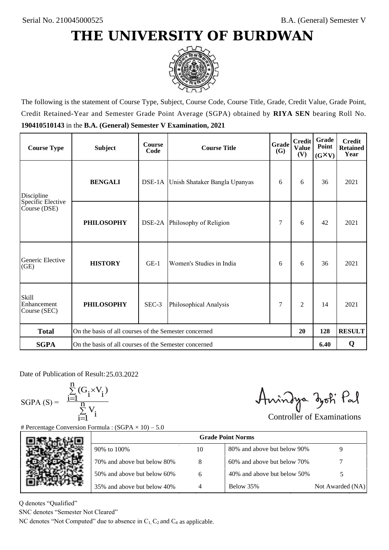

The following is the statement of Course Type, Subject, Course Code, Course Title, Grade, Credit Value, Grade Point, Credit Retained-Year and Semester Grade Point Average (SGPA) obtained by **RIYA SEN** bearing Roll No. **190410510143** in the **B.A. (General) Semester V Examination, 2021**

| <b>Course Type</b>                          | <b>Subject</b>                                        | <b>Course</b><br>Code | <b>Course Title</b>                  | Grade<br><b>(G)</b> | <b>Credit</b><br><b>Value</b><br>(V) | Grade<br>Point<br>$(G\times V)$ | <b>Credit</b><br><b>Retained</b><br>Year |
|---------------------------------------------|-------------------------------------------------------|-----------------------|--------------------------------------|---------------------|--------------------------------------|---------------------------------|------------------------------------------|
| Discipline                                  | <b>BENGALI</b>                                        |                       | DSE-1A Unish Shataker Bangla Upanyas |                     | 6                                    | 36                              | 2021                                     |
| Specific Elective<br>Course (DSE)           | <b>PHILOSOPHY</b>                                     |                       | DSE-2A Philosophy of Religion        | 7                   | 6                                    | 42                              | 2021                                     |
| Generic Elective<br>(GE)                    | <b>HISTORY</b>                                        | $GE-1$                | Women's Studies in India             | 6                   | 6                                    | 36                              | 2021                                     |
| <b>Skill</b><br>Enhancement<br>Course (SEC) | <b>PHILOSOPHY</b>                                     | SEC-3                 | Philosophical Analysis               | 7                   | $\overline{c}$                       | 14                              | 2021                                     |
| <b>Total</b>                                | On the basis of all courses of the Semester concerned |                       |                                      |                     | 20                                   | 128                             | <b>RESULT</b>                            |
| <b>SGPA</b>                                 | On the basis of all courses of the Semester concerned |                       |                                      |                     |                                      | 6.40                            | Q                                        |

Date of Publication of Result: 25,03,2022

 $SGPA(S) =$ 

$$
\frac{\sum\limits_{i=1}^n (G_i \times V_i)}{\sum\limits_{i=1}^n V_i}
$$

Amindya zoti Pal

| ate of Publication of Result: 25.03.2022<br>SGPA (S) = $\frac{\sum_{i=1}^{n} (G_i \times V_i)}{\sum_{i=1}^{n} V_i}$ | Percentage Conversion Formula : $(SGPA \times 10) - 5.0$                          |    | Aningya zoti Pal            | <b>Controller of Examinations</b> |
|---------------------------------------------------------------------------------------------------------------------|-----------------------------------------------------------------------------------|----|-----------------------------|-----------------------------------|
|                                                                                                                     |                                                                                   |    | <b>Grade Point Norms</b>    |                                   |
|                                                                                                                     | 90% to 100%                                                                       | 10 | 80% and above but below 90% | 9                                 |
|                                                                                                                     | 70% and above but below 80%                                                       | 8  | 60% and above but below 70% |                                   |
|                                                                                                                     | 50% and above but below 60%                                                       | 6  | 40% and above but below 50% | 5                                 |
|                                                                                                                     | 35% and above but below 40%                                                       | 4  | Below 35%                   | Not Awarded (NA)                  |
| denotes "Qualified"<br>NC denotes "Semester Not Cleared"                                                            | C denotes "Not Computed" due to absence in $C_1$ , $C_2$ and $C_4$ as applicable. |    |                             |                                   |

Q denotes "Qualified"

SNC denotes "Semester Not Cleared"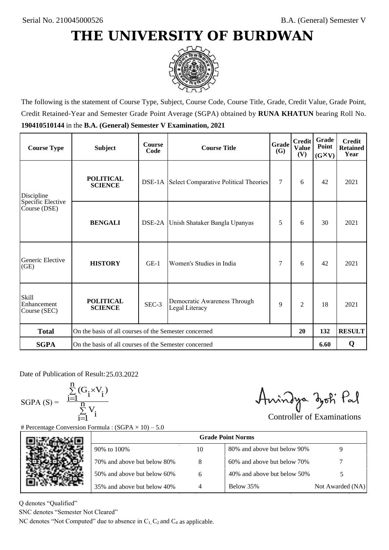

The following is the statement of Course Type, Subject, Course Code, Course Title, Grade, Credit Value, Grade Point, Credit Retained-Year and Semester Grade Point Average (SGPA) obtained by **RUNA KHATUN** bearing Roll No. **190410510144** in the **B.A. (General) Semester V Examination, 2021**

| <b>Course Type</b>                          | <b>Subject</b>                                              | <b>Course</b><br>Code | Grade<br><b>Course Title</b><br>(G)                 |   | <b>Credit</b><br><b>Value</b><br>(V) | Grade<br>Point<br>$(G\times V)$ | <b>Credit</b><br><b>Retained</b><br>Year |
|---------------------------------------------|-------------------------------------------------------------|-----------------------|-----------------------------------------------------|---|--------------------------------------|---------------------------------|------------------------------------------|
| Discipline                                  | <b>POLITICAL</b><br><b>SCIENCE</b>                          |                       | <b>DSE-1A</b> Select Comparative Political Theories | 7 | 6                                    | 42                              | 2021                                     |
| Specific Elective<br>Course (DSE)           | <b>BENGALI</b>                                              | DSE-2A                | Unish Shataker Bangla Upanyas                       | 5 | 6                                    | 30                              | 2021                                     |
| Generic Elective<br>(GE)                    | <b>HISTORY</b>                                              | $GE-1$                | Women's Studies in India                            | 7 | 6                                    | 42                              | 2021                                     |
| <b>Skill</b><br>Enhancement<br>Course (SEC) | <b>POLITICAL</b><br><b>SCIENCE</b>                          | SEC-3                 | Democratic Awareness Through<br>Legal Literacy      | 9 | $\overline{c}$                       | 18                              | 2021                                     |
| <b>Total</b>                                | On the basis of all courses of the Semester concerned<br>20 |                       |                                                     |   |                                      | 132                             | <b>RESULT</b>                            |
| <b>SGPA</b>                                 | On the basis of all courses of the Semester concerned       |                       |                                                     |   |                                      | 6.60                            | Q                                        |

Date of Publication of Result: 25,03,2022

 $SGPA(S) =$ 

$$
\frac{\sum\limits_{i=1}^n(G_i\times V_i)}{\sum\limits_{i=1}^nV_i}
$$

Amindya zoti Pal

| ate of Publication of Result: 25.03.2022<br>GPA (S) = $\frac{\sum_{i=1}^{n} (G_i \times V_i)}{\sum_{i=1}^{n} V_i}$ | Percentage Conversion Formula : $(SGPA \times 10) - 5.0$                          |    | Aningya zoti Pal            | <b>Controller of Examinations</b> |
|--------------------------------------------------------------------------------------------------------------------|-----------------------------------------------------------------------------------|----|-----------------------------|-----------------------------------|
|                                                                                                                    |                                                                                   |    | <b>Grade Point Norms</b>    |                                   |
|                                                                                                                    | 90% to 100%                                                                       | 10 | 80% and above but below 90% | 9                                 |
|                                                                                                                    | 70% and above but below 80%                                                       | 8  | 60% and above but below 70% |                                   |
|                                                                                                                    | 50% and above but below 60%                                                       | 6  | 40% and above but below 50% | 5                                 |
|                                                                                                                    | 35% and above but below 40%                                                       | 4  | Below 35%                   | Not Awarded (NA)                  |
| denotes "Qualified"<br>NC denotes "Semester Not Cleared"                                                           | C denotes "Not Computed" due to absence in $C_1$ , $C_2$ and $C_4$ as applicable. |    |                             |                                   |

Q denotes "Qualified"

SNC denotes "Semester Not Cleared"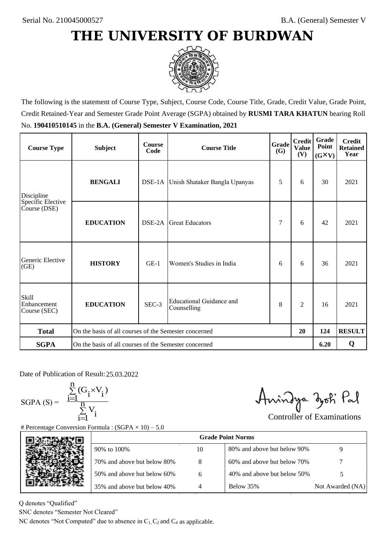

The following is the statement of Course Type, Subject, Course Code, Course Title, Grade, Credit Value, Grade Point, Credit Retained-Year and Semester Grade Point Average (SGPA) obtained by **RUSMI TARA KHATUN** bearing Roll No. **190410510145** in the **B.A. (General) Semester V Examination, 2021**

| <b>Course Type</b>                          | <b>Subject</b>                                              | <b>Course</b><br>Code | <b>Credit</b><br><b>Grade</b><br><b>Course Title</b><br><b>Value</b><br><b>(G)</b> |   |                | Grade<br>Point<br>$(G\times V)$ | <b>Credit</b><br><b>Retained</b><br>Year |
|---------------------------------------------|-------------------------------------------------------------|-----------------------|------------------------------------------------------------------------------------|---|----------------|---------------------------------|------------------------------------------|
| Discipline                                  | <b>BENGALI</b>                                              |                       | DSE-1A Unish Shataker Bangla Upanyas                                               | 5 | 6              | 30                              | 2021                                     |
| Specific Elective<br>Course (DSE)           | <b>EDUCATION</b>                                            | DSE-2A                | <b>Great Educators</b>                                                             | 7 | 6              | 42                              | 2021                                     |
| Generic Elective<br>(GE)                    | <b>HISTORY</b>                                              | $GE-1$                | Women's Studies in India                                                           | 6 | 6              | 36                              | 2021                                     |
| <b>Skill</b><br>Enhancement<br>Course (SEC) | <b>EDUCATION</b>                                            | SEC-3                 | Educational Guidance and<br>Counselling                                            | 8 | $\overline{c}$ | 16                              | 2021                                     |
| <b>Total</b>                                | On the basis of all courses of the Semester concerned<br>20 |                       |                                                                                    |   |                | 124                             | <b>RESULT</b>                            |
| <b>SGPA</b>                                 | On the basis of all courses of the Semester concerned       |                       |                                                                                    |   |                | 6.20                            | Q                                        |

Date of Publication of Result: 25,03,2022

SGPA  $(S) = \frac{1-1}{1}$ 

$$
\frac{\sum\limits_{i=1}^{n}(G_{i}\times V_{i})}{\sum\limits_{i=1}^{n}V_{i}}
$$

Amindya zoti Pal

| ate of Publication of Result: 25.03.2022<br>GPA (S) = $\frac{\sum_{i=1}^{n} (G_i \times V_i)}{\sum_{i=1}^{n} V_i}$ | Percentage Conversion Formula : $(SGPA \times 10) - 5.0$                          |    | Aningya zoti Pal            | <b>Controller of Examinations</b> |
|--------------------------------------------------------------------------------------------------------------------|-----------------------------------------------------------------------------------|----|-----------------------------|-----------------------------------|
|                                                                                                                    |                                                                                   |    | <b>Grade Point Norms</b>    |                                   |
|                                                                                                                    | 90% to 100%                                                                       | 10 | 80% and above but below 90% | 9                                 |
|                                                                                                                    | 70% and above but below 80%                                                       | 8  | 60% and above but below 70% |                                   |
|                                                                                                                    | 50% and above but below 60%                                                       | 6  | 40% and above but below 50% | 5                                 |
|                                                                                                                    | 35% and above but below 40%                                                       | 4  | Below 35%                   | Not Awarded (NA)                  |
| denotes "Qualified"<br>NC denotes "Semester Not Cleared"                                                           | C denotes "Not Computed" due to absence in $C_1$ , $C_2$ and $C_4$ as applicable. |    |                             |                                   |

Q denotes "Qualified"

SNC denotes "Semester Not Cleared"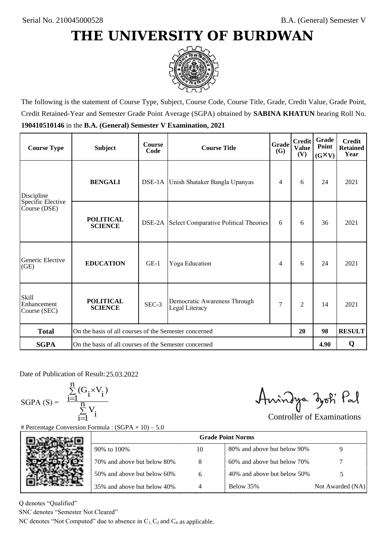

The following is the statement of Course Type, Subject, Course Code, Course Title, Grade, Credit Value, Grade Point, Credit Retained-Year and Semester Grade Point Average (SGPA) obtained by **SABINA KHATUN** bearing Roll No. **190410510146** in the **B.A. (General) Semester V Examination, 2021**

| <b>Course Type</b>                          | <b>Subject</b>                                              | <b>Course</b><br>Code | Grade<br><b>Course Title</b><br>(G)            |   | <b>Credit</b><br><b>Value</b><br>(V) | <b>Grade</b><br>Point<br>$(G\times V)$ | <b>Credit</b><br><b>Retained</b><br>Year |
|---------------------------------------------|-------------------------------------------------------------|-----------------------|------------------------------------------------|---|--------------------------------------|----------------------------------------|------------------------------------------|
| Discipline                                  | <b>BENGALI</b>                                              |                       | DSE-1A Unish Shataker Bangla Upanyas           | 4 | 6                                    | 24                                     | 2021                                     |
| Specific Elective<br>Course (DSE)           | <b>POLITICAL</b><br><b>SCIENCE</b>                          |                       | DSE-2A Select Comparative Political Theories   | 6 | 6                                    | 36                                     | 2021                                     |
| Generic Elective<br>(GE)                    | <b>EDUCATION</b>                                            | $GE-1$                | Yoga Education                                 | 4 | 6                                    | 24                                     | 2021                                     |
| <b>Skill</b><br>Enhancement<br>Course (SEC) | <b>POLITICAL</b><br><b>SCIENCE</b>                          | SEC-3                 | Democratic Awareness Through<br>Legal Literacy | 7 | $\overline{c}$                       | 14                                     | 2021                                     |
| <b>Total</b>                                | On the basis of all courses of the Semester concerned<br>20 |                       |                                                |   |                                      | 98                                     | <b>RESULT</b>                            |
| <b>SGPA</b>                                 | On the basis of all courses of the Semester concerned       |                       |                                                |   |                                      | 4.90                                   | Q                                        |

Date of Publication of Result: 25,03,2022

SGPA  $(S) = \frac{1-1}{1}$ 

$$
\frac{\sum\limits_{i=1}^{n} (G_i \times V_i)}{\sum\limits_{i=1}^{n} V_i}
$$

Amindya zoti Pal

| ate of Publication of Result: 25.03.2022<br>GPA (S) = $\frac{\sum_{i=1}^{n} (G_i \times V_i)}{\sum_{i=1}^{n} V_i}$ | Percentage Conversion Formula : $(SGPA \times 10) - 5.0$                          |    | Aningya zoti Pal            | <b>Controller of Examinations</b> |
|--------------------------------------------------------------------------------------------------------------------|-----------------------------------------------------------------------------------|----|-----------------------------|-----------------------------------|
|                                                                                                                    |                                                                                   |    | <b>Grade Point Norms</b>    |                                   |
|                                                                                                                    | 90% to 100%                                                                       | 10 | 80% and above but below 90% | 9                                 |
|                                                                                                                    | 70% and above but below 80%                                                       | 8  | 60% and above but below 70% |                                   |
|                                                                                                                    | 50% and above but below 60%                                                       | 6  | 40% and above but below 50% | 5                                 |
|                                                                                                                    | 35% and above but below 40%                                                       | 4  | Below 35%                   | Not Awarded (NA)                  |
| denotes "Qualified"<br>NC denotes "Semester Not Cleared"                                                           | C denotes "Not Computed" due to absence in $C_1$ , $C_2$ and $C_4$ as applicable. |    |                             |                                   |

Q denotes "Qualified"

SNC denotes "Semester Not Cleared"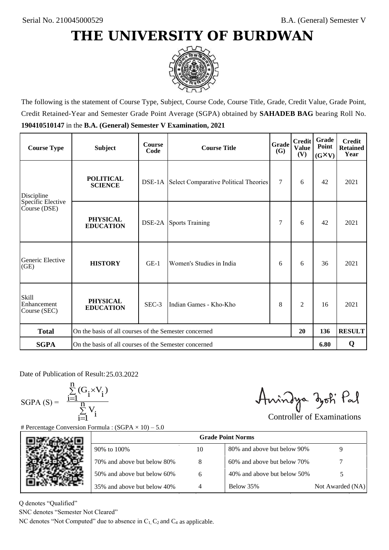

The following is the statement of Course Type, Subject, Course Code, Course Title, Grade, Credit Value, Grade Point, Credit Retained-Year and Semester Grade Point Average (SGPA) obtained by **SAHADEB BAG** bearing Roll No. **190410510147** in the **B.A. (General) Semester V Examination, 2021**

| <b>Course Type</b>                          | <b>Subject</b>                                              | <b>Course</b><br>Code | <b>Course Title</b>                                 | Grade<br><b>(G)</b> | <b>Credit</b><br><b>Value</b><br>(V) | Grade<br>Point<br>$(G\times V)$ | <b>Credit</b><br><b>Retained</b><br>Year |
|---------------------------------------------|-------------------------------------------------------------|-----------------------|-----------------------------------------------------|---------------------|--------------------------------------|---------------------------------|------------------------------------------|
| Discipline                                  | <b>POLITICAL</b><br><b>SCIENCE</b>                          |                       | <b>DSE-1A</b> Select Comparative Political Theories | $\tau$              | 6                                    | 42                              | 2021                                     |
| Specific Elective<br>Course (DSE)           | <b>PHYSICAL</b><br><b>EDUCATION</b>                         |                       | <b>DSE-2A</b> Sports Training                       | 7                   | 6                                    | 42                              | 2021                                     |
| Generic Elective<br>(GE)                    | <b>HISTORY</b>                                              | $GE-1$                | Women's Studies in India                            | 6                   | 6                                    | 36                              | 2021                                     |
| <b>Skill</b><br>Enhancement<br>Course (SEC) | <b>PHYSICAL</b><br><b>EDUCATION</b>                         | SEC-3                 | Indian Games - Kho-Kho                              | 8                   | $\overline{c}$                       | 16                              | 2021                                     |
| <b>Total</b>                                | On the basis of all courses of the Semester concerned<br>20 |                       |                                                     |                     |                                      | 136                             | <b>RESULT</b>                            |
| <b>SGPA</b>                                 | On the basis of all courses of the Semester concerned       |                       |                                                     |                     |                                      | 6.80                            | Q                                        |

Date of Publication of Result: 25,03,2022

 $SGPA(S) =$ 

$$
\frac{\sum\limits_{i=1}^n(G_i\times V_i)}{\sum\limits_{i=1}^nV_i}
$$

Amindya zoti Pal

| ate of Publication of Result: 25.03.2022<br>GPA (S) = $\frac{\sum_{i=1}^{n} (G_i \times V_i)}{\sum_{i=1}^{n} V_i}$ | Percentage Conversion Formula : $(SGPA \times 10) - 5.0$                          |    | Aningya zoti Pal            | <b>Controller of Examinations</b> |
|--------------------------------------------------------------------------------------------------------------------|-----------------------------------------------------------------------------------|----|-----------------------------|-----------------------------------|
|                                                                                                                    |                                                                                   |    | <b>Grade Point Norms</b>    |                                   |
|                                                                                                                    | 90% to 100%                                                                       | 10 | 80% and above but below 90% | 9                                 |
|                                                                                                                    | 70% and above but below 80%                                                       | 8  | 60% and above but below 70% |                                   |
|                                                                                                                    | 50% and above but below 60%                                                       | 6  | 40% and above but below 50% | 5                                 |
|                                                                                                                    | 35% and above but below 40%                                                       | 4  | Below 35%                   | Not Awarded (NA)                  |
| denotes "Qualified"<br>NC denotes "Semester Not Cleared"                                                           | C denotes "Not Computed" due to absence in $C_1$ , $C_2$ and $C_4$ as applicable. |    |                             |                                   |

Q denotes "Qualified"

SNC denotes "Semester Not Cleared"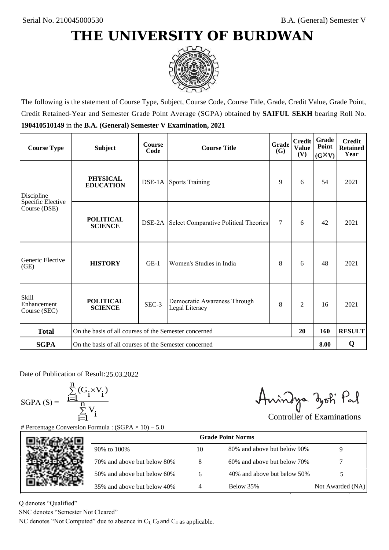

The following is the statement of Course Type, Subject, Course Code, Course Title, Grade, Credit Value, Grade Point, Credit Retained-Year and Semester Grade Point Average (SGPA) obtained by **SAIFUL SEKH** bearing Roll No. **190410510149** in the **B.A. (General) Semester V Examination, 2021**

| <b>Course Type</b>                          | <b>Subject</b>                                              | <b>Course</b><br>Code | Grade<br><b>Course Title</b><br>(G)            |        | <b>Credit</b><br><b>Value</b><br>(V) | Grade<br>Point<br>$(G\times V)$ | <b>Credit</b><br><b>Retained</b><br>Year |
|---------------------------------------------|-------------------------------------------------------------|-----------------------|------------------------------------------------|--------|--------------------------------------|---------------------------------|------------------------------------------|
| Discipline                                  | <b>PHYSICAL</b><br><b>EDUCATION</b>                         |                       | <b>DSE-1A</b> Sports Training                  |        | 6                                    | 54                              | 2021                                     |
| Specific Elective<br>Course (DSE)           | <b>POLITICAL</b><br><b>SCIENCE</b>                          | DSE-2A                | Select Comparative Political Theories          | $\tau$ | 6                                    | 42                              | 2021                                     |
| Generic Elective<br>(GE)                    | <b>HISTORY</b>                                              | $GE-1$                | Women's Studies in India                       |        | 6                                    | 48                              | 2021                                     |
| <b>Skill</b><br>Enhancement<br>Course (SEC) | <b>POLITICAL</b><br><b>SCIENCE</b>                          | SEC-3                 | Democratic Awareness Through<br>Legal Literacy | 8      | $\overline{c}$                       | 16                              | 2021                                     |
| <b>Total</b>                                | On the basis of all courses of the Semester concerned<br>20 |                       |                                                |        |                                      | 160                             | <b>RESULT</b>                            |
| <b>SGPA</b>                                 | On the basis of all courses of the Semester concerned       |                       |                                                |        |                                      | 8.00                            | Q                                        |

Date of Publication of Result: 25,03,2022

SGPA  $(S) = \frac{1-1}{1}$ 

$$
\frac{\sum\limits_{i=1}^{n} (G_i \times V_i)}{\sum\limits_{i=1}^{n} V_i}
$$

Amindya zoti Pal

| ate of Publication of Result: 25.03.2022<br>GPA (S) = $\frac{\sum_{i=1}^{n} (G_i \times V_i)}{\sum_{i=1}^{n} V_i}$ | Percentage Conversion Formula : $(SGPA \times 10) - 5.0$                          |    | Aningya zoti Pal            | <b>Controller of Examinations</b> |
|--------------------------------------------------------------------------------------------------------------------|-----------------------------------------------------------------------------------|----|-----------------------------|-----------------------------------|
|                                                                                                                    |                                                                                   |    | <b>Grade Point Norms</b>    |                                   |
|                                                                                                                    | 90% to 100%                                                                       | 10 | 80% and above but below 90% | 9                                 |
|                                                                                                                    | 70% and above but below 80%                                                       | 8  | 60% and above but below 70% |                                   |
|                                                                                                                    | 50% and above but below 60%                                                       | 6  | 40% and above but below 50% | 5                                 |
|                                                                                                                    | 35% and above but below 40%                                                       | 4  | Below 35%                   | Not Awarded (NA)                  |
| denotes "Qualified"<br>NC denotes "Semester Not Cleared"                                                           | C denotes "Not Computed" due to absence in $C_1$ , $C_2$ and $C_4$ as applicable. |    |                             |                                   |

Q denotes "Qualified"

SNC denotes "Semester Not Cleared"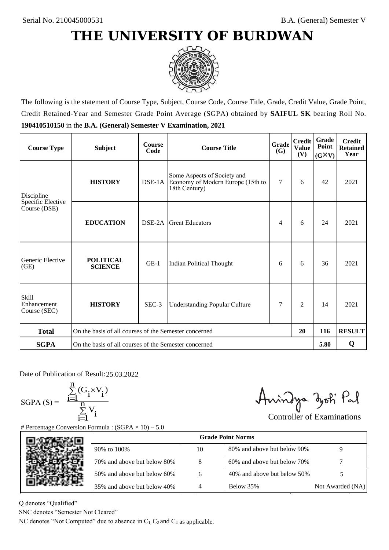

The following is the statement of Course Type, Subject, Course Code, Course Title, Grade, Credit Value, Grade Point, Credit Retained-Year and Semester Grade Point Average (SGPA) obtained by **SAIFUL SK** bearing Roll No. **190410510150** in the **B.A. (General) Semester V Examination, 2021**

| <b>Course Type</b>                          | <b>Subject</b>                                              | <b>Course</b><br>Code | <b>Credit</b><br>Grade<br><b>Course Title</b><br><b>Value</b><br>(G)              |                |                | Grade<br>Point<br>$(G\times V)$ | <b>Credit</b><br><b>Retained</b><br>Year |
|---------------------------------------------|-------------------------------------------------------------|-----------------------|-----------------------------------------------------------------------------------|----------------|----------------|---------------------------------|------------------------------------------|
| <b>HISTORY</b><br>Discipline                |                                                             |                       | Some Aspects of Society and<br>Economy of Modern Europe (15th to<br>18th Century) | $\overline{7}$ | 6              | 42                              | 2021                                     |
| Specific Elective<br>Course (DSE)           | <b>EDUCATION</b>                                            | DSE-2A                | <b>Great Educators</b>                                                            | 4              | 6              | 24                              | 2021                                     |
| Generic Elective<br>(GE)                    | <b>POLITICAL</b><br><b>SCIENCE</b>                          | $GE-1$                | Indian Political Thought                                                          | 6              | 6              | 36                              | 2021                                     |
| <b>Skill</b><br>Enhancement<br>Course (SEC) | <b>HISTORY</b>                                              | SEC-3                 | <b>Understanding Popular Culture</b>                                              | 7              | $\overline{c}$ | 14                              | 2021                                     |
| <b>Total</b>                                | On the basis of all courses of the Semester concerned<br>20 |                       |                                                                                   |                |                | 116                             | <b>RESULT</b>                            |
| <b>SGPA</b>                                 | On the basis of all courses of the Semester concerned       |                       |                                                                                   |                |                | 5.80                            | Q                                        |

Date of Publication of Result: 25,03,2022

 $SGPA(S) =$ 

$$
\frac{\sum\limits_{i=1}^n (G_i \times V_i)}{\sum\limits_{i=1}^n V_i}
$$

Amindya zoti Pal

| ate of Publication of Result: 25.03.2022<br>GPA (S) = $\frac{\sum_{i=1}^{n} (G_i \times V_i)}{\sum_{i=1}^{n} V_i}$ |                                                                                   |    | Aningya zoti Pal            | <b>Controller of Examinations</b> |
|--------------------------------------------------------------------------------------------------------------------|-----------------------------------------------------------------------------------|----|-----------------------------|-----------------------------------|
|                                                                                                                    | Percentage Conversion Formula : $(SGPA \times 10) - 5.0$                          |    | <b>Grade Point Norms</b>    |                                   |
|                                                                                                                    | 90% to 100%                                                                       | 10 | 80% and above but below 90% | 9                                 |
|                                                                                                                    | 70% and above but below 80%                                                       | 8  | 60% and above but below 70% |                                   |
|                                                                                                                    | 50% and above but below 60%                                                       | 6  | 40% and above but below 50% | 5                                 |
|                                                                                                                    | 35% and above but below 40%                                                       | 4  | Below 35%                   | Not Awarded (NA)                  |
| denotes "Qualified"<br>NC denotes "Semester Not Cleared"                                                           | C denotes "Not Computed" due to absence in $C_1$ , $C_2$ and $C_4$ as applicable. |    |                             |                                   |

Q denotes "Qualified"

SNC denotes "Semester Not Cleared"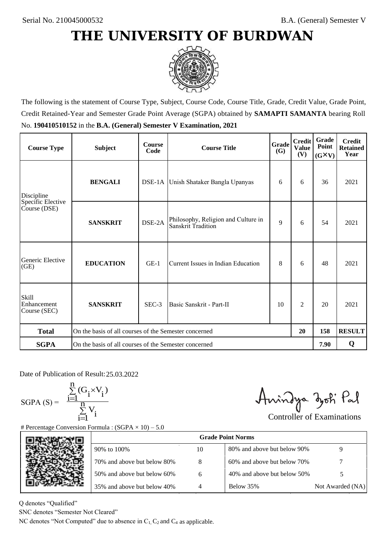

The following is the statement of Course Type, Subject, Course Code, Course Title, Grade, Credit Value, Grade Point, Credit Retained-Year and Semester Grade Point Average (SGPA) obtained by **SAMAPTI SAMANTA** bearing Roll No. **190410510152** in the **B.A. (General) Semester V Examination, 2021**

| <b>Course Type</b>                          | <b>Subject</b>                                              | <b>Course</b><br>Code | <b>Course Title</b>                                              | Grade<br><b>(G)</b> | <b>Credit</b><br><b>Value</b><br>(V) | Grade<br>Point<br>$(G\times V)$ | <b>Credit</b><br><b>Retained</b><br>Year |
|---------------------------------------------|-------------------------------------------------------------|-----------------------|------------------------------------------------------------------|---------------------|--------------------------------------|---------------------------------|------------------------------------------|
| <b>BENGALI</b><br>Discipline                |                                                             |                       | DSE-1A Unish Shataker Bangla Upanyas                             |                     | 6                                    | 36                              | 2021                                     |
| Specific Elective<br>Course (DSE)           | <b>SANSKRIT</b>                                             | DSE-2A                | Philosophy, Religion and Culture in<br><b>Sanskrit Tradition</b> | 9                   | 6                                    | 54                              | 2021                                     |
| Generic Elective<br>(GE)                    | <b>EDUCATION</b>                                            | $GE-1$                | Current Issues in Indian Education                               |                     | 6                                    | 48                              | 2021                                     |
| <b>Skill</b><br>Enhancement<br>Course (SEC) | <b>SANSKRIT</b>                                             | SEC-3                 | Basic Sanskrit - Part-II                                         | 10                  | $\overline{2}$                       | 20                              | 2021                                     |
| <b>Total</b>                                | On the basis of all courses of the Semester concerned<br>20 |                       |                                                                  |                     |                                      | 158                             | <b>RESULT</b>                            |
| <b>SGPA</b>                                 | On the basis of all courses of the Semester concerned       |                       |                                                                  |                     |                                      | 7.90                            | Q                                        |

Date of Publication of Result: 25,03,2022

 $SGPA(S) =$ 

$$
\frac{\sum\limits_{i=1}^{n}(G_{i}\times V_{i})}{\sum\limits_{i=1}^{n}V_{i}}
$$

Amindya zoti Pal

| ate of Publication of Result: 25.03.2022<br>SGPA (S) = $\frac{\sum_{i=1}^{n} (G_i \times V_i)}{\sum_{i=1}^{n} V_i}$ | Percentage Conversion Formula : $(SGPA \times 10) - 5.0$                          |    | Aningya zoti Pal            | <b>Controller of Examinations</b> |
|---------------------------------------------------------------------------------------------------------------------|-----------------------------------------------------------------------------------|----|-----------------------------|-----------------------------------|
|                                                                                                                     |                                                                                   |    | <b>Grade Point Norms</b>    |                                   |
|                                                                                                                     | 90% to 100%                                                                       | 10 | 80% and above but below 90% | 9                                 |
|                                                                                                                     | 70% and above but below 80%                                                       | 8  | 60% and above but below 70% |                                   |
|                                                                                                                     | 50% and above but below 60%                                                       | 6  | 40% and above but below 50% | 5                                 |
|                                                                                                                     | 35% and above but below 40%                                                       | 4  | Below 35%                   | Not Awarded (NA)                  |
| denotes "Qualified"<br>NC denotes "Semester Not Cleared"                                                            | C denotes "Not Computed" due to absence in $C_1$ , $C_2$ and $C_4$ as applicable. |    |                             |                                   |

Q denotes "Qualified"

SNC denotes "Semester Not Cleared"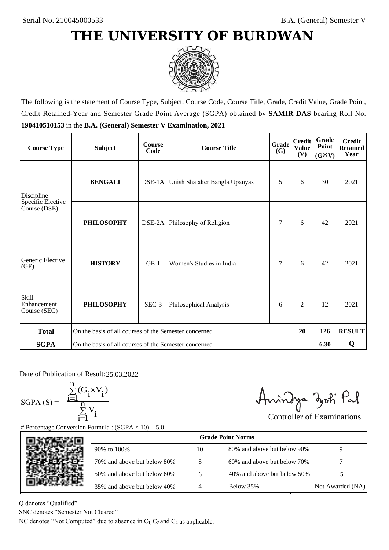

The following is the statement of Course Type, Subject, Course Code, Course Title, Grade, Credit Value, Grade Point, Credit Retained-Year and Semester Grade Point Average (SGPA) obtained by **SAMIR DAS** bearing Roll No. **190410510153** in the **B.A. (General) Semester V Examination, 2021**

| <b>Course Type</b>                          | <b>Subject</b>                                              | <b>Course</b><br>Code | <b>Course Title</b>                  | Grade<br>(G) | <b>Credit</b><br><b>Value</b><br>(V) | Grade<br>Point<br>$(G\times V)$ | <b>Credit</b><br><b>Retained</b><br>Year |
|---------------------------------------------|-------------------------------------------------------------|-----------------------|--------------------------------------|--------------|--------------------------------------|---------------------------------|------------------------------------------|
| <b>BENGALI</b><br>Discipline                |                                                             |                       | DSE-1A Unish Shataker Bangla Upanyas |              | 6                                    | 30                              | 2021                                     |
| Specific Elective<br>Course (DSE)           | <b>PHILOSOPHY</b>                                           |                       | DSE-2A Philosophy of Religion        | 7            | 6                                    | 42                              | 2021                                     |
| Generic Elective<br>(GE)                    | <b>HISTORY</b>                                              | $GE-1$                | Women's Studies in India             | 7            | 6                                    | 42                              | 2021                                     |
| <b>Skill</b><br>Enhancement<br>Course (SEC) | <b>PHILOSOPHY</b>                                           | SEC-3                 | Philosophical Analysis               | 6            | $\overline{c}$                       | 12                              | 2021                                     |
| <b>Total</b>                                | On the basis of all courses of the Semester concerned<br>20 |                       |                                      |              |                                      | 126                             | <b>RESULT</b>                            |
| <b>SGPA</b>                                 | On the basis of all courses of the Semester concerned       |                       |                                      |              |                                      | 6.30                            | Q                                        |

Date of Publication of Result: 25,03,2022

 $SGPA(S) =$ 

$$
\frac{\sum\limits_{i=1}^n(G_i\times V_i)}{\sum\limits_{i=1}^nV_i}
$$

Amindya zoti Pal

| ate of Publication of Result: 25.03.2022<br>GPA (S) = $\frac{\sum_{i=1}^{n} (G_i \times V_i)}{\sum_{i=1}^{n} V_i}$ |                                                                                   |    | Aningya zoti Pal            | <b>Controller of Examinations</b> |
|--------------------------------------------------------------------------------------------------------------------|-----------------------------------------------------------------------------------|----|-----------------------------|-----------------------------------|
|                                                                                                                    | Percentage Conversion Formula : $(SGPA \times 10) - 5.0$                          |    | <b>Grade Point Norms</b>    |                                   |
|                                                                                                                    | 90% to 100%                                                                       | 10 | 80% and above but below 90% | 9                                 |
|                                                                                                                    | 70% and above but below 80%                                                       | 8  | 60% and above but below 70% |                                   |
|                                                                                                                    | 50% and above but below 60%                                                       | 6  | 40% and above but below 50% | 5                                 |
|                                                                                                                    | 35% and above but below 40%                                                       | 4  | Below 35%                   | Not Awarded (NA)                  |
| denotes "Qualified"<br>NC denotes "Semester Not Cleared"                                                           | C denotes "Not Computed" due to absence in $C_1$ , $C_2$ and $C_4$ as applicable. |    |                             |                                   |

Q denotes "Qualified"

SNC denotes "Semester Not Cleared"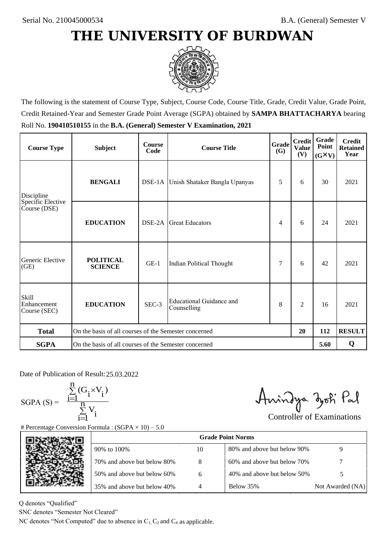

The following is the statement of Course Type, Subject, Course Code, Course Title, Grade, Credit Value, Grade Point, Credit Retained-Year and Semester Grade Point Average (SGPA) obtained by **SAMPA BHATTACHARYA** bearing Roll No. **190410510155** in the **B.A. (General) Semester V Examination, 2021**

| <b>Course Type</b>                          | <b>Subject</b>                                              | <b>Course</b><br>Code | <b>Course Title</b>                          | Grade<br>(G) | <b>Credit</b><br><b>Value</b><br>(V) | Grade<br>Point<br>$(G\times V)$ | <b>Credit</b><br><b>Retained</b><br>Year |
|---------------------------------------------|-------------------------------------------------------------|-----------------------|----------------------------------------------|--------------|--------------------------------------|---------------------------------|------------------------------------------|
| <b>BENGALI</b><br>Discipline                |                                                             |                       | DSE-1A Unish Shataker Bangla Upanyas         | 5            | 6                                    | 30                              | 2021                                     |
| Specific Elective<br>Course (DSE)           | <b>EDUCATION</b>                                            | DSE-2A                | <b>Great Educators</b>                       | 4            | 6                                    | 24                              | 2021                                     |
| Generic Elective<br>(GE)                    | <b>POLITICAL</b><br><b>SCIENCE</b>                          | $GE-1$                | Indian Political Thought                     | 7            | 6                                    | 42                              | 2021                                     |
| <b>Skill</b><br>Enhancement<br>Course (SEC) | <b>EDUCATION</b>                                            | SEC-3                 | Educational Guidance and<br>8<br>Counselling |              | $\overline{c}$                       | 16                              | 2021                                     |
| <b>Total</b>                                | On the basis of all courses of the Semester concerned<br>20 |                       |                                              |              |                                      | 112                             | <b>RESULT</b>                            |
| <b>SGPA</b>                                 | On the basis of all courses of the Semester concerned       |                       |                                              |              |                                      | 5.60                            | Q                                        |

Date of Publication of Result: 25,03,2022

SGPA  $(S) = \frac{1-1}{1}$ 

$$
\frac{\sum\limits_{i=1}^{n} (G_i \times V_i)}{\sum\limits_{i=1}^{n} V_i}
$$

Amindya zoti Pal

| ate of Publication of Result: 25.03.2022<br>GPA (S) = $\frac{\sum_{i=1}^{n} (G_i \times V_i)}{\sum_{i=1}^{n} V_i}$ |                                                                                   |    | Aningya zoti Pal            | <b>Controller of Examinations</b> |
|--------------------------------------------------------------------------------------------------------------------|-----------------------------------------------------------------------------------|----|-----------------------------|-----------------------------------|
|                                                                                                                    | Percentage Conversion Formula : $(SGPA \times 10) - 5.0$                          |    | <b>Grade Point Norms</b>    |                                   |
|                                                                                                                    | 90% to 100%                                                                       | 10 | 80% and above but below 90% | 9                                 |
|                                                                                                                    | 70% and above but below 80%                                                       | 8  | 60% and above but below 70% |                                   |
|                                                                                                                    | 50% and above but below 60%                                                       | 6  | 40% and above but below 50% | 5                                 |
|                                                                                                                    | 35% and above but below 40%                                                       | 4  | Below 35%                   | Not Awarded (NA)                  |
| denotes "Qualified"<br>NC denotes "Semester Not Cleared"                                                           | C denotes "Not Computed" due to absence in $C_1$ , $C_2$ and $C_4$ as applicable. |    |                             |                                   |

Q denotes "Qualified"

SNC denotes "Semester Not Cleared"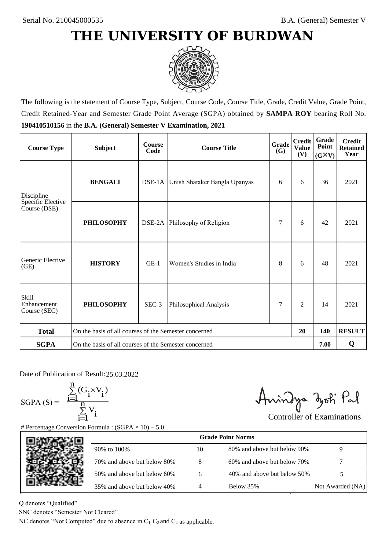

The following is the statement of Course Type, Subject, Course Code, Course Title, Grade, Credit Value, Grade Point, Credit Retained-Year and Semester Grade Point Average (SGPA) obtained by **SAMPA ROY** bearing Roll No. **190410510156** in the **B.A. (General) Semester V Examination, 2021**

| <b>Course Type</b>                          | <b>Subject</b>                                              | <b>Course</b><br>Code | <b>Course Title</b>                  | Grade<br>(G) | <b>Credit</b><br><b>Value</b><br>(V) | Grade<br>Point<br>$(G\times V)$ | <b>Credit</b><br><b>Retained</b><br>Year |
|---------------------------------------------|-------------------------------------------------------------|-----------------------|--------------------------------------|--------------|--------------------------------------|---------------------------------|------------------------------------------|
| <b>BENGALI</b><br>Discipline                |                                                             |                       | DSE-1A Unish Shataker Bangla Upanyas |              | 6                                    | 36                              | 2021                                     |
| Specific Elective<br>Course (DSE)           | <b>PHILOSOPHY</b>                                           |                       | DSE-2A Philosophy of Religion        | 7            | 6                                    | 42                              | 2021                                     |
| Generic Elective<br>(GE)                    | <b>HISTORY</b>                                              | $GE-1$                | Women's Studies in India             | 8            | 6                                    | 48                              | 2021                                     |
| <b>Skill</b><br>Enhancement<br>Course (SEC) | <b>PHILOSOPHY</b>                                           | SEC-3                 | Philosophical Analysis               | 7            | $\overline{c}$                       | 14                              | 2021                                     |
| <b>Total</b>                                | On the basis of all courses of the Semester concerned<br>20 |                       |                                      |              |                                      | 140                             | <b>RESULT</b>                            |
| <b>SGPA</b>                                 | On the basis of all courses of the Semester concerned       |                       |                                      |              |                                      | 7.00                            | Q                                        |

Date of Publication of Result: 25,03,2022

 $SGPA(S) =$ 

$$
\frac{\sum\limits_{i=1}^n(G_i\times V_i)}{\sum\limits_{i=1}^nV_i}
$$

Amindya zoti Pal

| ate of Publication of Result: 25.03.2022<br>GPA (S) = $\frac{\sum_{i=1}^{n} (G_i \times V_i)}{\sum_{i=1}^{n} V_i}$ |                                                                                   |    | Aningya zoti Pal            | <b>Controller of Examinations</b> |
|--------------------------------------------------------------------------------------------------------------------|-----------------------------------------------------------------------------------|----|-----------------------------|-----------------------------------|
|                                                                                                                    | Percentage Conversion Formula : $(SGPA \times 10) - 5.0$                          |    | <b>Grade Point Norms</b>    |                                   |
|                                                                                                                    | 90% to 100%                                                                       | 10 | 80% and above but below 90% | 9                                 |
|                                                                                                                    | 70% and above but below 80%                                                       | 8  | 60% and above but below 70% |                                   |
|                                                                                                                    | 50% and above but below 60%                                                       | 6  | 40% and above but below 50% | 5                                 |
|                                                                                                                    | 35% and above but below 40%                                                       | 4  | Below 35%                   | Not Awarded (NA)                  |
| denotes "Qualified"<br>NC denotes "Semester Not Cleared"                                                           | C denotes "Not Computed" due to absence in $C_1$ , $C_2$ and $C_4$ as applicable. |    |                             |                                   |

Q denotes "Qualified"

SNC denotes "Semester Not Cleared"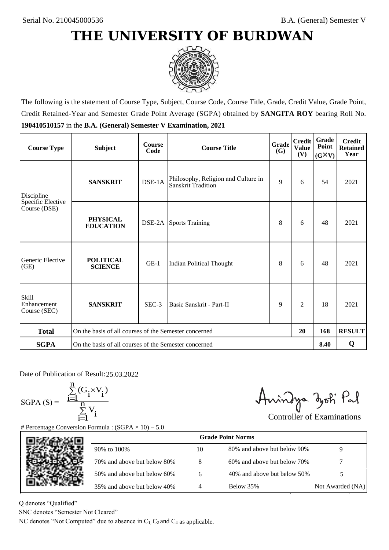

The following is the statement of Course Type, Subject, Course Code, Course Title, Grade, Credit Value, Grade Point, Credit Retained-Year and Semester Grade Point Average (SGPA) obtained by **SANGITA ROY** bearing Roll No. **190410510157** in the **B.A. (General) Semester V Examination, 2021**

| <b>Course Type</b>                          | <b>Subject</b>                                              | <b>Course</b><br>Code | <b>Course Title</b>                                       | Grade<br>(G) | <b>Credit</b><br><b>Value</b><br>(V) | <b>Grade</b><br>Point<br>$(G\times V)$ | <b>Credit</b><br><b>Retained</b><br>Year |
|---------------------------------------------|-------------------------------------------------------------|-----------------------|-----------------------------------------------------------|--------------|--------------------------------------|----------------------------------------|------------------------------------------|
| <b>SANSKRIT</b><br>Discipline               |                                                             | DSE-1A                | Philosophy, Religion and Culture in<br>Sanskrit Tradition | 9            | 6                                    | 54                                     | 2021                                     |
| Specific Elective<br>Course (DSE)           | <b>PHYSICAL</b><br><b>EDUCATION</b>                         |                       | <b>DSE-2A</b> Sports Training                             | 8            | 6                                    | 48                                     | 2021                                     |
| Generic Elective<br>(GE)                    | <b>POLITICAL</b><br><b>SCIENCE</b>                          | $GE-1$                | Indian Political Thought                                  | 8            | 6                                    | 48                                     | 2021                                     |
| <b>Skill</b><br>Enhancement<br>Course (SEC) | <b>SANSKRIT</b>                                             | SEC-3                 | 9<br>Basic Sanskrit - Part-II                             |              | $\overline{c}$                       | 18                                     | 2021                                     |
| <b>Total</b>                                | On the basis of all courses of the Semester concerned<br>20 |                       |                                                           |              |                                      | 168                                    | <b>RESULT</b>                            |
| <b>SGPA</b>                                 | On the basis of all courses of the Semester concerned       |                       |                                                           |              |                                      | 8.40                                   | Q                                        |

Date of Publication of Result: 25,03,2022

 $SGPA(S) =$ 

$$
\frac{\sum\limits_{i=1}^n(G_i\times V_i)}{\sum\limits_{i=1}^nV_i}
$$

Amindya zoti Pal

| ate of Publication of Result: 25.03.2022<br>GPA (S) = $\frac{\sum_{i=1}^{n} (G_i \times V_i)}{\sum_{i=1}^{n} V_i}$ | Percentage Conversion Formula : $(SGPA \times 10) - 5.0$                          |    | Aningya zoti Pal            | <b>Controller of Examinations</b> |
|--------------------------------------------------------------------------------------------------------------------|-----------------------------------------------------------------------------------|----|-----------------------------|-----------------------------------|
|                                                                                                                    |                                                                                   |    | <b>Grade Point Norms</b>    |                                   |
|                                                                                                                    | 90% to 100%                                                                       | 10 | 80% and above but below 90% | 9                                 |
|                                                                                                                    | 70% and above but below 80%                                                       | 8  | 60% and above but below 70% |                                   |
|                                                                                                                    | 50% and above but below 60%                                                       | 6  | 40% and above but below 50% | 5                                 |
|                                                                                                                    | 35% and above but below 40%                                                       | 4  | Below 35%                   | Not Awarded (NA)                  |
| denotes "Qualified"<br>NC denotes "Semester Not Cleared"                                                           | C denotes "Not Computed" due to absence in $C_1$ , $C_2$ and $C_4$ as applicable. |    |                             |                                   |

Q denotes "Qualified"

SNC denotes "Semester Not Cleared"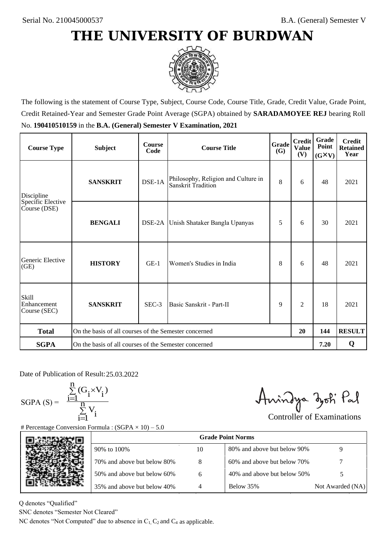

The following is the statement of Course Type, Subject, Course Code, Course Title, Grade, Credit Value, Grade Point, Credit Retained-Year and Semester Grade Point Average (SGPA) obtained by **SARADAMOYEE REJ** bearing Roll No. **190410510159** in the **B.A. (General) Semester V Examination, 2021**

| <b>Course Type</b>                          | <b>Subject</b>                                              | <b>Course</b><br>Code | <b>Course Title</b>                                       | Grade<br><b>(G)</b> | <b>Credit</b><br><b>Value</b><br>(V) | Grade<br>Point<br>$(G\times V)$ | <b>Credit</b><br><b>Retained</b><br>Year |
|---------------------------------------------|-------------------------------------------------------------|-----------------------|-----------------------------------------------------------|---------------------|--------------------------------------|---------------------------------|------------------------------------------|
| <b>SANSKRIT</b><br>Discipline               |                                                             | DSE-1A                | Philosophy, Religion and Culture in<br>Sanskrit Tradition |                     | 6                                    | 48                              | 2021                                     |
| Specific Elective<br>Course (DSE)           | <b>BENGALI</b>                                              |                       | DSE-2A Unish Shataker Bangla Upanyas                      | 5                   | 6                                    | 30                              | 2021                                     |
| Generic Elective<br>(GE)                    | <b>HISTORY</b>                                              | $GE-1$                | Women's Studies in India                                  | 8                   | 6                                    | 48                              | 2021                                     |
| <b>Skill</b><br>Enhancement<br>Course (SEC) | <b>SANSKRIT</b>                                             | $SEC-3$               | Basic Sanskrit - Part-II                                  | 9                   | $\overline{c}$                       | 18                              | 2021                                     |
| <b>Total</b>                                | On the basis of all courses of the Semester concerned<br>20 |                       |                                                           |                     |                                      | 144                             | <b>RESULT</b>                            |
| <b>SGPA</b>                                 | On the basis of all courses of the Semester concerned       |                       |                                                           |                     |                                      | 7.20                            | Q                                        |

Date of Publication of Result: 25,03,2022

 $SGPA(S) =$ 

$$
\frac{\sum\limits_{i=1}^{n}(G_{i}\times V_{i})}{\sum\limits_{i=1}^{n}V_{i}}
$$

Amindya zoti Pal

| ate of Publication of Result: 25.03.2022<br>SGPA (S) = $\frac{\sum_{i=1}^{n} (G_i \times V_i)}{\sum_{i=1}^{n} V_i}$ |                                                                                   |    | Aningya zoti Pal            | <b>Controller of Examinations</b> |
|---------------------------------------------------------------------------------------------------------------------|-----------------------------------------------------------------------------------|----|-----------------------------|-----------------------------------|
|                                                                                                                     | Percentage Conversion Formula : $(SGPA \times 10) - 5.0$                          |    | <b>Grade Point Norms</b>    |                                   |
|                                                                                                                     | 90% to 100%                                                                       | 10 | 80% and above but below 90% | 9                                 |
|                                                                                                                     | 70% and above but below 80%                                                       | 8  | 60% and above but below 70% |                                   |
|                                                                                                                     | 50% and above but below 60%                                                       | 6  | 40% and above but below 50% | 5                                 |
|                                                                                                                     | 35% and above but below 40%                                                       | 4  | Below 35%                   | Not Awarded (NA)                  |
| denotes "Qualified"<br>NC denotes "Semester Not Cleared"                                                            | C denotes "Not Computed" due to absence in $C_1$ , $C_2$ and $C_4$ as applicable. |    |                             |                                   |

Q denotes "Qualified"

SNC denotes "Semester Not Cleared"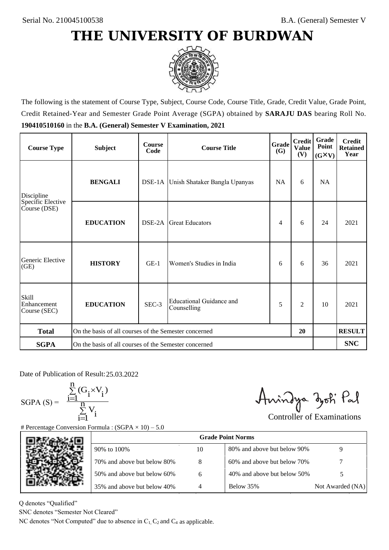

The following is the statement of Course Type, Subject, Course Code, Course Title, Grade, Credit Value, Grade Point, Credit Retained-Year and Semester Grade Point Average (SGPA) obtained by **SARAJU DAS** bearing Roll No. **190410510160** in the **B.A. (General) Semester V Examination, 2021**

| <b>Course Type</b>                                | <b>Subject</b>                                              | <b>Course</b><br>Code | <b>Course Title</b>                     | Grade<br><b>(G)</b> | <b>Credit</b><br><b>Value</b><br>(V) | Grade<br>Point<br>$(G\times V)$ | <b>Credit</b><br><b>Retained</b><br>Year |
|---------------------------------------------------|-------------------------------------------------------------|-----------------------|-----------------------------------------|---------------------|--------------------------------------|---------------------------------|------------------------------------------|
| <b>BENGALI</b><br>Discipline<br>Specific Elective |                                                             |                       | DSE-1A Unish Shataker Bangla Upanyas    |                     | 6                                    | <b>NA</b>                       |                                          |
| Course (DSE)                                      | <b>EDUCATION</b>                                            | DSE-2A                | <b>Great Educators</b>                  | 4                   | 6                                    | 24                              | 2021                                     |
| Generic Elective<br>(GE)                          | <b>HISTORY</b>                                              | $GE-1$                | Women's Studies in India                |                     | 6                                    | 36                              | 2021                                     |
| <b>Skill</b><br>Enhancement<br>Course (SEC)       | <b>EDUCATION</b>                                            | SEC-3                 | Educational Guidance and<br>Counselling |                     | $\overline{c}$                       | 10                              | 2021                                     |
| <b>Total</b>                                      | On the basis of all courses of the Semester concerned<br>20 |                       |                                         |                     |                                      |                                 | <b>RESULT</b>                            |
| <b>SGPA</b>                                       | On the basis of all courses of the Semester concerned       |                       |                                         |                     |                                      |                                 | <b>SNC</b>                               |

Date of Publication of Result: 25,03,2022

 $SGPA(S) =$ 

$$
\frac{\sum\limits_{i=1}^n (G_i \times V_i)}{\sum\limits_{i=1}^n V_i}
$$

Amindya zoti Pal

| ate of Publication of Result: 25.03.2022<br>GPA (S) = $\frac{\sum_{i=1}^{n} (G_i \times V_i)}{\sum_{i=1}^{n} V_i}$ |                                                                                   |    | Aningya zoti Pal            | <b>Controller of Examinations</b> |
|--------------------------------------------------------------------------------------------------------------------|-----------------------------------------------------------------------------------|----|-----------------------------|-----------------------------------|
|                                                                                                                    | Percentage Conversion Formula : $(SGPA \times 10) - 5.0$                          |    | <b>Grade Point Norms</b>    |                                   |
|                                                                                                                    | 90% to 100%                                                                       | 10 | 80% and above but below 90% | 9                                 |
|                                                                                                                    | 70% and above but below 80%                                                       | 8  | 60% and above but below 70% |                                   |
|                                                                                                                    | 50% and above but below 60%                                                       | 6  | 40% and above but below 50% | 5                                 |
|                                                                                                                    | 35% and above but below 40%                                                       | 4  | Below 35%                   | Not Awarded (NA)                  |
| denotes "Qualified"<br>NC denotes "Semester Not Cleared"                                                           | C denotes "Not Computed" due to absence in $C_1$ , $C_2$ and $C_4$ as applicable. |    |                             |                                   |

Q denotes "Qualified"

SNC denotes "Semester Not Cleared"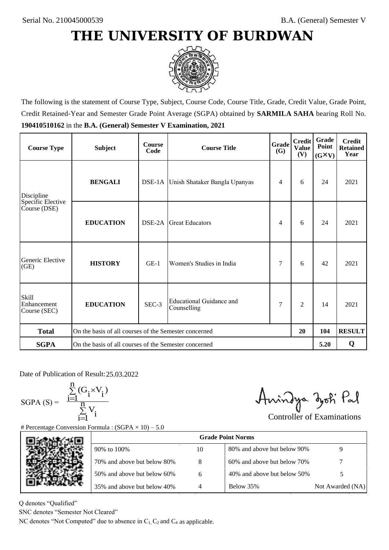

The following is the statement of Course Type, Subject, Course Code, Course Title, Grade, Credit Value, Grade Point, Credit Retained-Year and Semester Grade Point Average (SGPA) obtained by **SARMILA SAHA** bearing Roll No. **190410510162** in the **B.A. (General) Semester V Examination, 2021**

| <b>Course Type</b>                          | <b>Subject</b>                                              | <b>Course</b><br>Code | <b>Course Title</b>                     | Grade<br><b>(G)</b> | <b>Credit</b><br><b>Value</b><br>(V) | Grade<br>Point<br>$(G\times V)$ | <b>Credit</b><br><b>Retained</b><br>Year |
|---------------------------------------------|-------------------------------------------------------------|-----------------------|-----------------------------------------|---------------------|--------------------------------------|---------------------------------|------------------------------------------|
| Discipline                                  | <b>BENGALI</b>                                              |                       | DSE-1A Unish Shataker Bangla Upanyas    |                     | 6                                    | 24                              | 2021                                     |
| Specific Elective<br>Course (DSE)           | <b>EDUCATION</b>                                            | DSE-2A                | <b>Great Educators</b>                  | 4                   | 6                                    | 24                              | 2021                                     |
| Generic Elective<br>(GE)                    | <b>HISTORY</b>                                              | $GE-1$                | Women's Studies in India                |                     | 6                                    | 42                              | 2021                                     |
| <b>Skill</b><br>Enhancement<br>Course (SEC) | <b>EDUCATION</b>                                            | SEC-3                 | Educational Guidance and<br>Counselling | 7                   | $\overline{c}$                       | 14                              | 2021                                     |
| <b>Total</b>                                | On the basis of all courses of the Semester concerned<br>20 |                       |                                         |                     |                                      | 104                             | <b>RESULT</b>                            |
| <b>SGPA</b>                                 | On the basis of all courses of the Semester concerned       |                       |                                         |                     |                                      | 5.20                            | Q                                        |

Date of Publication of Result: 25,03,2022

SGPA  $(S) = \frac{1-1}{1}$ 

$$
\frac{\sum_{i=1}^{n} (G_i \times V_i)}{\sum_{i=1}^{n} V_i}
$$

Amindya zoti Pal

| Percentage Conversion Formula : $(SGPA \times 10) - 5.0$                          |  |
|-----------------------------------------------------------------------------------|--|
|                                                                                   |  |
| <b>Grade Point Norms</b>                                                          |  |
| 80% and above but below 90%<br>9<br>10<br>90% to 100%                             |  |
| 8<br>70% and above but below 80%<br>60% and above but below 70%                   |  |
| 50% and above but below 60%<br>40% and above but below 50%<br>5<br>6              |  |
| Below 35%<br>35% and above but below 40%<br>4<br>Not Awarded (NA)                 |  |
| denotes "Qualified"<br>NC denotes "Semester Not Cleared"                          |  |
| C denotes "Not Computed" due to absence in $C_1$ , $C_2$ and $C_4$ as applicable. |  |

Q denotes "Qualified"

SNC denotes "Semester Not Cleared"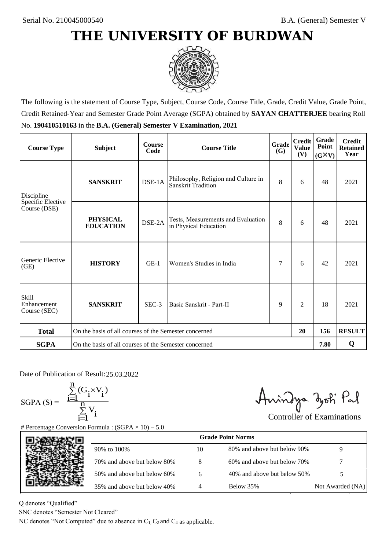

The following is the statement of Course Type, Subject, Course Code, Course Title, Grade, Credit Value, Grade Point, Credit Retained-Year and Semester Grade Point Average (SGPA) obtained by **SAYAN CHATTERJEE** bearing Roll No. **190410510163** in the **B.A. (General) Semester V Examination, 2021**

| <b>Course Type</b>                          | <b>Subject</b>                                              | <b>Course</b><br>Code | <b>Course Title</b>                                         | <b>Grade</b><br><b>(G)</b> | <b>Credit</b><br><b>Value</b><br>(V) | Grade<br>Point<br>$(G\times V)$ | <b>Credit</b><br><b>Retained</b><br>Year |
|---------------------------------------------|-------------------------------------------------------------|-----------------------|-------------------------------------------------------------|----------------------------|--------------------------------------|---------------------------------|------------------------------------------|
| Discipline                                  | DSE-1A<br><b>SANSKRIT</b>                                   |                       | Philosophy, Religion and Culture in<br>Sanskrit Tradition   |                            | 6                                    | 48                              | 2021                                     |
| Specific Elective<br>Course (DSE)           | <b>PHYSICAL</b><br><b>EDUCATION</b>                         | DSE-2A                | Tests, Measurements and Evaluation<br>in Physical Education | 8                          | 6                                    | 48                              | 2021                                     |
| Generic Elective<br>(GE)                    | <b>HISTORY</b>                                              | $GE-1$                | Women's Studies in India                                    | 7                          | 6                                    | 42                              | 2021                                     |
| <b>Skill</b><br>Enhancement<br>Course (SEC) | <b>SANSKRIT</b>                                             | SEC-3                 | Basic Sanskrit - Part-II                                    | 9                          | $\overline{2}$                       | 18                              | 2021                                     |
| <b>Total</b>                                | On the basis of all courses of the Semester concerned<br>20 |                       |                                                             |                            |                                      | 156                             | <b>RESULT</b>                            |
| <b>SGPA</b>                                 | On the basis of all courses of the Semester concerned       |                       |                                                             |                            |                                      | 7.80                            | Q                                        |

Date of Publication of Result: 25,03,2022

 $SGPA(S) =$ 

$$
\frac{\sum\limits_{i=1}^n (G_i \times V_i)}{\sum\limits_{i=1}^n V_i}
$$

Amindya zoti Pal

| ate of Publication of Result: 25.03.2022<br>GPA (S) = $\frac{\sum_{i=1}^{n} (G_i \times V_i)}{\sum_{i=1}^{n} V_i}$ | Percentage Conversion Formula : $(SGPA \times 10) - 5.0$                          |    | Aningya zoti Pal            | <b>Controller of Examinations</b> |
|--------------------------------------------------------------------------------------------------------------------|-----------------------------------------------------------------------------------|----|-----------------------------|-----------------------------------|
|                                                                                                                    |                                                                                   |    | <b>Grade Point Norms</b>    |                                   |
|                                                                                                                    | 90% to 100%                                                                       | 10 | 80% and above but below 90% | 9                                 |
|                                                                                                                    | 70% and above but below 80%                                                       | 8  | 60% and above but below 70% |                                   |
|                                                                                                                    | 50% and above but below 60%                                                       | 6  | 40% and above but below 50% | 5                                 |
|                                                                                                                    | 35% and above but below 40%                                                       | 4  | Below 35%                   | Not Awarded (NA)                  |
| denotes "Qualified"<br>NC denotes "Semester Not Cleared"                                                           | C denotes "Not Computed" due to absence in $C_1$ , $C_2$ and $C_4$ as applicable. |    |                             |                                   |

Q denotes "Qualified"

SNC denotes "Semester Not Cleared"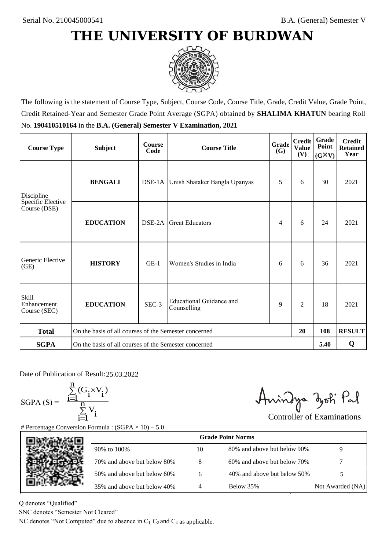

The following is the statement of Course Type, Subject, Course Code, Course Title, Grade, Credit Value, Grade Point, Credit Retained-Year and Semester Grade Point Average (SGPA) obtained by **SHALIMA KHATUN** bearing Roll No. **190410510164** in the **B.A. (General) Semester V Examination, 2021**

| <b>Course Type</b>                          | <b>Subject</b>                                              | <b>Course</b><br>Code | <b>Course Title</b>                     | Grade<br><b>(G)</b> | <b>Credit</b><br><b>Value</b><br>(V) | Grade<br>Point<br>$(G\times V)$ | <b>Credit</b><br><b>Retained</b><br>Year |
|---------------------------------------------|-------------------------------------------------------------|-----------------------|-----------------------------------------|---------------------|--------------------------------------|---------------------------------|------------------------------------------|
| Discipline                                  | <b>BENGALI</b>                                              |                       | DSE-1A Unish Shataker Bangla Upanyas    |                     | 6                                    | 30                              | 2021                                     |
| Specific Elective<br>Course (DSE)           | <b>EDUCATION</b>                                            | DSE-2A                | <b>Great Educators</b>                  | 4                   | 6                                    | 24                              | 2021                                     |
| Generic Elective<br>(GE)                    | <b>HISTORY</b>                                              | $GE-1$                | Women's Studies in India                |                     | 6                                    | 36                              | 2021                                     |
| <b>Skill</b><br>Enhancement<br>Course (SEC) | <b>EDUCATION</b>                                            | SEC-3                 | Educational Guidance and<br>Counselling | 9                   | $\overline{c}$                       | 18                              | 2021                                     |
| <b>Total</b>                                | On the basis of all courses of the Semester concerned<br>20 |                       |                                         |                     |                                      | 108                             | <b>RESULT</b>                            |
| <b>SGPA</b>                                 | On the basis of all courses of the Semester concerned       |                       |                                         |                     |                                      | 5.40                            | Q                                        |

Date of Publication of Result: 25,03,2022

SGPA  $(S) = \frac{1-1}{1}$ 

$$
\frac{\sum_{i=1}^{n} (G_i \times V_i)}{\sum_{i=1}^{n} V_i}
$$

Amindya zoti Pal

| ate of Publication of Result: 25.03.2022<br>GPA (S) = $\frac{\sum_{i=1}^{n} (G_i \times V_i)}{\sum_{i=1}^{n} V_i}$ | Percentage Conversion Formula : $(SGPA \times 10) - 5.0$                          |    | Aningya zoti Pal            | <b>Controller of Examinations</b> |
|--------------------------------------------------------------------------------------------------------------------|-----------------------------------------------------------------------------------|----|-----------------------------|-----------------------------------|
|                                                                                                                    |                                                                                   |    | <b>Grade Point Norms</b>    |                                   |
|                                                                                                                    | 90% to 100%                                                                       | 10 | 80% and above but below 90% | 9                                 |
|                                                                                                                    | 70% and above but below 80%                                                       | 8  | 60% and above but below 70% |                                   |
|                                                                                                                    | 50% and above but below 60%                                                       | 6  | 40% and above but below 50% | 5                                 |
|                                                                                                                    | 35% and above but below 40%                                                       | 4  | Below 35%                   | Not Awarded (NA)                  |
| denotes "Qualified"<br>NC denotes "Semester Not Cleared"                                                           | C denotes "Not Computed" due to absence in $C_1$ , $C_2$ and $C_4$ as applicable. |    |                             |                                   |

Q denotes "Qualified"

SNC denotes "Semester Not Cleared"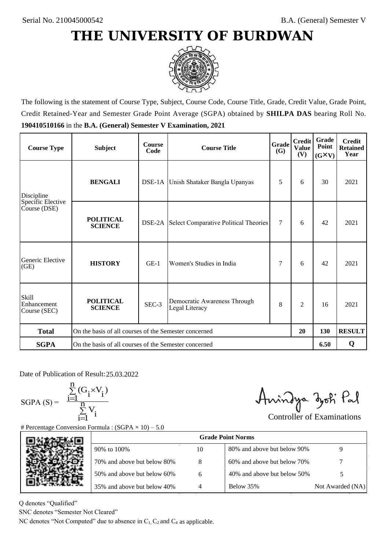

The following is the statement of Course Type, Subject, Course Code, Course Title, Grade, Credit Value, Grade Point, Credit Retained-Year and Semester Grade Point Average (SGPA) obtained by **SHILPA DAS** bearing Roll No. **190410510166** in the **B.A. (General) Semester V Examination, 2021**

| <b>Course Type</b>                          | <b>Subject</b>                                              | <b>Course</b><br>Code | <b>Course Title</b>                            | Grade<br>(G) | <b>Credit</b><br><b>Value</b><br>(V) | Grade<br>Point<br>$(G\times V)$ | <b>Credit</b><br><b>Retained</b><br>Year |
|---------------------------------------------|-------------------------------------------------------------|-----------------------|------------------------------------------------|--------------|--------------------------------------|---------------------------------|------------------------------------------|
| Discipline                                  | <b>BENGALI</b>                                              |                       | DSE-1A Unish Shataker Bangla Upanyas           |              | 6                                    | 30                              | 2021                                     |
| Specific Elective<br>Course (DSE)           | <b>POLITICAL</b><br><b>SCIENCE</b>                          |                       | DSE-2A Select Comparative Political Theories   | 7            | 6                                    | 42                              | 2021                                     |
| Generic Elective<br>(GE)                    | <b>HISTORY</b>                                              | $GE-1$                | Women's Studies in India                       |              | 6                                    | 42                              | 2021                                     |
| <b>Skill</b><br>Enhancement<br>Course (SEC) | <b>POLITICAL</b><br><b>SCIENCE</b>                          | SEC-3                 | Democratic Awareness Through<br>Legal Literacy | 8            | $\overline{c}$                       | 16                              | 2021                                     |
| <b>Total</b>                                | On the basis of all courses of the Semester concerned<br>20 |                       |                                                |              |                                      | 130                             | <b>RESULT</b>                            |
| <b>SGPA</b>                                 | On the basis of all courses of the Semester concerned       |                       |                                                |              |                                      | 6.50                            | Q                                        |

Date of Publication of Result: 25,03,2022

SGPA  $(S) = \frac{1-1}{1}$ 

$$
\frac{\sum\limits_{i=1}^{n} (G_i \times V_i)}{\sum\limits_{i=1}^{n} V_i}
$$

Amindya zoti Pal

| ate of Publication of Result: 25.03.2022<br>GPA (S) = $\frac{\sum_{i=1}^{n} (G_i \times V_i)}{\sum_{i=1}^{n} V_i}$ |                                                                                   |    | Aningya zoti Pal            | <b>Controller of Examinations</b> |
|--------------------------------------------------------------------------------------------------------------------|-----------------------------------------------------------------------------------|----|-----------------------------|-----------------------------------|
|                                                                                                                    | Percentage Conversion Formula : $(SGPA \times 10) - 5.0$                          |    | <b>Grade Point Norms</b>    |                                   |
|                                                                                                                    | 90% to 100%                                                                       | 10 | 80% and above but below 90% | 9                                 |
|                                                                                                                    | 70% and above but below 80%                                                       | 8  | 60% and above but below 70% |                                   |
|                                                                                                                    | 50% and above but below 60%                                                       | 6  | 40% and above but below 50% | 5                                 |
|                                                                                                                    | 35% and above but below 40%                                                       | 4  | Below 35%                   | Not Awarded (NA)                  |
| denotes "Qualified"<br>NC denotes "Semester Not Cleared"                                                           | C denotes "Not Computed" due to absence in $C_1$ , $C_2$ and $C_4$ as applicable. |    |                             |                                   |

Q denotes "Qualified"

SNC denotes "Semester Not Cleared"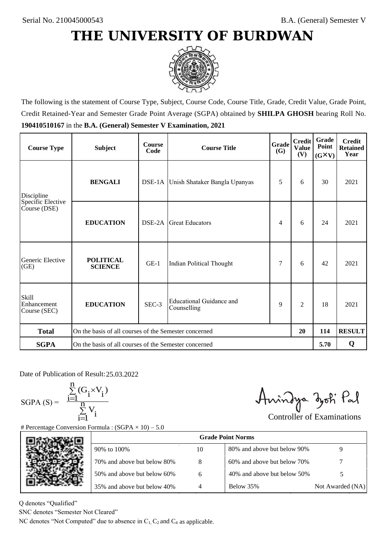

The following is the statement of Course Type, Subject, Course Code, Course Title, Grade, Credit Value, Grade Point, Credit Retained-Year and Semester Grade Point Average (SGPA) obtained by **SHILPA GHOSH** bearing Roll No. **190410510167** in the **B.A. (General) Semester V Examination, 2021**

| <b>Course Type</b>                          | <b>Subject</b>                                              | <b>Course</b><br>Code | <b>Course Title</b>                     | Grade<br><b>(G)</b> | <b>Credit</b><br><b>Value</b><br>(V) | Grade<br>Point<br>$(G\times V)$ | <b>Credit</b><br><b>Retained</b><br>Year |
|---------------------------------------------|-------------------------------------------------------------|-----------------------|-----------------------------------------|---------------------|--------------------------------------|---------------------------------|------------------------------------------|
| Discipline                                  | <b>BENGALI</b>                                              |                       | DSE-1A Unish Shataker Bangla Upanyas    |                     | 6                                    | 30                              | 2021                                     |
| Specific Elective<br>Course (DSE)           | <b>EDUCATION</b>                                            | DSE-2A                | <b>Great Educators</b>                  | 4                   | 6                                    | 24                              | 2021                                     |
| Generic Elective<br>(GE)                    | <b>POLITICAL</b><br><b>SCIENCE</b>                          | $GE-1$                | Indian Political Thought                |                     | 6                                    | 42                              | 2021                                     |
| <b>Skill</b><br>Enhancement<br>Course (SEC) | <b>EDUCATION</b>                                            | SEC-3                 | Educational Guidance and<br>Counselling | 9                   | $\overline{c}$                       | 18                              | 2021                                     |
| <b>Total</b>                                | On the basis of all courses of the Semester concerned<br>20 |                       |                                         |                     |                                      | 114                             | <b>RESULT</b>                            |
| <b>SGPA</b>                                 | On the basis of all courses of the Semester concerned       |                       |                                         |                     |                                      | 5.70                            | Q                                        |

Date of Publication of Result: 25,03,2022

 $SGPA(S) =$ 

$$
\frac{\sum\limits_{i=1}^{n} (G_i \times V_i)}{\sum\limits_{i=1}^{n} V_i}
$$

Amindya zoti Pal

| ate of Publication of Result: 25.03.2022<br>GPA (S) = $\frac{\sum_{i=1}^{n} (G_i \times V_i)}{\sum_{i=1}^{n} V_i}$ | Percentage Conversion Formula : $(SGPA \times 10) - 5.0$                          |    | Aningya zoti Pal            | <b>Controller of Examinations</b> |
|--------------------------------------------------------------------------------------------------------------------|-----------------------------------------------------------------------------------|----|-----------------------------|-----------------------------------|
|                                                                                                                    |                                                                                   |    | <b>Grade Point Norms</b>    |                                   |
|                                                                                                                    | 90% to 100%                                                                       | 10 | 80% and above but below 90% | 9                                 |
|                                                                                                                    | 70% and above but below 80%                                                       | 8  | 60% and above but below 70% |                                   |
|                                                                                                                    | 50% and above but below 60%                                                       | 6  | 40% and above but below 50% | 5                                 |
|                                                                                                                    | 35% and above but below 40%                                                       | 4  | Below 35%                   | Not Awarded (NA)                  |
| denotes "Qualified"<br>VC denotes "Semester Not Cleared"                                                           | C denotes "Not Computed" due to absence in $C_1$ , $C_2$ and $C_4$ as applicable. |    |                             |                                   |

Q denotes "Qualified"

SNC denotes "Semester Not Cleared"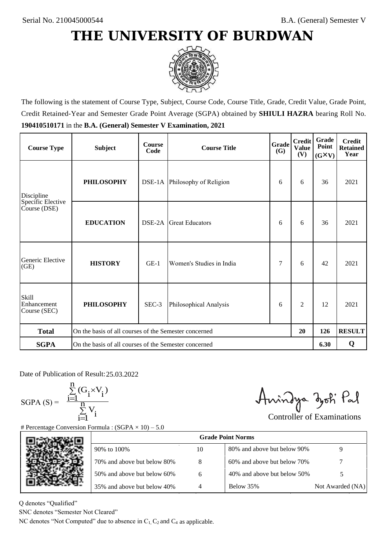

The following is the statement of Course Type, Subject, Course Code, Course Title, Grade, Credit Value, Grade Point, Credit Retained-Year and Semester Grade Point Average (SGPA) obtained by **SHIULI HAZRA** bearing Roll No. **190410510171** in the **B.A. (General) Semester V Examination, 2021**

| <b>Course Type</b>                          | <b>Subject</b>                                        | <b>Course</b><br>Code | Grade<br><b>Course Title</b><br>(G) |   | <b>Credit</b><br><b>Value</b><br>(V) | Grade<br>Point<br>$(G\times V)$ | <b>Credit</b><br><b>Retained</b><br>Year |
|---------------------------------------------|-------------------------------------------------------|-----------------------|-------------------------------------|---|--------------------------------------|---------------------------------|------------------------------------------|
| Discipline                                  | <b>PHILOSOPHY</b>                                     |                       | DSE-1A Philosophy of Religion       | 6 | 6                                    | 36                              | 2021                                     |
| Specific Elective<br>Course (DSE)           | <b>EDUCATION</b>                                      | DSE-2A                | <b>Great Educators</b>              | 6 | 6                                    | 36                              | 2021                                     |
| Generic Elective<br>(GE)                    | <b>HISTORY</b>                                        | $GE-1$                | Women's Studies in India            | 7 | 6                                    | 42                              | 2021                                     |
| <b>Skill</b><br>Enhancement<br>Course (SEC) | <b>PHILOSOPHY</b>                                     | SEC-3                 | Philosophical Analysis              |   | $\overline{2}$                       | 12                              | 2021                                     |
| <b>Total</b>                                | On the basis of all courses of the Semester concerned |                       |                                     |   | 20                                   | 126                             | <b>RESULT</b>                            |
| <b>SGPA</b>                                 | On the basis of all courses of the Semester concerned |                       |                                     |   |                                      | 6.30                            | Q                                        |

Date of Publication of Result: 25,03,2022

 $SGPA(S) =$ 

$$
\frac{\sum\limits_{i=1}^n(G_i\times V_i)}{\sum\limits_{i=1}^nV_i}
$$

Amindya zoti Pal

| ate of Publication of Result: 25.03.2022<br>GPA (S) = $\frac{\sum_{i=1}^{n} (G_i \times V_i)}{\sum_{i=1}^{n} V_i}$ |                                                                                   |    | Aningya zoti Pal            | <b>Controller of Examinations</b> |
|--------------------------------------------------------------------------------------------------------------------|-----------------------------------------------------------------------------------|----|-----------------------------|-----------------------------------|
|                                                                                                                    | Percentage Conversion Formula : $(SGPA \times 10) - 5.0$                          |    | <b>Grade Point Norms</b>    |                                   |
|                                                                                                                    | 90% to 100%                                                                       | 10 | 80% and above but below 90% | 9                                 |
|                                                                                                                    | 70% and above but below 80%                                                       | 8  | 60% and above but below 70% |                                   |
|                                                                                                                    | 50% and above but below 60%                                                       | 6  | 40% and above but below 50% | 5                                 |
|                                                                                                                    | 35% and above but below 40%                                                       | 4  | Below 35%                   | Not Awarded (NA)                  |
| denotes "Qualified"<br>NC denotes "Semester Not Cleared"                                                           | C denotes "Not Computed" due to absence in $C_1$ , $C_2$ and $C_4$ as applicable. |    |                             |                                   |

Q denotes "Qualified"

SNC denotes "Semester Not Cleared"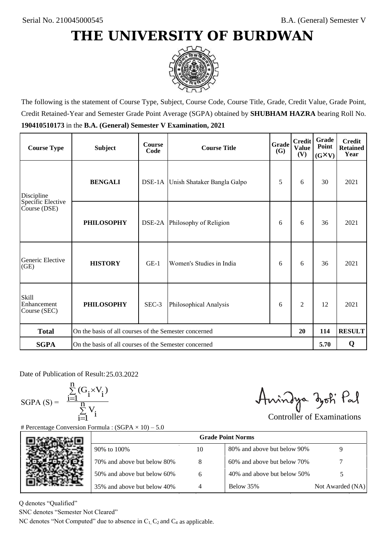

The following is the statement of Course Type, Subject, Course Code, Course Title, Grade, Credit Value, Grade Point, Credit Retained-Year and Semester Grade Point Average (SGPA) obtained by **SHUBHAM HAZRA** bearing Roll No. **190410510173** in the **B.A. (General) Semester V Examination, 2021**

| <b>Course Type</b>                          | <b>Subject</b>                                        | <b>Course</b><br>Code | Grade<br><b>Course Title</b>       |   | <b>Credit</b><br><b>Value</b><br>(V) | Grade<br>Point<br>$(G\times V)$ | <b>Credit</b><br><b>Retained</b><br>Year |
|---------------------------------------------|-------------------------------------------------------|-----------------------|------------------------------------|---|--------------------------------------|---------------------------------|------------------------------------------|
| Discipline                                  | <b>BENGALI</b>                                        |                       | DSE-1A Unish Shataker Bangla Galpo | 5 | 6                                    | 30                              | 2021                                     |
| Specific Elective<br>Course (DSE)           | <b>PHILOSOPHY</b>                                     |                       | DSE-2A Philosophy of Religion      | 6 | 6                                    | 36                              | 2021                                     |
| Generic Elective<br>(GE)                    | <b>HISTORY</b>                                        | $GE-1$                | Women's Studies in India           |   | 6                                    | 36                              | 2021                                     |
| <b>Skill</b><br>Enhancement<br>Course (SEC) | <b>PHILOSOPHY</b>                                     | SEC-3                 | Philosophical Analysis             | 6 | $\overline{2}$                       | 12                              | 2021                                     |
| <b>Total</b>                                | On the basis of all courses of the Semester concerned |                       |                                    |   | 20                                   | 114                             | <b>RESULT</b>                            |
| <b>SGPA</b>                                 | On the basis of all courses of the Semester concerned |                       |                                    |   |                                      | 5.70                            | Q                                        |

Date of Publication of Result: 25,03,2022

 $SGPA(S) =$ 

$$
\frac{\sum\limits_{i=1}^n(G_i\times V_i)}{\sum\limits_{i=1}^nV_i}
$$

Amindya zoti Pal

| ate of Publication of Result: 25.03.2022<br>GPA (S) = $\frac{\sum_{i=1}^{n} (G_i \times V_i)}{\sum_{i=1}^{n} V_i}$ | Percentage Conversion Formula : $(SGPA \times 10) - 5.0$                          |    | Aningya zoti Pal            | <b>Controller of Examinations</b> |
|--------------------------------------------------------------------------------------------------------------------|-----------------------------------------------------------------------------------|----|-----------------------------|-----------------------------------|
|                                                                                                                    |                                                                                   |    | <b>Grade Point Norms</b>    |                                   |
|                                                                                                                    | 90% to 100%                                                                       | 10 | 80% and above but below 90% | 9                                 |
|                                                                                                                    | 70% and above but below 80%                                                       | 8  | 60% and above but below 70% |                                   |
|                                                                                                                    | 50% and above but below 60%                                                       | 6  | 40% and above but below 50% | 5                                 |
|                                                                                                                    | 35% and above but below 40%                                                       | 4  | Below 35%                   | Not Awarded (NA)                  |
| denotes "Qualified"<br>NC denotes "Semester Not Cleared"                                                           | C denotes "Not Computed" due to absence in $C_1$ , $C_2$ and $C_4$ as applicable. |    |                             |                                   |

Q denotes "Qualified"

SNC denotes "Semester Not Cleared"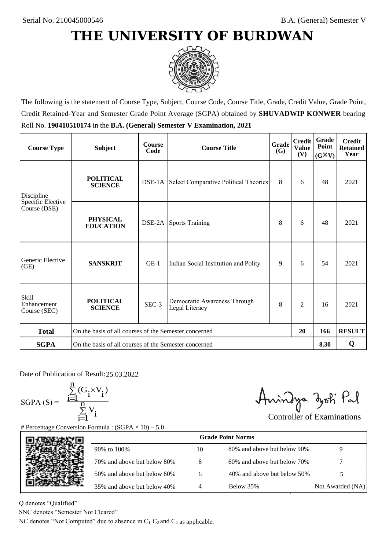

The following is the statement of Course Type, Subject, Course Code, Course Title, Grade, Credit Value, Grade Point, Credit Retained-Year and Semester Grade Point Average (SGPA) obtained by **SHUVADWIP KONWER** bearing Roll No. **190410510174** in the **B.A. (General) Semester V Examination, 2021**

| <b>Course Type</b>                          | <b>Subject</b>                                              | <b>Course</b><br>Code | Grade<br><b>Course Title</b>                        |     | <b>Credit</b><br><b>Value</b><br>(V) | <b>Grade</b><br>Point<br>$(G\times V)$ | <b>Credit</b><br><b>Retained</b><br>Year |
|---------------------------------------------|-------------------------------------------------------------|-----------------------|-----------------------------------------------------|-----|--------------------------------------|----------------------------------------|------------------------------------------|
| Discipline                                  | <b>POLITICAL</b><br><b>SCIENCE</b>                          |                       | <b>DSE-1A</b> Select Comparative Political Theories | 8   | 6                                    | 48                                     | 2021                                     |
| Specific Elective<br>Course (DSE)           | <b>PHYSICAL</b><br><b>EDUCATION</b>                         |                       | <b>DSE-2A</b> Sports Training                       | 8   | 6                                    | 48                                     | 2021                                     |
| Generic Elective<br>(GE)                    | <b>SANSKRIT</b>                                             | $GE-1$                | Indian Social Institution and Polity                | 9   | 6                                    | 54                                     | 2021                                     |
| <b>Skill</b><br>Enhancement<br>Course (SEC) | <b>POLITICAL</b><br><b>SCIENCE</b>                          | SEC-3                 | Democratic Awareness Through<br>Legal Literacy      | 8   | $\overline{c}$                       | 16                                     | 2021                                     |
| <b>Total</b>                                | On the basis of all courses of the Semester concerned<br>20 |                       |                                                     | 166 | <b>RESULT</b>                        |                                        |                                          |
| <b>SGPA</b>                                 | On the basis of all courses of the Semester concerned       |                       |                                                     |     |                                      | 8.30                                   | Q                                        |

Date of Publication of Result: 25,03,2022

SGPA  $(S) = \frac{1-1}{1}$ 

$$
\frac{\sum\limits_{i=1}^{n} (G_i \times V_i)}{\sum\limits_{i=1}^{n} V_i}
$$

Amindya zoti Pal

| ate of Publication of Result: 25.03.2022<br>GPA (S) = $\frac{\sum_{i=1}^{n} (G_i \times V_i)}{\sum_{i=1}^{n} V_i}$ | Percentage Conversion Formula : $(SGPA \times 10) - 5.0$                          |    | Aningya zoti Pal            | <b>Controller of Examinations</b> |
|--------------------------------------------------------------------------------------------------------------------|-----------------------------------------------------------------------------------|----|-----------------------------|-----------------------------------|
|                                                                                                                    |                                                                                   |    | <b>Grade Point Norms</b>    |                                   |
|                                                                                                                    | 90% to 100%                                                                       | 10 | 80% and above but below 90% | 9                                 |
|                                                                                                                    | 70% and above but below 80%                                                       | 8  | 60% and above but below 70% |                                   |
|                                                                                                                    | 50% and above but below 60%                                                       | 6  | 40% and above but below 50% | 5                                 |
|                                                                                                                    | 35% and above but below 40%                                                       | 4  | Below 35%                   | Not Awarded (NA)                  |
| denotes "Qualified"<br>NC denotes "Semester Not Cleared"                                                           | C denotes "Not Computed" due to absence in $C_1$ , $C_2$ and $C_4$ as applicable. |    |                             |                                   |

Q denotes "Qualified"

SNC denotes "Semester Not Cleared"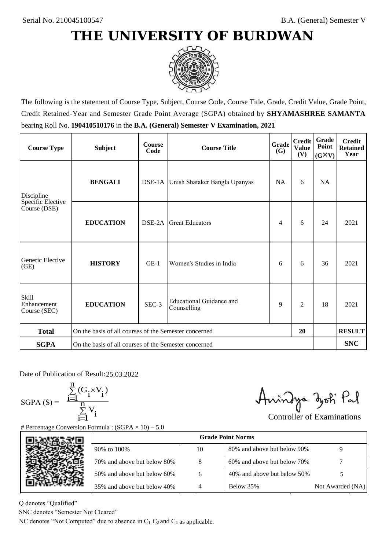

The following is the statement of Course Type, Subject, Course Code, Course Title, Grade, Credit Value, Grade Point, Credit Retained-Year and Semester Grade Point Average (SGPA) obtained by **SHYAMASHREE SAMANTA** bearing Roll No. **190410510176** in the **B.A. (General) Semester V Examination, 2021**

| <b>Course Type</b>                          | <b>Subject</b>                                        | <b>Course</b><br>Code | <b>Course Title</b>                            | <b>Grade</b><br><b>(G)</b> | <b>Credit</b><br><b>Value</b><br>(V) | Grade<br>Point<br>$(G\times V)$ | <b>Credit</b><br><b>Retained</b><br>Year |
|---------------------------------------------|-------------------------------------------------------|-----------------------|------------------------------------------------|----------------------------|--------------------------------------|---------------------------------|------------------------------------------|
| Discipline                                  | <b>BENGALI</b>                                        |                       | DSE-1A Unish Shataker Bangla Upanyas           | <b>NA</b>                  | 6                                    | <b>NA</b>                       |                                          |
| Specific Elective<br>Course (DSE)           | <b>EDUCATION</b>                                      | DSE-2A                | <b>Great Educators</b>                         | 4                          | 6                                    | 24                              | 2021                                     |
| Generic Elective<br>(GE)                    | <b>HISTORY</b>                                        | $GE-1$                | Women's Studies in India                       | 6                          | 6                                    | 36                              | 2021                                     |
| <b>Skill</b><br>Enhancement<br>Course (SEC) | <b>EDUCATION</b>                                      | SEC-3                 | <b>Educational Guidance and</b><br>Counselling | 9                          | $\overline{2}$                       | 18                              | 2021                                     |
| <b>Total</b>                                | On the basis of all courses of the Semester concerned |                       |                                                |                            | 20                                   |                                 | <b>RESULT</b>                            |
| <b>SGPA</b>                                 | On the basis of all courses of the Semester concerned |                       |                                                |                            |                                      |                                 | <b>SNC</b>                               |

Date of Publication of Result: 25,03,2022

 $SGPA(S) =$ 

$$
\frac{\sum\limits_{i=1}^n (G_i \times V_i)}{\sum\limits_{i=1}^n V_i}
$$

Amindya zoti Pal

| ate of Publication of Result: 25.03.2022<br>GPA (S) = $\frac{\sum_{i=1}^{n} (G_i \times V_i)}{\sum_{i=1}^{n} V_i}$ | Percentage Conversion Formula : $(SGPA \times 10) - 5.0$                          |                | Aningya zoti Pal            | <b>Controller of Examinations</b> |
|--------------------------------------------------------------------------------------------------------------------|-----------------------------------------------------------------------------------|----------------|-----------------------------|-----------------------------------|
|                                                                                                                    |                                                                                   |                | <b>Grade Point Norms</b>    |                                   |
|                                                                                                                    | 90% to 100%                                                                       | 10             | 80% and above but below 90% | 9                                 |
|                                                                                                                    | 70% and above but below 80%                                                       | 8              | 60% and above but below 70% |                                   |
|                                                                                                                    | 50% and above but below 60%                                                       | 6              | 40% and above but below 50% | 5                                 |
|                                                                                                                    | 35% and above but below 40%                                                       | $\overline{4}$ | Below 35%                   | Not Awarded (NA)                  |
| denotes "Qualified"<br>NC denotes "Semester Not Cleared"                                                           | C denotes "Not Computed" due to absence in $C_1$ , $C_2$ and $C_4$ as applicable. |                |                             |                                   |

Q denotes "Qualified"

SNC denotes "Semester Not Cleared"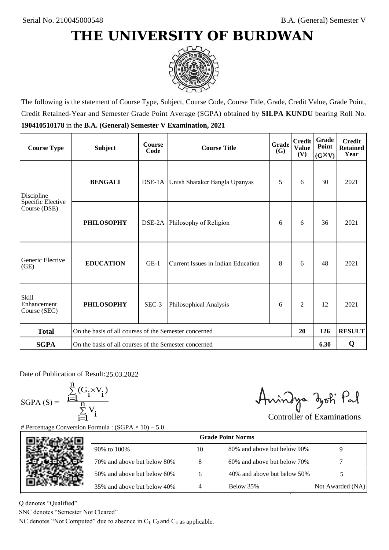

The following is the statement of Course Type, Subject, Course Code, Course Title, Grade, Credit Value, Grade Point, Credit Retained-Year and Semester Grade Point Average (SGPA) obtained by **SILPA KUNDU** bearing Roll No. **190410510178** in the **B.A. (General) Semester V Examination, 2021**

| <b>Course Type</b>                          | <b>Subject</b>                                        | <b>Course</b><br>Code | Grade<br><b>Course Title</b>         |   | <b>Credit</b><br><b>Value</b><br>(V) | Grade<br>Point<br>$(G\times V)$ | <b>Credit</b><br><b>Retained</b><br>Year |
|---------------------------------------------|-------------------------------------------------------|-----------------------|--------------------------------------|---|--------------------------------------|---------------------------------|------------------------------------------|
| Discipline                                  | <b>BENGALI</b>                                        |                       | DSE-1A Unish Shataker Bangla Upanyas | 5 | 6                                    | 30                              | 2021                                     |
| Specific Elective<br>Course (DSE)           | <b>PHILOSOPHY</b>                                     |                       | DSE-2A Philosophy of Religion        | 6 | 6                                    | 36                              | 2021                                     |
| Generic Elective<br>(GE)                    | <b>EDUCATION</b>                                      | $GE-1$                | Current Issues in Indian Education   |   | 6                                    | 48                              | 2021                                     |
| <b>Skill</b><br>Enhancement<br>Course (SEC) | <b>PHILOSOPHY</b>                                     | SEC-3                 | Philosophical Analysis               |   | $\overline{c}$                       | 12                              | 2021                                     |
| <b>Total</b>                                | On the basis of all courses of the Semester concerned |                       |                                      |   | 20                                   | 126                             | <b>RESULT</b>                            |
| <b>SGPA</b>                                 | On the basis of all courses of the Semester concerned |                       |                                      |   |                                      | 6.30                            | Q                                        |

Date of Publication of Result: 25,03,2022

 $SGPA(S) =$ 

$$
\frac{\sum\limits_{i=1}^n(G_i\times V_i)}{\sum\limits_{i=1}^nV_i}
$$

Amindya zoti Pal

| ate of Publication of Result: 25.03.2022<br>GPA (S) = $\frac{\sum_{i=1}^{n} (G_i \times V_i)}{\sum_{i=1}^{n} V_i}$ |                                                                                   |                | Aningya zoti Pal            | <b>Controller of Examinations</b> |
|--------------------------------------------------------------------------------------------------------------------|-----------------------------------------------------------------------------------|----------------|-----------------------------|-----------------------------------|
|                                                                                                                    | Percentage Conversion Formula : $(SGPA \times 10) - 5.0$                          |                |                             |                                   |
|                                                                                                                    |                                                                                   |                | <b>Grade Point Norms</b>    |                                   |
|                                                                                                                    | 90% to 100%                                                                       | 10             | 80% and above but below 90% | 9                                 |
|                                                                                                                    | 70% and above but below 80%                                                       | 8              | 60% and above but below 70% |                                   |
|                                                                                                                    | 50% and above but below 60%                                                       | 6              | 40% and above but below 50% | 5                                 |
|                                                                                                                    | 35% and above but below 40%                                                       | $\overline{4}$ | Below 35%                   | Not Awarded (NA)                  |
| denotes "Qualified"<br>NC denotes "Semester Not Cleared"                                                           |                                                                                   |                |                             |                                   |
|                                                                                                                    | C denotes "Not Computed" due to absence in $C_1$ , $C_2$ and $C_4$ as applicable. |                |                             |                                   |

Q denotes "Qualified"

SNC denotes "Semester Not Cleared"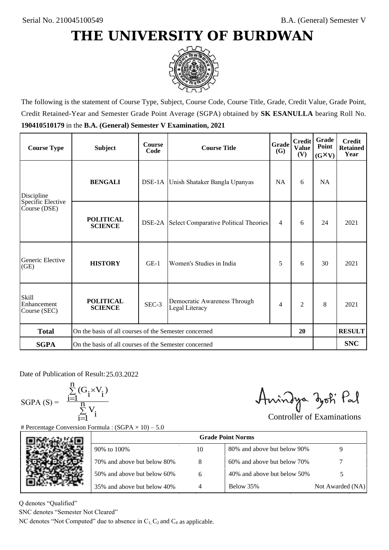

The following is the statement of Course Type, Subject, Course Code, Course Title, Grade, Credit Value, Grade Point, Credit Retained-Year and Semester Grade Point Average (SGPA) obtained by **SK ESANULLA** bearing Roll No. **190410510179** in the **B.A. (General) Semester V Examination, 2021**

| <b>Course Type</b>                          | <b>Subject</b>                                              | <b>Course</b><br>Code | Grade<br><b>Course Title</b>                   |           | <b>Credit</b><br><b>Value</b><br>(V) | Grade<br>Point<br>$(G\times V)$ | <b>Credit</b><br><b>Retained</b><br>Year |
|---------------------------------------------|-------------------------------------------------------------|-----------------------|------------------------------------------------|-----------|--------------------------------------|---------------------------------|------------------------------------------|
| Discipline                                  | <b>BENGALI</b>                                              |                       | DSE-1A Unish Shataker Bangla Upanyas           | <b>NA</b> | 6                                    | <b>NA</b>                       |                                          |
| Specific Elective<br>Course (DSE)           | <b>POLITICAL</b><br><b>SCIENCE</b>                          |                       | DSE-2A Select Comparative Political Theories   | 4         | 6                                    | 24                              | 2021                                     |
| Generic Elective<br>(GE)                    | <b>HISTORY</b>                                              | $GE-1$                | Women's Studies in India                       | 5         | 6                                    | 30                              | 2021                                     |
| <b>Skill</b><br>Enhancement<br>Course (SEC) | <b>POLITICAL</b><br><b>SCIENCE</b>                          | SEC-3                 | Democratic Awareness Through<br>Legal Literacy | 4         | $\overline{c}$                       | 8                               | 2021                                     |
| <b>Total</b>                                | On the basis of all courses of the Semester concerned<br>20 |                       |                                                |           |                                      | <b>RESULT</b>                   |                                          |
| <b>SGPA</b>                                 | On the basis of all courses of the Semester concerned       |                       |                                                |           |                                      |                                 | <b>SNC</b>                               |

Date of Publication of Result: 25,03,2022

 $SGPA(S) =$ 

$$
\frac{\sum\limits_{i=1}^n(G_i\times V_i)}{\sum\limits_{i=1}^nV_i}
$$

Amindya zoti Pal

| ate of Publication of Result: 25.03.2022<br>GPA (S) = $\frac{\sum_{i=1}^{n} (G_i \times V_i)}{\sum_{i=1}^{n} V_i}$ | Percentage Conversion Formula : $(SGPA \times 10) - 5.0$                          |    | Aningya zoti Pal            | <b>Controller of Examinations</b> |
|--------------------------------------------------------------------------------------------------------------------|-----------------------------------------------------------------------------------|----|-----------------------------|-----------------------------------|
|                                                                                                                    |                                                                                   |    | <b>Grade Point Norms</b>    |                                   |
|                                                                                                                    | 90% to 100%                                                                       | 10 | 80% and above but below 90% | 9                                 |
|                                                                                                                    | 70% and above but below 80%                                                       | 8  | 60% and above but below 70% |                                   |
|                                                                                                                    | 50% and above but below 60%                                                       | 6  | 40% and above but below 50% | 5                                 |
|                                                                                                                    | 35% and above but below 40%                                                       | 4  | Below 35%                   | Not Awarded (NA)                  |
| denotes "Qualified"<br>NC denotes "Semester Not Cleared"                                                           | C denotes "Not Computed" due to absence in $C_1$ , $C_2$ and $C_4$ as applicable. |    |                             |                                   |

Q denotes "Qualified"

SNC denotes "Semester Not Cleared"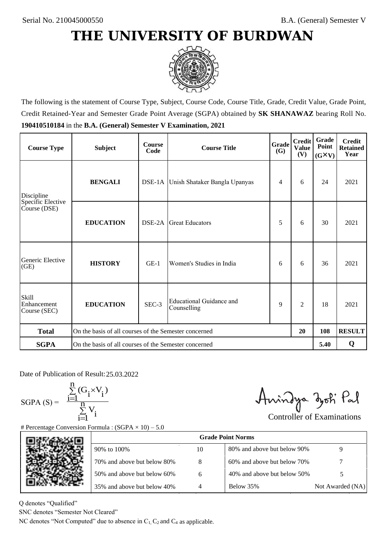

The following is the statement of Course Type, Subject, Course Code, Course Title, Grade, Credit Value, Grade Point, Credit Retained-Year and Semester Grade Point Average (SGPA) obtained by **SK SHANAWAZ** bearing Roll No. **190410510184** in the **B.A. (General) Semester V Examination, 2021**

| <b>Course Type</b>                          | <b>Subject</b>                                              | <b>Course</b><br>Code | Grade<br><b>Course Title</b>            |   | <b>Credit</b><br><b>Value</b><br>(V) | Grade<br>Point<br>$(G\times V)$ | <b>Credit</b><br><b>Retained</b><br>Year |
|---------------------------------------------|-------------------------------------------------------------|-----------------------|-----------------------------------------|---|--------------------------------------|---------------------------------|------------------------------------------|
| <b>BENGALI</b><br>Discipline                |                                                             |                       | DSE-1A Unish Shataker Bangla Upanyas    |   | 6                                    | 24                              | 2021                                     |
| Specific Elective<br>Course (DSE)           | <b>EDUCATION</b>                                            | DSE-2A                | <b>Great Educators</b>                  | 5 | 6                                    | 30                              | 2021                                     |
| Generic Elective<br>(GE)                    | <b>HISTORY</b>                                              | $GE-1$                | Women's Studies in India                | 6 | 6                                    | 36                              | 2021                                     |
| <b>Skill</b><br>Enhancement<br>Course (SEC) | <b>EDUCATION</b>                                            | SEC-3                 | Educational Guidance and<br>Counselling | 9 | $\overline{c}$                       | 18                              | 2021                                     |
| <b>Total</b>                                | On the basis of all courses of the Semester concerned<br>20 |                       |                                         |   |                                      | 108                             | <b>RESULT</b>                            |
| <b>SGPA</b>                                 | On the basis of all courses of the Semester concerned       |                       |                                         |   |                                      | 5.40                            | Q                                        |

Date of Publication of Result: 25,03,2022

SGPA  $(S) = \frac{1-1}{1}$ 

$$
\frac{\sum\limits_{i=1}^{n} (G_i \times V_i)}{\sum\limits_{i=1}^{n} V_i}
$$

Amindya zoti Pal

| ate of Publication of Result: 25.03.2022<br>GPA (S) = $\frac{\sum_{i=1}^{n} (G_i \times V_i)}{\sum_{i=1}^{n} V_i}$ | Percentage Conversion Formula : $(SGPA \times 10) - 5.0$                          |    | Aningya zoti Pal            | <b>Controller of Examinations</b> |
|--------------------------------------------------------------------------------------------------------------------|-----------------------------------------------------------------------------------|----|-----------------------------|-----------------------------------|
|                                                                                                                    |                                                                                   |    | <b>Grade Point Norms</b>    |                                   |
|                                                                                                                    | 90% to 100%                                                                       | 10 | 80% and above but below 90% | 9                                 |
|                                                                                                                    | 70% and above but below 80%                                                       | 8  | 60% and above but below 70% |                                   |
|                                                                                                                    | 50% and above but below 60%                                                       | 6  | 40% and above but below 50% | 5                                 |
|                                                                                                                    | 35% and above but below 40%                                                       | 4  | Below 35%                   | Not Awarded (NA)                  |
| denotes "Qualified"<br>NC denotes "Semester Not Cleared"                                                           | C denotes "Not Computed" due to absence in $C_1$ , $C_2$ and $C_4$ as applicable. |    |                             |                                   |

Q denotes "Qualified"

SNC denotes "Semester Not Cleared"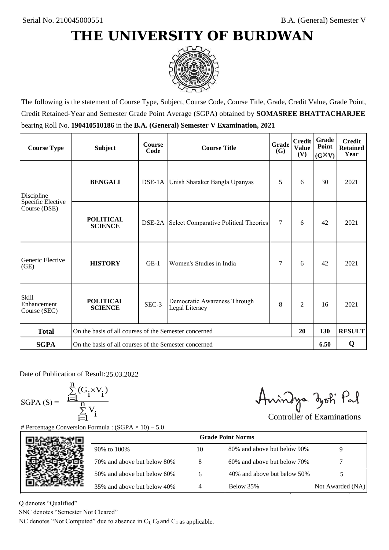

The following is the statement of Course Type, Subject, Course Code, Course Title, Grade, Credit Value, Grade Point, Credit Retained-Year and Semester Grade Point Average (SGPA) obtained by **SOMASREE BHATTACHARJEE** bearing Roll No. **190410510186** in the **B.A. (General) Semester V Examination, 2021**

| <b>Course Type</b>                          | <b>Subject</b>                                              | <b>Course</b><br>Code | <b>Grade</b><br><b>Course Title</b><br><b>(G)</b>   |   | <b>Credit</b><br><b>Value</b><br>(V) | Grade<br>Point<br>$(G\times V)$ | <b>Credit</b><br><b>Retained</b><br>Year |
|---------------------------------------------|-------------------------------------------------------------|-----------------------|-----------------------------------------------------|---|--------------------------------------|---------------------------------|------------------------------------------|
| <b>BENGALI</b><br>Discipline                |                                                             |                       | DSE-1A Unish Shataker Bangla Upanyas                |   | 6                                    | 30                              | 2021                                     |
| Specific Elective<br>Course (DSE)           | <b>POLITICAL</b><br><b>SCIENCE</b>                          |                       | <b>DSE-2A</b> Select Comparative Political Theories | 7 | 6                                    | 42                              | 2021                                     |
| Generic Elective<br>(GE)                    | <b>HISTORY</b>                                              | $GE-1$                | Women's Studies in India                            | 7 | 6                                    | 42                              | 2021                                     |
| <b>Skill</b><br>Enhancement<br>Course (SEC) | <b>POLITICAL</b><br><b>SCIENCE</b>                          | SEC-3                 | Democratic Awareness Through<br>Legal Literacy      | 8 | $\overline{2}$                       | 16                              | 2021                                     |
| <b>Total</b>                                | On the basis of all courses of the Semester concerned<br>20 |                       |                                                     |   |                                      | 130                             | <b>RESULT</b>                            |
| <b>SGPA</b>                                 | On the basis of all courses of the Semester concerned       |                       |                                                     |   |                                      | 6.50                            | Q                                        |

Date of Publication of Result: 25,03,2022

SGPA  $(S) = \frac{1-1}{1}$ 

$$
\frac{\sum\limits_{i=1}^{n} (G_i \times V_i)}{\sum\limits_{i=1}^{n} V_i}
$$

Amindya zoti Pal

| ate of Publication of Result: 25.03.2022<br>SGPA (S) = $\frac{\sum_{i=1}^{n} (G_i \times V_i)}{\sum_{i=1}^{n} V_i}$ | Percentage Conversion Formula : $(SGPA \times 10) - 5.0$                          |    | Aningya zoti Pal            | <b>Controller of Examinations</b> |
|---------------------------------------------------------------------------------------------------------------------|-----------------------------------------------------------------------------------|----|-----------------------------|-----------------------------------|
|                                                                                                                     |                                                                                   |    | <b>Grade Point Norms</b>    |                                   |
|                                                                                                                     | 90% to 100%                                                                       | 10 | 80% and above but below 90% | 9                                 |
|                                                                                                                     | 70% and above but below 80%                                                       | 8  | 60% and above but below 70% |                                   |
|                                                                                                                     | 50% and above but below 60%                                                       | 6  | 40% and above but below 50% | 5                                 |
|                                                                                                                     | 35% and above but below 40%                                                       | 4  | Below 35%                   | Not Awarded (NA)                  |
| denotes "Qualified"<br>NC denotes "Semester Not Cleared"                                                            | C denotes "Not Computed" due to absence in $C_1$ , $C_2$ and $C_4$ as applicable. |    |                             |                                   |

Q denotes "Qualified"

SNC denotes "Semester Not Cleared"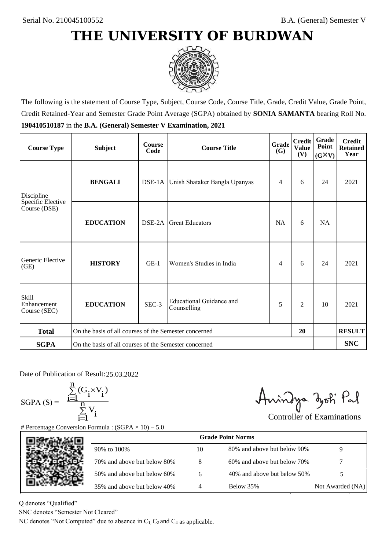

The following is the statement of Course Type, Subject, Course Code, Course Title, Grade, Credit Value, Grade Point, Credit Retained-Year and Semester Grade Point Average (SGPA) obtained by **SONIA SAMANTA** bearing Roll No. **190410510187** in the **B.A. (General) Semester V Examination, 2021**

| <b>Course Type</b>                          | <b>Subject</b>                                              | <b>Course</b><br>Code | Grade<br><b>Course Title</b>                   |           | <b>Credit</b><br><b>Value</b><br>(V) | <b>Grade</b><br>Point<br>$(G\times V)$ | <b>Credit</b><br><b>Retained</b><br>Year |
|---------------------------------------------|-------------------------------------------------------------|-----------------------|------------------------------------------------|-----------|--------------------------------------|----------------------------------------|------------------------------------------|
| <b>BENGALI</b><br>Discipline                |                                                             |                       | DSE-1A Unish Shataker Bangla Upanyas           |           | 6                                    | 24                                     | 2021                                     |
| Specific Elective<br>Course (DSE)           | <b>EDUCATION</b>                                            | DSE-2A                | <b>Great Educators</b>                         | <b>NA</b> | 6                                    | NA                                     |                                          |
| Generic Elective<br>(GE)                    | <b>HISTORY</b>                                              | $GE-1$                | Women's Studies in India                       | 4         | 6                                    | 24                                     | 2021                                     |
| <b>Skill</b><br>Enhancement<br>Course (SEC) | <b>EDUCATION</b>                                            | SEC-3                 | <b>Educational Guidance and</b><br>Counselling | 5         | 2                                    | 10                                     | 2021                                     |
| <b>Total</b>                                | On the basis of all courses of the Semester concerned<br>20 |                       |                                                |           |                                      |                                        | <b>RESULT</b>                            |
| <b>SGPA</b>                                 | On the basis of all courses of the Semester concerned       |                       |                                                |           |                                      |                                        | <b>SNC</b>                               |

Date of Publication of Result: 25,03,2022

 $SGPA(S) =$ 

$$
\frac{\sum\limits_{i=1}^n(G_i\times V_i)}{\sum\limits_{i=1}^nV_i}
$$

Amindya zoti Pal

| ate of Publication of Result: 25.03.2022<br>GPA (S) = $\frac{\sum_{i=1}^{n} (G_i \times V_i)}{\sum_{i=1}^{n} V_i}$ |                                                                                   |    | Aningya zoti Pal            | <b>Controller of Examinations</b> |  |  |  |  |
|--------------------------------------------------------------------------------------------------------------------|-----------------------------------------------------------------------------------|----|-----------------------------|-----------------------------------|--|--|--|--|
|                                                                                                                    | Percentage Conversion Formula : $(SGPA \times 10) - 5.0$                          |    |                             |                                   |  |  |  |  |
|                                                                                                                    | <b>Grade Point Norms</b>                                                          |    |                             |                                   |  |  |  |  |
|                                                                                                                    | 90% to 100%                                                                       | 10 | 80% and above but below 90% | 9                                 |  |  |  |  |
|                                                                                                                    | 70% and above but below 80%                                                       | 8  | 60% and above but below 70% |                                   |  |  |  |  |
|                                                                                                                    | 50% and above but below 60%                                                       | 6  | 40% and above but below 50% | 5                                 |  |  |  |  |
|                                                                                                                    | 35% and above but below 40%                                                       | 4  | Below 35%                   | Not Awarded (NA)                  |  |  |  |  |
| denotes "Qualified"                                                                                                |                                                                                   |    |                             |                                   |  |  |  |  |
| NC denotes "Semester Not Cleared"                                                                                  |                                                                                   |    |                             |                                   |  |  |  |  |
|                                                                                                                    | C denotes "Not Computed" due to absence in $C_1$ , $C_2$ and $C_4$ as applicable. |    |                             |                                   |  |  |  |  |

Q denotes "Qualified"

SNC denotes "Semester Not Cleared"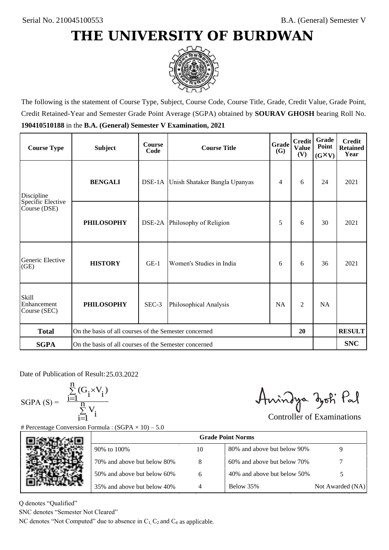

The following is the statement of Course Type, Subject, Course Code, Course Title, Grade, Credit Value, Grade Point, Credit Retained-Year and Semester Grade Point Average (SGPA) obtained by **SOURAV GHOSH** bearing Roll No. **190410510188** in the **B.A. (General) Semester V Examination, 2021**

| <b>Course Type</b>                          | <b>Subject</b>                                              | <b>Course</b><br>Code | Grade<br><b>Course Title</b>         |           | <b>Credit</b><br><b>Value</b><br>(V) | Grade<br>Point<br>$(G\times V)$ | <b>Credit</b><br><b>Retained</b><br>Year |
|---------------------------------------------|-------------------------------------------------------------|-----------------------|--------------------------------------|-----------|--------------------------------------|---------------------------------|------------------------------------------|
| <b>BENGALI</b><br>Discipline                |                                                             |                       | DSE-1A Unish Shataker Bangla Upanyas |           | 6                                    | 24                              | 2021                                     |
| Specific Elective<br>Course (DSE)           | <b>PHILOSOPHY</b>                                           |                       | DSE-2A Philosophy of Religion        | 5         | 6                                    | 30                              | 2021                                     |
| Generic Elective<br>(GE)                    | <b>HISTORY</b>                                              | $GE-1$                | Women's Studies in India             | 6         | 6                                    | 36                              | 2021                                     |
| <b>Skill</b><br>Enhancement<br>Course (SEC) | <b>PHILOSOPHY</b>                                           | SEC-3                 | Philosophical Analysis               | <b>NA</b> | 2                                    | <b>NA</b>                       |                                          |
| <b>Total</b>                                | On the basis of all courses of the Semester concerned<br>20 |                       |                                      |           |                                      |                                 | <b>RESULT</b>                            |
| <b>SGPA</b>                                 | On the basis of all courses of the Semester concerned       |                       |                                      |           |                                      |                                 | <b>SNC</b>                               |

Date of Publication of Result: 25,03,2022

 $SGPA(S) =$ 

$$
\frac{\sum\limits_{i=1}^n (G_i \times V_i)}{\sum\limits_{i=1}^n V_i}
$$

Amindya zoti Pal

| ate of Publication of Result: 25.03.2022<br>GPA (S) = $\frac{\sum_{i=1}^{n} (G_i \times V_i)}{\sum_{i=1}^{n} V_i}$ | Percentage Conversion Formula : $(SGPA \times 10) - 5.0$                          |    | Aningya zoti Pal            | <b>Controller of Examinations</b> |
|--------------------------------------------------------------------------------------------------------------------|-----------------------------------------------------------------------------------|----|-----------------------------|-----------------------------------|
|                                                                                                                    |                                                                                   |    | <b>Grade Point Norms</b>    |                                   |
|                                                                                                                    | 90% to 100%                                                                       | 10 | 80% and above but below 90% | 9                                 |
|                                                                                                                    | 70% and above but below 80%                                                       | 8  | 60% and above but below 70% |                                   |
|                                                                                                                    | 50% and above but below 60%                                                       | 6  | 40% and above but below 50% | 5                                 |
|                                                                                                                    | 35% and above but below 40%                                                       | 4  | Below 35%                   | Not Awarded (NA)                  |
| denotes "Qualified"<br>NC denotes "Semester Not Cleared"                                                           | C denotes "Not Computed" due to absence in $C_1$ , $C_2$ and $C_4$ as applicable. |    |                             |                                   |

Q denotes "Qualified"

SNC denotes "Semester Not Cleared"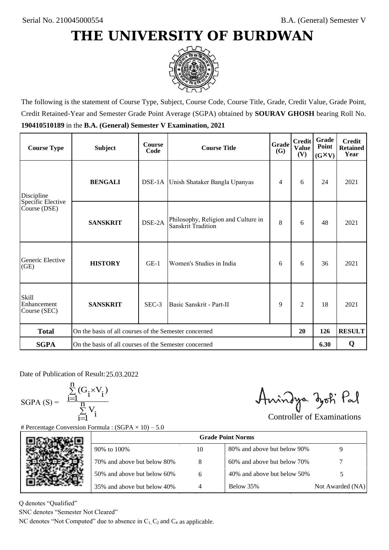

The following is the statement of Course Type, Subject, Course Code, Course Title, Grade, Credit Value, Grade Point, Credit Retained-Year and Semester Grade Point Average (SGPA) obtained by **SOURAV GHOSH** bearing Roll No. **190410510189** in the **B.A. (General) Semester V Examination, 2021**

| <b>Course Type</b>                          | <b>Subject</b>                                              | <b>Course</b><br>Code | <b>Grade</b><br><b>Course Title</b>                       |   | <b>Credit</b><br><b>Value</b><br>(V) | <b>Grade</b><br>Point<br>$(G\times V)$ | <b>Credit</b><br><b>Retained</b><br>Year |
|---------------------------------------------|-------------------------------------------------------------|-----------------------|-----------------------------------------------------------|---|--------------------------------------|----------------------------------------|------------------------------------------|
| <b>BENGALI</b><br>Discipline                |                                                             |                       | DSE-1A Unish Shataker Bangla Upanyas                      | 4 | 6                                    | 24                                     | 2021                                     |
| Specific Elective<br>Course (DSE)           | <b>SANSKRIT</b>                                             | DSE-2A                | Philosophy, Religion and Culture in<br>Sanskrit Tradition | 8 | 6                                    | 48                                     | 2021                                     |
| Generic Elective<br>(GE)                    | <b>HISTORY</b>                                              | $GE-1$                | Women's Studies in India                                  | 6 | 6                                    | 36                                     | 2021                                     |
| <b>Skill</b><br>Enhancement<br>Course (SEC) | <b>SANSKRIT</b>                                             | SEC-3                 | Basic Sanskrit - Part-II                                  | 9 | $\overline{2}$                       | 18                                     | 2021                                     |
| <b>Total</b>                                | On the basis of all courses of the Semester concerned<br>20 |                       |                                                           |   |                                      | 126                                    | <b>RESULT</b>                            |
| <b>SGPA</b>                                 | On the basis of all courses of the Semester concerned       |                       |                                                           |   |                                      | 6.30                                   | Q                                        |

Date of Publication of Result: 25,03,2022

 $SGPA(S) =$ 

$$
\frac{\sum\limits_{i=1}^n (G_i \times V_i)}{\sum\limits_{i=1}^n V_i}
$$

Amindya zoti Pal

| ate of Publication of Result: 25.03.2022<br>GPA (S) = $\frac{\sum_{i=1}^{n} (G_i \times V_i)}{\sum_{i=1}^{n} V_i}$ | Percentage Conversion Formula : $(SGPA \times 10) - 5.0$                          |    | Aningya zoti Pal            | <b>Controller of Examinations</b> |
|--------------------------------------------------------------------------------------------------------------------|-----------------------------------------------------------------------------------|----|-----------------------------|-----------------------------------|
|                                                                                                                    |                                                                                   |    | <b>Grade Point Norms</b>    |                                   |
|                                                                                                                    | 90% to 100%                                                                       | 10 | 80% and above but below 90% | 9                                 |
|                                                                                                                    | 70% and above but below 80%                                                       | 8  | 60% and above but below 70% |                                   |
|                                                                                                                    | 50% and above but below 60%                                                       | 6  | 40% and above but below 50% | 5                                 |
|                                                                                                                    | 35% and above but below 40%                                                       | 4  | Below 35%                   | Not Awarded (NA)                  |
| denotes "Qualified"<br>NC denotes "Semester Not Cleared"                                                           | C denotes "Not Computed" due to absence in $C_1$ , $C_2$ and $C_4$ as applicable. |    |                             |                                   |

Q denotes "Qualified"

SNC denotes "Semester Not Cleared"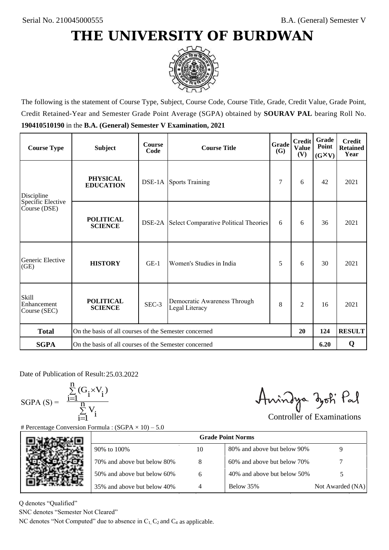

The following is the statement of Course Type, Subject, Course Code, Course Title, Grade, Credit Value, Grade Point, Credit Retained-Year and Semester Grade Point Average (SGPA) obtained by **SOURAV PAL** bearing Roll No. **190410510190** in the **B.A. (General) Semester V Examination, 2021**

| <b>Course Type</b>                                | <b>Subject</b>                                              | <b>Course</b><br>Code | Grade<br><b>Course Title</b>                   |   | <b>Credit</b><br><b>Value</b><br>(V) | Grade<br>Point<br>$(G\times V)$ | <b>Credit</b><br><b>Retained</b><br>Year |
|---------------------------------------------------|-------------------------------------------------------------|-----------------------|------------------------------------------------|---|--------------------------------------|---------------------------------|------------------------------------------|
| <b>PHYSICAL</b><br><b>EDUCATION</b><br>Discipline |                                                             |                       | <b>DSE-1A</b> Sports Training                  |   | 6                                    | 42                              | 2021                                     |
| Specific Elective<br>Course (DSE)                 | <b>POLITICAL</b><br><b>SCIENCE</b>                          | DSE-2A                | Select Comparative Political Theories          | 6 | 6                                    | 36                              | 2021                                     |
| Generic Elective<br>(GE)                          | <b>HISTORY</b>                                              | $GE-1$                | Women's Studies in India                       | 5 | 6                                    | 30                              | 2021                                     |
| <b>Skill</b><br>Enhancement<br>Course (SEC)       | <b>POLITICAL</b><br><b>SCIENCE</b>                          | SEC-3                 | Democratic Awareness Through<br>Legal Literacy | 8 | $\overline{c}$                       | 16                              | 2021                                     |
| <b>Total</b>                                      | On the basis of all courses of the Semester concerned<br>20 |                       |                                                |   |                                      | 124                             | <b>RESULT</b>                            |
| <b>SGPA</b>                                       | On the basis of all courses of the Semester concerned       |                       |                                                |   |                                      | 6.20                            | Q                                        |

Date of Publication of Result: 25,03,2022

SGPA  $(S) = \frac{1}{1}$ 

$$
\frac{\sum\limits_{i=1}^{n}(G_{i}\times V_{i})}{\sum\limits_{i=1}^{n}V_{i}}
$$

Amindya zoti Pal

| ate of Publication of Result: 25.03.2022<br>GPA (S) = $\frac{\sum_{i=1}^{n} (G_i \times V_i)}{\sum_{i=1}^{n} V_i}$ |                                                                                   |    | Aningya zoti Pal            | <b>Controller of Examinations</b> |
|--------------------------------------------------------------------------------------------------------------------|-----------------------------------------------------------------------------------|----|-----------------------------|-----------------------------------|
|                                                                                                                    | Percentage Conversion Formula : $(SGPA \times 10) - 5.0$                          |    |                             |                                   |
|                                                                                                                    |                                                                                   |    | <b>Grade Point Norms</b>    |                                   |
|                                                                                                                    | 90% to 100%                                                                       | 10 | 80% and above but below 90% | 9                                 |
|                                                                                                                    | 70% and above but below 80%                                                       | 8  | 60% and above but below 70% |                                   |
|                                                                                                                    | 50% and above but below 60%                                                       | 6  | 40% and above but below 50% | 5                                 |
|                                                                                                                    | 35% and above but below 40%                                                       | 4  | Below 35%                   | Not Awarded (NA)                  |
| denotes "Qualified"<br>NC denotes "Semester Not Cleared"                                                           | C denotes "Not Computed" due to absence in $C_1$ , $C_2$ and $C_4$ as applicable. |    |                             |                                   |
|                                                                                                                    |                                                                                   |    |                             |                                   |

Q denotes "Qualified"

SNC denotes "Semester Not Cleared"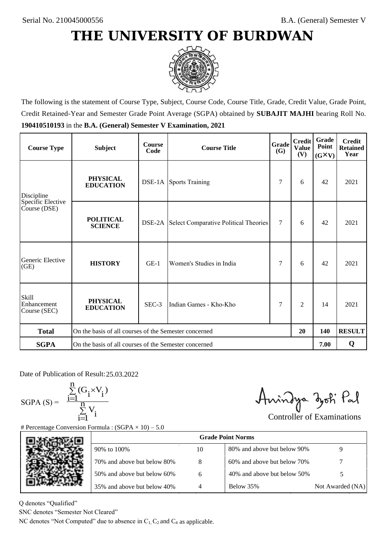

The following is the statement of Course Type, Subject, Course Code, Course Title, Grade, Credit Value, Grade Point, Credit Retained-Year and Semester Grade Point Average (SGPA) obtained by **SUBAJIT MAJHI** bearing Roll No. **190410510193** in the **B.A. (General) Semester V Examination, 2021**

| <b>Course Type</b>                          | <b>Subject</b>                                              | <b>Course</b><br>Code | Grade<br><b>Course Title</b>                        |     | <b>Credit</b><br><b>Value</b><br>(V) | <b>Grade</b><br>Point<br>$(G\times V)$ | <b>Credit</b><br><b>Retained</b><br>Year |
|---------------------------------------------|-------------------------------------------------------------|-----------------------|-----------------------------------------------------|-----|--------------------------------------|----------------------------------------|------------------------------------------|
| Discipline                                  | <b>PHYSICAL</b><br><b>EDUCATION</b>                         |                       | <b>DSE-1A</b> Sports Training                       | 7   | 6                                    | 42                                     | 2021                                     |
| Specific Elective<br>Course (DSE)           | <b>POLITICAL</b><br><b>SCIENCE</b>                          |                       | <b>DSE-2A</b> Select Comparative Political Theories | 7   | 6                                    | 42                                     | 2021                                     |
| Generic Elective<br>(GE)                    | <b>HISTORY</b>                                              | $GE-1$                | Women's Studies in India                            |     | 6                                    | 42                                     | 2021                                     |
| <b>Skill</b><br>Enhancement<br>Course (SEC) | <b>PHYSICAL</b><br><b>EDUCATION</b>                         | SEC-3                 | Indian Games - Kho-Kho                              | 7   | $\overline{c}$                       | 14                                     | 2021                                     |
| <b>Total</b>                                | On the basis of all courses of the Semester concerned<br>20 |                       |                                                     | 140 | <b>RESULT</b>                        |                                        |                                          |
| <b>SGPA</b>                                 | On the basis of all courses of the Semester concerned       |                       |                                                     |     |                                      | 7.00                                   | Q                                        |

Date of Publication of Result: 25,03,2022

 $SGPA(S) =$ <sup>1</sup>

$$
\frac{\sum\limits_{i=1}^{n} (G_i \times V_i)}{\sum\limits_{i=1}^{n} V_i}
$$

Amindya zoti Pal

| ate of Publication of Result: 25.03.2022<br>GPA (S) = $\frac{\sum_{i=1}^{n} (G_i \times V_i)}{\sum_{i=1}^{n} V_i}$ | Percentage Conversion Formula : $(SGPA \times 10) - 5.0$                          |    | Aningya zoti Pal            | <b>Controller of Examinations</b> |
|--------------------------------------------------------------------------------------------------------------------|-----------------------------------------------------------------------------------|----|-----------------------------|-----------------------------------|
|                                                                                                                    |                                                                                   |    | <b>Grade Point Norms</b>    |                                   |
|                                                                                                                    | 90% to 100%                                                                       | 10 | 80% and above but below 90% | 9                                 |
|                                                                                                                    | 70% and above but below 80%                                                       | 8  | 60% and above but below 70% |                                   |
|                                                                                                                    | 50% and above but below 60%                                                       | 6  | 40% and above but below 50% | 5                                 |
|                                                                                                                    | 35% and above but below 40%                                                       | 4  | Below 35%                   | Not Awarded (NA)                  |
| denotes "Qualified"<br>NC denotes "Semester Not Cleared"                                                           | C denotes "Not Computed" due to absence in $C_1$ , $C_2$ and $C_4$ as applicable. |    |                             |                                   |

Q denotes "Qualified"

SNC denotes "Semester Not Cleared"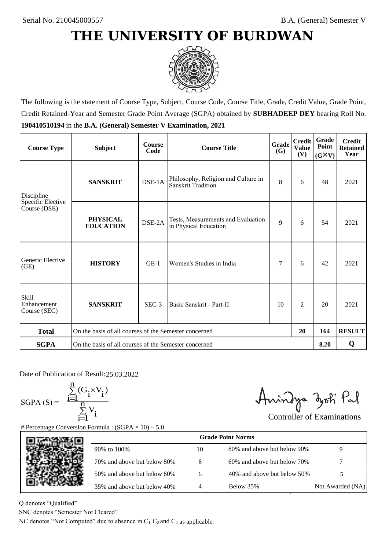

The following is the statement of Course Type, Subject, Course Code, Course Title, Grade, Credit Value, Grade Point, Credit Retained-Year and Semester Grade Point Average (SGPA) obtained by **SUBHADEEP DEY** bearing Roll No. **190410510194** in the **B.A. (General) Semester V Examination, 2021**

| <b>Course Type</b>                          | <b>Subject</b>                                              | <b>Course</b><br>Code | Grade<br><b>Course Title</b>                                |   | <b>Credit</b><br><b>Value</b><br>(V) | Grade<br>Point<br>$(G\times V)$ | <b>Credit</b><br><b>Retained</b><br>Year |
|---------------------------------------------|-------------------------------------------------------------|-----------------------|-------------------------------------------------------------|---|--------------------------------------|---------------------------------|------------------------------------------|
| Discipline                                  | <b>SANSKRIT</b>                                             | DSE-1A                | Philosophy, Religion and Culture in<br>Sanskrit Tradition   | 8 | 6                                    | 48                              | 2021                                     |
| Specific Elective<br>Course (DSE)           | <b>PHYSICAL</b><br><b>EDUCATION</b>                         | DSE-2A                | Tests, Measurements and Evaluation<br>in Physical Education | 9 | 6                                    | 54                              | 2021                                     |
| Generic Elective<br>(GE)                    | <b>HISTORY</b>                                              | $GE-1$                | Women's Studies in India                                    | 7 | 6                                    | 42                              | 2021                                     |
| <b>Skill</b><br>Enhancement<br>Course (SEC) | <b>SANSKRIT</b>                                             | SEC-3                 | Basic Sanskrit - Part-II<br>10                              |   | $\overline{c}$                       | 20                              | 2021                                     |
| <b>Total</b>                                | On the basis of all courses of the Semester concerned<br>20 |                       |                                                             |   | 164                                  | <b>RESULT</b>                   |                                          |
| <b>SGPA</b>                                 | On the basis of all courses of the Semester concerned       |                       |                                                             |   |                                      |                                 | Q                                        |

Date of Publication of Result: 25,03,2022

SGPA  $(S) = \frac{1}{1}$ 

$$
\frac{\sum\limits_{i=1}^{n} (G_i \times V_i)}{\sum\limits_{i=1}^{n} V_i}
$$

Amindya zoti Pal

| ate of Publication of Result: 25.03.2022<br>GPA (S) = $\frac{\sum_{i=1}^{n} (G_i \times V_i)}{\sum_{i=1}^{n} V_i}$ | Percentage Conversion Formula : $(SGPA \times 10) - 5.0$                          |    | Aningya zoti Pal            | <b>Controller of Examinations</b> |
|--------------------------------------------------------------------------------------------------------------------|-----------------------------------------------------------------------------------|----|-----------------------------|-----------------------------------|
|                                                                                                                    |                                                                                   |    | <b>Grade Point Norms</b>    |                                   |
|                                                                                                                    | 90% to 100%                                                                       | 10 | 80% and above but below 90% | 9                                 |
|                                                                                                                    | 70% and above but below 80%                                                       | 8  | 60% and above but below 70% |                                   |
|                                                                                                                    | 50% and above but below 60%                                                       | 6  | 40% and above but below 50% | 5                                 |
|                                                                                                                    | 35% and above but below 40%                                                       | 4  | Below 35%                   | Not Awarded (NA)                  |
| denotes "Qualified"<br>NC denotes "Semester Not Cleared"                                                           | C denotes "Not Computed" due to absence in $C_1$ , $C_2$ and $C_4$ as applicable. |    |                             |                                   |

Q denotes "Qualified"

SNC denotes "Semester Not Cleared"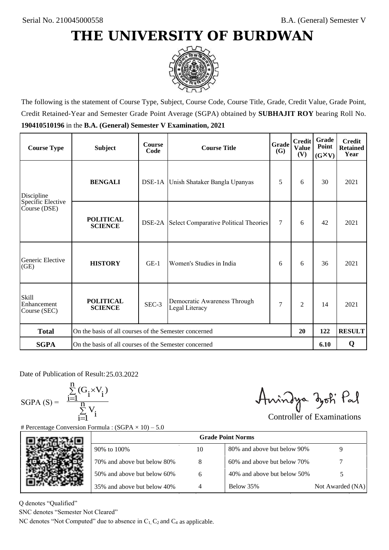

The following is the statement of Course Type, Subject, Course Code, Course Title, Grade, Credit Value, Grade Point, Credit Retained-Year and Semester Grade Point Average (SGPA) obtained by **SUBHAJIT ROY** bearing Roll No. **190410510196** in the **B.A. (General) Semester V Examination, 2021**

| <b>Course Type</b>                          | <b>Subject</b>                                              | <b>Course</b><br>Code | Grade<br><b>Course Title</b>                        |        | <b>Credit</b><br><b>Value</b><br>(V) | Grade<br>Point<br>$(G\times V)$ | <b>Credit</b><br><b>Retained</b><br>Year |
|---------------------------------------------|-------------------------------------------------------------|-----------------------|-----------------------------------------------------|--------|--------------------------------------|---------------------------------|------------------------------------------|
| Discipline                                  | <b>BENGALI</b>                                              |                       | DSE-1A Unish Shataker Bangla Upanyas                | 5      | 6                                    | 30                              | 2021                                     |
| Specific Elective<br>Course (DSE)           | <b>POLITICAL</b><br><b>SCIENCE</b>                          |                       | <b>DSE-2A</b> Select Comparative Political Theories | $\tau$ | 6                                    | 42                              | 2021                                     |
| Generic Elective<br>(GE)                    | <b>HISTORY</b>                                              | $GE-1$                | Women's Studies in India                            | 6      | 6                                    | 36                              | 2021                                     |
| <b>Skill</b><br>Enhancement<br>Course (SEC) | <b>POLITICAL</b><br><b>SCIENCE</b>                          | SEC-3                 | Democratic Awareness Through<br>Legal Literacy      | 7      | $\overline{c}$                       | 14                              | 2021                                     |
| <b>Total</b>                                | On the basis of all courses of the Semester concerned<br>20 |                       |                                                     |        | 122                                  | <b>RESULT</b>                   |                                          |
| <b>SGPA</b>                                 | On the basis of all courses of the Semester concerned       |                       |                                                     |        |                                      | 6.10                            | Q                                        |

Date of Publication of Result: 25,03,2022

SGPA  $(S) = \frac{1}{1}$ 

$$
\frac{\sum_{i=1}^{n} (G_i \times V_i)}{\sum_{i=1}^{n} V_i}
$$

Amindya zoti Pal

| ate of Publication of Result: 25.03.2022<br>GPA (S) = $\frac{\sum_{i=1}^{n} (G_i \times V_i)}{\sum_{i=1}^{n} V_i}$ | Percentage Conversion Formula : $(SGPA \times 10) - 5.0$                          |    | Aningya zoti Pal            | <b>Controller of Examinations</b> |
|--------------------------------------------------------------------------------------------------------------------|-----------------------------------------------------------------------------------|----|-----------------------------|-----------------------------------|
|                                                                                                                    |                                                                                   |    | <b>Grade Point Norms</b>    |                                   |
|                                                                                                                    | 90% to 100%                                                                       | 10 | 80% and above but below 90% | 9                                 |
|                                                                                                                    | 70% and above but below 80%                                                       | 8  | 60% and above but below 70% |                                   |
|                                                                                                                    | 50% and above but below 60%                                                       | 6  | 40% and above but below 50% | 5                                 |
|                                                                                                                    | 35% and above but below 40%                                                       | 4  | Below 35%                   | Not Awarded (NA)                  |
| denotes "Qualified"<br>NC denotes "Semester Not Cleared"                                                           | C denotes "Not Computed" due to absence in $C_1$ , $C_2$ and $C_4$ as applicable. |    |                             |                                   |

Q denotes "Qualified"

SNC denotes "Semester Not Cleared"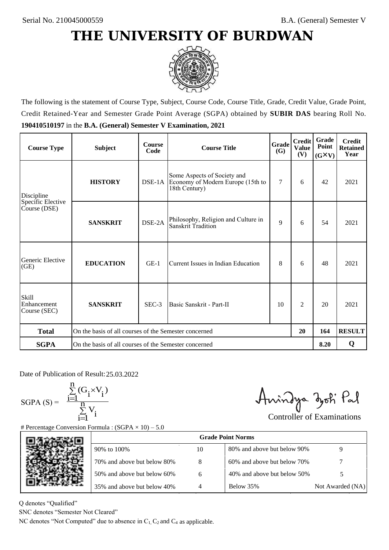

The following is the statement of Course Type, Subject, Course Code, Course Title, Grade, Credit Value, Grade Point, Credit Retained-Year and Semester Grade Point Average (SGPA) obtained by **SUBIR DAS** bearing Roll No. **190410510197** in the **B.A. (General) Semester V Examination, 2021**

| <b>Course Type</b>                          | <b>Subject</b>                                              | <b>Course</b><br>Code | <b>Grade</b><br><b>Course Title</b><br>(G)                                        |     | <b>Credit</b><br><b>Value</b><br>(V) | Grade<br>Point<br>$(G\times V)$ | <b>Credit</b><br><b>Retained</b><br>Year |
|---------------------------------------------|-------------------------------------------------------------|-----------------------|-----------------------------------------------------------------------------------|-----|--------------------------------------|---------------------------------|------------------------------------------|
| Discipline                                  | <b>HISTORY</b>                                              | DSE-1A                | Some Aspects of Society and<br>Economy of Modern Europe (15th to<br>18th Century) | 7   | 6                                    | 42                              | 2021                                     |
| Specific Elective<br>Course (DSE)           | <b>SANSKRIT</b>                                             | DSE-2A                | Philosophy, Religion and Culture in<br><b>Sanskrit Tradition</b>                  | 9   | 6                                    | 54                              | 2021                                     |
| Generic Elective<br>(GE)                    | <b>EDUCATION</b>                                            | $GE-1$                | Current Issues in Indian Education                                                |     | 6                                    | 48                              | 2021                                     |
| <b>Skill</b><br>Enhancement<br>Course (SEC) | <b>SANSKRIT</b>                                             | $SEC-3$               | Basic Sanskrit - Part-II<br>10                                                    |     | $\overline{c}$                       | 20                              | 2021                                     |
| <b>Total</b>                                | On the basis of all courses of the Semester concerned<br>20 |                       |                                                                                   | 164 | <b>RESULT</b>                        |                                 |                                          |
| <b>SGPA</b>                                 | On the basis of all courses of the Semester concerned       |                       |                                                                                   |     |                                      | 8.20                            | Q                                        |

Date of Publication of Result: 25,03,2022

 $SGPA(S) =$ 

$$
\frac{\sum\limits_{i=1}^n(G_i\times V_i)}{\sum\limits_{i=1}^nV_i}
$$

Amindya zoti Pal

| ate of Publication of Result: 25.03.2022<br>GPA (S) = $\frac{\sum_{i=1}^{n} (G_i \times V_i)}{\sum_{i=1}^{n} V_i}$ |                                                                                   |    | Aningya zoti Pal            | <b>Controller of Examinations</b> |
|--------------------------------------------------------------------------------------------------------------------|-----------------------------------------------------------------------------------|----|-----------------------------|-----------------------------------|
|                                                                                                                    | Percentage Conversion Formula : $(SGPA \times 10) - 5.0$                          |    |                             |                                   |
|                                                                                                                    |                                                                                   |    | <b>Grade Point Norms</b>    |                                   |
|                                                                                                                    | 90% to 100%                                                                       | 10 | 80% and above but below 90% | 9                                 |
|                                                                                                                    | 70% and above but below 80%                                                       | 8  | 60% and above but below 70% |                                   |
|                                                                                                                    | 50% and above but below 60%                                                       | 6  | 40% and above but below 50% | 5                                 |
|                                                                                                                    | 35% and above but below 40%                                                       | 4  | Below 35%                   | Not Awarded (NA)                  |
| denotes "Qualified"<br>NC denotes "Semester Not Cleared"                                                           | C denotes "Not Computed" due to absence in $C_1$ , $C_2$ and $C_4$ as applicable. |    |                             |                                   |
|                                                                                                                    |                                                                                   |    |                             |                                   |

Q denotes "Qualified"

SNC denotes "Semester Not Cleared"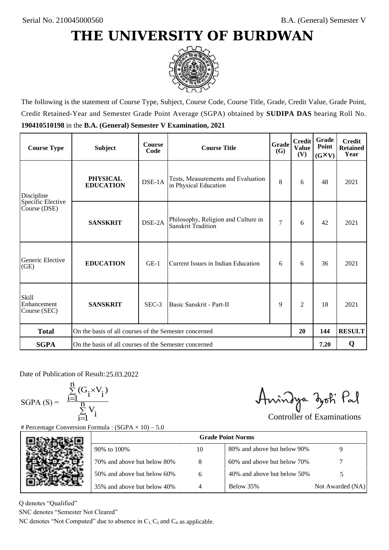

The following is the statement of Course Type, Subject, Course Code, Course Title, Grade, Credit Value, Grade Point, Credit Retained-Year and Semester Grade Point Average (SGPA) obtained by **SUDIPA DAS** bearing Roll No. **190410510198** in the **B.A. (General) Semester V Examination, 2021**

| <b>Course Type</b>                          | <b>Subject</b>                                              | <b>Course</b><br>Code | Grade<br><b>Course Title</b>                                     |                | <b>Credit</b><br><b>Value</b><br>(V) | Grade<br>Point<br>$(G\times V)$ | <b>Credit</b><br><b>Retained</b><br>Year |
|---------------------------------------------|-------------------------------------------------------------|-----------------------|------------------------------------------------------------------|----------------|--------------------------------------|---------------------------------|------------------------------------------|
| Discipline                                  | <b>PHYSICAL</b><br><b>EDUCATION</b>                         | DSE-1A                | Tests, Measurements and Evaluation<br>in Physical Education      | 8              | 6                                    | 48                              | 2021                                     |
| Specific Elective<br>Course (DSE)           | <b>SANSKRIT</b>                                             | DSE-2A                | Philosophy, Religion and Culture in<br><b>Sanskrit Tradition</b> | $\overline{7}$ | 6                                    | 42                              | 2021                                     |
| Generic Elective<br>(GE)                    | <b>EDUCATION</b>                                            | $GE-1$                | Current Issues in Indian Education                               |                | 6                                    | 36                              | 2021                                     |
| <b>Skill</b><br>Enhancement<br>Course (SEC) | <b>SANSKRIT</b>                                             | $SEC-3$               | Basic Sanskrit - Part-II                                         | 9              | $\overline{c}$                       | 18                              | 2021                                     |
| <b>Total</b>                                | On the basis of all courses of the Semester concerned<br>20 |                       |                                                                  |                | 144                                  | <b>RESULT</b>                   |                                          |
| <b>SGPA</b>                                 | On the basis of all courses of the Semester concerned       |                       |                                                                  |                |                                      | 7.20                            | Q                                        |

Date of Publication of Result: 25,03,2022

SGPA  $(S) = \frac{1}{1}$ 

$$
\frac{\sum\limits_{i=1}^{n} (G_i \times V_i)}{\sum\limits_{i=1}^{n} V_i}
$$

Amindya zoti Pal

| ate of Publication of Result: 25.03.2022<br>GPA (S) = $\frac{\sum_{i=1}^{n} (G_i \times V_i)}{\sum_{i=1}^{n} V_i}$ |                                                                                   |    | Aningya zoti Pal            | <b>Controller of Examinations</b> |
|--------------------------------------------------------------------------------------------------------------------|-----------------------------------------------------------------------------------|----|-----------------------------|-----------------------------------|
|                                                                                                                    | Percentage Conversion Formula : $(SGPA \times 10) - 5.0$                          |    |                             |                                   |
|                                                                                                                    |                                                                                   |    | <b>Grade Point Norms</b>    |                                   |
|                                                                                                                    | 90% to 100%                                                                       | 10 | 80% and above but below 90% | 9                                 |
|                                                                                                                    | 70% and above but below 80%                                                       | 8  | 60% and above but below 70% |                                   |
|                                                                                                                    | 50% and above but below 60%                                                       | 6  | 40% and above but below 50% | 5                                 |
|                                                                                                                    | 35% and above but below 40%                                                       | 4  | Below 35%                   | Not Awarded (NA)                  |
| denotes "Qualified"                                                                                                |                                                                                   |    |                             |                                   |
| NC denotes "Semester Not Cleared"                                                                                  |                                                                                   |    |                             |                                   |
|                                                                                                                    | C denotes "Not Computed" due to absence in $C_1$ , $C_2$ and $C_4$ as applicable. |    |                             |                                   |

Q denotes "Qualified"

SNC denotes "Semester Not Cleared"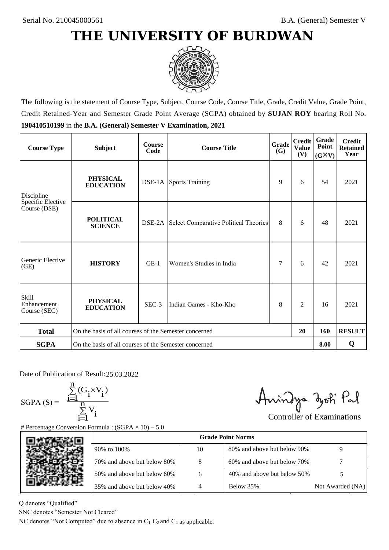

The following is the statement of Course Type, Subject, Course Code, Course Title, Grade, Credit Value, Grade Point, Credit Retained-Year and Semester Grade Point Average (SGPA) obtained by **SUJAN ROY** bearing Roll No. **190410510199** in the **B.A. (General) Semester V Examination, 2021**

| <b>Course Type</b>                          | <b>Subject</b>                                              | <b>Course</b><br>Code | Grade<br><b>Course Title</b>          |     | <b>Credit</b><br><b>Value</b><br>(V) | <b>Grade</b><br>Point<br>$(G\times V)$ | <b>Credit</b><br><b>Retained</b><br>Year |
|---------------------------------------------|-------------------------------------------------------------|-----------------------|---------------------------------------|-----|--------------------------------------|----------------------------------------|------------------------------------------|
| Discipline                                  | <b>PHYSICAL</b><br><b>EDUCATION</b>                         |                       | <b>DSE-1A</b> Sports Training         | 9   | 6                                    | 54                                     | 2021                                     |
| Specific Elective<br>Course (DSE)           | <b>POLITICAL</b><br><b>SCIENCE</b>                          | DSE-2A                | Select Comparative Political Theories | 8   | 6                                    | 48                                     | 2021                                     |
| Generic Elective<br>(GE)                    | <b>HISTORY</b>                                              | $GE-1$                | Women's Studies in India              |     | 6                                    | 42                                     | 2021                                     |
| <b>Skill</b><br>Enhancement<br>Course (SEC) | <b>PHYSICAL</b><br><b>EDUCATION</b>                         | SEC-3                 | Indian Games - Kho-Kho                | 8   | $\overline{c}$                       | 16                                     | 2021                                     |
| <b>Total</b>                                | On the basis of all courses of the Semester concerned<br>20 |                       |                                       | 160 | <b>RESULT</b>                        |                                        |                                          |
| <b>SGPA</b>                                 | On the basis of all courses of the Semester concerned       |                       |                                       |     |                                      |                                        | Q                                        |

Date of Publication of Result: 25,03,2022

SGPA  $(S) = \frac{1}{1}$ 

$$
\frac{\sum_{i=1}^{n} (G_i \times V_i)}{\sum_{i=1}^{n} V_i}
$$

Amindya zoti Pal

| ate of Publication of Result: 25.03.2022<br>GPA (S) = $\frac{\sum_{i=1}^{n} (G_i \times V_i)}{\sum_{i=1}^{n} V_i}$ | Percentage Conversion Formula : $(SGPA \times 10) - 5.0$                          |    | Aningya zoti Pal            | <b>Controller of Examinations</b> |
|--------------------------------------------------------------------------------------------------------------------|-----------------------------------------------------------------------------------|----|-----------------------------|-----------------------------------|
|                                                                                                                    |                                                                                   |    | <b>Grade Point Norms</b>    |                                   |
|                                                                                                                    | 90% to 100%                                                                       | 10 | 80% and above but below 90% | 9                                 |
|                                                                                                                    | 70% and above but below 80%                                                       | 8  | 60% and above but below 70% |                                   |
|                                                                                                                    | 50% and above but below 60%                                                       | 6  | 40% and above but below 50% | 5                                 |
|                                                                                                                    | 35% and above but below 40%                                                       | 4  | Below 35%                   | Not Awarded (NA)                  |
| denotes "Qualified"<br>NC denotes "Semester Not Cleared"                                                           | C denotes "Not Computed" due to absence in $C_1$ , $C_2$ and $C_4$ as applicable. |    |                             |                                   |

Q denotes "Qualified"

SNC denotes "Semester Not Cleared"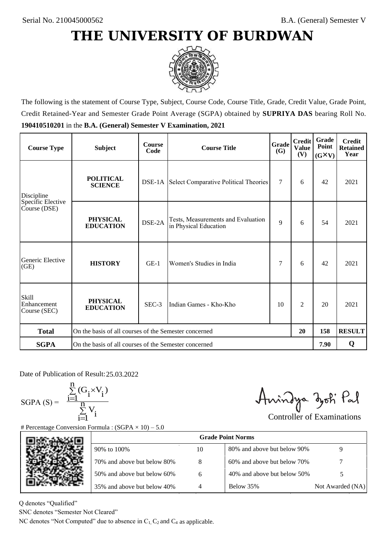

The following is the statement of Course Type, Subject, Course Code, Course Title, Grade, Credit Value, Grade Point, Credit Retained-Year and Semester Grade Point Average (SGPA) obtained by **SUPRIYA DAS** bearing Roll No. **190410510201** in the **B.A. (General) Semester V Examination, 2021**

| <b>Course Type</b>                   | <b>Subject</b>                                              | <b>Course</b><br>Code | Grade<br><b>Course Title</b><br>(G)                         |    | <b>Credit</b><br><b>Value</b><br>(V) | Grade<br>Point<br>$(G\times V)$ | <b>Credit</b><br><b>Retained</b><br>Year |
|--------------------------------------|-------------------------------------------------------------|-----------------------|-------------------------------------------------------------|----|--------------------------------------|---------------------------------|------------------------------------------|
| Discipline                           | <b>POLITICAL</b><br><b>SCIENCE</b>                          |                       | <b>DSE-1A</b> Select Comparative Political Theories         | 7  | 6                                    | 42                              | 2021                                     |
| Specific Elective<br>Course (DSE)    | <b>PHYSICAL</b><br><b>EDUCATION</b>                         | DSE-2A                | Tests, Measurements and Evaluation<br>in Physical Education | 9  | 6                                    | 54                              | 2021                                     |
| Generic Elective<br>(GE)             | <b>HISTORY</b>                                              | $GE-1$                | Women's Studies in India                                    | 7  | 6                                    | 42                              | 2021                                     |
| Skill<br>Enhancement<br>Course (SEC) | <b>PHYSICAL</b><br><b>EDUCATION</b>                         | SEC-3                 | Indian Games - Kho-Kho                                      | 10 | 2                                    | 20                              | 2021                                     |
| <b>Total</b>                         | On the basis of all courses of the Semester concerned<br>20 |                       |                                                             |    | 158                                  | <b>RESULT</b>                   |                                          |
| <b>SGPA</b>                          | On the basis of all courses of the Semester concerned       |                       |                                                             |    |                                      | 7.90                            | Q                                        |

Date of Publication of Result: 25.03.2022

 $SGPA(S) =$ 

$$
\frac{\sum\limits_{i=1}^n(G_i\times V_i)}{\sum\limits_{i=1}^nV_i}
$$

Amindya zoti Pal

| ate of Publication of Result: 25.03.2022<br>GPA (S) = $\frac{\sum_{i=1}^{n} (G_i \times V_i)}{\sum_{i=1}^{n} V_i}$ |                                                                                   |    | Aningya zoti Pal            | <b>Controller of Examinations</b> |
|--------------------------------------------------------------------------------------------------------------------|-----------------------------------------------------------------------------------|----|-----------------------------|-----------------------------------|
|                                                                                                                    | Percentage Conversion Formula : $(SGPA \times 10) - 5.0$                          |    | <b>Grade Point Norms</b>    |                                   |
|                                                                                                                    | 90% to 100%                                                                       | 10 | 80% and above but below 90% | 9                                 |
|                                                                                                                    | 70% and above but below 80%                                                       | 8  | 60% and above but below 70% |                                   |
|                                                                                                                    | 50% and above but below 60%                                                       | 6  | 40% and above but below 50% | 5                                 |
|                                                                                                                    | 35% and above but below 40%                                                       | 4  | Below 35%                   | Not Awarded (NA)                  |
| denotes "Qualified"<br>NC denotes "Semester Not Cleared"                                                           | C denotes "Not Computed" due to absence in $C_1$ , $C_2$ and $C_4$ as applicable. |    |                             |                                   |

Q denotes "Qualified"

SNC denotes "Semester Not Cleared"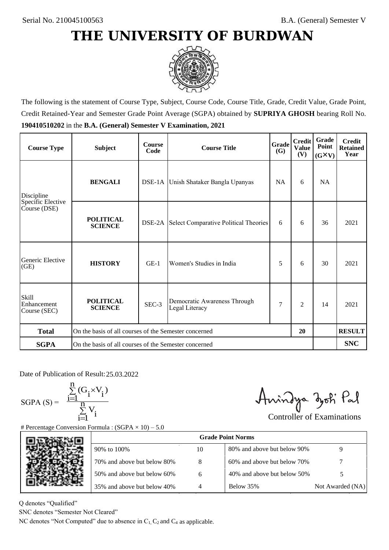

The following is the statement of Course Type, Subject, Course Code, Course Title, Grade, Credit Value, Grade Point, Credit Retained-Year and Semester Grade Point Average (SGPA) obtained by **SUPRIYA GHOSH** bearing Roll No. **190410510202** in the **B.A. (General) Semester V Examination, 2021**

| <b>Course Type</b>                          | <b>Subject</b>                                              | <b>Course</b><br>Code | Grade<br><b>Course Title</b><br><b>(G)</b>     |           | <b>Credit</b><br><b>Value</b><br>(V) | Grade<br>Point<br>$(G\times V)$ | <b>Credit</b><br><b>Retained</b><br>Year |
|---------------------------------------------|-------------------------------------------------------------|-----------------------|------------------------------------------------|-----------|--------------------------------------|---------------------------------|------------------------------------------|
| Discipline                                  | <b>BENGALI</b>                                              |                       | DSE-1A Unish Shataker Bangla Upanyas           | <b>NA</b> | 6                                    | <b>NA</b>                       |                                          |
| Specific Elective<br>Course (DSE)           | <b>POLITICAL</b><br><b>SCIENCE</b>                          |                       | DSE-2A Select Comparative Political Theories   | 6         | 6                                    | 36                              | 2021                                     |
| Generic Elective<br>(GE)                    | <b>HISTORY</b>                                              | $GE-1$                | Women's Studies in India                       | 5         | 6                                    | 30                              | 2021                                     |
| <b>Skill</b><br>Enhancement<br>Course (SEC) | <b>POLITICAL</b><br><b>SCIENCE</b>                          | SEC-3                 | Democratic Awareness Through<br>Legal Literacy | 7         | $\overline{c}$                       | 14                              | 2021                                     |
| <b>Total</b>                                | On the basis of all courses of the Semester concerned<br>20 |                       |                                                |           |                                      | <b>RESULT</b>                   |                                          |
| <b>SGPA</b>                                 | On the basis of all courses of the Semester concerned       |                       |                                                |           |                                      |                                 | <b>SNC</b>                               |

Date of Publication of Result: 25,03,2022

 $SGPA(S) =$ 

$$
\frac{\sum\limits_{i=1}^n(G_i\times V_i)}{\sum\limits_{i=1}^nV_i}
$$

Amindya zoti Pal

| ate of Publication of Result: 25.03.2022<br>GPA (S) = $\frac{\sum_{i=1}^{n} (G_i \times V_i)}{\sum_{i=1}^{n} V_i}$ |                                                                                   |    | Aningya zoti Pal            | <b>Controller of Examinations</b> |
|--------------------------------------------------------------------------------------------------------------------|-----------------------------------------------------------------------------------|----|-----------------------------|-----------------------------------|
|                                                                                                                    | Percentage Conversion Formula : $(SGPA \times 10) - 5.0$                          |    | <b>Grade Point Norms</b>    |                                   |
|                                                                                                                    | 90% to 100%                                                                       | 10 | 80% and above but below 90% | 9                                 |
|                                                                                                                    | 70% and above but below 80%                                                       | 8  | 60% and above but below 70% |                                   |
|                                                                                                                    | 50% and above but below 60%                                                       | 6  | 40% and above but below 50% | 5                                 |
|                                                                                                                    | 35% and above but below 40%                                                       | 4  | Below 35%                   | Not Awarded (NA)                  |
| denotes "Qualified"<br>NC denotes "Semester Not Cleared"                                                           | C denotes "Not Computed" due to absence in $C_1$ , $C_2$ and $C_4$ as applicable. |    |                             |                                   |

Q denotes "Qualified"

SNC denotes "Semester Not Cleared"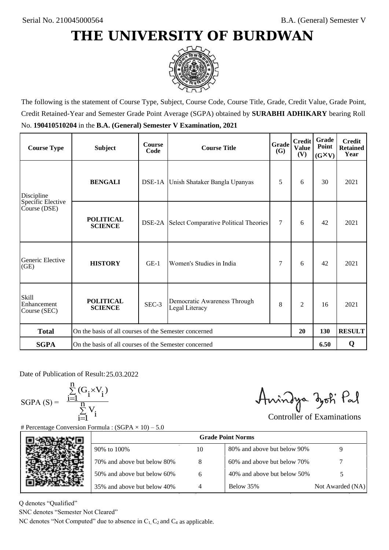

The following is the statement of Course Type, Subject, Course Code, Course Title, Grade, Credit Value, Grade Point, Credit Retained-Year and Semester Grade Point Average (SGPA) obtained by **SURABHI ADHIKARY** bearing Roll No. **190410510204** in the **B.A. (General) Semester V Examination, 2021**

| <b>Course Type</b>                          | <b>Subject</b>                                              | <b>Course</b><br>Code | <b>Course Title</b>                                 | Grade<br><b>(G)</b> | <b>Credit</b><br><b>Value</b><br>(V) | Grade<br>Point<br>$(G\times V)$ | <b>Credit</b><br><b>Retained</b><br>Year |
|---------------------------------------------|-------------------------------------------------------------|-----------------------|-----------------------------------------------------|---------------------|--------------------------------------|---------------------------------|------------------------------------------|
| Discipline                                  | <b>BENGALI</b>                                              |                       | DSE-1A Unish Shataker Bangla Upanyas                | 5                   | 6                                    | 30                              | 2021                                     |
| Specific Elective<br>Course (DSE)           | <b>POLITICAL</b><br><b>SCIENCE</b>                          |                       | <b>DSE-2A</b> Select Comparative Political Theories | $\tau$              | 6                                    | 42                              | 2021                                     |
| Generic Elective<br>(GE)                    | <b>HISTORY</b>                                              | $GE-1$                | Women's Studies in India                            | 7                   | 6                                    | 42                              | 2021                                     |
| <b>Skill</b><br>Enhancement<br>Course (SEC) | <b>POLITICAL</b><br><b>SCIENCE</b>                          | SEC-3                 | Democratic Awareness Through<br>Legal Literacy      | 8                   | $\overline{c}$                       | 16                              | 2021                                     |
| <b>Total</b>                                | On the basis of all courses of the Semester concerned<br>20 |                       |                                                     |                     | 130                                  | <b>RESULT</b>                   |                                          |
| <b>SGPA</b>                                 | On the basis of all courses of the Semester concerned       |                       |                                                     |                     |                                      | 6.50                            | Q                                        |

Date of Publication of Result: 25,03,2022

SGPA  $(S) = \frac{1}{1}$ 

$$
\frac{\sum\limits_{i=1}^{n} (G_i \times V_i)}{\sum\limits_{i=1}^{n} V_i}
$$

Amindya zoti Pal

| ate of Publication of Result: 25.03.2022<br>SGPA (S) = $\frac{\sum_{i=1}^{n} (G_i \times V_i)}{\sum_{i=1}^{n} V_i}$ | Percentage Conversion Formula : $(SGPA \times 10) - 5.0$                          |    | Aningya zoti Pal            | <b>Controller of Examinations</b> |
|---------------------------------------------------------------------------------------------------------------------|-----------------------------------------------------------------------------------|----|-----------------------------|-----------------------------------|
|                                                                                                                     |                                                                                   |    | <b>Grade Point Norms</b>    |                                   |
|                                                                                                                     | 90% to 100%                                                                       | 10 | 80% and above but below 90% | 9                                 |
|                                                                                                                     | 70% and above but below 80%                                                       | 8  | 60% and above but below 70% |                                   |
|                                                                                                                     | 50% and above but below 60%                                                       | 6  | 40% and above but below 50% | 5                                 |
|                                                                                                                     | 35% and above but below 40%                                                       | 4  | Below 35%                   | Not Awarded (NA)                  |
| denotes "Qualified"<br>NC denotes "Semester Not Cleared"                                                            | C denotes "Not Computed" due to absence in $C_1$ , $C_2$ and $C_4$ as applicable. |    |                             |                                   |

Q denotes "Qualified"

SNC denotes "Semester Not Cleared"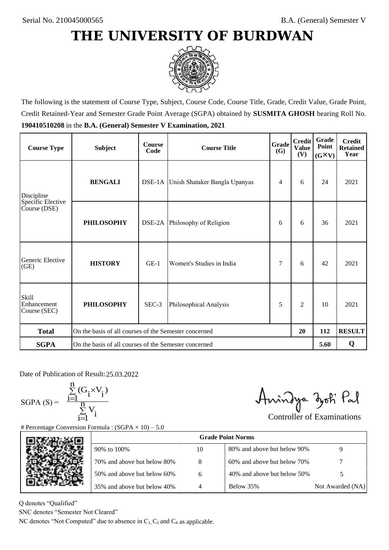

The following is the statement of Course Type, Subject, Course Code, Course Title, Grade, Credit Value, Grade Point, Credit Retained-Year and Semester Grade Point Average (SGPA) obtained by **SUSMITA GHOSH** bearing Roll No. **190410510208** in the **B.A. (General) Semester V Examination, 2021**

| <b>Course Type</b>                          | <b>Subject</b>                                              | <b>Course</b><br>Code | Grade<br><b>Course Title</b><br>(G)  |   | <b>Credit</b><br><b>Value</b><br>(V) | Grade<br>Point<br>$(G\times V)$ | <b>Credit</b><br><b>Retained</b><br>Year |
|---------------------------------------------|-------------------------------------------------------------|-----------------------|--------------------------------------|---|--------------------------------------|---------------------------------|------------------------------------------|
| Discipline                                  | <b>BENGALI</b>                                              |                       | DSE-1A Unish Shataker Bangla Upanyas | 4 | 6                                    | 24                              | 2021                                     |
| Specific Elective<br>Course (DSE)           | <b>PHILOSOPHY</b>                                           |                       | DSE-2A Philosophy of Religion        | 6 | 6                                    | 36                              | 2021                                     |
| Generic Elective<br>(GE)                    | <b>HISTORY</b>                                              | $GE-1$                | Women's Studies in India             | 7 | 6                                    | 42                              | 2021                                     |
| <b>Skill</b><br>Enhancement<br>Course (SEC) | <b>PHILOSOPHY</b>                                           | SEC-3                 | Philosophical Analysis               | 5 | $\overline{c}$                       | 10                              | 2021                                     |
| <b>Total</b>                                | On the basis of all courses of the Semester concerned<br>20 |                       |                                      |   |                                      | 112                             | <b>RESULT</b>                            |
| <b>SGPA</b>                                 | On the basis of all courses of the Semester concerned       |                       |                                      |   |                                      | 5.60                            | Q                                        |

Date of Publication of Result: 25,03,2022

 $SGPA(S) =$ 

$$
\frac{\sum\limits_{i=1}^n(G_i\times V_i)}{\sum\limits_{i=1}^nV_i}
$$

Amindya zoti Pal

| ate of Publication of Result: 25.03.2022<br>GPA (S) = $\frac{\sum_{i=1}^{n} (G_i \times V_i)}{\sum_{i=1}^{n} V_i}$ |                                                                                   |    | Aningya zoti Pal            | <b>Controller of Examinations</b> |
|--------------------------------------------------------------------------------------------------------------------|-----------------------------------------------------------------------------------|----|-----------------------------|-----------------------------------|
|                                                                                                                    | Percentage Conversion Formula : $(SGPA \times 10) - 5.0$                          |    |                             |                                   |
|                                                                                                                    |                                                                                   |    | <b>Grade Point Norms</b>    |                                   |
|                                                                                                                    | 90% to 100%                                                                       | 10 | 80% and above but below 90% | 9                                 |
|                                                                                                                    | 70% and above but below 80%                                                       | 8  | 60% and above but below 70% |                                   |
|                                                                                                                    | 50% and above but below 60%                                                       | 6  | 40% and above but below 50% | 5                                 |
|                                                                                                                    | 35% and above but below 40%                                                       | 4  | Below 35%                   | Not Awarded (NA)                  |
| denotes "Qualified"                                                                                                |                                                                                   |    |                             |                                   |
| NC denotes "Semester Not Cleared"                                                                                  |                                                                                   |    |                             |                                   |
|                                                                                                                    | C denotes "Not Computed" due to absence in $C_1$ , $C_2$ and $C_4$ as applicable. |    |                             |                                   |

Q denotes "Qualified"

SNC denotes "Semester Not Cleared"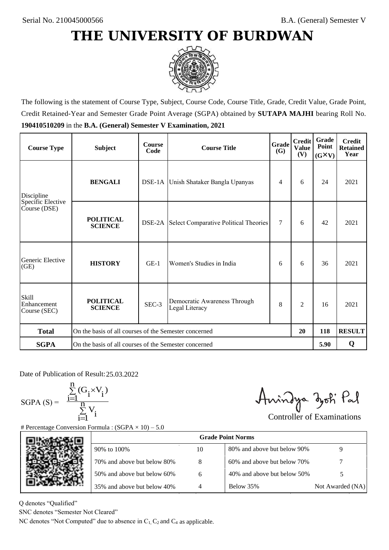

The following is the statement of Course Type, Subject, Course Code, Course Title, Grade, Credit Value, Grade Point, Credit Retained-Year and Semester Grade Point Average (SGPA) obtained by **SUTAPA MAJHI** bearing Roll No. **190410510209** in the **B.A. (General) Semester V Examination, 2021**

| <b>Course Type</b>                          | <b>Subject</b>                                              | <b>Course</b><br>Code | Grade<br><b>Course Title</b><br><b>(G)</b>          |        | <b>Credit</b><br><b>Value</b><br>(V) | Grade<br>Point<br>$(G\times V)$ | <b>Credit</b><br><b>Retained</b><br>Year |
|---------------------------------------------|-------------------------------------------------------------|-----------------------|-----------------------------------------------------|--------|--------------------------------------|---------------------------------|------------------------------------------|
| Discipline                                  | <b>BENGALI</b>                                              |                       | DSE-1A Unish Shataker Bangla Upanyas                | 4      | 6                                    | 24                              | 2021                                     |
| Specific Elective<br>Course (DSE)           | <b>POLITICAL</b><br><b>SCIENCE</b>                          |                       | <b>DSE-2A</b> Select Comparative Political Theories | $\tau$ | 6                                    | 42                              | 2021                                     |
| Generic Elective<br>(GE)                    | <b>HISTORY</b>                                              | $GE-1$                | Women's Studies in India                            | 6      | 6                                    | 36                              | 2021                                     |
| <b>Skill</b><br>Enhancement<br>Course (SEC) | <b>POLITICAL</b><br><b>SCIENCE</b>                          | SEC-3                 | Democratic Awareness Through<br>Legal Literacy      | 8      | $\overline{c}$                       | 16                              | 2021                                     |
| <b>Total</b>                                | On the basis of all courses of the Semester concerned<br>20 |                       |                                                     |        | 118                                  | <b>RESULT</b>                   |                                          |
| <b>SGPA</b>                                 | On the basis of all courses of the Semester concerned       |                       |                                                     |        |                                      | 5.90                            | Q                                        |

Date of Publication of Result: 25,03,2022

SGPA  $(S) = \frac{1}{1}$ 

$$
\frac{\sum\limits_{i=1}^{n} (G_i \times V_i)}{\sum\limits_{i=1}^{n} V_i}
$$

Amindya zoti Pal

| ate of Publication of Result: 25.03.2022<br>GPA (S) = $\frac{\sum_{i=1}^{n} (G_i \times V_i)}{\sum_{i=1}^{n} V_i}$ | Percentage Conversion Formula : $(SGPA \times 10) - 5.0$                          |    | Aningya zoti Pal            | <b>Controller of Examinations</b> |
|--------------------------------------------------------------------------------------------------------------------|-----------------------------------------------------------------------------------|----|-----------------------------|-----------------------------------|
|                                                                                                                    |                                                                                   |    | <b>Grade Point Norms</b>    |                                   |
|                                                                                                                    | 90% to 100%                                                                       | 10 | 80% and above but below 90% | 9                                 |
|                                                                                                                    | 70% and above but below 80%                                                       | 8  | 60% and above but below 70% |                                   |
|                                                                                                                    | 50% and above but below 60%                                                       | 6  | 40% and above but below 50% | 5                                 |
|                                                                                                                    | 35% and above but below 40%                                                       | 4  | Below 35%                   | Not Awarded (NA)                  |
| denotes "Qualified"<br>NC denotes "Semester Not Cleared"                                                           | C denotes "Not Computed" due to absence in $C_1$ , $C_2$ and $C_4$ as applicable. |    |                             |                                   |

Q denotes "Qualified"

SNC denotes "Semester Not Cleared"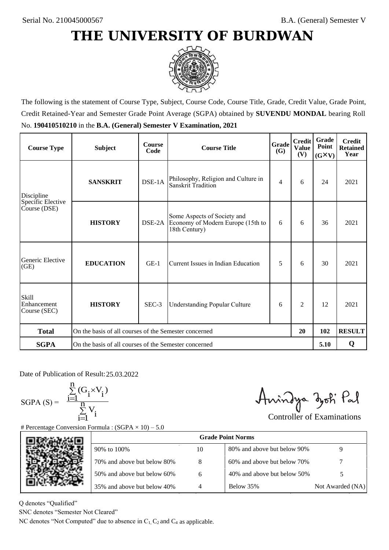

The following is the statement of Course Type, Subject, Course Code, Course Title, Grade, Credit Value, Grade Point, Credit Retained-Year and Semester Grade Point Average (SGPA) obtained by **SUVENDU MONDAL** bearing Roll No. **190410510210** in the **B.A. (General) Semester V Examination, 2021**

| <b>Course Type</b>                          | <b>Subject</b>                                              | <b>Course</b><br>Code | Grade<br><b>Course Title</b><br>(G)                                               |   | <b>Credit</b><br><b>Value</b><br>(V) | Grade<br>Point<br>$(G\times V)$ | <b>Credit</b><br><b>Retained</b><br>Year |
|---------------------------------------------|-------------------------------------------------------------|-----------------------|-----------------------------------------------------------------------------------|---|--------------------------------------|---------------------------------|------------------------------------------|
| Discipline                                  | <b>SANSKRIT</b>                                             | DSE-1A                | Philosophy, Religion and Culture in<br>Sanskrit Tradition                         | 4 | 6                                    | 24                              | 2021                                     |
| Specific Elective<br>Course (DSE)           | <b>HISTORY</b>                                              | DSE-2A                | Some Aspects of Society and<br>Economy of Modern Europe (15th to<br>18th Century) | 6 | 6                                    | 36                              | 2021                                     |
| Generic Elective<br>(GE)                    | <b>EDUCATION</b>                                            | $GE-1$                | Current Issues in Indian Education                                                | 5 | 6                                    | 30                              | 2021                                     |
| <b>Skill</b><br>Enhancement<br>Course (SEC) | <b>HISTORY</b>                                              | SEC-3                 | <b>Understanding Popular Culture</b>                                              | 6 | $\overline{c}$                       | 12                              | 2021                                     |
| <b>Total</b>                                | On the basis of all courses of the Semester concerned<br>20 |                       |                                                                                   |   | 102                                  | <b>RESULT</b>                   |                                          |
| <b>SGPA</b>                                 | On the basis of all courses of the Semester concerned       |                       |                                                                                   |   |                                      | 5.10                            | Q                                        |

Date of Publication of Result: 25.03.2022

SGPA  $(S) = \frac{1}{1}$ 

$$
\frac{\sum_{i=1}^{n} (G_i \times V_i)}{\sum_{i=1}^{n} V_i}
$$

Amindya zoti Pal

| ate of Publication of Result: 25.03.2022<br>GPA (S) = $\frac{\sum_{i=1}^{n} (G_i \times V_i)}{\sum_{i=1}^{n} V_i}$ | Percentage Conversion Formula : $(SGPA \times 10) - 5.0$                          |    | Aningya zoti Pal            | <b>Controller of Examinations</b> |
|--------------------------------------------------------------------------------------------------------------------|-----------------------------------------------------------------------------------|----|-----------------------------|-----------------------------------|
|                                                                                                                    |                                                                                   |    | <b>Grade Point Norms</b>    |                                   |
|                                                                                                                    | 90% to 100%                                                                       | 10 | 80% and above but below 90% | 9                                 |
|                                                                                                                    | 70% and above but below 80%                                                       | 8  | 60% and above but below 70% |                                   |
|                                                                                                                    | 50% and above but below 60%                                                       | 6  | 40% and above but below 50% | 5                                 |
|                                                                                                                    | 35% and above but below 40%                                                       | 4  | Below 35%                   | Not Awarded (NA)                  |
| denotes "Qualified"<br>NC denotes "Semester Not Cleared"                                                           | C denotes "Not Computed" due to absence in $C_1$ , $C_2$ and $C_4$ as applicable. |    |                             |                                   |

Q denotes "Qualified"

SNC denotes "Semester Not Cleared"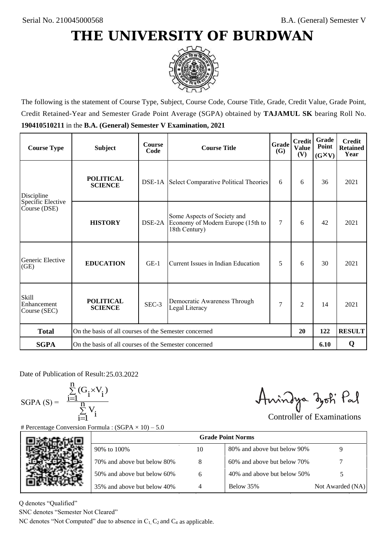

The following is the statement of Course Type, Subject, Course Code, Course Title, Grade, Credit Value, Grade Point, Credit Retained-Year and Semester Grade Point Average (SGPA) obtained by **TAJAMUL SK** bearing Roll No. **190410510211** in the **B.A. (General) Semester V Examination, 2021**

| <b>Course Type</b>                   | <b>Subject</b>                                              | <b>Course</b><br>Code | Grade<br><b>Course Title</b>                                                      |     | <b>Credit</b><br><b>Value</b><br>(V) | Grade<br>Point<br>$(G\times V)$ | <b>Credit</b><br><b>Retained</b><br>Year |
|--------------------------------------|-------------------------------------------------------------|-----------------------|-----------------------------------------------------------------------------------|-----|--------------------------------------|---------------------------------|------------------------------------------|
| Discipline                           | <b>POLITICAL</b><br><b>SCIENCE</b>                          |                       | <b>DSE-1A</b> Select Comparative Political Theories                               | 6   | 6                                    | 36                              | 2021                                     |
| Specific Elective<br>Course (DSE)    | <b>HISTORY</b>                                              | DSE-2A                | Some Aspects of Society and<br>Economy of Modern Europe (15th to<br>18th Century) | 7   | 6                                    | 42                              | 2021                                     |
| Generic Elective<br>(GE)             | <b>EDUCATION</b>                                            | $GE-1$                | Current Issues in Indian Education                                                | 5   | 6                                    | 30                              | 2021                                     |
| Skill<br>Enhancement<br>Course (SEC) | <b>POLITICAL</b><br><b>SCIENCE</b>                          | SEC-3                 | Democratic Awareness Through<br>Legal Literacy                                    | 7   | $\overline{c}$                       | 14                              | 2021                                     |
| <b>Total</b>                         | On the basis of all courses of the Semester concerned<br>20 |                       |                                                                                   | 122 | <b>RESULT</b>                        |                                 |                                          |
| <b>SGPA</b>                          | On the basis of all courses of the Semester concerned       |                       |                                                                                   |     |                                      | 6.10                            | Q                                        |

Date of Publication of Result: 25,03,2022

 $SGPA(S) =$ 

$$
\frac{\sum\limits_{i=1}^{n} (G_i \times V_i)}{\sum\limits_{i=1}^{n} V_i}
$$

Amindya zoti Pal

| Date of Publication of Result: 25.03.2022<br>SGPA (S) = $\frac{\sum_{i=1}^{n} (G_i \times V_i)}{\sum_{i=1}^{n} V_i}$ | <b>Percentage Conversion Formula : (SGPA</b> $\times$ 10) – 5.0                   |    | Aningya zoti Pal            | <b>Controller of Examinations</b> |
|----------------------------------------------------------------------------------------------------------------------|-----------------------------------------------------------------------------------|----|-----------------------------|-----------------------------------|
|                                                                                                                      |                                                                                   |    | <b>Grade Point Norms</b>    |                                   |
|                                                                                                                      | 90% to 100%                                                                       | 10 | 80% and above but below 90% | 9                                 |
|                                                                                                                      | 70% and above but below 80%                                                       | 8  | 60% and above but below 70% |                                   |
|                                                                                                                      | 50% and above but below 60%                                                       | 6  | 40% and above but below 50% | 5                                 |
|                                                                                                                      | 35% and above but below 40%                                                       | 4  | Below 35%                   | Not Awarded (NA)                  |
| denotes "Qualified"<br>NC denotes "Semester Not Cleared"                                                             | C denotes "Not Computed" due to absence in $C_1$ , $C_2$ and $C_4$ as applicable. |    |                             |                                   |

Q denotes "Qualified"

SNC denotes "Semester Not Cleared"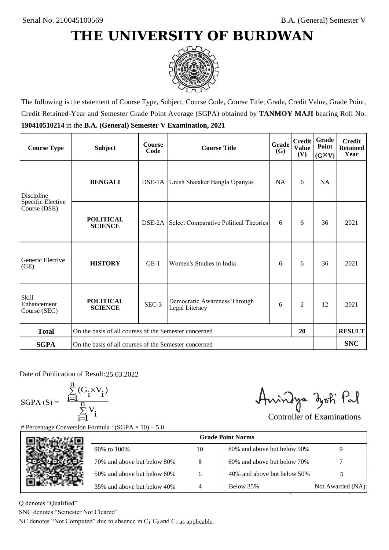

The following is the statement of Course Type, Subject, Course Code, Course Title, Grade, Credit Value, Grade Point, Credit Retained-Year and Semester Grade Point Average (SGPA) obtained by **TANMOY MAJI** bearing Roll No. **190410510214** in the **B.A. (General) Semester V Examination, 2021**

| <b>Course Type</b>                          | <b>Subject</b>                                              | <b>Course</b><br>Code | Grade<br><b>Course Title</b>                        |   | <b>Credit</b><br><b>Value</b><br>(V) | Grade<br>Point<br>$(G\times V)$ | <b>Credit</b><br><b>Retained</b><br>Year |
|---------------------------------------------|-------------------------------------------------------------|-----------------------|-----------------------------------------------------|---|--------------------------------------|---------------------------------|------------------------------------------|
| <b>BENGALI</b><br>Discipline                |                                                             |                       | DSE-1A Unish Shataker Bangla Upanyas<br><b>NA</b>   |   | 6                                    | <b>NA</b>                       |                                          |
| Specific Elective<br>Course (DSE)           | <b>POLITICAL</b><br><b>SCIENCE</b>                          |                       | <b>DSE-2A</b> Select Comparative Political Theories | 6 | 6                                    | 36                              | 2021                                     |
| Generic Elective<br>(GE)                    | <b>HISTORY</b>                                              | $GE-1$                | Women's Studies in India                            | 6 | 6                                    | 36                              | 2021                                     |
| <b>Skill</b><br>Enhancement<br>Course (SEC) | <b>POLITICAL</b><br><b>SCIENCE</b>                          | SEC-3                 | Democratic Awareness Through<br>Legal Literacy      | 6 | 2                                    | 12                              | 2021                                     |
| <b>Total</b>                                | On the basis of all courses of the Semester concerned<br>20 |                       |                                                     |   |                                      | <b>RESULT</b>                   |                                          |
| <b>SGPA</b>                                 | On the basis of all courses of the Semester concerned       |                       |                                                     |   |                                      |                                 | <b>SNC</b>                               |

Date of Publication of Result: 25,03,2022

 $SGPA(S) =$ 

$$
\frac{\sum\limits_{i=1}^n(G_i\times V_i)}{\sum\limits_{i=1}^nV_i}
$$

Amindya zoti Pal

| ate of Publication of Result: 25.03.2022<br>GPA (S) = $\frac{\sum_{i=1}^{n} (G_i \times V_i)}{\sum_{i=1}^{n} V_i}$ | Percentage Conversion Formula : $(SGPA \times 10) - 5.0$                          |    | Aningya zoti Pal            | <b>Controller of Examinations</b> |
|--------------------------------------------------------------------------------------------------------------------|-----------------------------------------------------------------------------------|----|-----------------------------|-----------------------------------|
|                                                                                                                    |                                                                                   |    | <b>Grade Point Norms</b>    |                                   |
|                                                                                                                    | 90% to 100%                                                                       | 10 | 80% and above but below 90% | 9                                 |
|                                                                                                                    | 70% and above but below 80%                                                       | 8  | 60% and above but below 70% |                                   |
|                                                                                                                    | 50% and above but below 60%                                                       | 6  | 40% and above but below 50% | 5                                 |
|                                                                                                                    | 35% and above but below 40%                                                       | 4  | Below 35%                   | Not Awarded (NA)                  |
| denotes "Qualified"<br>NC denotes "Semester Not Cleared"                                                           | C denotes "Not Computed" due to absence in $C_1$ , $C_2$ and $C_4$ as applicable. |    |                             |                                   |

Q denotes "Qualified"

SNC denotes "Semester Not Cleared"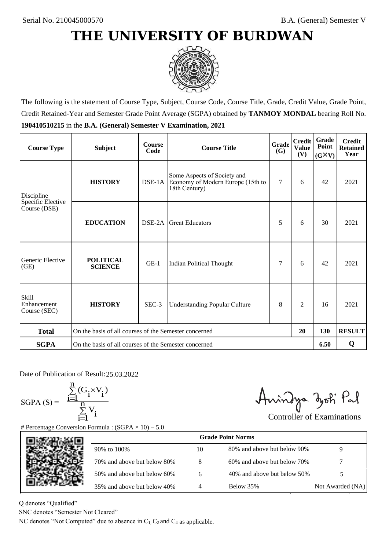

The following is the statement of Course Type, Subject, Course Code, Course Title, Grade, Credit Value, Grade Point, Credit Retained-Year and Semester Grade Point Average (SGPA) obtained by **TANMOY MONDAL** bearing Roll No. **190410510215** in the **B.A. (General) Semester V Examination, 2021**

| <b>Course Type</b>                          | <b>Subject</b>                                              | <b>Course</b><br>Code | Grade<br><b>Course Title</b><br>(G)                                               |                | <b>Credit</b><br><b>Value</b><br>(V) | Grade<br>Point<br>$(G\times V)$ | <b>Credit</b><br><b>Retained</b><br>Year |
|---------------------------------------------|-------------------------------------------------------------|-----------------------|-----------------------------------------------------------------------------------|----------------|--------------------------------------|---------------------------------|------------------------------------------|
| <b>HISTORY</b><br>Discipline                |                                                             |                       | Some Aspects of Society and<br>Economy of Modern Europe (15th to<br>18th Century) | $\overline{7}$ | 6                                    | 42                              | 2021                                     |
| Specific Elective<br>Course (DSE)           | <b>EDUCATION</b>                                            | DSE-2A                | <b>Great Educators</b>                                                            | 5              | 6                                    | 30                              | 2021                                     |
| Generic Elective<br>(GE)                    | <b>POLITICAL</b><br><b>SCIENCE</b>                          | $GE-1$                | Indian Political Thought                                                          | 7              | 6                                    | 42                              | 2021                                     |
| <b>Skill</b><br>Enhancement<br>Course (SEC) | <b>HISTORY</b>                                              | SEC-3                 | <b>Understanding Popular Culture</b>                                              |                | $\overline{c}$                       | 16                              | 2021                                     |
| <b>Total</b>                                | On the basis of all courses of the Semester concerned<br>20 |                       |                                                                                   |                | 130                                  | <b>RESULT</b>                   |                                          |
| <b>SGPA</b>                                 | On the basis of all courses of the Semester concerned       |                       |                                                                                   |                |                                      | 6.50                            | Q                                        |

Date of Publication of Result: 25,03,2022

SGPA  $(S) = \frac{1}{1}$ 

$$
\frac{\sum\limits_{i=1}^{n} (G_i \times V_i)}{\sum\limits_{i=1}^{n} V_i}
$$

Amindya zoti Pal

| ate of Publication of Result: 25.03.2022<br>GPA (S) = $\frac{\sum_{i=1}^{n} (G_i \times V_i)}{\sum_{i=1}^{n} V_i}$ |                                                                                   |    | Aningya zoti Pal            | <b>Controller of Examinations</b> |
|--------------------------------------------------------------------------------------------------------------------|-----------------------------------------------------------------------------------|----|-----------------------------|-----------------------------------|
|                                                                                                                    | Percentage Conversion Formula : $(SGPA \times 10) - 5.0$                          |    | <b>Grade Point Norms</b>    |                                   |
|                                                                                                                    | 90% to 100%                                                                       | 10 | 80% and above but below 90% | 9                                 |
|                                                                                                                    | 70% and above but below 80%                                                       | 8  | 60% and above but below 70% |                                   |
|                                                                                                                    | 50% and above but below 60%                                                       | 6  | 40% and above but below 50% | 5                                 |
|                                                                                                                    | 35% and above but below 40%                                                       | 4  | Below 35%                   | Not Awarded (NA)                  |
| denotes "Qualified"<br>NC denotes "Semester Not Cleared"                                                           | C denotes "Not Computed" due to absence in $C_1$ , $C_2$ and $C_4$ as applicable. |    |                             |                                   |

Q denotes "Qualified"

SNC denotes "Semester Not Cleared"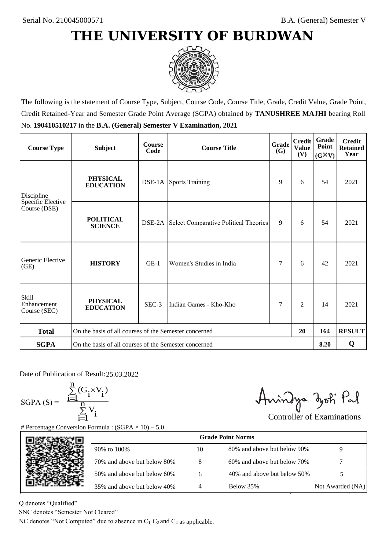

The following is the statement of Course Type, Subject, Course Code, Course Title, Grade, Credit Value, Grade Point, Credit Retained-Year and Semester Grade Point Average (SGPA) obtained by **TANUSHREE MAJHI** bearing Roll No. **190410510217** in the **B.A. (General) Semester V Examination, 2021**

| <b>Course Type</b>                                | <b>Subject</b>                                              | <b>Course</b><br>Code | Grade<br><b>Course Title</b>                 |   | <b>Credit</b><br><b>Value</b><br>(V) | Grade<br>Point<br>$(G\times V)$ | <b>Credit</b><br><b>Retained</b><br>Year |
|---------------------------------------------------|-------------------------------------------------------------|-----------------------|----------------------------------------------|---|--------------------------------------|---------------------------------|------------------------------------------|
| <b>PHYSICAL</b><br><b>EDUCATION</b><br>Discipline |                                                             |                       | <b>DSE-1A</b> Sports Training                | 9 | 6                                    | 54                              | 2021                                     |
| Specific Elective<br>Course (DSE)                 | <b>POLITICAL</b><br><b>SCIENCE</b>                          |                       | DSE-2A Select Comparative Political Theories | 9 | 6                                    | 54                              | 2021                                     |
| Generic Elective<br>(GE)                          | <b>HISTORY</b>                                              | $GE-1$                | Women's Studies in India                     | 7 | 6                                    | 42                              | 2021                                     |
| <b>Skill</b><br>Enhancement<br>Course (SEC)       | <b>PHYSICAL</b><br><b>EDUCATION</b>                         | $SEC-3$               | Indian Games - Kho-Kho                       | 7 | $\overline{c}$                       | 14                              | 2021                                     |
| <b>Total</b>                                      | On the basis of all courses of the Semester concerned<br>20 |                       |                                              |   | 164                                  | <b>RESULT</b>                   |                                          |
| <b>SGPA</b>                                       | On the basis of all courses of the Semester concerned       |                       |                                              |   |                                      | 8.20                            | Q                                        |

Date of Publication of Result: 25,03,2022

 $SGPA(S) =$ 

$$
\frac{\sum\limits_{i=1}^{n}(G_{i}\times V_{i})}{\sum\limits_{i=1}^{n}V_{i}}
$$

Amindya zoti Pal

| Date of Publication of Result: 25.03.2022<br>SGPA (S) = $\frac{\sum_{i=1}^{n} (G_i \times V_i)}{\sum_{i=1}^{n} V_i}$ | <b>Percentage Conversion Formula : (SGPA</b> $\times$ 10) – 5.0                   |    | Aningya zoti Pal            | <b>Controller of Examinations</b> |
|----------------------------------------------------------------------------------------------------------------------|-----------------------------------------------------------------------------------|----|-----------------------------|-----------------------------------|
|                                                                                                                      |                                                                                   |    | <b>Grade Point Norms</b>    |                                   |
|                                                                                                                      | 90% to 100%                                                                       | 10 | 80% and above but below 90% | 9                                 |
|                                                                                                                      | 70% and above but below 80%                                                       | 8  | 60% and above but below 70% |                                   |
|                                                                                                                      | 50% and above but below 60%                                                       | 6  | 40% and above but below 50% | 5                                 |
|                                                                                                                      | 35% and above but below 40%                                                       | 4  | Below 35%                   | Not Awarded (NA)                  |
| denotes "Qualified"<br>NC denotes "Semester Not Cleared"                                                             | C denotes "Not Computed" due to absence in $C_1$ , $C_2$ and $C_4$ as applicable. |    |                             |                                   |

Q denotes "Qualified"

SNC denotes "Semester Not Cleared"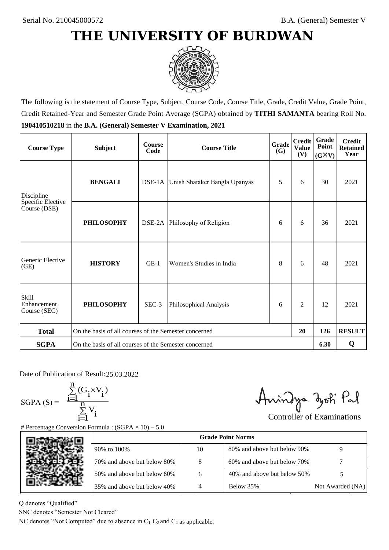

The following is the statement of Course Type, Subject, Course Code, Course Title, Grade, Credit Value, Grade Point, Credit Retained-Year and Semester Grade Point Average (SGPA) obtained by **TITHI SAMANTA** bearing Roll No. **190410510218** in the **B.A. (General) Semester V Examination, 2021**

| <b>Course Type</b>                   | <b>Subject</b>                                        | <b>Course</b><br>Code | Grade<br><b>Course Title</b>         |   | <b>Credit</b><br><b>Value</b><br>(V) | Grade<br>Point<br>$(G\times V)$ | <b>Credit</b><br><b>Retained</b><br>Year |
|--------------------------------------|-------------------------------------------------------|-----------------------|--------------------------------------|---|--------------------------------------|---------------------------------|------------------------------------------|
| <b>BENGALI</b><br>Discipline         |                                                       |                       | DSE-1A Unish Shataker Bangla Upanyas |   | 6                                    | 30                              | 2021                                     |
| Specific Elective<br>Course (DSE)    | <b>PHILOSOPHY</b>                                     |                       | DSE-2A Philosophy of Religion        | 6 | 6                                    | 36                              | 2021                                     |
| Generic Elective<br>(GE)             | <b>HISTORY</b>                                        | $GE-1$                | Women's Studies in India             | 8 | 6                                    | 48                              | 2021                                     |
| Skill<br>Enhancement<br>Course (SEC) | <b>PHILOSOPHY</b>                                     | SEC-3                 | Philosophical Analysis               | 6 | 2                                    | 12                              | 2021                                     |
| <b>Total</b>                         | On the basis of all courses of the Semester concerned |                       |                                      |   | 20                                   | 126                             | <b>RESULT</b>                            |
| <b>SGPA</b>                          | On the basis of all courses of the Semester concerned |                       |                                      |   |                                      | 6.30                            | Q                                        |

Date of Publication of Result: 25.03.2022

 $SGPA(S) =$ 

$$
\frac{\sum\limits_{i=1}^n(G_i\times V_i)}{\sum\limits_{i=1}^nV_i}
$$

Amindya zoti Pal

| ate of Publication of Result: 25.03.2022<br>GPA (S) = $\frac{\sum_{i=1}^{n} (G_i \times V_i)}{\sum_{i=1}^{n} V_i}$ | Percentage Conversion Formula : $(SGPA \times 10) - 5.0$                          |    | Aningya zoti Pal            | <b>Controller of Examinations</b> |
|--------------------------------------------------------------------------------------------------------------------|-----------------------------------------------------------------------------------|----|-----------------------------|-----------------------------------|
|                                                                                                                    |                                                                                   |    | <b>Grade Point Norms</b>    |                                   |
|                                                                                                                    | 90% to 100%                                                                       | 10 | 80% and above but below 90% | 9                                 |
|                                                                                                                    | 70% and above but below 80%                                                       | 8  | 60% and above but below 70% |                                   |
|                                                                                                                    | 50% and above but below 60%                                                       | 6  | 40% and above but below 50% | 5                                 |
|                                                                                                                    | 35% and above but below 40%                                                       | 4  | Below 35%                   | Not Awarded (NA)                  |
| denotes "Qualified"<br>NC denotes "Semester Not Cleared"                                                           | C denotes "Not Computed" due to absence in $C_1$ , $C_2$ and $C_4$ as applicable. |    |                             |                                   |

Q denotes "Qualified"

SNC denotes "Semester Not Cleared"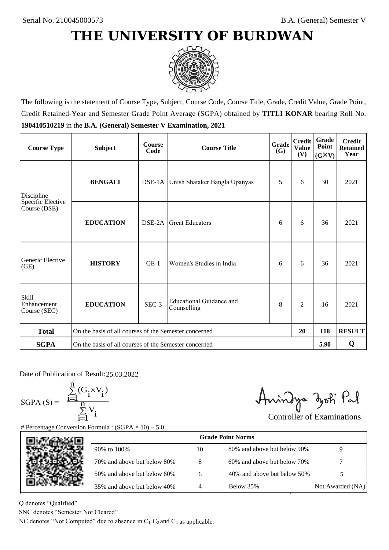

The following is the statement of Course Type, Subject, Course Code, Course Title, Grade, Credit Value, Grade Point, Credit Retained-Year and Semester Grade Point Average (SGPA) obtained by **TITLI KONAR** bearing Roll No. **190410510219** in the **B.A. (General) Semester V Examination, 2021**

| <b>Course Type</b>                          | <b>Subject</b>                                        | <b>Course</b><br>Code | Grade<br><b>Course Title</b>            |   | <b>Credit</b><br><b>Value</b><br>(V) | Grade<br>Point<br>$(G\times V)$ | <b>Credit</b><br><b>Retained</b><br>Year |
|---------------------------------------------|-------------------------------------------------------|-----------------------|-----------------------------------------|---|--------------------------------------|---------------------------------|------------------------------------------|
| Discipline                                  | <b>BENGALI</b>                                        |                       | DSE-1A Unish Shataker Bangla Upanyas    | 5 | 6                                    | 30                              | 2021                                     |
| Specific Elective<br>Course (DSE)           | <b>EDUCATION</b>                                      | DSE-2A                | <b>Great Educators</b>                  | 6 | 6                                    | 36                              | 2021                                     |
| Generic Elective<br>(GE)                    | <b>HISTORY</b>                                        | $GE-1$                | Women's Studies in India                | 6 | 6                                    | 36                              | 2021                                     |
| <b>Skill</b><br>Enhancement<br>Course (SEC) | <b>EDUCATION</b>                                      | SEC-3                 | Educational Guidance and<br>Counselling | 8 | $\overline{c}$                       | 16                              | 2021                                     |
| <b>Total</b>                                | On the basis of all courses of the Semester concerned |                       |                                         |   | 20                                   | 118                             | <b>RESULT</b>                            |
| <b>SGPA</b>                                 | On the basis of all courses of the Semester concerned |                       |                                         |   |                                      | 5.90                            | Q                                        |

Date of Publication of Result: 25,03,2022

SGPA  $(S) = \frac{1}{1}$ 

$$
\frac{\sum_{i=1}^{n} (G_i \times V_i)}{\sum_{i=1}^{n} V_i}
$$

Amindya zoti Pal

| ate of Publication of Result: 25.03.2022<br>GPA (S) = $\frac{\sum_{i=1}^{n} (G_i \times V_i)}{\sum_{i=1}^{n} V_i}$ |                                                                                   |    | Aningya zoti Pal            | <b>Controller of Examinations</b> |
|--------------------------------------------------------------------------------------------------------------------|-----------------------------------------------------------------------------------|----|-----------------------------|-----------------------------------|
|                                                                                                                    | Percentage Conversion Formula : $(SGPA \times 10) - 5.0$                          |    |                             |                                   |
|                                                                                                                    |                                                                                   |    | <b>Grade Point Norms</b>    |                                   |
|                                                                                                                    | 90% to 100%                                                                       | 10 | 80% and above but below 90% | 9                                 |
|                                                                                                                    | 70% and above but below 80%                                                       | 8  | 60% and above but below 70% |                                   |
|                                                                                                                    | 50% and above but below 60%                                                       | 6  | 40% and above but below 50% | 5                                 |
|                                                                                                                    | 35% and above but below 40%                                                       | 4  | Below 35%                   | Not Awarded (NA)                  |
| denotes "Qualified"<br>NC denotes "Semester Not Cleared"                                                           |                                                                                   |    |                             |                                   |
|                                                                                                                    | C denotes "Not Computed" due to absence in $C_1$ , $C_2$ and $C_4$ as applicable. |    |                             |                                   |

Q denotes "Qualified"

SNC denotes "Semester Not Cleared"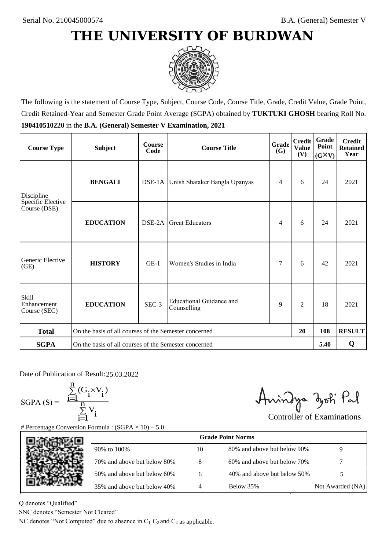## **THE UNIVERSITY OF BURDWAN**



The following is the statement of Course Type, Subject, Course Code, Course Title, Grade, Credit Value, Grade Point, Credit Retained-Year and Semester Grade Point Average (SGPA) obtained by **TUKTUKI GHOSH** bearing Roll No. **190410510220** in the **B.A. (General) Semester V Examination, 2021**

| <b>Course Type</b>                              | <b>Subject</b>                                              | <b>Course</b><br>Code | Grade<br><b>Course Title</b>            |   | <b>Credit</b><br><b>Value</b><br>(V) | Grade<br>Point<br>$(G\times V)$ | <b>Credit</b><br><b>Retained</b><br>Year |
|-------------------------------------------------|-------------------------------------------------------------|-----------------------|-----------------------------------------|---|--------------------------------------|---------------------------------|------------------------------------------|
| Discipline<br>Specific Elective<br>Course (DSE) | <b>BENGALI</b>                                              |                       | DSE-1A Unish Shataker Bangla Upanyas    | 4 | 6                                    | 24                              | 2021                                     |
|                                                 | <b>EDUCATION</b>                                            | DSE-2A                | <b>Great Educators</b>                  | 4 | 6                                    | 24                              | 2021                                     |
| Generic Elective<br>(GE)                        | <b>HISTORY</b>                                              | $GE-1$                | Women's Studies in India                | 7 | 6                                    | 42                              | 2021                                     |
| <b>Skill</b><br>Enhancement<br>Course (SEC)     | <b>EDUCATION</b>                                            | SEC-3                 | Educational Guidance and<br>Counselling | 9 | $\overline{2}$                       | 18                              | 2021                                     |
| <b>Total</b>                                    | On the basis of all courses of the Semester concerned<br>20 |                       |                                         |   |                                      | 108                             | <b>RESULT</b>                            |
| <b>SGPA</b>                                     | On the basis of all courses of the Semester concerned       |                       |                                         |   |                                      | 5.40                            | Q                                        |

Date of Publication of Result: 25,03,2022

SGPA  $(S) = \frac{1}{1}$ 

$$
\frac{\sum_{i=1}^{n} (G_i \times V_i)}{\sum_{i=1}^{n} V_i}
$$

Amindya zoti Pal

| ate of Publication of Result: 25.03.2022<br>GPA (S) = $\frac{\sum_{i=1}^{n} (G_i \times V_i)}{\sum_{i=1}^{n} V_i}$ |                                                                                      |    | Aningya zoti Pal            | <b>Controller of Examinations</b> |  |  |  |  |
|--------------------------------------------------------------------------------------------------------------------|--------------------------------------------------------------------------------------|----|-----------------------------|-----------------------------------|--|--|--|--|
|                                                                                                                    | Percentage Conversion Formula : $(SGPA \times 10) - 5.0$<br><b>Grade Point Norms</b> |    |                             |                                   |  |  |  |  |
|                                                                                                                    | 90% to 100%                                                                          | 10 | 80% and above but below 90% | 9                                 |  |  |  |  |
|                                                                                                                    | 70% and above but below 80%                                                          | 8  | 60% and above but below 70% |                                   |  |  |  |  |
|                                                                                                                    | 50% and above but below 60%                                                          | 6  | 40% and above but below 50% | 5                                 |  |  |  |  |
|                                                                                                                    | 35% and above but below 40%                                                          | 4  | Below 35%                   | Not Awarded (NA)                  |  |  |  |  |
| denotes "Qualified"<br>NC denotes "Semester Not Cleared"                                                           | C denotes "Not Computed" due to absence in $C_1$ , $C_2$ and $C_4$ as applicable.    |    |                             |                                   |  |  |  |  |

Q denotes "Qualified"

SNC denotes "Semester Not Cleared"

NC denotes "Not Computed" due to absence in  $C_1$ ,  $C_2$  and  $C_4$  as applicable.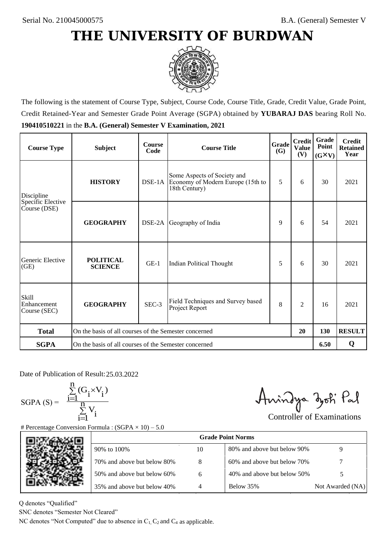## **THE UNIVERSITY OF BURDWAN**



The following is the statement of Course Type, Subject, Course Code, Course Title, Grade, Credit Value, Grade Point, Credit Retained-Year and Semester Grade Point Average (SGPA) obtained by **YUBARAJ DAS** bearing Roll No. **190410510221** in the **B.A. (General) Semester V Examination, 2021**

| <b>Course Type</b>                          | <b>Subject</b>                                              | <b>Course</b><br>Code | Grade<br><b>Course Title</b><br>(G)                                               |   | <b>Credit</b><br><b>Value</b><br>(V) | Grade<br>Point<br>$(G\times V)$ | <b>Credit</b><br><b>Retained</b><br>Year |
|---------------------------------------------|-------------------------------------------------------------|-----------------------|-----------------------------------------------------------------------------------|---|--------------------------------------|---------------------------------|------------------------------------------|
| Discipline                                  | <b>HISTORY</b>                                              |                       | Some Aspects of Society and<br>Economy of Modern Europe (15th to<br>18th Century) | 5 | 6                                    | 30                              | 2021                                     |
| Specific Elective<br>Course (DSE)           | <b>GEOGRAPHY</b>                                            | DSE-2A                | Geography of India                                                                | 9 | 6                                    | 54                              | 2021                                     |
| Generic Elective<br>(GE)                    | <b>POLITICAL</b><br><b>SCIENCE</b>                          | $GE-1$                | Indian Political Thought                                                          | 5 | 6                                    | 30                              | 2021                                     |
| <b>Skill</b><br>Enhancement<br>Course (SEC) | <b>GEOGRAPHY</b>                                            | SEC-3                 | Field Techniques and Survey based<br>Project Report                               |   | $\overline{c}$                       | 16                              | 2021                                     |
| <b>Total</b>                                | On the basis of all courses of the Semester concerned<br>20 |                       |                                                                                   |   |                                      | 130                             | <b>RESULT</b>                            |
| <b>SGPA</b>                                 | On the basis of all courses of the Semester concerned       |                       |                                                                                   |   |                                      | 6.50                            | Q                                        |

Date of Publication of Result: 25,03,2022

SGPA  $(S) = \frac{1}{1}$ 

$$
\frac{\sum_{i=1}^{n} (G_i \times V_i)}{\sum_{i=1}^{n} V_i}
$$

Amindya zoti Pal

| ate of Publication of Result: 25.03.2022<br>GPA (S) = $\frac{\sum_{i=1}^{n} (G_i \times V_i)}{\sum_{i=1}^{n} V_i}$ |                                                                                   |                | Aningya zoti Pal            | <b>Controller of Examinations</b> |
|--------------------------------------------------------------------------------------------------------------------|-----------------------------------------------------------------------------------|----------------|-----------------------------|-----------------------------------|
|                                                                                                                    | Percentage Conversion Formula : $(SGPA \times 10) - 5.0$                          |                | <b>Grade Point Norms</b>    |                                   |
|                                                                                                                    | 90% to 100%                                                                       | 10             | 80% and above but below 90% | 9                                 |
|                                                                                                                    | 70% and above but below 80%                                                       | 8              | 60% and above but below 70% |                                   |
|                                                                                                                    | 50% and above but below 60%                                                       | 6              | 40% and above but below 50% | 5                                 |
|                                                                                                                    | 35% and above but below 40%                                                       | $\overline{4}$ | Below 35%                   | Not Awarded (NA)                  |
| denotes "Qualified"<br>NC denotes "Semester Not Cleared"                                                           | C denotes "Not Computed" due to absence in $C_1$ , $C_2$ and $C_4$ as applicable. |                |                             |                                   |

Q denotes "Qualified"

SNC denotes "Semester Not Cleared"

NC denotes "Not Computed" due to absence in  $C_1$ ,  $C_2$  and  $C_4$  as applicable.